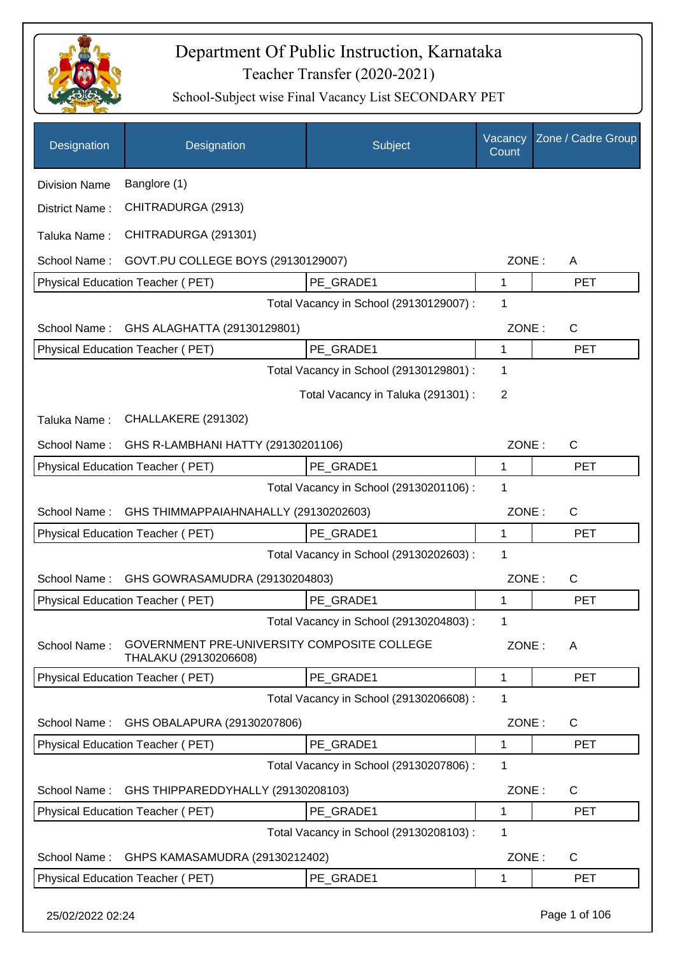

| Designation          | Designation                                                          | Subject                                 | Vacancy<br>Count | Zone / Cadre Group |
|----------------------|----------------------------------------------------------------------|-----------------------------------------|------------------|--------------------|
| <b>Division Name</b> | Banglore (1)                                                         |                                         |                  |                    |
| District Name:       | CHITRADURGA (2913)                                                   |                                         |                  |                    |
| Taluka Name:         | CHITRADURGA (291301)                                                 |                                         |                  |                    |
| School Name:         | GOVT.PU COLLEGE BOYS (29130129007)                                   |                                         | ZONE:            | A                  |
|                      | Physical Education Teacher (PET)                                     | PE_GRADE1                               | 1                | <b>PET</b>         |
|                      |                                                                      | Total Vacancy in School (29130129007) : | 1                |                    |
| School Name:         | GHS ALAGHATTA (29130129801)                                          |                                         | ZONE:            | C                  |
|                      | Physical Education Teacher (PET)                                     | PE GRADE1                               | 1                | <b>PET</b>         |
|                      |                                                                      | Total Vacancy in School (29130129801) : | 1                |                    |
|                      |                                                                      | Total Vacancy in Taluka (291301) :      | $\overline{2}$   |                    |
| Taluka Name:         | CHALLAKERE (291302)                                                  |                                         |                  |                    |
| School Name:         | GHS R-LAMBHANI HATTY (29130201106)                                   |                                         | ZONE:            | $\mathsf{C}$       |
|                      | Physical Education Teacher (PET)                                     | PE_GRADE1                               | 1                | <b>PET</b>         |
|                      |                                                                      | Total Vacancy in School (29130201106) : | 1                |                    |
| School Name:         | GHS THIMMAPPAIAHNAHALLY (29130202603)                                |                                         | ZONE:            | C                  |
|                      | Physical Education Teacher (PET)                                     | PE GRADE1                               | 1                | <b>PET</b>         |
|                      |                                                                      | Total Vacancy in School (29130202603) : | 1                |                    |
| School Name:         | GHS GOWRASAMUDRA (29130204803)                                       |                                         | ZONE:            | C                  |
|                      | <b>Physical Education Teacher (PET)</b>                              | PE_GRADE1                               | 1                | <b>PET</b>         |
|                      |                                                                      | Total Vacancy in School (29130204803) : | 1                |                    |
| School Name:         | GOVERNMENT PRE-UNIVERSITY COMPOSITE COLLEGE<br>THALAKU (29130206608) |                                         | ZONE:            | A                  |
|                      | Physical Education Teacher (PET)                                     | PE_GRADE1                               | 1                | <b>PET</b>         |
|                      |                                                                      | Total Vacancy in School (29130206608) : | 1                |                    |
| School Name:         | GHS OBALAPURA (29130207806)                                          |                                         | ZONE:            | C                  |
|                      | <b>Physical Education Teacher (PET)</b>                              | PE GRADE1                               | 1                | <b>PET</b>         |
|                      |                                                                      | Total Vacancy in School (29130207806) : | 1                |                    |
| School Name:         | GHS THIPPAREDDYHALLY (29130208103)                                   |                                         | ZONE:            | $\mathsf{C}$       |
|                      | Physical Education Teacher (PET)                                     | PE_GRADE1                               | 1                | <b>PET</b>         |
|                      |                                                                      | Total Vacancy in School (29130208103) : | 1                |                    |
| School Name:         | GHPS KAMASAMUDRA (29130212402)                                       |                                         | ZONE:            | C                  |
|                      | Physical Education Teacher (PET)                                     | PE_GRADE1                               | 1                | <b>PET</b>         |
| 25/02/2022 02:24     |                                                                      |                                         |                  | Page 1 of 106      |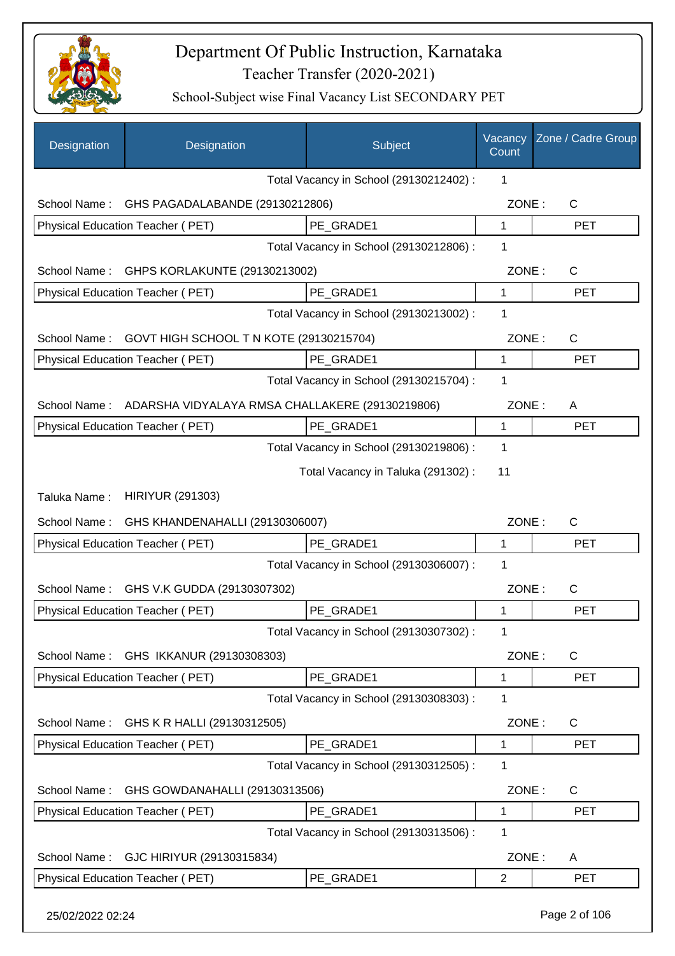

| Designation      | Designation                                                  | Subject                                 | Vacancy<br>Count | Zone / Cadre Group |
|------------------|--------------------------------------------------------------|-----------------------------------------|------------------|--------------------|
|                  |                                                              | Total Vacancy in School (29130212402) : | 1                |                    |
| School Name:     | GHS PAGADALABANDE (29130212806)                              |                                         | ZONE:            | $\mathsf{C}$       |
|                  | Physical Education Teacher (PET)                             | PE GRADE1                               | 1                | <b>PET</b>         |
|                  |                                                              | Total Vacancy in School (29130212806) : | 1                |                    |
|                  | School Name: GHPS KORLAKUNTE (29130213002)                   |                                         | ZONE:            | $\mathsf{C}$       |
|                  | Physical Education Teacher (PET)                             | PE_GRADE1                               | $\mathbf{1}$     | <b>PET</b>         |
|                  |                                                              | Total Vacancy in School (29130213002) : | 1                |                    |
| School Name:     | GOVT HIGH SCHOOL T N KOTE (29130215704)                      |                                         | ZONE:            | C                  |
|                  | Physical Education Teacher (PET)                             | PE GRADE1                               | $\mathbf{1}$     | <b>PET</b>         |
|                  |                                                              | Total Vacancy in School (29130215704) : | 1                |                    |
|                  | School Name: ADARSHA VIDYALAYA RMSA CHALLAKERE (29130219806) |                                         | ZONE:            | A                  |
|                  | <b>Physical Education Teacher (PET)</b>                      | PE_GRADE1                               | 1                | <b>PET</b>         |
|                  |                                                              | Total Vacancy in School (29130219806) : | 1                |                    |
|                  |                                                              | Total Vacancy in Taluka (291302):       | 11               |                    |
| Taluka Name:     | <b>HIRIYUR (291303)</b>                                      |                                         |                  |                    |
| School Name:     | GHS KHANDENAHALLI (29130306007)                              |                                         | ZONE:            | C                  |
|                  | <b>Physical Education Teacher (PET)</b>                      | PE_GRADE1                               | 1                | <b>PET</b>         |
|                  |                                                              | Total Vacancy in School (29130306007) : | 1                |                    |
| School Name:     | GHS V.K GUDDA (29130307302)                                  |                                         | ZONE:            | C                  |
|                  | Physical Education Teacher (PET)                             | PE_GRADE1                               | 1                | <b>PET</b>         |
|                  |                                                              | Total Vacancy in School (29130307302) : | 1                |                    |
| School Name:     | GHS IKKANUR (29130308303)                                    |                                         | ZONE:            | C                  |
|                  | Physical Education Teacher (PET)                             | PE GRADE1                               | 1                | <b>PET</b>         |
|                  |                                                              | Total Vacancy in School (29130308303) : | 1                |                    |
| School Name:     | GHS K R HALLI (29130312505)                                  |                                         | ZONE:            | C                  |
|                  | Physical Education Teacher (PET)                             | PE GRADE1                               | 1                | <b>PET</b>         |
|                  |                                                              | Total Vacancy in School (29130312505) : | 1                |                    |
| School Name:     | GHS GOWDANAHALLI (29130313506)                               |                                         | ZONE:            | $\mathsf{C}$       |
|                  | Physical Education Teacher (PET)                             | PE_GRADE1                               | 1                | <b>PET</b>         |
|                  |                                                              | Total Vacancy in School (29130313506) : | 1                |                    |
| School Name:     | GJC HIRIYUR (29130315834)                                    |                                         | ZONE:            | A                  |
|                  | Physical Education Teacher (PET)                             | PE_GRADE1                               | $\overline{2}$   | <b>PET</b>         |
| 25/02/2022 02:24 |                                                              |                                         |                  | Page 2 of 106      |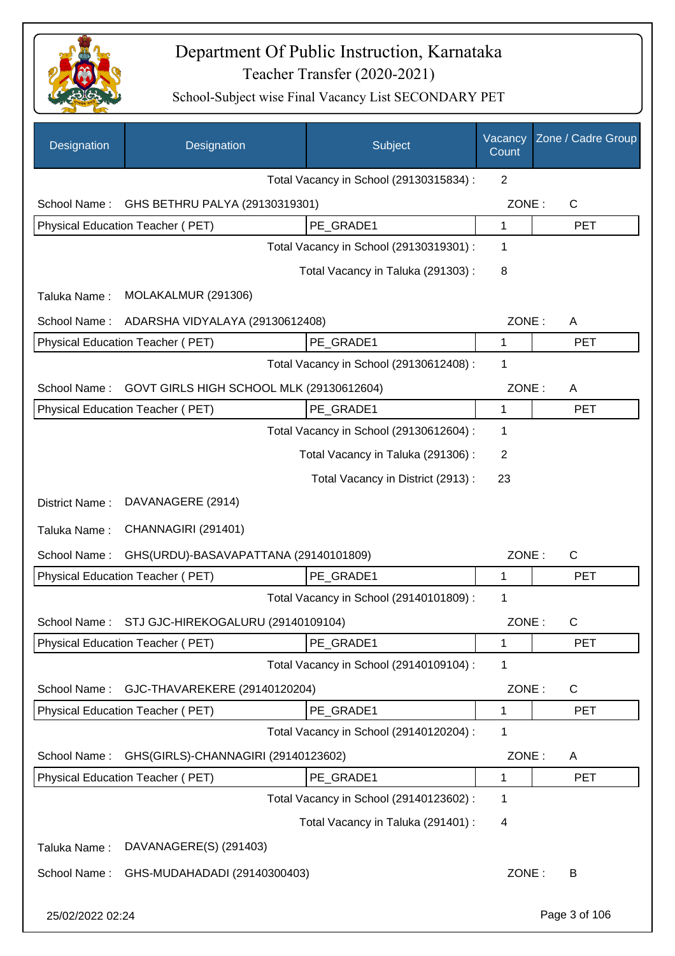

| Designation      | Designation                                     | Subject                                 | Vacancy<br>Count | Zone / Cadre Group |
|------------------|-------------------------------------------------|-----------------------------------------|------------------|--------------------|
|                  |                                                 | Total Vacancy in School (29130315834) : | 2                |                    |
| School Name:     | GHS BETHRU PALYA (29130319301)                  |                                         | ZONE:            | $\mathsf{C}$       |
|                  | Physical Education Teacher (PET)                | PE GRADE1                               | $\mathbf{1}$     | <b>PET</b>         |
|                  |                                                 | Total Vacancy in School (29130319301) : | $\mathbf 1$      |                    |
|                  |                                                 | Total Vacancy in Taluka (291303):       | 8                |                    |
| Taluka Name:     | MOLAKALMUR (291306)                             |                                         |                  |                    |
| School Name:     | ADARSHA VIDYALAYA (29130612408)                 |                                         | ZONE:            | A                  |
|                  | Physical Education Teacher (PET)                | PE_GRADE1                               | 1                | <b>PET</b>         |
|                  |                                                 | Total Vacancy in School (29130612408) : | 1                |                    |
| School Name:     | GOVT GIRLS HIGH SCHOOL MLK (29130612604)        |                                         | ZONE:            | A                  |
|                  | Physical Education Teacher (PET)                | PE GRADE1                               | 1                | <b>PET</b>         |
|                  |                                                 | Total Vacancy in School (29130612604) : | 1                |                    |
|                  |                                                 | Total Vacancy in Taluka (291306):       | 2                |                    |
|                  |                                                 | Total Vacancy in District (2913) :      | 23               |                    |
| District Name:   | DAVANAGERE (2914)                               |                                         |                  |                    |
| Taluka Name:     | CHANNAGIRI (291401)                             |                                         |                  |                    |
| School Name:     | GHS(URDU)-BASAVAPATTANA (29140101809)           |                                         | ZONE:            | C                  |
|                  | Physical Education Teacher (PET)                | PE GRADE1                               | 1                | <b>PET</b>         |
|                  |                                                 | Total Vacancy in School (29140101809) : | 1                |                    |
|                  | School Name: STJ GJC-HIREKOGALURU (29140109104) |                                         | ZONE:            | C.                 |
|                  | Physical Education Teacher (PET)                | PE_GRADE1                               | 1                | <b>PET</b>         |
|                  |                                                 | Total Vacancy in School (29140109104) : | 1                |                    |
| School Name:     | GJC-THAVAREKERE (29140120204)                   |                                         | ZONE:            | $\mathsf C$        |
|                  | Physical Education Teacher (PET)                | PE_GRADE1                               | 1                | <b>PET</b>         |
|                  |                                                 | Total Vacancy in School (29140120204) : | 1                |                    |
| School Name:     | GHS(GIRLS)-CHANNAGIRI (29140123602)             |                                         | ZONE:            | A                  |
|                  | Physical Education Teacher (PET)                | PE_GRADE1                               | 1                | <b>PET</b>         |
|                  |                                                 | Total Vacancy in School (29140123602) : | 1                |                    |
|                  |                                                 | Total Vacancy in Taluka (291401) :      | 4                |                    |
| Taluka Name:     | DAVANAGERE(S) (291403)                          |                                         |                  |                    |
| School Name:     | GHS-MUDAHADADI (29140300403)                    |                                         | ZONE:            | B                  |
| 25/02/2022 02:24 |                                                 |                                         |                  | Page 3 of 106      |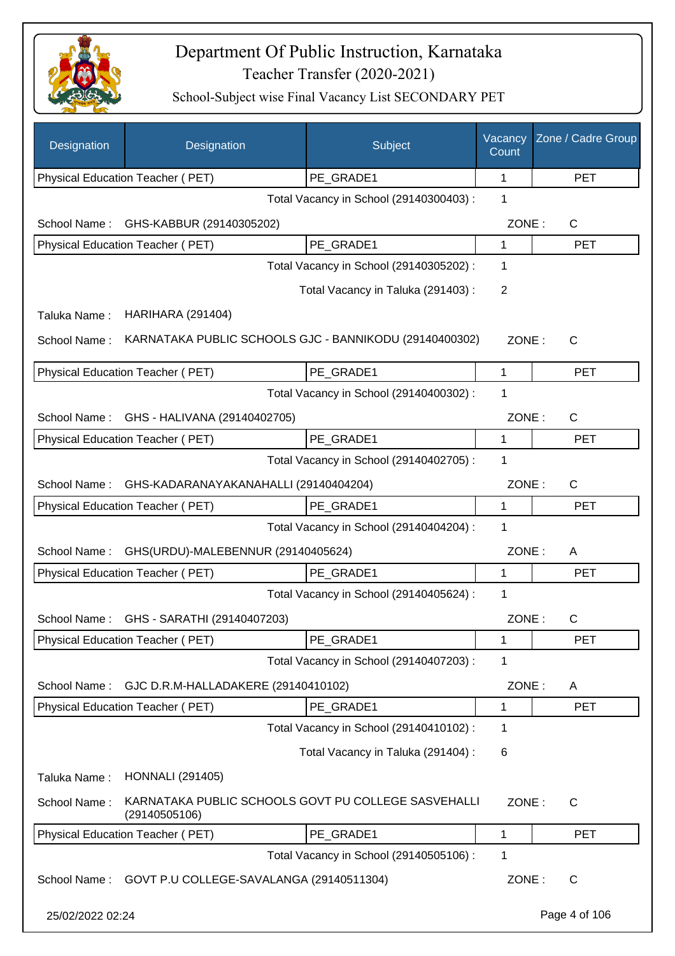

| Designation      | Designation                                                          | Subject                                 | Vacancy<br>Count | Zone / Cadre Group |
|------------------|----------------------------------------------------------------------|-----------------------------------------|------------------|--------------------|
|                  | Physical Education Teacher (PET)                                     | PE_GRADE1                               | 1                | <b>PET</b>         |
|                  |                                                                      | Total Vacancy in School (29140300403) : | 1                |                    |
| School Name:     | GHS-KABBUR (29140305202)                                             |                                         | ZONE:            | C                  |
|                  | Physical Education Teacher (PET)                                     | PE GRADE1                               | 1                | <b>PET</b>         |
|                  |                                                                      | Total Vacancy in School (29140305202) : | 1                |                    |
|                  |                                                                      | Total Vacancy in Taluka (291403):       | 2                |                    |
| Taluka Name:     | <b>HARIHARA (291404)</b>                                             |                                         |                  |                    |
| School Name:     | KARNATAKA PUBLIC SCHOOLS GJC - BANNIKODU (29140400302)               |                                         | ZONE:            | $\mathsf{C}$       |
|                  | Physical Education Teacher (PET)                                     | PE_GRADE1                               | 1                | <b>PET</b>         |
|                  |                                                                      | Total Vacancy in School (29140400302) : | 1                |                    |
| School Name:     | GHS - HALIVANA (29140402705)                                         |                                         | ZONE:            | $\mathsf{C}$       |
|                  | Physical Education Teacher (PET)                                     | PE_GRADE1                               | 1                | <b>PET</b>         |
|                  |                                                                      | Total Vacancy in School (29140402705) : | 1                |                    |
| School Name:     | GHS-KADARANAYAKANAHALLI (29140404204)                                |                                         | ZONE:            | $\mathsf{C}$       |
|                  | Physical Education Teacher (PET)                                     | PE GRADE1                               | 1                | <b>PET</b>         |
|                  |                                                                      | Total Vacancy in School (29140404204) : | 1                |                    |
| School Name:     | GHS(URDU)-MALEBENNUR (29140405624)                                   |                                         | ZONE:            | A                  |
|                  | Physical Education Teacher (PET)                                     | PE_GRADE1                               | 1                | <b>PET</b>         |
|                  |                                                                      | Total Vacancy in School (29140405624) : | 1                |                    |
|                  | School Name: GHS - SARATHI (29140407203)                             |                                         | ZONE:            | С                  |
|                  | Physical Education Teacher (PET)                                     | PE_GRADE1                               | 1                | <b>PET</b>         |
|                  |                                                                      | Total Vacancy in School (29140407203) : | 1                |                    |
| School Name:     | GJC D.R.M-HALLADAKERE (29140410102)                                  |                                         | ZONE:            | A                  |
|                  | Physical Education Teacher (PET)                                     | PE_GRADE1                               | 1                | <b>PET</b>         |
|                  |                                                                      | Total Vacancy in School (29140410102) : | 1                |                    |
|                  |                                                                      | Total Vacancy in Taluka (291404) :      | 6                |                    |
| Taluka Name:     | <b>HONNALI</b> (291405)                                              |                                         |                  |                    |
| School Name:     | KARNATAKA PUBLIC SCHOOLS GOVT PU COLLEGE SASVEHALLI<br>(29140505106) |                                         | ZONE:            | C                  |
|                  | Physical Education Teacher (PET)                                     | PE GRADE1                               | 1                | <b>PET</b>         |
|                  |                                                                      | Total Vacancy in School (29140505106) : | 1                |                    |
| School Name:     | GOVT P.U COLLEGE-SAVALANGA (29140511304)                             |                                         | ZONE:            | $\mathsf{C}$       |
| 25/02/2022 02:24 |                                                                      |                                         |                  | Page 4 of 106      |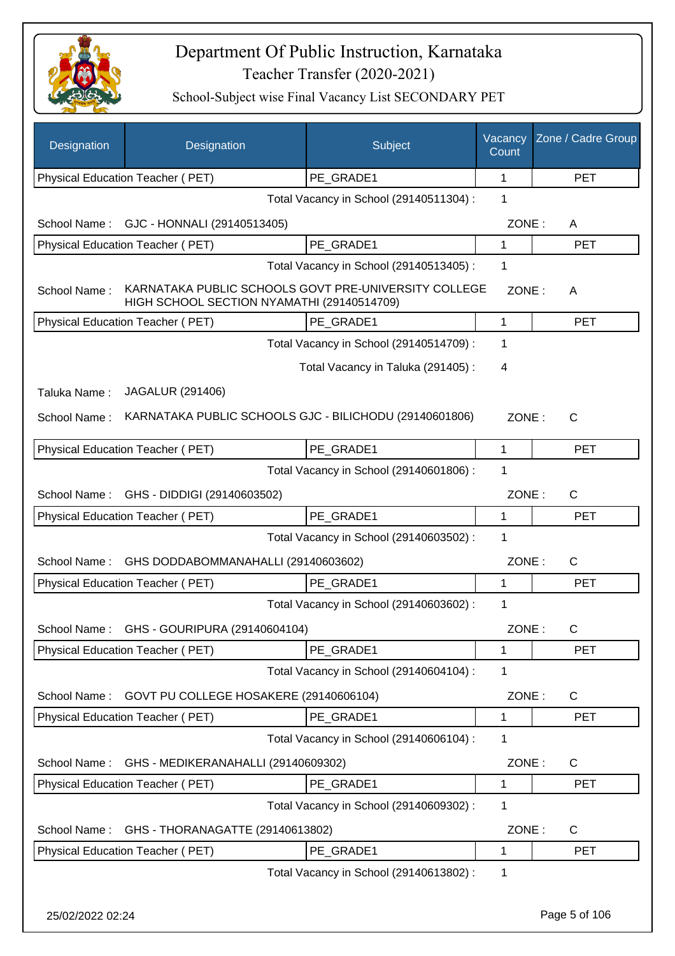

| Designation  | Designation                                                                                        | Subject                                 | Vacancy<br>Count | Zone / Cadre Group |
|--------------|----------------------------------------------------------------------------------------------------|-----------------------------------------|------------------|--------------------|
|              | Physical Education Teacher (PET)                                                                   | PE_GRADE1                               | 1                | <b>PET</b>         |
|              |                                                                                                    | Total Vacancy in School (29140511304) : | 1                |                    |
| School Name: | GJC - HONNALI (29140513405)                                                                        |                                         | ZONE:            | A                  |
|              | Physical Education Teacher (PET)                                                                   | PE_GRADE1                               | 1                | <b>PET</b>         |
|              |                                                                                                    | Total Vacancy in School (29140513405) : | 1                |                    |
| School Name: | KARNATAKA PUBLIC SCHOOLS GOVT PRE-UNIVERSITY COLLEGE<br>HIGH SCHOOL SECTION NYAMATHI (29140514709) |                                         | ZONE:            | A                  |
|              | Physical Education Teacher (PET)                                                                   | PE_GRADE1                               | 1                | <b>PET</b>         |
|              |                                                                                                    | Total Vacancy in School (29140514709) : | 1                |                    |
|              |                                                                                                    | Total Vacancy in Taluka (291405):       | 4                |                    |
| Taluka Name: | JAGALUR (291406)                                                                                   |                                         |                  |                    |
| School Name: | KARNATAKA PUBLIC SCHOOLS GJC - BILICHODU (29140601806)                                             |                                         | ZONE:            | $\mathsf{C}$       |
|              | Physical Education Teacher (PET)                                                                   | PE_GRADE1                               | 1                | <b>PET</b>         |
|              |                                                                                                    | Total Vacancy in School (29140601806) : | 1                |                    |
| School Name: | GHS - DIDDIGI (29140603502)                                                                        |                                         | ZONE:            | C                  |
|              | Physical Education Teacher (PET)                                                                   | PE_GRADE1                               | 1                | <b>PET</b>         |
|              |                                                                                                    | Total Vacancy in School (29140603502) : | 1                |                    |
| School Name: | GHS DODDABOMMANAHALLI (29140603602)                                                                |                                         | ZONE:            | C                  |
|              | Physical Education Teacher (PET)                                                                   | PE GRADE1                               | 1                | <b>PET</b>         |
|              |                                                                                                    | Total Vacancy in School (29140603602) : | 1                |                    |
|              | School Name: GHS - GOURIPURA (29140604104)                                                         |                                         | ZONE:            | C                  |
|              | Physical Education Teacher (PET)                                                                   | PE GRADE1                               | 1                | <b>PET</b>         |
|              |                                                                                                    | Total Vacancy in School (29140604104) : | 1                |                    |
| School Name: | GOVT PU COLLEGE HOSAKERE (29140606104)                                                             |                                         | ZONE:            | $\mathsf{C}$       |
|              | Physical Education Teacher (PET)                                                                   | PE GRADE1                               | 1                | <b>PET</b>         |
|              |                                                                                                    | Total Vacancy in School (29140606104) : | 1                |                    |
| School Name: | GHS - MEDIKERANAHALLI (29140609302)                                                                |                                         | ZONE:            | $\mathsf{C}$       |
|              | Physical Education Teacher (PET)                                                                   | PE_GRADE1                               | 1                | <b>PET</b>         |
|              |                                                                                                    | Total Vacancy in School (29140609302) : | 1                |                    |
| School Name: | GHS - THORANAGATTE (29140613802)                                                                   |                                         | ZONE:            | C                  |
|              | Physical Education Teacher (PET)                                                                   | PE_GRADE1                               | 1                | <b>PET</b>         |
|              |                                                                                                    | Total Vacancy in School (29140613802) : | 1                |                    |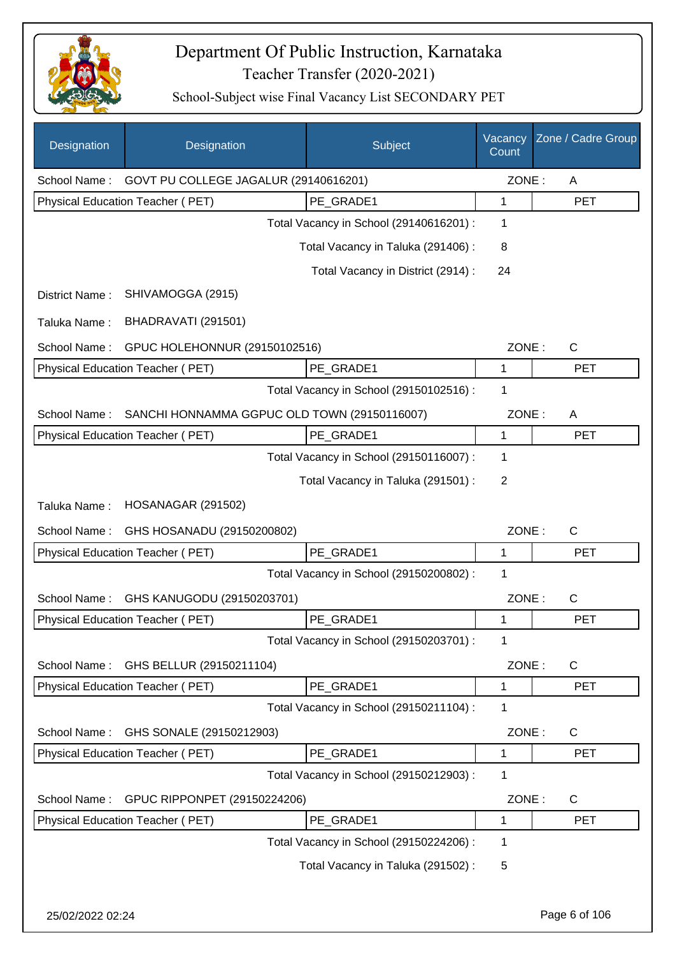

| Designation    | Designation                                  | Subject                                 | Vacancy<br>Count | Zone / Cadre Group |
|----------------|----------------------------------------------|-----------------------------------------|------------------|--------------------|
| School Name:   | GOVT PU COLLEGE JAGALUR (29140616201)        |                                         | ZONE:            | Α                  |
|                | Physical Education Teacher (PET)             | PE_GRADE1                               | 1                | <b>PET</b>         |
|                |                                              | Total Vacancy in School (29140616201) : | 1                |                    |
|                |                                              | Total Vacancy in Taluka (291406) :      | 8                |                    |
|                |                                              | Total Vacancy in District (2914) :      | 24               |                    |
| District Name: | SHIVAMOGGA (2915)                            |                                         |                  |                    |
| Taluka Name:   | BHADRAVATI (291501)                          |                                         |                  |                    |
| School Name:   | GPUC HOLEHONNUR (29150102516)                |                                         | ZONE:            | $\mathsf{C}$       |
|                | Physical Education Teacher (PET)             | PE_GRADE1                               | 1                | <b>PET</b>         |
|                |                                              | Total Vacancy in School (29150102516) : | 1                |                    |
| School Name:   | SANCHI HONNAMMA GGPUC OLD TOWN (29150116007) |                                         | ZONE:            | A                  |
|                | Physical Education Teacher (PET)             | PE_GRADE1                               | 1                | <b>PET</b>         |
|                |                                              | Total Vacancy in School (29150116007) : | 1                |                    |
|                |                                              | Total Vacancy in Taluka (291501) :      | 2                |                    |
| Taluka Name:   | HOSANAGAR (291502)                           |                                         |                  |                    |
| School Name:   | GHS HOSANADU (29150200802)                   |                                         | ZONE:            | $\mathsf{C}$       |
|                | Physical Education Teacher (PET)             | PE GRADE1                               | 1                | <b>PET</b>         |
|                |                                              | Total Vacancy in School (29150200802) : | 1                |                    |
| School Name:   | GHS KANUGODU (29150203701)                   |                                         | ZONE:            | $\mathsf{C}$       |
|                | Physical Education Teacher (PET)             | PE GRADE1                               | 1                | <b>PET</b>         |
|                |                                              | Total Vacancy in School (29150203701) : | 1                |                    |
| School Name:   | GHS BELLUR (29150211104)                     |                                         | ZONE:            | C                  |
|                | Physical Education Teacher (PET)             | PE_GRADE1                               | 1                | <b>PET</b>         |
|                |                                              | Total Vacancy in School (29150211104) : | 1                |                    |
| School Name:   | GHS SONALE (29150212903)                     |                                         | ZONE:            | C                  |
|                | Physical Education Teacher (PET)             | PE_GRADE1                               | 1                | <b>PET</b>         |
|                |                                              | Total Vacancy in School (29150212903) : | 1                |                    |
| School Name:   | GPUC RIPPONPET (29150224206)                 |                                         | ZONE:            | C                  |
|                | Physical Education Teacher (PET)             | PE_GRADE1                               | 1                | <b>PET</b>         |
|                |                                              | Total Vacancy in School (29150224206) : | 1                |                    |
|                |                                              | Total Vacancy in Taluka (291502) :      | 5                |                    |
|                |                                              |                                         |                  |                    |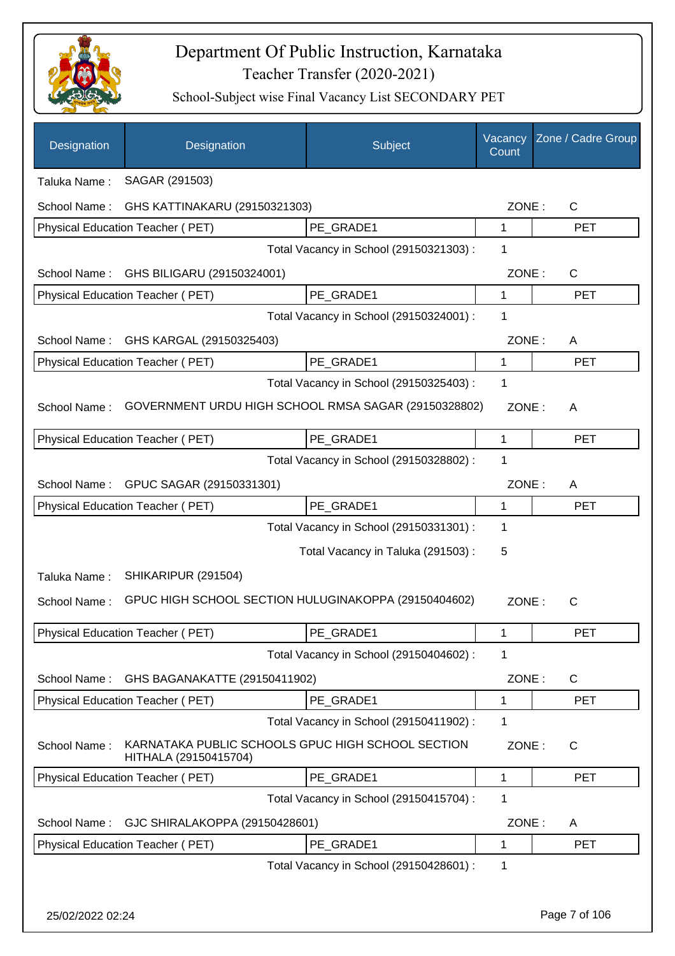

| Designation      | Designation                                                                | Subject                                 | Vacancy<br>Count | Zone / Cadre Group |
|------------------|----------------------------------------------------------------------------|-----------------------------------------|------------------|--------------------|
| Taluka Name:     | SAGAR (291503)                                                             |                                         |                  |                    |
| School Name:     | GHS KATTINAKARU (29150321303)                                              |                                         | ZONE:            | $\mathsf{C}$       |
|                  | Physical Education Teacher (PET)                                           | PE GRADE1                               | 1                | <b>PET</b>         |
|                  |                                                                            | Total Vacancy in School (29150321303) : | 1                |                    |
| School Name:     | GHS BILIGARU (29150324001)                                                 |                                         | ZONE:            | $\mathsf{C}$       |
|                  | Physical Education Teacher (PET)                                           | PE GRADE1                               | 1                | <b>PET</b>         |
|                  |                                                                            | Total Vacancy in School (29150324001) : | 1                |                    |
| School Name:     | GHS KARGAL (29150325403)                                                   |                                         | ZONE:            | A                  |
|                  | Physical Education Teacher (PET)                                           | PE_GRADE1                               | 1                | <b>PET</b>         |
|                  |                                                                            | Total Vacancy in School (29150325403) : | 1                |                    |
| School Name:     | GOVERNMENT URDU HIGH SCHOOL RMSA SAGAR (29150328802)                       |                                         | ZONE:            | A                  |
|                  | Physical Education Teacher (PET)                                           | PE GRADE1                               | $\mathbf{1}$     | <b>PET</b>         |
|                  |                                                                            | Total Vacancy in School (29150328802) : | 1                |                    |
| School Name:     | GPUC SAGAR (29150331301)                                                   |                                         | ZONE:            | A                  |
|                  | Physical Education Teacher (PET)                                           | PE_GRADE1                               | 1                | <b>PET</b>         |
|                  |                                                                            | Total Vacancy in School (29150331301) : | 1                |                    |
|                  |                                                                            | Total Vacancy in Taluka (291503) :      | 5                |                    |
| Taluka Name:     | SHIKARIPUR (291504)                                                        |                                         |                  |                    |
| School Name:     | GPUC HIGH SCHOOL SECTION HULUGINAKOPPA (29150404602)                       |                                         | ZONE:            | C                  |
|                  | Physical Education Teacher (PET)                                           | PE_GRADE1                               | 1                | <b>PET</b>         |
|                  |                                                                            | Total Vacancy in School (29150404602) : | 1                |                    |
| School Name:     | GHS BAGANAKATTE (29150411902)                                              |                                         | ZONE:            | C                  |
|                  | Physical Education Teacher (PET)                                           | PE_GRADE1                               | 1                | <b>PET</b>         |
|                  |                                                                            | Total Vacancy in School (29150411902) : | 1                |                    |
| School Name:     | KARNATAKA PUBLIC SCHOOLS GPUC HIGH SCHOOL SECTION<br>HITHALA (29150415704) |                                         | ZONE:            | C                  |
|                  | Physical Education Teacher (PET)                                           | PE_GRADE1                               | 1                | <b>PET</b>         |
|                  |                                                                            | Total Vacancy in School (29150415704) : | 1                |                    |
| School Name:     | GJC SHIRALAKOPPA (29150428601)                                             |                                         | ZONE:            | A                  |
|                  | Physical Education Teacher (PET)                                           | PE_GRADE1                               | $\mathbf 1$      | <b>PET</b>         |
|                  |                                                                            | Total Vacancy in School (29150428601) : | $\mathbf 1$      |                    |
|                  |                                                                            |                                         |                  |                    |
| 25/02/2022 02:24 |                                                                            |                                         |                  | Page 7 of 106      |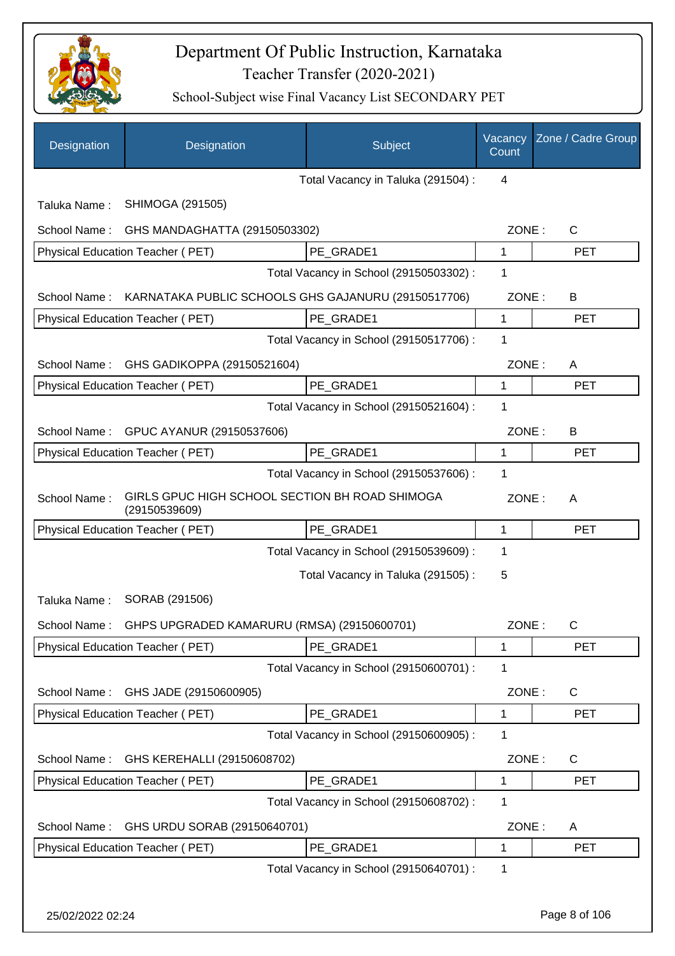

| Designation      | Designation                                                     | <b>Subject</b>                          | Vacancy<br>Count | Zone / Cadre Group |
|------------------|-----------------------------------------------------------------|-----------------------------------------|------------------|--------------------|
|                  |                                                                 | Total Vacancy in Taluka (291504) :      | 4                |                    |
| Taluka Name:     | SHIMOGA (291505)                                                |                                         |                  |                    |
| School Name:     | GHS MANDAGHATTA (29150503302)                                   |                                         | ZONE:            | $\mathsf{C}$       |
|                  | Physical Education Teacher (PET)                                | PE_GRADE1                               | 1                | <b>PET</b>         |
|                  |                                                                 | Total Vacancy in School (29150503302) : | 1                |                    |
| School Name:     | KARNATAKA PUBLIC SCHOOLS GHS GAJANURU (29150517706)             |                                         | ZONE:            | В                  |
|                  | Physical Education Teacher (PET)                                | PE GRADE1                               | 1                | <b>PET</b>         |
|                  |                                                                 | Total Vacancy in School (29150517706) : | 1                |                    |
| School Name:     | GHS GADIKOPPA (29150521604)                                     |                                         | ZONE:            | A                  |
|                  | <b>Physical Education Teacher (PET)</b>                         | PE GRADE1                               | 1                | <b>PET</b>         |
|                  |                                                                 | Total Vacancy in School (29150521604) : | 1                |                    |
| School Name:     | GPUC AYANUR (29150537606)                                       |                                         | ZONE:            | B                  |
|                  | Physical Education Teacher (PET)                                | PE GRADE1                               | $\mathbf{1}$     | <b>PET</b>         |
|                  |                                                                 | Total Vacancy in School (29150537606) : | 1                |                    |
| School Name:     | GIRLS GPUC HIGH SCHOOL SECTION BH ROAD SHIMOGA<br>(29150539609) |                                         | ZONE:            | A                  |
|                  | Physical Education Teacher (PET)                                | PE_GRADE1                               | $\mathbf{1}$     | <b>PET</b>         |
|                  |                                                                 | Total Vacancy in School (29150539609) : | 1                |                    |
|                  |                                                                 | Total Vacancy in Taluka (291505):       | 5                |                    |
| Taluka Name:     | SORAB (291506)                                                  |                                         |                  |                    |
|                  | School Name: GHPS UPGRADED KAMARURU (RMSA) (29150600701)        |                                         | ZONE:            | С                  |
|                  | Physical Education Teacher (PET)                                | PE GRADE1                               | 1                | <b>PET</b>         |
|                  |                                                                 | Total Vacancy in School (29150600701) : | 1                |                    |
| School Name:     | GHS JADE (29150600905)                                          |                                         | ZONE:            | $\mathsf{C}$       |
|                  | Physical Education Teacher (PET)                                | PE GRADE1                               | 1                | <b>PET</b>         |
|                  |                                                                 | Total Vacancy in School (29150600905) : | 1                |                    |
| School Name:     | GHS KEREHALLI (29150608702)                                     |                                         | ZONE:            | $\mathsf{C}$       |
|                  | Physical Education Teacher (PET)                                | PE_GRADE1                               | 1                | <b>PET</b>         |
|                  |                                                                 | Total Vacancy in School (29150608702) : | 1                |                    |
| School Name:     | GHS URDU SORAB (29150640701)                                    |                                         | ZONE:            | A                  |
|                  | Physical Education Teacher (PET)                                | PE_GRADE1                               | 1                | <b>PET</b>         |
|                  |                                                                 | Total Vacancy in School (29150640701) : | 1                |                    |
| 25/02/2022 02:24 |                                                                 |                                         |                  | Page 8 of 106      |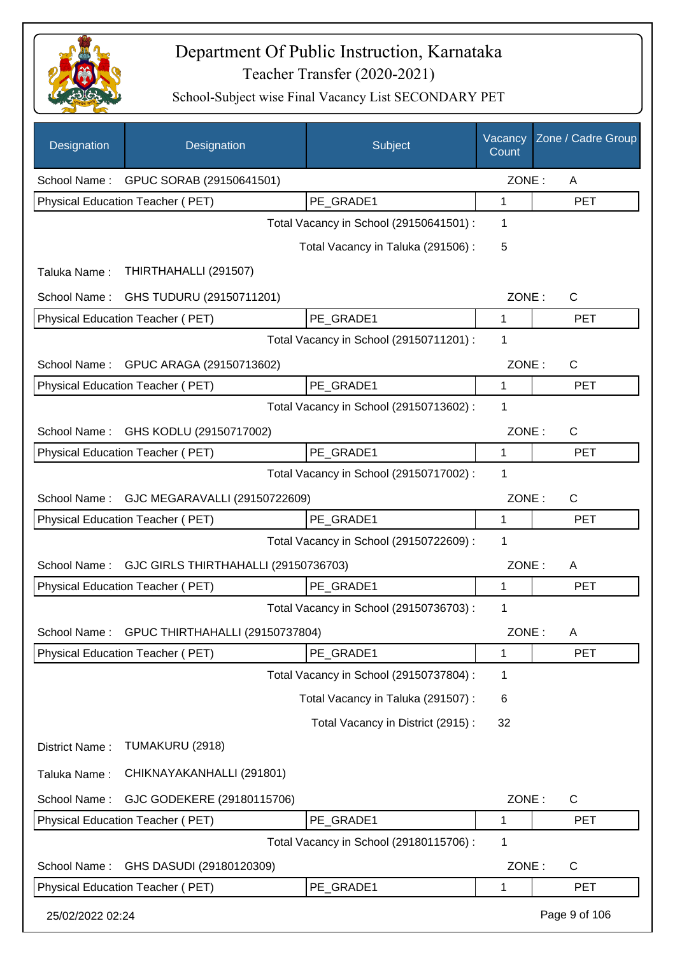

| Designation      | Designation                           | Subject                                 | Vacancy<br>Count | Zone / Cadre Group |
|------------------|---------------------------------------|-----------------------------------------|------------------|--------------------|
|                  | School Name: GPUC SORAB (29150641501) |                                         | ZONE:            | A                  |
|                  | Physical Education Teacher (PET)      | PE_GRADE1                               | 1                | <b>PET</b>         |
|                  |                                       | Total Vacancy in School (29150641501) : | 1                |                    |
|                  |                                       | Total Vacancy in Taluka (291506) :      | 5                |                    |
| Taluka Name:     | THIRTHAHALLI (291507)                 |                                         |                  |                    |
| School Name:     | GHS TUDURU (29150711201)              |                                         | ZONE:            | $\mathsf{C}$       |
|                  | Physical Education Teacher (PET)      | PE_GRADE1                               | 1                | <b>PET</b>         |
|                  |                                       | Total Vacancy in School (29150711201) : | 1                |                    |
| School Name:     | GPUC ARAGA (29150713602)              |                                         | ZONE:            | $\mathsf{C}$       |
|                  | Physical Education Teacher (PET)      | PE_GRADE1                               | 1                | <b>PET</b>         |
|                  |                                       | Total Vacancy in School (29150713602):  | 1                |                    |
| School Name:     | GHS KODLU (29150717002)               |                                         | ZONE:            | $\mathsf{C}$       |
|                  | Physical Education Teacher (PET)      | PE_GRADE1                               | 1                | <b>PET</b>         |
|                  |                                       | Total Vacancy in School (29150717002) : | 1                |                    |
| School Name:     | GJC MEGARAVALLI (29150722609)         |                                         | ZONE:            | $\mathsf{C}$       |
|                  | Physical Education Teacher (PET)      | PE GRADE1                               | 1                | <b>PET</b>         |
|                  |                                       | Total Vacancy in School (29150722609) : | 1                |                    |
| School Name:     | GJC GIRLS THIRTHAHALLI (29150736703)  |                                         | ZONE:            | A                  |
|                  | Physical Education Teacher (PET)      | PE_GRADE1                               | 1                | <b>PET</b>         |
|                  |                                       | Total Vacancy in School (29150736703) : | 1                |                    |
| School Name:     | GPUC THIRTHAHALLI (29150737804)       |                                         | ZONE:            | Α                  |
|                  | Physical Education Teacher (PET)      | PE GRADE1                               | 1                | PET                |
|                  |                                       | Total Vacancy in School (29150737804) : | 1                |                    |
|                  |                                       | Total Vacancy in Taluka (291507) :      | 6                |                    |
|                  |                                       | Total Vacancy in District (2915):       | 32               |                    |
| District Name:   | TUMAKURU (2918)                       |                                         |                  |                    |
| Taluka Name:     | CHIKNAYAKANHALLI (291801)             |                                         |                  |                    |
| School Name:     | GJC GODEKERE (29180115706)            |                                         | ZONE:            | $\mathsf{C}$       |
|                  | Physical Education Teacher (PET)      | PE_GRADE1                               | 1                | <b>PET</b>         |
|                  |                                       | Total Vacancy in School (29180115706) : | 1                |                    |
| School Name:     | GHS DASUDI (29180120309)              |                                         | ZONE:            | C                  |
|                  | Physical Education Teacher (PET)      | PE GRADE1                               | 1                | <b>PET</b>         |
| 25/02/2022 02:24 |                                       |                                         |                  | Page 9 of 106      |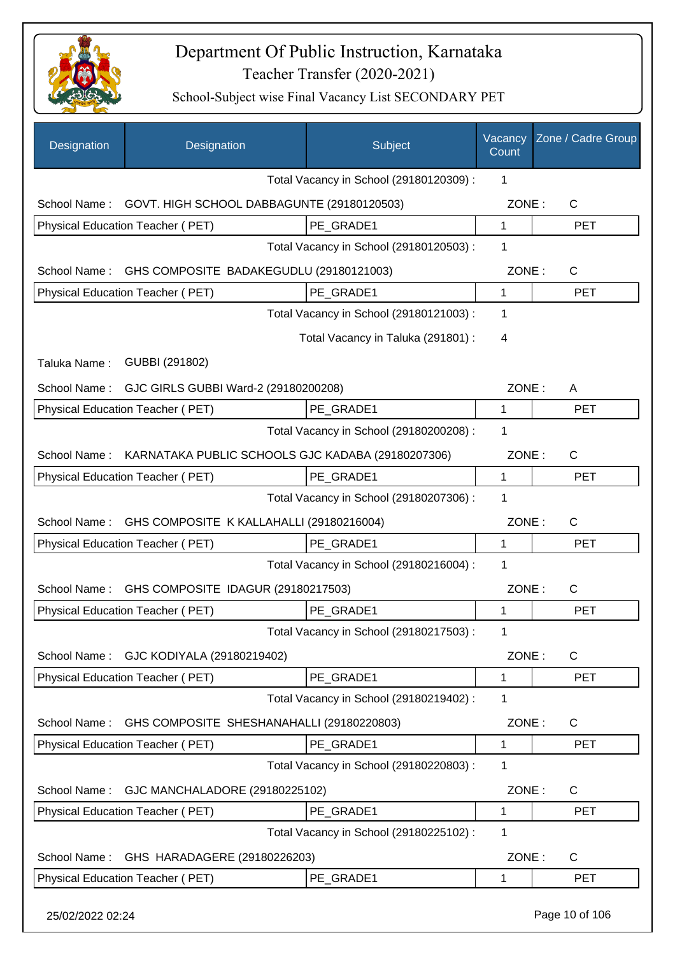

| Designation      | Designation                                                | Subject                                 | Vacancy<br>Count | Zone / Cadre Group    |
|------------------|------------------------------------------------------------|-----------------------------------------|------------------|-----------------------|
|                  |                                                            | Total Vacancy in School (29180120309) : | 1                |                       |
|                  | School Name:<br>GOVT. HIGH SCHOOL DABBAGUNTE (29180120503) |                                         |                  | $\mathsf{C}$<br>ZONE: |
|                  | Physical Education Teacher (PET)                           | PE GRADE1                               | 1                | <b>PET</b>            |
|                  |                                                            | Total Vacancy in School (29180120503) : | 1                |                       |
| School Name:     | GHS COMPOSITE BADAKEGUDLU (29180121003)                    |                                         |                  | ZONE:<br>C            |
|                  | Physical Education Teacher (PET)                           | PE GRADE1                               | $\mathbf 1$      | <b>PET</b>            |
|                  |                                                            | Total Vacancy in School (29180121003) : | 1                |                       |
|                  |                                                            | Total Vacancy in Taluka (291801) :      | 4                |                       |
| Taluka Name:     | GUBBI (291802)                                             |                                         |                  |                       |
| School Name:     | GJC GIRLS GUBBI Ward-2 (29180200208)                       |                                         | ZONE:            | A                     |
|                  | Physical Education Teacher (PET)                           | PE GRADE1                               | 1                | <b>PET</b>            |
|                  |                                                            | Total Vacancy in School (29180200208) : | 1                |                       |
| School Name:     | KARNATAKA PUBLIC SCHOOLS GJC KADABA (29180207306)          |                                         | ZONE:            | C                     |
|                  | Physical Education Teacher (PET)                           | PE GRADE1                               | $\mathbf{1}$     | <b>PET</b>            |
|                  |                                                            | Total Vacancy in School (29180207306) : | 1                |                       |
| School Name:     | GHS COMPOSITE K KALLAHALLI (29180216004)                   |                                         | ZONE:            | $\mathsf{C}$          |
|                  | Physical Education Teacher (PET)                           | PE GRADE1                               | 1                | <b>PET</b>            |
|                  |                                                            | Total Vacancy in School (29180216004) : | 1                |                       |
| School Name:     | GHS COMPOSITE IDAGUR (29180217503)                         |                                         | ZONE:            | C                     |
|                  | <b>Physical Education Teacher (PET)</b>                    | PE GRADE1                               | 1                | <b>PET</b>            |
|                  |                                                            | Total Vacancy in School (29180217503) : | 1                |                       |
| School Name:     | GJC KODIYALA (29180219402)                                 |                                         | ZONE:            | C                     |
|                  | Physical Education Teacher (PET)                           | PE GRADE1                               | 1                | <b>PET</b>            |
|                  |                                                            | Total Vacancy in School (29180219402) : | 1                |                       |
| School Name:     | GHS COMPOSITE SHESHANAHALLI (29180220803)                  |                                         | ZONE:            | $\mathsf{C}$          |
|                  | Physical Education Teacher (PET)                           | PE GRADE1                               | 1                | <b>PET</b>            |
|                  |                                                            | Total Vacancy in School (29180220803) : | 1                |                       |
| School Name:     | GJC MANCHALADORE (29180225102)                             |                                         | ZONE:            | $\mathsf{C}$          |
|                  | Physical Education Teacher (PET)                           | PE_GRADE1                               | 1                | <b>PET</b>            |
|                  |                                                            | Total Vacancy in School (29180225102) : | 1                |                       |
| School Name:     | GHS HARADAGERE (29180226203)                               |                                         | ZONE:            | C                     |
|                  | Physical Education Teacher (PET)                           | PE_GRADE1                               | 1                | <b>PET</b>            |
| 25/02/2022 02:24 |                                                            |                                         |                  | Page 10 of 106        |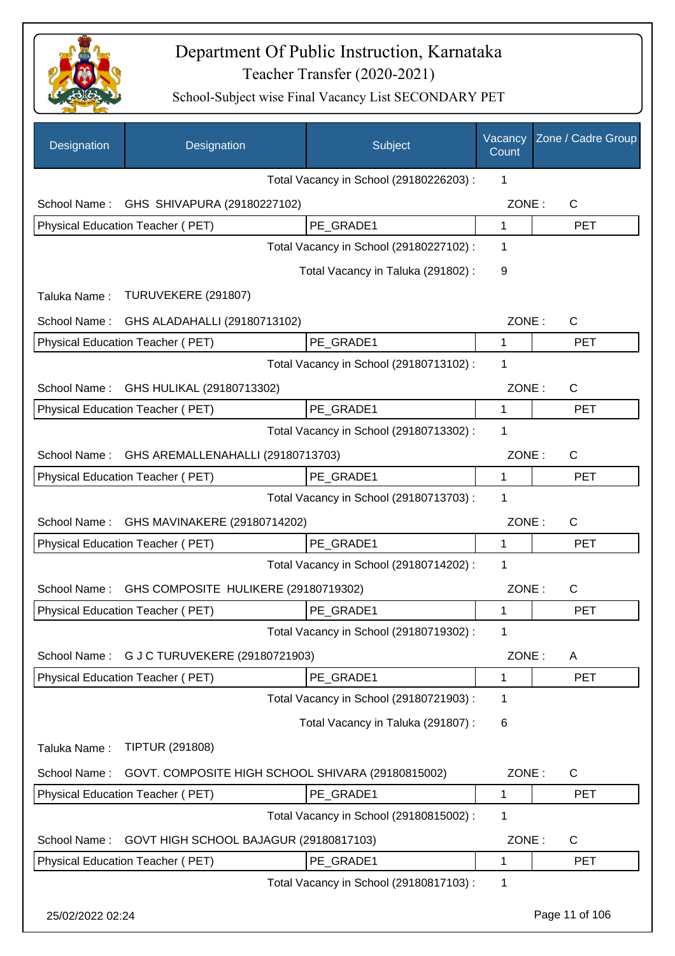

| Designation      | Designation                                       | Subject                                 | Vacancy<br>Count | Zone / Cadre Group |
|------------------|---------------------------------------------------|-----------------------------------------|------------------|--------------------|
|                  |                                                   | Total Vacancy in School (29180226203) : | 1                |                    |
| School Name:     | GHS SHIVAPURA (29180227102)                       |                                         | ZONE:            | C                  |
|                  | Physical Education Teacher (PET)                  | PE GRADE1                               | $\mathbf 1$      | <b>PET</b>         |
|                  |                                                   | Total Vacancy in School (29180227102) : | 1                |                    |
|                  |                                                   | Total Vacancy in Taluka (291802):       | 9                |                    |
| Taluka Name:     | TURUVEKERE (291807)                               |                                         |                  |                    |
| School Name:     | GHS ALADAHALLI (29180713102)                      |                                         | ZONE:            | C                  |
|                  | Physical Education Teacher (PET)                  | PE GRADE1                               | 1                | <b>PET</b>         |
|                  |                                                   | Total Vacancy in School (29180713102) : | 1                |                    |
| School Name:     | GHS HULIKAL (29180713302)                         |                                         | ZONE:            | $\mathsf{C}$       |
|                  | Physical Education Teacher (PET)                  | PE_GRADE1                               | 1                | <b>PET</b>         |
|                  |                                                   | Total Vacancy in School (29180713302) : | 1                |                    |
| School Name:     | GHS AREMALLENAHALLI (29180713703)                 |                                         | ZONE:            | C                  |
|                  | Physical Education Teacher (PET)                  | PE GRADE1                               | $\mathbf{1}$     | <b>PET</b>         |
|                  |                                                   | Total Vacancy in School (29180713703) : | 1                |                    |
| School Name:     | GHS MAVINAKERE (29180714202)                      |                                         | ZONE:            | C                  |
|                  | Physical Education Teacher (PET)                  | PE GRADE1                               | 1                | <b>PET</b>         |
|                  |                                                   | Total Vacancy in School (29180714202) : | 1                |                    |
| School Name:     | GHS COMPOSITE HULIKERE (29180719302)              |                                         | ZONE:            | C                  |
|                  | Physical Education Teacher (PET)                  | PE GRADE1                               | 1                | <b>PET</b>         |
|                  |                                                   | Total Vacancy in School (29180719302) : | 1                |                    |
| School Name:     | G J C TURUVEKERE (29180721903)                    |                                         | ZONE:            | A                  |
|                  | Physical Education Teacher (PET)                  | PE_GRADE1                               | 1                | <b>PET</b>         |
|                  |                                                   | Total Vacancy in School (29180721903) : | 1                |                    |
|                  |                                                   | Total Vacancy in Taluka (291807) :      | 6                |                    |
| Taluka Name:     | <b>TIPTUR (291808)</b>                            |                                         |                  |                    |
| School Name:     | GOVT. COMPOSITE HIGH SCHOOL SHIVARA (29180815002) |                                         | ZONE:            | $\mathsf{C}$       |
|                  | Physical Education Teacher (PET)                  | PE_GRADE1                               | 1                | <b>PET</b>         |
|                  |                                                   | Total Vacancy in School (29180815002) : | 1                |                    |
| School Name:     | GOVT HIGH SCHOOL BAJAGUR (29180817103)            |                                         | ZONE:            | $\mathsf{C}$       |
|                  | Physical Education Teacher (PET)                  | PE_GRADE1                               | $\mathbf 1$      | <b>PET</b>         |
|                  |                                                   | Total Vacancy in School (29180817103) : | 1                |                    |
| 25/02/2022 02:24 |                                                   |                                         |                  | Page 11 of 106     |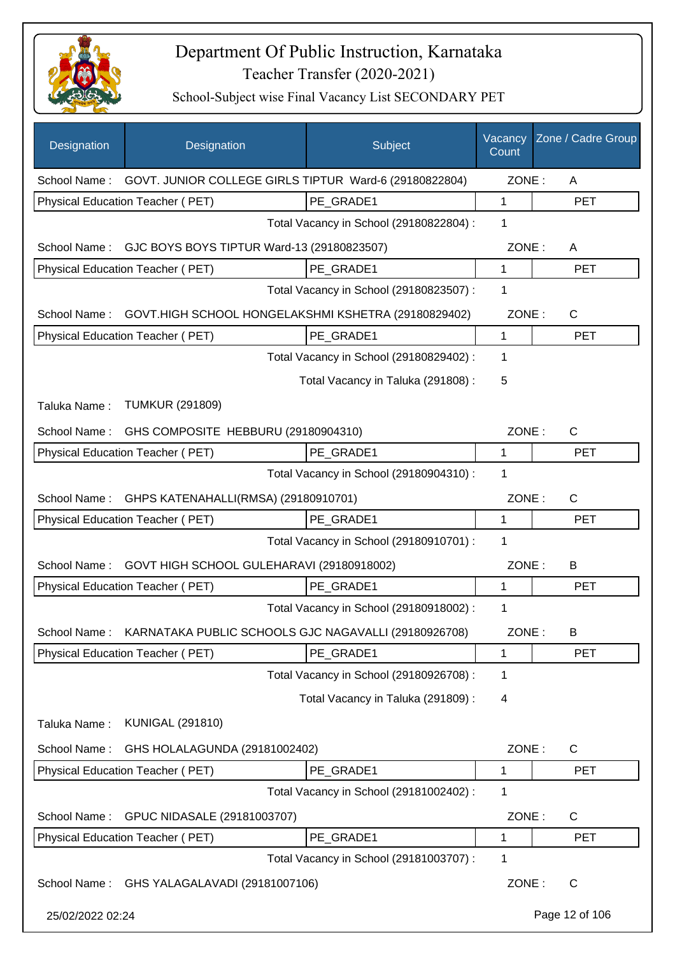

| Designation      | Designation                                                         | Subject                                 | Vacancy<br>Count | Zone / Cadre Group |
|------------------|---------------------------------------------------------------------|-----------------------------------------|------------------|--------------------|
|                  | School Name: GOVT. JUNIOR COLLEGE GIRLS TIPTUR Ward-6 (29180822804) |                                         | ZONE:            | A                  |
|                  | Physical Education Teacher (PET)                                    | PE GRADE1                               | 1                | <b>PET</b>         |
|                  |                                                                     | Total Vacancy in School (29180822804) : | 1                |                    |
|                  | School Name: GJC BOYS BOYS TIPTUR Ward-13 (29180823507)             |                                         | ZONE:            | A                  |
|                  | Physical Education Teacher (PET)                                    | PE GRADE1                               | $\mathbf{1}$     | <b>PET</b>         |
|                  |                                                                     | Total Vacancy in School (29180823507) : | 1                |                    |
| School Name:     | GOVT.HIGH SCHOOL HONGELAKSHMI KSHETRA (29180829402)                 |                                         | ZONE:            | $\mathsf{C}$       |
|                  | Physical Education Teacher (PET)                                    | PE GRADE1                               | 1                | <b>PET</b>         |
|                  |                                                                     | Total Vacancy in School (29180829402) : | 1                |                    |
|                  |                                                                     | Total Vacancy in Taluka (291808) :      | 5                |                    |
| Taluka Name:     | <b>TUMKUR (291809)</b>                                              |                                         |                  |                    |
| School Name:     | GHS COMPOSITE HEBBURU (29180904310)                                 |                                         | ZONE:            | $\mathsf{C}$       |
|                  | Physical Education Teacher (PET)                                    | PE GRADE1                               | 1                | <b>PET</b>         |
|                  |                                                                     | Total Vacancy in School (29180904310) : | 1                |                    |
| School Name:     | GHPS KATENAHALLI(RMSA) (29180910701)                                |                                         | ZONE:            | C                  |
|                  | Physical Education Teacher (PET)                                    | PE GRADE1                               | $\mathbf{1}$     | <b>PET</b>         |
|                  |                                                                     | Total Vacancy in School (29180910701) : | 1                |                    |
| School Name:     | GOVT HIGH SCHOOL GULEHARAVI (29180918002)                           |                                         | ZONE:            | B                  |
|                  | <b>Physical Education Teacher (PET)</b>                             | PE GRADE1                               | 1                | <b>PET</b>         |
|                  |                                                                     | Total Vacancy in School (29180918002) : | 1                |                    |
| School Name:     | KARNATAKA PUBLIC SCHOOLS GJC NAGAVALLI (29180926708)                |                                         | ZONE:            | B                  |
|                  | Physical Education Teacher (PET)                                    | PE_GRADE1                               | 1                | <b>PET</b>         |
|                  |                                                                     | Total Vacancy in School (29180926708) : | 1                |                    |
|                  |                                                                     | Total Vacancy in Taluka (291809):       | 4                |                    |
| Taluka Name:     | <b>KUNIGAL (291810)</b>                                             |                                         |                  |                    |
| School Name:     | GHS HOLALAGUNDA (29181002402)                                       |                                         | ZONE:            | C                  |
|                  | Physical Education Teacher (PET)                                    | PE_GRADE1                               | 1                | <b>PET</b>         |
|                  |                                                                     | Total Vacancy in School (29181002402) : | 1                |                    |
| School Name:     | GPUC NIDASALE (29181003707)                                         |                                         | ZONE:            | C                  |
|                  | Physical Education Teacher (PET)                                    | PE_GRADE1                               | 1                | <b>PET</b>         |
|                  |                                                                     | Total Vacancy in School (29181003707) : | 1                |                    |
| School Name:     | GHS YALAGALAVADI (29181007106)                                      |                                         | ZONE:            | C                  |
| 25/02/2022 02:24 |                                                                     |                                         |                  | Page 12 of 106     |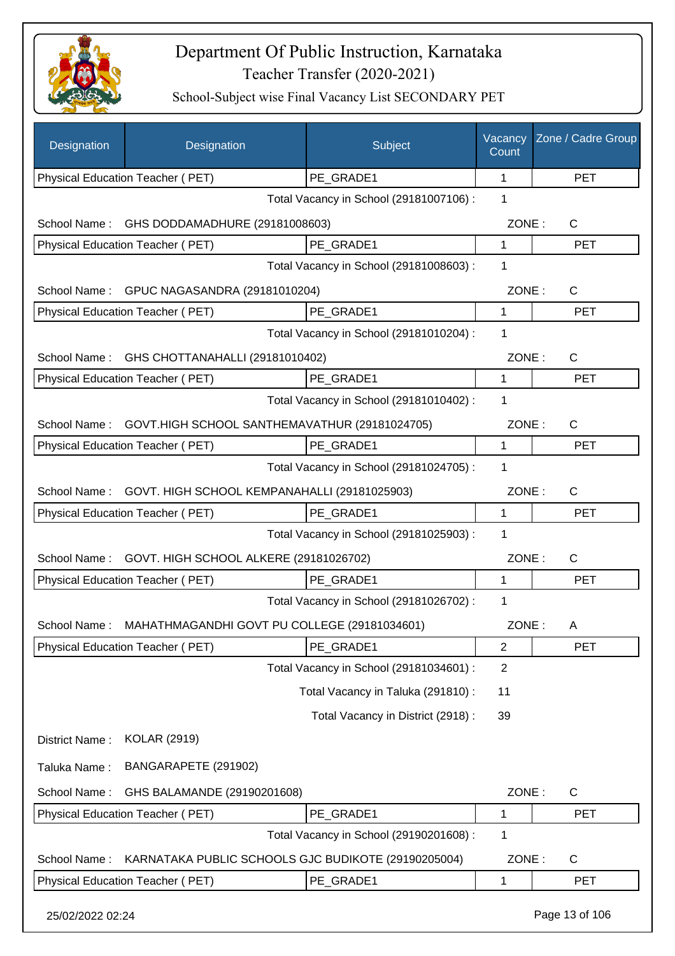

| Designation      | Designation                                         | Subject                                 | Vacancy<br>Count | Zone / Cadre Group |
|------------------|-----------------------------------------------------|-----------------------------------------|------------------|--------------------|
|                  | Physical Education Teacher (PET)                    | PE GRADE1                               | 1                | <b>PET</b>         |
|                  |                                                     | Total Vacancy in School (29181007106) : | 1                |                    |
| School Name:     | GHS DODDAMADHURE (29181008603)                      |                                         | ZONE:            | $\mathsf{C}$       |
|                  | Physical Education Teacher (PET)                    | PE GRADE1                               | 1                | <b>PET</b>         |
|                  |                                                     | Total Vacancy in School (29181008603) : | 1                |                    |
|                  | School Name: GPUC NAGASANDRA (29181010204)          |                                         | ZONE:            | C                  |
|                  | Physical Education Teacher (PET)                    | PE GRADE1                               | 1                | <b>PET</b>         |
|                  |                                                     | Total Vacancy in School (29181010204) : | 1                |                    |
| School Name:     | GHS CHOTTANAHALLI (29181010402)                     |                                         | ZONE:            | C                  |
|                  | Physical Education Teacher (PET)                    | PE GRADE1                               | 1                | <b>PET</b>         |
|                  |                                                     | Total Vacancy in School (29181010402) : | 1                |                    |
| School Name:     | GOVT.HIGH SCHOOL SANTHEMAVATHUR (29181024705)       |                                         | ZONE:            | C                  |
|                  | Physical Education Teacher (PET)                    | PE_GRADE1                               | $\mathbf{1}$     | <b>PET</b>         |
|                  |                                                     | Total Vacancy in School (29181024705) : | 1                |                    |
| School Name:     | GOVT. HIGH SCHOOL KEMPANAHALLI (29181025903)        |                                         | ZONE:            | C                  |
|                  | Physical Education Teacher (PET)                    | PE_GRADE1                               | 1                | <b>PET</b>         |
|                  |                                                     | Total Vacancy in School (29181025903) : | 1                |                    |
| School Name:     | GOVT. HIGH SCHOOL ALKERE (29181026702)              |                                         | ZONE:            | $\mathsf{C}$       |
|                  | Physical Education Teacher (PET)                    | PE GRADE1                               | 1                | <b>PET</b>         |
|                  |                                                     | Total Vacancy in School (29181026702) : | 1                |                    |
| School Name:     | MAHATHMAGANDHI GOVT PU COLLEGE (29181034601)        |                                         | ZONE:            | A                  |
|                  | <b>Physical Education Teacher (PET)</b>             | PE_GRADE1                               | 2                | <b>PET</b>         |
|                  |                                                     | Total Vacancy in School (29181034601) : | $\overline{2}$   |                    |
|                  |                                                     | Total Vacancy in Taluka (291810):       | 11               |                    |
|                  |                                                     | Total Vacancy in District (2918) :      | 39               |                    |
| District Name:   | <b>KOLAR (2919)</b>                                 |                                         |                  |                    |
|                  |                                                     |                                         |                  |                    |
| Taluka Name:     | BANGARAPETE (291902)                                |                                         |                  |                    |
| School Name:     | GHS BALAMANDE (29190201608)                         |                                         | ZONE:            | C                  |
|                  | Physical Education Teacher (PET)                    | PE_GRADE1                               | 1                | <b>PET</b>         |
|                  |                                                     | Total Vacancy in School (29190201608) : | 1                |                    |
| School Name:     | KARNATAKA PUBLIC SCHOOLS GJC BUDIKOTE (29190205004) |                                         | ZONE:            | C                  |
|                  | Physical Education Teacher (PET)                    | PE_GRADE1                               | 1                | <b>PET</b>         |
| 25/02/2022 02:24 |                                                     |                                         |                  | Page 13 of 106     |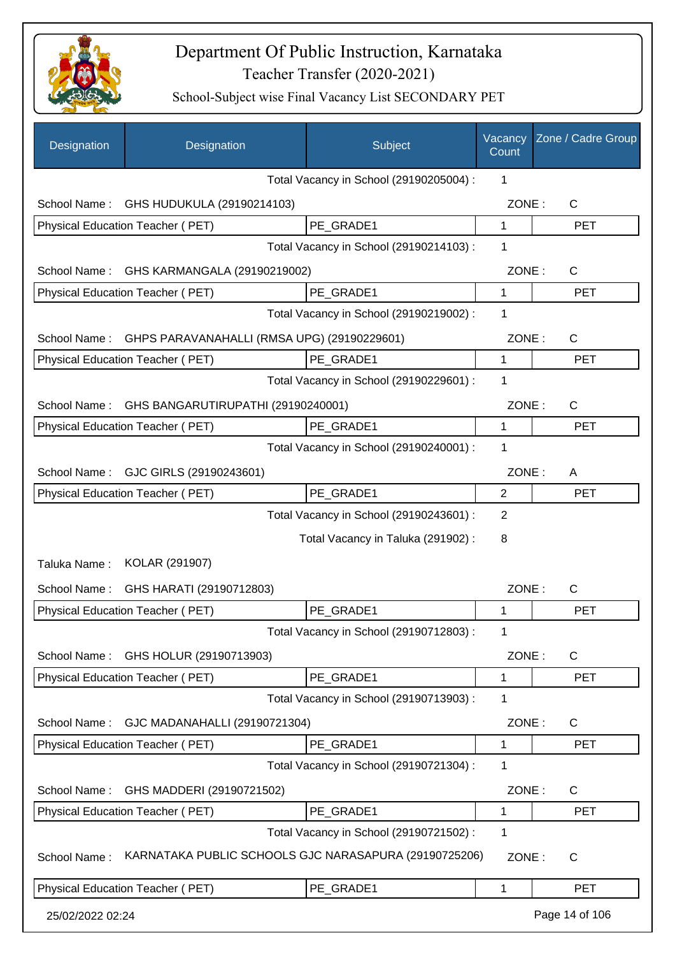

| Designation      | Designation                                           | Subject                                 | Vacancy<br>Count | Zone / Cadre Group |
|------------------|-------------------------------------------------------|-----------------------------------------|------------------|--------------------|
|                  |                                                       | Total Vacancy in School (29190205004) : | 1                |                    |
| School Name:     | GHS HUDUKULA (29190214103)                            |                                         | ZONE:            | C                  |
|                  | Physical Education Teacher (PET)                      | PE_GRADE1                               | $\mathbf{1}$     | <b>PET</b>         |
|                  |                                                       | Total Vacancy in School (29190214103) : | 1                |                    |
| School Name:     | GHS KARMANGALA (29190219002)                          |                                         | ZONE:            | C                  |
|                  | Physical Education Teacher (PET)                      | PE_GRADE1                               | $\mathbf 1$      | <b>PET</b>         |
|                  |                                                       | Total Vacancy in School (29190219002) : | 1                |                    |
| School Name:     | GHPS PARAVANAHALLI (RMSA UPG) (29190229601)           |                                         | ZONE:            | C                  |
|                  | <b>Physical Education Teacher (PET)</b>               | PE GRADE1                               | 1                | <b>PET</b>         |
|                  |                                                       | Total Vacancy in School (29190229601) : | 1                |                    |
| School Name:     | GHS BANGARUTIRUPATHI (29190240001)                    |                                         | ZONE:            | C                  |
|                  | Physical Education Teacher (PET)                      | PE_GRADE1                               | 1                | <b>PET</b>         |
|                  |                                                       | Total Vacancy in School (29190240001) : | 1                |                    |
|                  | School Name: GJC GIRLS (29190243601)                  |                                         | ZONE:            | A                  |
|                  | Physical Education Teacher (PET)                      | PE_GRADE1                               | 2                | <b>PET</b>         |
|                  |                                                       | Total Vacancy in School (29190243601) : | 2                |                    |
|                  |                                                       | Total Vacancy in Taluka (291902):       | 8                |                    |
| Taluka Name:     | KOLAR (291907)                                        |                                         |                  |                    |
| School Name:     | GHS HARATI (29190712803)                              |                                         | ZONE:            | C                  |
|                  | Physical Education Teacher (PET)                      | PE_GRADE1                               | 1                | <b>PET</b>         |
|                  |                                                       | Total Vacancy in School (29190712803) : | 1                |                    |
| School Name:     | GHS HOLUR (29190713903)                               |                                         | ZONE:            | C                  |
|                  | Physical Education Teacher (PET)                      | PE_GRADE1                               | 1                | <b>PET</b>         |
|                  |                                                       | Total Vacancy in School (29190713903) : | 1                |                    |
| School Name:     | GJC MADANAHALLI (29190721304)                         |                                         | ZONE:            | C                  |
|                  | Physical Education Teacher (PET)                      | PE_GRADE1                               | 1                | <b>PET</b>         |
|                  |                                                       | Total Vacancy in School (29190721304) : | 1                |                    |
| School Name:     | GHS MADDERI (29190721502)                             |                                         | ZONE:            | C                  |
|                  | Physical Education Teacher (PET)                      | PE_GRADE1                               | 1                | <b>PET</b>         |
|                  |                                                       | Total Vacancy in School (29190721502) : | 1                |                    |
| School Name:     | KARNATAKA PUBLIC SCHOOLS GJC NARASAPURA (29190725206) |                                         | ZONE:            | C                  |
|                  | Physical Education Teacher (PET)                      | PE_GRADE1                               | 1                | <b>PET</b>         |
| 25/02/2022 02:24 |                                                       |                                         |                  | Page 14 of 106     |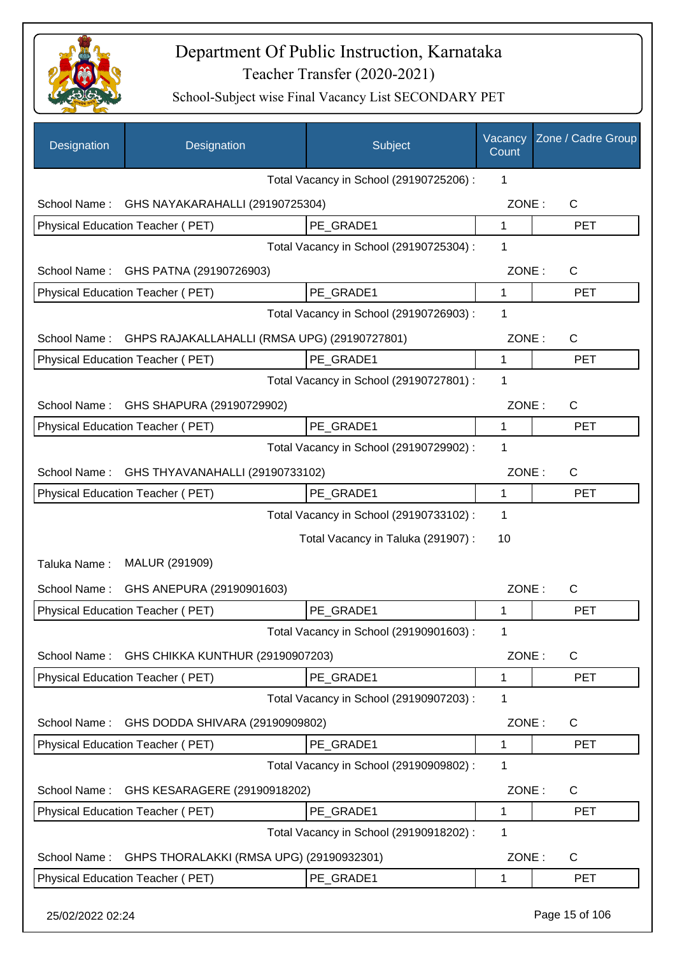

| Designation  | Designation                                  | Subject                                 | Vacancy<br>Count | Zone / Cadre Group |
|--------------|----------------------------------------------|-----------------------------------------|------------------|--------------------|
|              |                                              | Total Vacancy in School (29190725206) : | 1                |                    |
| School Name: | GHS NAYAKARAHALLI (29190725304)              |                                         | ZONE:            | $\mathsf{C}$       |
|              | Physical Education Teacher (PET)             | PE GRADE1                               | 1                | <b>PET</b>         |
|              |                                              | Total Vacancy in School (29190725304) : | 1                |                    |
| School Name: | GHS PATNA (29190726903)                      |                                         | ZONE:            | $\mathsf{C}$       |
|              | Physical Education Teacher (PET)             | PE_GRADE1                               | $\mathbf{1}$     | <b>PET</b>         |
|              |                                              | Total Vacancy in School (29190726903) : | 1                |                    |
| School Name: | GHPS RAJAKALLAHALLI (RMSA UPG) (29190727801) |                                         | ZONE:            | C                  |
|              | <b>Physical Education Teacher (PET)</b>      | PE GRADE1                               | $\mathbf{1}$     | <b>PET</b>         |
|              |                                              | Total Vacancy in School (29190727801) : | 1                |                    |
| School Name: | GHS SHAPURA (29190729902)                    |                                         | ZONE:            | $\mathsf{C}$       |
|              | Physical Education Teacher (PET)             | PE_GRADE1                               | 1                | <b>PET</b>         |
|              |                                              | Total Vacancy in School (29190729902) : | 1                |                    |
| School Name: | GHS THYAVANAHALLI (29190733102)              |                                         | ZONE:            | $\mathsf{C}$       |
|              | Physical Education Teacher (PET)             | PE_GRADE1                               | 1                | <b>PET</b>         |
|              |                                              | Total Vacancy in School (29190733102) : | 1                |                    |
|              |                                              | Total Vacancy in Taluka (291907) :      | 10               |                    |
| Taluka Name: | MALUR (291909)                               |                                         |                  |                    |
| School Name: | GHS ANEPURA (29190901603)                    |                                         | ZONE:            | C                  |
|              | <b>Physical Education Teacher (PET)</b>      | PE_GRADE1                               | 1                | <b>PET</b>         |
|              |                                              | Total Vacancy in School (29190901603) : | 1                |                    |
| School Name: | GHS CHIKKA KUNTHUR (29190907203)             |                                         | ZONE:            | C                  |
|              | Physical Education Teacher (PET)             | PE_GRADE1                               | 1                | <b>PET</b>         |
|              |                                              | Total Vacancy in School (29190907203) : | 1                |                    |
| School Name: | GHS DODDA SHIVARA (29190909802)              |                                         | ZONE:            | C                  |
|              | Physical Education Teacher (PET)             | PE GRADE1                               | 1                | <b>PET</b>         |
|              |                                              | Total Vacancy in School (29190909802) : | 1                |                    |
| School Name: | GHS KESARAGERE (29190918202)                 |                                         | ZONE:            | $\mathsf{C}$       |
|              | Physical Education Teacher (PET)             | PE_GRADE1                               | 1                | <b>PET</b>         |
|              |                                              | Total Vacancy in School (29190918202) : | 1                |                    |
| School Name: | GHPS THORALAKKI (RMSA UPG) (29190932301)     |                                         | ZONE:            | C                  |
|              | Physical Education Teacher (PET)             | PE_GRADE1                               | 1                | <b>PET</b>         |
|              |                                              |                                         |                  |                    |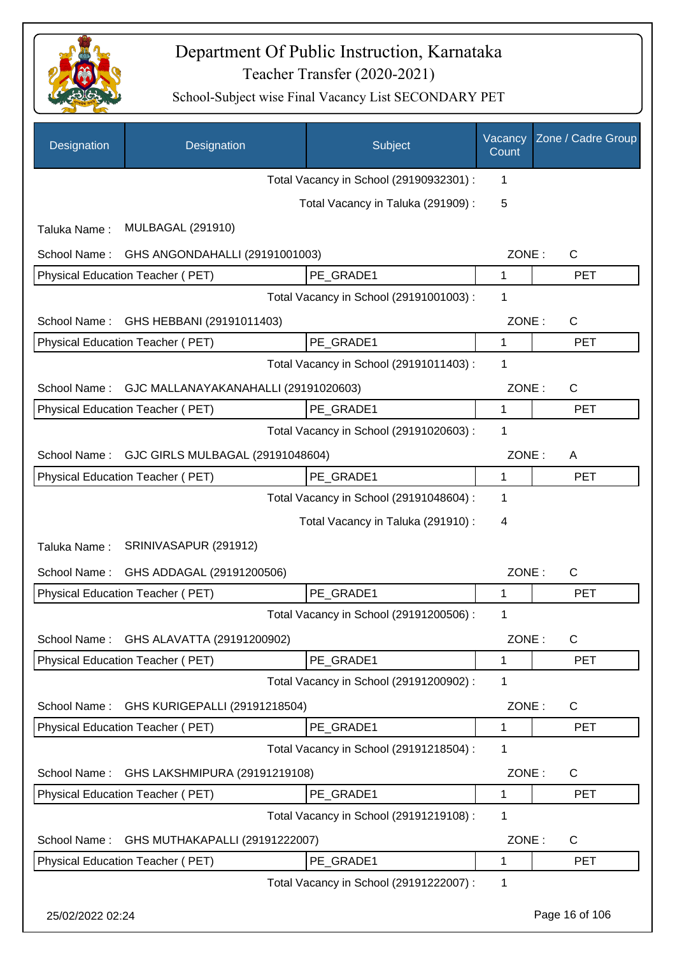

| Designation      | Designation                          | Subject                                 | Vacancy<br>Count | Zone / Cadre Group |
|------------------|--------------------------------------|-----------------------------------------|------------------|--------------------|
|                  |                                      | Total Vacancy in School (29190932301) : | 1                |                    |
|                  |                                      | Total Vacancy in Taluka (291909):       | 5                |                    |
| Taluka Name:     | <b>MULBAGAL (291910)</b>             |                                         |                  |                    |
| School Name:     | GHS ANGONDAHALLI (29191001003)       |                                         | ZONE:            | $\mathsf{C}$       |
|                  | Physical Education Teacher (PET)     | PE GRADE1                               | 1                | <b>PET</b>         |
|                  |                                      | Total Vacancy in School (29191001003) : | 1                |                    |
| School Name:     | GHS HEBBANI (29191011403)            |                                         | ZONE:            | $\mathsf{C}$       |
|                  | Physical Education Teacher (PET)     | PE GRADE1                               | 1                | <b>PET</b>         |
|                  |                                      | Total Vacancy in School (29191011403) : | 1                |                    |
| School Name:     | GJC MALLANAYAKANAHALLI (29191020603) |                                         | ZONE:            | $\mathsf{C}$       |
|                  | Physical Education Teacher (PET)     | PE GRADE1                               | 1                | <b>PET</b>         |
|                  |                                      | Total Vacancy in School (29191020603) : | 1                |                    |
| School Name:     | GJC GIRLS MULBAGAL (29191048604)     |                                         | ZONE:            | A                  |
|                  | Physical Education Teacher (PET)     | PE_GRADE1                               | 1                | <b>PET</b>         |
|                  |                                      | Total Vacancy in School (29191048604) : | 1                |                    |
|                  |                                      | Total Vacancy in Taluka (291910) :      | 4                |                    |
| Taluka Name:     | SRINIVASAPUR (291912)                |                                         |                  |                    |
| School Name:     | GHS ADDAGAL (29191200506)            |                                         | ZONE:            | $\mathsf{C}$       |
|                  | Physical Education Teacher (PET)     | PE_GRADE1                               | $\mathbf{1}$     | <b>PET</b>         |
|                  |                                      | Total Vacancy in School (29191200506) : | 1                |                    |
| School Name:     | GHS ALAVATTA (29191200902)           |                                         | ZONE:            | C                  |
|                  | Physical Education Teacher (PET)     | PE_GRADE1                               | 1                | <b>PET</b>         |
|                  |                                      | Total Vacancy in School (29191200902) : | 1                |                    |
| School Name:     | GHS KURIGEPALLI (29191218504)        |                                         | ZONE:            | $\mathsf{C}$       |
|                  | Physical Education Teacher (PET)     | PE GRADE1                               | 1                | <b>PET</b>         |
|                  |                                      | Total Vacancy in School (29191218504) : | 1                |                    |
| School Name:     | GHS LAKSHMIPURA (29191219108)        |                                         | ZONE:            | $\mathsf{C}$       |
|                  | Physical Education Teacher (PET)     | PE_GRADE1                               | 1                | <b>PET</b>         |
|                  |                                      | Total Vacancy in School (29191219108) : | 1                |                    |
| School Name:     | GHS MUTHAKAPALLI (29191222007)       |                                         | ZONE:            | $\mathsf{C}$       |
|                  | Physical Education Teacher (PET)     | PE GRADE1                               | 1                | <b>PET</b>         |
|                  |                                      | Total Vacancy in School (29191222007) : | 1                |                    |
| 25/02/2022 02:24 |                                      |                                         |                  | Page 16 of 106     |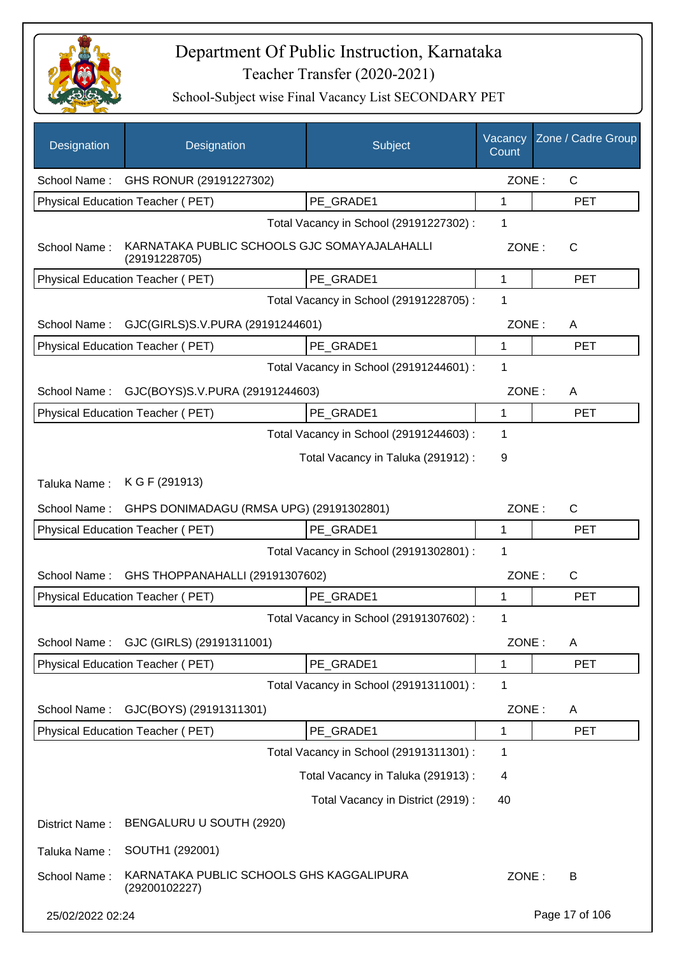

| Designation      | Designation                                                   | Subject                                 | Vacancy<br>Count | Zone / Cadre Group |
|------------------|---------------------------------------------------------------|-----------------------------------------|------------------|--------------------|
|                  | School Name: GHS RONUR (29191227302)                          |                                         | ZONE:            | $\mathsf{C}$       |
|                  | Physical Education Teacher (PET)                              | PE_GRADE1                               | 1                | <b>PET</b>         |
|                  |                                                               | Total Vacancy in School (29191227302) : | 1                |                    |
| School Name:     | KARNATAKA PUBLIC SCHOOLS GJC SOMAYAJALAHALLI<br>(29191228705) |                                         | ZONE:            | C                  |
|                  | Physical Education Teacher (PET)                              | PE_GRADE1                               | 1                | <b>PET</b>         |
|                  |                                                               | Total Vacancy in School (29191228705) : | 1                |                    |
| School Name:     | GJC(GIRLS)S.V.PURA (29191244601)                              |                                         | ZONE:            | A                  |
|                  | <b>Physical Education Teacher (PET)</b>                       | PE GRADE1                               | 1                | <b>PET</b>         |
|                  |                                                               | Total Vacancy in School (29191244601) : | 1                |                    |
| School Name:     | GJC(BOYS)S.V.PURA (29191244603)                               |                                         | ZONE:            | A                  |
|                  | Physical Education Teacher (PET)                              | PE_GRADE1                               | 1                | <b>PET</b>         |
|                  |                                                               | Total Vacancy in School (29191244603) : | 1                |                    |
|                  |                                                               | Total Vacancy in Taluka (291912) :      | 9                |                    |
| Taluka Name:     | K G F (291913)                                                |                                         |                  |                    |
| School Name:     | GHPS DONIMADAGU (RMSA UPG) (29191302801)                      |                                         | ZONE:            | C                  |
|                  | Physical Education Teacher (PET)                              | PE GRADE1                               | 1                | <b>PET</b>         |
|                  |                                                               | Total Vacancy in School (29191302801) : | 1                |                    |
| School Name:     | GHS THOPPANAHALLI (29191307602)                               |                                         | ZONE:            | C                  |
|                  | Physical Education Teacher (PET)                              | PE_GRADE1                               | 1                | <b>PET</b>         |
|                  |                                                               | Total Vacancy in School (29191307602) : | 1                |                    |
| School Name:     | GJC (GIRLS) (29191311001)                                     |                                         | ZONE:            | A                  |
|                  | Physical Education Teacher (PET)                              | PE GRADE1                               | 1                | <b>PET</b>         |
|                  |                                                               | Total Vacancy in School (29191311001) : | 1                |                    |
| School Name:     | GJC(BOYS) (29191311301)                                       |                                         | ZONE:            | A                  |
|                  | Physical Education Teacher (PET)                              | PE_GRADE1                               | 1                | <b>PET</b>         |
|                  |                                                               | Total Vacancy in School (29191311301) : | 1                |                    |
|                  |                                                               | Total Vacancy in Taluka (291913) :      | 4                |                    |
|                  |                                                               | Total Vacancy in District (2919) :      | 40               |                    |
| District Name:   | BENGALURU U SOUTH (2920)                                      |                                         |                  |                    |
| Taluka Name:     | SOUTH1 (292001)                                               |                                         |                  |                    |
| School Name:     | KARNATAKA PUBLIC SCHOOLS GHS KAGGALIPURA<br>(29200102227)     |                                         | ZONE:            | В                  |
| 25/02/2022 02:24 |                                                               |                                         |                  | Page 17 of 106     |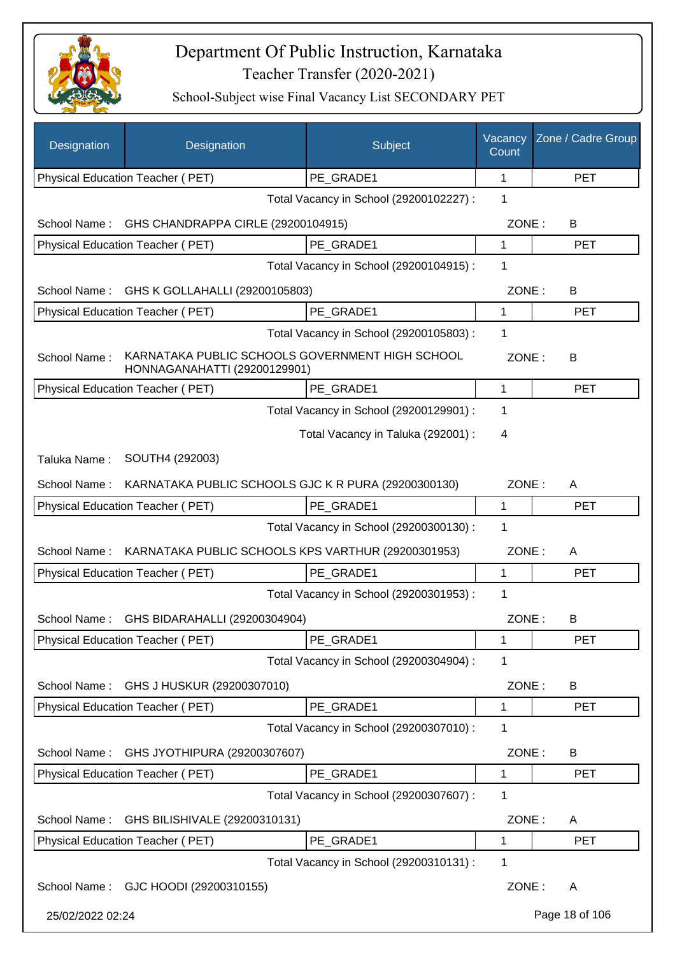

| Designation      | Designation                                                                     | Subject                                 | Vacancy<br>Count | Zone / Cadre Group |
|------------------|---------------------------------------------------------------------------------|-----------------------------------------|------------------|--------------------|
|                  | Physical Education Teacher (PET)                                                | PE GRADE1                               | 1                | <b>PET</b>         |
|                  |                                                                                 | Total Vacancy in School (29200102227) : | 1                |                    |
| School Name:     | GHS CHANDRAPPA CIRLE (29200104915)                                              |                                         | ZONE:            | B                  |
|                  | Physical Education Teacher (PET)                                                | PE GRADE1                               | 1                | <b>PET</b>         |
|                  |                                                                                 | Total Vacancy in School (29200104915) : | 1                |                    |
| School Name:     | GHS K GOLLAHALLI (29200105803)                                                  |                                         | ZONE:            | B                  |
|                  | Physical Education Teacher (PET)                                                | PE GRADE1                               | 1                | <b>PET</b>         |
|                  |                                                                                 | Total Vacancy in School (29200105803) : | 1                |                    |
| School Name:     | KARNATAKA PUBLIC SCHOOLS GOVERNMENT HIGH SCHOOL<br>HONNAGANAHATTI (29200129901) |                                         | ZONE:            | B                  |
|                  | Physical Education Teacher (PET)                                                | PE GRADE1                               | 1                | <b>PET</b>         |
|                  |                                                                                 | Total Vacancy in School (29200129901) : | 1                |                    |
|                  |                                                                                 | Total Vacancy in Taluka (292001) :      | 4                |                    |
| Taluka Name:     | SOUTH4 (292003)                                                                 |                                         |                  |                    |
| School Name:     | KARNATAKA PUBLIC SCHOOLS GJC K R PURA (29200300130)                             |                                         | ZONE:            | A                  |
|                  | <b>Physical Education Teacher (PET)</b>                                         | PE_GRADE1                               | 1                | <b>PET</b>         |
|                  |                                                                                 | Total Vacancy in School (29200300130) : | 1                |                    |
| School Name:     | KARNATAKA PUBLIC SCHOOLS KPS VARTHUR (29200301953)                              |                                         | ZONE:            | A                  |
|                  | Physical Education Teacher (PET)                                                | PE GRADE1                               | 1                | <b>PET</b>         |
|                  |                                                                                 | Total Vacancy in School (29200301953) : | 1                |                    |
| School Name:     | GHS BIDARAHALLI (29200304904)                                                   |                                         | ZONE:            | В                  |
|                  | Physical Education Teacher (PET)                                                | PE_GRADE1                               | 1                | <b>PET</b>         |
|                  |                                                                                 | Total Vacancy in School (29200304904) : | 1                |                    |
| School Name:     | GHS J HUSKUR (29200307010)                                                      |                                         | ZONE:            | B                  |
|                  | Physical Education Teacher (PET)                                                | PE_GRADE1                               | 1                | <b>PET</b>         |
|                  |                                                                                 | Total Vacancy in School (29200307010) : | 1                |                    |
| School Name:     | GHS JYOTHIPURA (29200307607)                                                    |                                         | ZONE:            | B                  |
|                  | Physical Education Teacher (PET)                                                | PE GRADE1                               | 1                | <b>PET</b>         |
|                  |                                                                                 | Total Vacancy in School (29200307607) : | 1                |                    |
| School Name:     | GHS BILISHIVALE (29200310131)                                                   |                                         | ZONE:            | A                  |
|                  | Physical Education Teacher (PET)                                                | PE_GRADE1                               | 1                | <b>PET</b>         |
|                  |                                                                                 | Total Vacancy in School (29200310131) : | 1                |                    |
|                  | School Name: GJC HOODI (29200310155)                                            |                                         | ZONE:            | A                  |
| 25/02/2022 02:24 |                                                                                 |                                         |                  | Page 18 of 106     |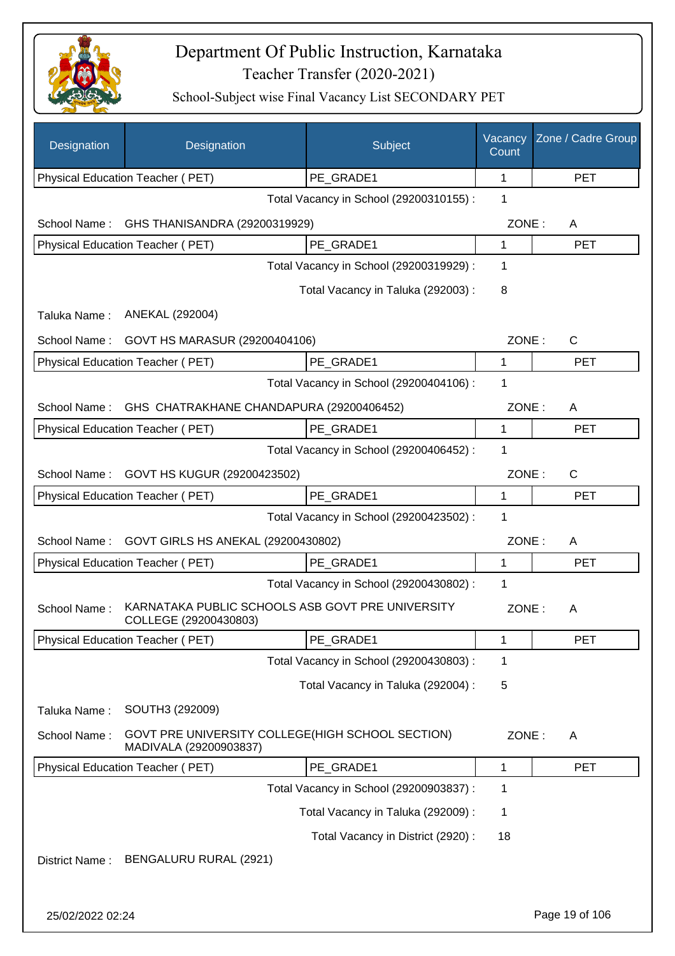

| Designation    | Designation                                                                | Subject                                 | Vacancy<br>Count | Zone / Cadre Group |
|----------------|----------------------------------------------------------------------------|-----------------------------------------|------------------|--------------------|
|                | Physical Education Teacher (PET)                                           | PE GRADE1                               | 1                | <b>PET</b>         |
|                |                                                                            | Total Vacancy in School (29200310155) : | 1                |                    |
| School Name:   | GHS THANISANDRA (29200319929)                                              |                                         | ZONE:            | A                  |
|                | Physical Education Teacher (PET)                                           | PE_GRADE1                               | 1                | <b>PET</b>         |
|                |                                                                            | Total Vacancy in School (29200319929) : | 1                |                    |
|                |                                                                            | Total Vacancy in Taluka (292003) :      | 8                |                    |
| Taluka Name:   | ANEKAL (292004)                                                            |                                         |                  |                    |
| School Name:   | GOVT HS MARASUR (29200404106)                                              |                                         | ZONE:            | $\mathsf{C}$       |
|                | Physical Education Teacher (PET)                                           | PE GRADE1                               | $\mathbf 1$      | <b>PET</b>         |
|                |                                                                            | Total Vacancy in School (29200404106) : | 1                |                    |
| School Name:   | GHS CHATRAKHANE CHANDAPURA (29200406452)                                   |                                         | ZONE:            | A                  |
|                | Physical Education Teacher (PET)                                           | PE_GRADE1                               | 1                | <b>PET</b>         |
|                |                                                                            | Total Vacancy in School (29200406452) : | 1                |                    |
| School Name:   | GOVT HS KUGUR (29200423502)                                                |                                         | ZONE:            | C                  |
|                | Physical Education Teacher (PET)                                           | PE_GRADE1                               | $\mathbf{1}$     | <b>PET</b>         |
|                |                                                                            | Total Vacancy in School (29200423502) : | 1                |                    |
| School Name:   | GOVT GIRLS HS ANEKAL (29200430802)                                         |                                         | ZONE:            | A                  |
|                | Physical Education Teacher (PET)                                           | PE_GRADE1                               | 1                | <b>PET</b>         |
|                |                                                                            | Total Vacancy in School (29200430802) : | 1                |                    |
| School Name:   | KARNATAKA PUBLIC SCHOOLS ASB GOVT PRE UNIVERSITY<br>COLLEGE (29200430803)  |                                         | ZONE:            | A                  |
|                | <b>Physical Education Teacher (PET)</b>                                    | PE_GRADE1                               | $\mathbf 1$      | <b>PET</b>         |
|                |                                                                            | Total Vacancy in School (29200430803) : | 1                |                    |
|                |                                                                            | Total Vacancy in Taluka (292004) :      | 5                |                    |
| Taluka Name:   | SOUTH3 (292009)                                                            |                                         |                  |                    |
| School Name:   | GOVT PRE UNIVERSITY COLLEGE(HIGH SCHOOL SECTION)<br>MADIVALA (29200903837) |                                         | ZONE:            | A                  |
|                | <b>Physical Education Teacher (PET)</b>                                    | PE_GRADE1                               | 1                | <b>PET</b>         |
|                |                                                                            | Total Vacancy in School (29200903837) : | 1                |                    |
|                |                                                                            | Total Vacancy in Taluka (292009) :      | 1                |                    |
|                |                                                                            | Total Vacancy in District (2920) :      | 18               |                    |
| District Name: | BENGALURU RURAL (2921)                                                     |                                         |                  |                    |
|                |                                                                            |                                         |                  |                    |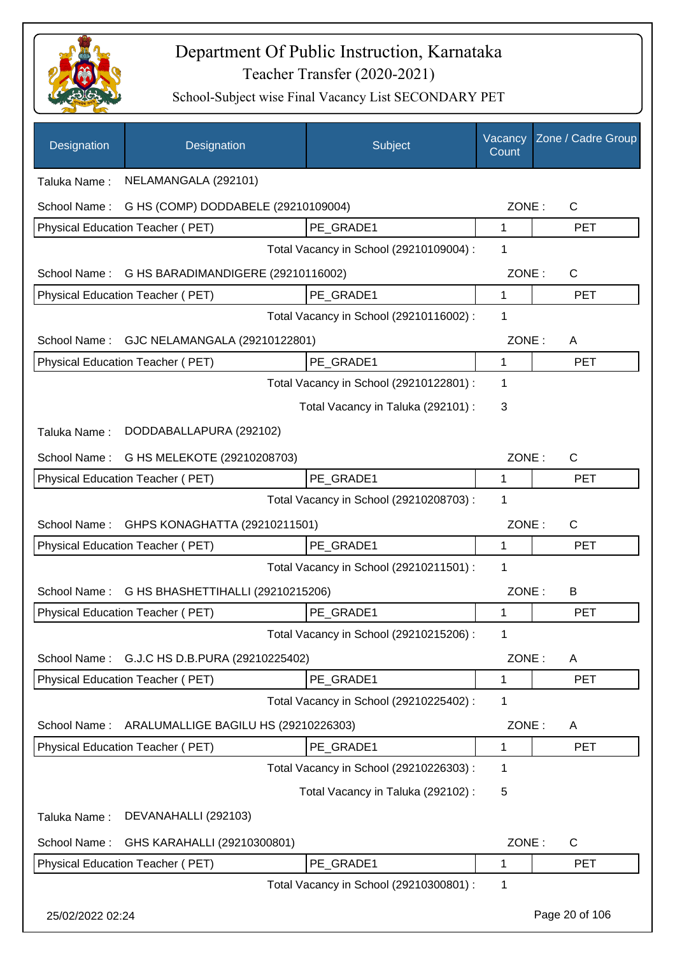

| Designation      | Designation                                     | Subject                                 | Vacancy<br>Count | Zone / Cadre Group |
|------------------|-------------------------------------------------|-----------------------------------------|------------------|--------------------|
| Taluka Name:     | NELAMANGALA (292101)                            |                                         |                  |                    |
| School Name:     | G HS (COMP) DODDABELE (29210109004)             |                                         | ZONE:            | C                  |
|                  | Physical Education Teacher (PET)                | PE GRADE1                               | 1                | <b>PET</b>         |
|                  |                                                 | Total Vacancy in School (29210109004) : | 1                |                    |
|                  | School Name: G HS BARADIMANDIGERE (29210116002) |                                         | ZONE:            | $\mathsf{C}$       |
|                  | Physical Education Teacher (PET)                | PE GRADE1                               | 1                | <b>PET</b>         |
|                  |                                                 | Total Vacancy in School (29210116002) : | 1                |                    |
|                  | School Name: GJC NELAMANGALA (29210122801)      |                                         | ZONE:            | A                  |
|                  | Physical Education Teacher (PET)                | PE_GRADE1                               | 1                | <b>PET</b>         |
|                  |                                                 | Total Vacancy in School (29210122801) : | 1                |                    |
|                  |                                                 | Total Vacancy in Taluka (292101) :      | 3                |                    |
| Taluka Name:     | DODDABALLAPURA (292102)                         |                                         |                  |                    |
| School Name:     | G HS MELEKOTE (29210208703)                     |                                         | ZONE:            | C                  |
|                  | Physical Education Teacher (PET)                | PE_GRADE1                               | 1                | <b>PET</b>         |
|                  |                                                 | Total Vacancy in School (29210208703) : | 1                |                    |
| School Name:     | GHPS KONAGHATTA (29210211501)                   |                                         | ZONE:            | C                  |
|                  | Physical Education Teacher (PET)                | PE_GRADE1                               | 1                | <b>PET</b>         |
|                  |                                                 | Total Vacancy in School (29210211501) : | 1                |                    |
| School Name:     | G HS BHASHETTIHALLI (29210215206)               |                                         | ZONE:            | B                  |
|                  | <b>Physical Education Teacher (PET)</b>         | PE GRADE1                               | 1                | <b>PET</b>         |
|                  |                                                 | Total Vacancy in School (29210215206) : | 1                |                    |
| School Name:     | G.J.C HS D.B.PURA (29210225402)                 |                                         | ZONE:            | A                  |
|                  | Physical Education Teacher (PET)                | PE_GRADE1                               | 1                | <b>PET</b>         |
|                  |                                                 | Total Vacancy in School (29210225402) : | 1                |                    |
| School Name:     | ARALUMALLIGE BAGILU HS (29210226303)            |                                         | ZONE:            | A                  |
|                  | Physical Education Teacher (PET)                | PE_GRADE1                               | 1                | <b>PET</b>         |
|                  |                                                 | Total Vacancy in School (29210226303) : | 1                |                    |
|                  |                                                 | Total Vacancy in Taluka (292102) :      | 5                |                    |
| Taluka Name:     | DEVANAHALLI (292103)                            |                                         |                  |                    |
| School Name:     | GHS KARAHALLI (29210300801)                     |                                         | ZONE:            | C                  |
|                  | Physical Education Teacher (PET)                | PE_GRADE1                               | 1                | <b>PET</b>         |
|                  |                                                 | Total Vacancy in School (29210300801) : | 1                |                    |
| 25/02/2022 02:24 |                                                 |                                         |                  | Page 20 of 106     |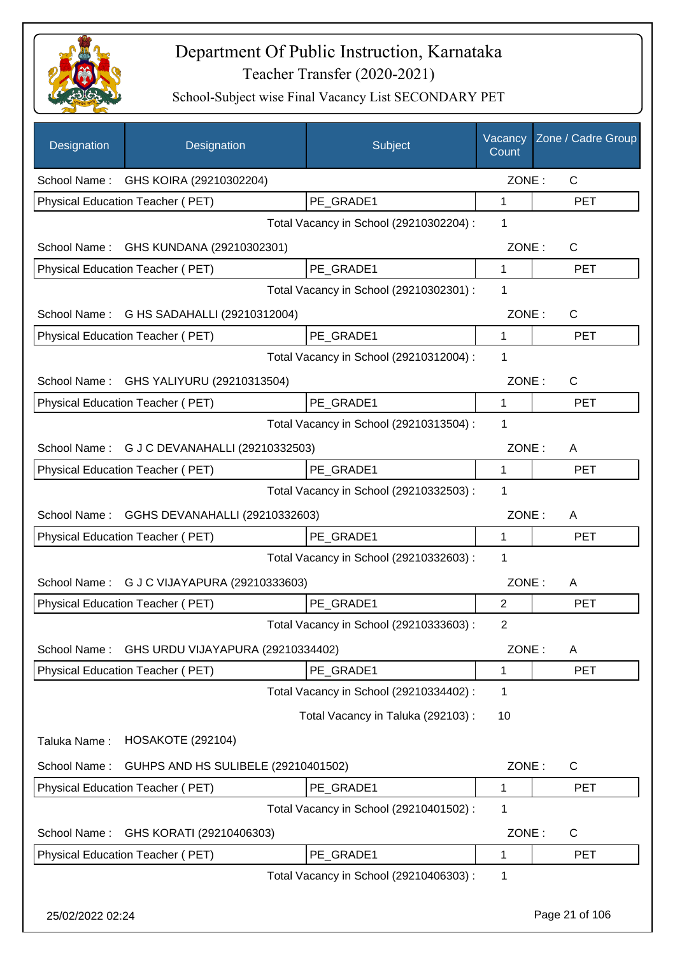

| Designation      | Designation                                  | Subject                                 | Vacancy<br>Count | Zone / Cadre Group |
|------------------|----------------------------------------------|-----------------------------------------|------------------|--------------------|
|                  | School Name: GHS KOIRA (29210302204)         |                                         | ZONE:            | C                  |
|                  | Physical Education Teacher (PET)             | PE_GRADE1                               | 1                | <b>PET</b>         |
|                  |                                              | Total Vacancy in School (29210302204) : | 1                |                    |
| School Name:     | GHS KUNDANA (29210302301)                    |                                         | ZONE:            | $\mathsf{C}$       |
|                  | Physical Education Teacher (PET)             | PE GRADE1                               | 1                | <b>PET</b>         |
|                  |                                              | Total Vacancy in School (29210302301) : | 1                |                    |
| School Name:     | G HS SADAHALLI (29210312004)                 |                                         | ZONE:            | $\mathsf{C}$       |
|                  | Physical Education Teacher (PET)             | PE GRADE1                               | 1                | <b>PET</b>         |
|                  |                                              | Total Vacancy in School (29210312004) : | 1                |                    |
|                  | School Name: GHS YALIYURU (29210313504)      |                                         | ZONE:            | $\mathsf C$        |
|                  | Physical Education Teacher (PET)             | PE GRADE1                               | $\mathbf{1}$     | <b>PET</b>         |
|                  |                                              | Total Vacancy in School (29210313504) : | 1                |                    |
|                  | School Name: G J C DEVANAHALLI (29210332503) |                                         | ZONE:            | Α                  |
|                  | Physical Education Teacher (PET)             | PE_GRADE1                               | 1                | PET                |
|                  |                                              | Total Vacancy in School (29210332503) : | 1                |                    |
| School Name:     | GGHS DEVANAHALLI (29210332603)               |                                         | ZONE:            | A                  |
|                  | Physical Education Teacher (PET)             | PE GRADE1                               | 1                | <b>PET</b>         |
|                  |                                              | Total Vacancy in School (29210332603) : | 1                |                    |
| School Name:     | G J C VIJAYAPURA (29210333603)               |                                         | ZONE:            | Α                  |
|                  | Physical Education Teacher (PET)             | PE_GRADE1                               | $\overline{2}$   | <b>PET</b>         |
|                  |                                              | Total Vacancy in School (29210333603) : | 2                |                    |
| School Name:     | GHS URDU VIJAYAPURA (29210334402)            |                                         | ZONE:            | A                  |
|                  | Physical Education Teacher (PET)             | PE_GRADE1                               | 1                | <b>PET</b>         |
|                  |                                              | Total Vacancy in School (29210334402) : | 1                |                    |
|                  |                                              | Total Vacancy in Taluka (292103):       | 10               |                    |
| Taluka Name:     | <b>HOSAKOTE (292104)</b>                     |                                         |                  |                    |
| School Name:     | GUHPS AND HS SULIBELE (29210401502)          |                                         | ZONE:            | $\mathsf C$        |
|                  | Physical Education Teacher (PET)             | PE_GRADE1                               | 1                | <b>PET</b>         |
|                  |                                              | Total Vacancy in School (29210401502) : | 1                |                    |
| School Name:     | GHS KORATI (29210406303)                     |                                         | ZONE:            | $\mathsf{C}$       |
|                  | Physical Education Teacher (PET)             | PE_GRADE1                               | 1                | <b>PET</b>         |
|                  |                                              | Total Vacancy in School (29210406303) : | 1                |                    |
| 25/02/2022 02:24 |                                              |                                         |                  | Page 21 of 106     |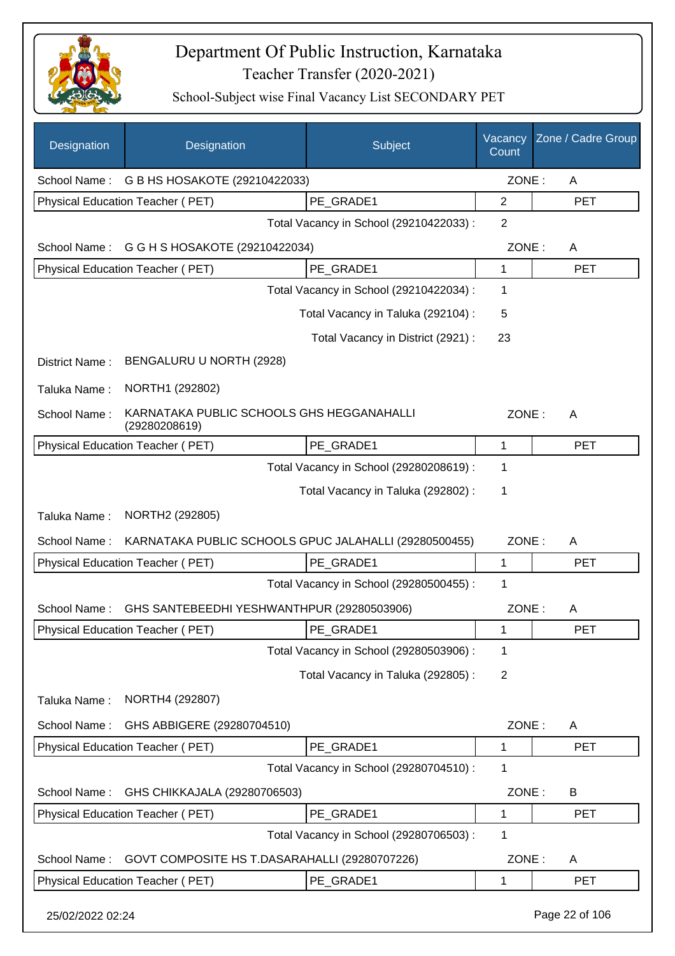

| Designation      | Designation                                                | Subject                                 | Vacancy<br>Count | Zone / Cadre Group |
|------------------|------------------------------------------------------------|-----------------------------------------|------------------|--------------------|
| School Name:     | G B HS HOSAKOTE (29210422033)                              |                                         | ZONE:            | A                  |
|                  | Physical Education Teacher (PET)                           | PE_GRADE1                               | $\overline{2}$   | <b>PET</b>         |
|                  |                                                            | Total Vacancy in School (29210422033) : | $\overline{2}$   |                    |
| School Name:     | G G H S HOSAKOTE (29210422034)                             |                                         | ZONE:            | A                  |
|                  | Physical Education Teacher (PET)                           | PE_GRADE1                               | 1                | <b>PET</b>         |
|                  |                                                            | Total Vacancy in School (29210422034) : | 1                |                    |
|                  |                                                            | Total Vacancy in Taluka (292104) :      | 5                |                    |
|                  |                                                            | Total Vacancy in District (2921) :      | 23               |                    |
| District Name:   | BENGALURU U NORTH (2928)                                   |                                         |                  |                    |
| Taluka Name:     | NORTH1 (292802)                                            |                                         |                  |                    |
| School Name:     | KARNATAKA PUBLIC SCHOOLS GHS HEGGANAHALLI<br>(29280208619) |                                         | ZONE:            | A                  |
|                  | Physical Education Teacher (PET)                           | PE_GRADE1                               | 1                | <b>PET</b>         |
|                  |                                                            | Total Vacancy in School (29280208619) : | 1                |                    |
|                  |                                                            | Total Vacancy in Taluka (292802) :      | 1                |                    |
| Taluka Name:     | NORTH2 (292805)                                            |                                         |                  |                    |
| School Name:     | KARNATAKA PUBLIC SCHOOLS GPUC JALAHALLI (29280500455)      |                                         | ZONE:            | Α                  |
|                  | Physical Education Teacher (PET)                           | PE GRADE1                               | 1                | <b>PET</b>         |
|                  |                                                            | Total Vacancy in School (29280500455) : | 1                |                    |
| School Name:     | GHS SANTEBEEDHI YESHWANTHPUR (29280503906)                 |                                         | ZONE:            | A                  |
|                  | Physical Education Teacher (PET)                           | PE_GRADE1                               | 1                | PET                |
|                  |                                                            | Total Vacancy in School (29280503906) : | 1                |                    |
|                  |                                                            | Total Vacancy in Taluka (292805) :      | 2                |                    |
| Taluka Name:     | NORTH4 (292807)                                            |                                         |                  |                    |
| School Name:     | GHS ABBIGERE (29280704510)                                 |                                         | ZONE:            | A                  |
|                  | Physical Education Teacher (PET)                           | PE_GRADE1                               | 1                | <b>PET</b>         |
|                  |                                                            | Total Vacancy in School (29280704510) : | 1                |                    |
| School Name:     | GHS CHIKKAJALA (29280706503)                               |                                         | ZONE:            | B                  |
|                  | Physical Education Teacher (PET)                           | PE_GRADE1                               | 1                | <b>PET</b>         |
|                  |                                                            | Total Vacancy in School (29280706503) : | 1                |                    |
| School Name:     | GOVT COMPOSITE HS T.DASARAHALLI (29280707226)              |                                         | ZONE:            | A                  |
|                  | Physical Education Teacher (PET)                           | PE_GRADE1                               | 1                | <b>PET</b>         |
| 25/02/2022 02:24 |                                                            |                                         |                  | Page 22 of 106     |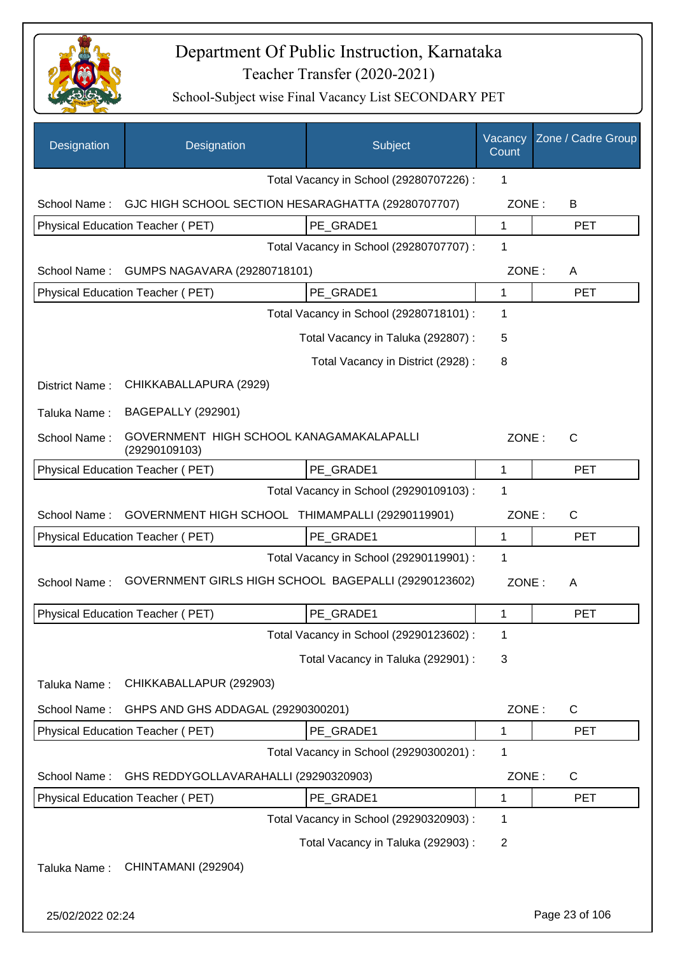

| Designation      | Designation                                               | Subject                                 | Vacancy<br>Count | Zone / Cadre Group |
|------------------|-----------------------------------------------------------|-----------------------------------------|------------------|--------------------|
|                  |                                                           | Total Vacancy in School (29280707226) : | 1                |                    |
| School Name:     | GJC HIGH SCHOOL SECTION HESARAGHATTA (29280707707)        |                                         | ZONE:            | B                  |
|                  | Physical Education Teacher (PET)                          | PE GRADE1                               | 1                | <b>PET</b>         |
|                  |                                                           | Total Vacancy in School (29280707707) : | 1                |                    |
| School Name:     | GUMPS NAGAVARA (29280718101)                              |                                         | ZONE:            | A                  |
|                  | Physical Education Teacher (PET)                          | PE GRADE1                               | $\mathbf{1}$     | <b>PET</b>         |
|                  |                                                           | Total Vacancy in School (29280718101) : | 1                |                    |
|                  |                                                           | Total Vacancy in Taluka (292807) :      | 5                |                    |
|                  |                                                           | Total Vacancy in District (2928) :      | 8                |                    |
| District Name:   | CHIKKABALLAPURA (2929)                                    |                                         |                  |                    |
| Taluka Name:     | <b>BAGEPALLY (292901)</b>                                 |                                         |                  |                    |
| School Name:     | GOVERNMENT HIGH SCHOOL KANAGAMAKALAPALLI<br>(29290109103) |                                         | ZONE:            | C                  |
|                  | Physical Education Teacher (PET)                          | PE GRADE1                               | $\mathbf{1}$     | <b>PET</b>         |
|                  |                                                           | Total Vacancy in School (29290109103) : | 1                |                    |
| School Name:     | GOVERNMENT HIGH SCHOOL THIMAMPALLI (29290119901)          |                                         | ZONE:            | $\mathsf{C}$       |
|                  | Physical Education Teacher (PET)                          | PE_GRADE1                               | $\mathbf{1}$     | <b>PET</b>         |
|                  |                                                           | Total Vacancy in School (29290119901) : | 1                |                    |
| School Name:     | GOVERNMENT GIRLS HIGH SCHOOL BAGEPALLI (29290123602)      |                                         | ZONE:            | A                  |
|                  | Physical Education Teacher (PET)                          | PE_GRADE1                               | 1                | <b>PET</b>         |
|                  |                                                           | Total Vacancy in School (29290123602) : | 1                |                    |
|                  |                                                           | Total Vacancy in Taluka (292901) :      | 3                |                    |
| Taluka Name:     | CHIKKABALLAPUR (292903)                                   |                                         |                  |                    |
| School Name:     | GHPS AND GHS ADDAGAL (29290300201)                        |                                         | ZONE:            | $\mathsf{C}$       |
|                  | Physical Education Teacher (PET)                          | PE GRADE1                               | 1                | <b>PET</b>         |
|                  |                                                           | Total Vacancy in School (29290300201) : | 1                |                    |
| School Name:     | GHS REDDYGOLLAVARAHALLI (29290320903)                     |                                         | ZONE:            | $\mathsf{C}$       |
|                  | Physical Education Teacher (PET)                          | PE_GRADE1                               | 1                | <b>PET</b>         |
|                  |                                                           | Total Vacancy in School (29290320903) : | 1                |                    |
|                  |                                                           | Total Vacancy in Taluka (292903) :      | $\overline{2}$   |                    |
| Taluka Name:     | CHINTAMANI (292904)                                       |                                         |                  |                    |
| 25/02/2022 02:24 |                                                           |                                         |                  | Page 23 of 106     |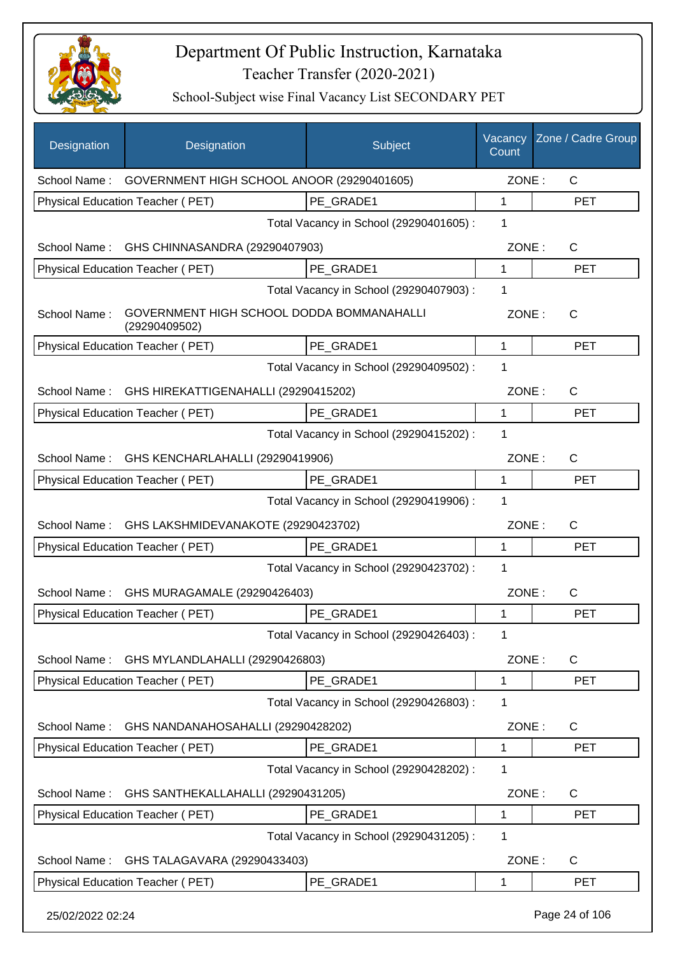

| Designation      | Designation                                                | Subject                                 | Vacancy<br>Count | Zone / Cadre Group |
|------------------|------------------------------------------------------------|-----------------------------------------|------------------|--------------------|
|                  | School Name: GOVERNMENT HIGH SCHOOL ANOOR (29290401605)    |                                         | ZONE:            | $\mathsf{C}$       |
|                  | Physical Education Teacher (PET)                           | PE GRADE1                               | 1                | <b>PET</b>         |
|                  |                                                            | Total Vacancy in School (29290401605) : | 1                |                    |
|                  | School Name: GHS CHINNASANDRA (29290407903)                |                                         | ZONE:            | C                  |
|                  | Physical Education Teacher (PET)                           | PE GRADE1                               | $\mathbf{1}$     | <b>PET</b>         |
|                  |                                                            | Total Vacancy in School (29290407903) : | 1                |                    |
| School Name:     | GOVERNMENT HIGH SCHOOL DODDA BOMMANAHALLI<br>(29290409502) |                                         | ZONE:            | C                  |
|                  | Physical Education Teacher (PET)                           | PE_GRADE1                               | 1                | <b>PET</b>         |
|                  |                                                            | Total Vacancy in School (29290409502) : | 1                |                    |
| School Name :    | GHS HIREKATTIGENAHALLI (29290415202)                       |                                         | ZONE:            | C                  |
|                  | Physical Education Teacher (PET)                           | PE GRADE1                               | 1                | <b>PET</b>         |
|                  |                                                            | Total Vacancy in School (29290415202) : | 1                |                    |
|                  | School Name: GHS KENCHARLAHALLI (29290419906)              |                                         | ZONE:            | C                  |
|                  | Physical Education Teacher (PET)                           | PE GRADE1                               | $\mathbf 1$      | <b>PET</b>         |
|                  |                                                            | Total Vacancy in School (29290419906) : | 1                |                    |
|                  | School Name: GHS LAKSHMIDEVANAKOTE (29290423702)           |                                         | ZONE:            | C                  |
|                  | Physical Education Teacher (PET)                           | PE GRADE1                               | 1                | <b>PET</b>         |
|                  |                                                            | Total Vacancy in School (29290423702) : | 1                |                    |
| School Name:     | GHS MURAGAMALE (29290426403)                               |                                         | ZONE:            | C                  |
|                  | Physical Education Teacher (PET)                           | PE_GRADE1                               | 1                | <b>PET</b>         |
|                  |                                                            | Total Vacancy in School (29290426403) : | 1                |                    |
| School Name:     | GHS MYLANDLAHALLI (29290426803)                            |                                         | ZONE:            | C                  |
|                  | Physical Education Teacher (PET)                           | PE_GRADE1                               | 1                | <b>PET</b>         |
|                  |                                                            | Total Vacancy in School (29290426803) : | 1                |                    |
| School Name:     | GHS NANDANAHOSAHALLI (29290428202)                         |                                         | ZONE:            | C                  |
|                  | Physical Education Teacher (PET)                           | PE GRADE1                               | 1                | <b>PET</b>         |
|                  |                                                            | Total Vacancy in School (29290428202) : | 1                |                    |
| School Name:     | GHS SANTHEKALLAHALLI (29290431205)                         |                                         | ZONE:            | $\mathsf{C}$       |
|                  | Physical Education Teacher (PET)                           | PE_GRADE1                               | 1                | <b>PET</b>         |
|                  |                                                            | Total Vacancy in School (29290431205) : | 1                |                    |
| School Name:     | GHS TALAGAVARA (29290433403)                               |                                         | ZONE:            | C                  |
|                  | Physical Education Teacher (PET)                           | PE_GRADE1                               | 1                | <b>PET</b>         |
| 25/02/2022 02:24 |                                                            |                                         |                  | Page 24 of 106     |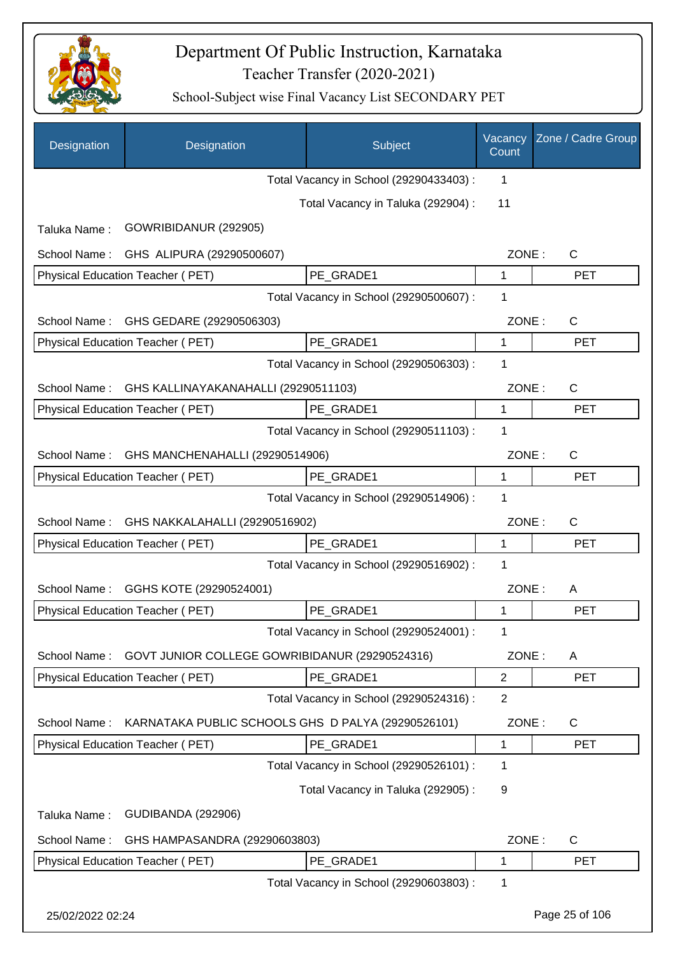

| Designation      | Designation                                        | Subject                                 | Vacancy<br>Count | Zone / Cadre Group |
|------------------|----------------------------------------------------|-----------------------------------------|------------------|--------------------|
|                  |                                                    | Total Vacancy in School (29290433403) : | 1                |                    |
|                  |                                                    | Total Vacancy in Taluka (292904) :      | 11               |                    |
| Taluka Name:     | GOWRIBIDANUR (292905)                              |                                         |                  |                    |
| School Name:     | GHS ALIPURA (29290500607)                          |                                         | ZONE:            | C                  |
|                  | Physical Education Teacher (PET)                   | PE GRADE1                               | 1                | <b>PET</b>         |
|                  |                                                    | Total Vacancy in School (29290500607) : | 1                |                    |
| School Name:     | GHS GEDARE (29290506303)                           |                                         | ZONE:            | $\mathsf{C}$       |
|                  | Physical Education Teacher (PET)                   | PE GRADE1                               | 1                | <b>PET</b>         |
|                  |                                                    | Total Vacancy in School (29290506303) : | 1                |                    |
| School Name:     | GHS KALLINAYAKANAHALLI (29290511103)               |                                         | ZONE:            | $\mathsf{C}$       |
|                  | Physical Education Teacher (PET)                   | PE GRADE1                               | 1                | <b>PET</b>         |
|                  |                                                    | Total Vacancy in School (29290511103) : | 1                |                    |
| School Name:     | GHS MANCHENAHALLI (29290514906)                    |                                         | ZONE:            | C                  |
|                  | Physical Education Teacher (PET)                   | PE GRADE1                               | 1                | <b>PET</b>         |
|                  |                                                    | Total Vacancy in School (29290514906) : | 1                |                    |
| School Name:     | GHS NAKKALAHALLI (29290516902)                     |                                         | ZONE:            | $\mathsf{C}$       |
|                  | Physical Education Teacher (PET)                   | PE GRADE1                               | 1                | <b>PET</b>         |
|                  |                                                    | Total Vacancy in School (29290516902) : | 1                |                    |
| School Name:     | GGHS KOTE (29290524001)                            |                                         | ZONE:            | A                  |
|                  | Physical Education Teacher (PET)                   | PE_GRADE1                               | 1                | <b>PET</b>         |
|                  |                                                    | Total Vacancy in School (29290524001) : | 1                |                    |
| School Name:     | GOVT JUNIOR COLLEGE GOWRIBIDANUR (29290524316)     |                                         | ZONE:            | A                  |
|                  | Physical Education Teacher (PET)                   | PE GRADE1                               | $\overline{2}$   | <b>PET</b>         |
|                  |                                                    | Total Vacancy in School (29290524316) : | $\overline{2}$   |                    |
| School Name:     | KARNATAKA PUBLIC SCHOOLS GHS D PALYA (29290526101) |                                         | ZONE:            | $\mathsf{C}$       |
|                  | Physical Education Teacher (PET)                   | PE_GRADE1                               | 1                | <b>PET</b>         |
|                  |                                                    | Total Vacancy in School (29290526101) : | 1                |                    |
|                  |                                                    | Total Vacancy in Taluka (292905):       | 9                |                    |
| Taluka Name:     | <b>GUDIBANDA (292906)</b>                          |                                         |                  |                    |
| School Name:     | GHS HAMPASANDRA (29290603803)                      |                                         | ZONE:            | C                  |
|                  | Physical Education Teacher (PET)                   | PE GRADE1                               | 1                | <b>PET</b>         |
|                  |                                                    | Total Vacancy in School (29290603803) : | 1                |                    |
| 25/02/2022 02:24 |                                                    |                                         |                  | Page 25 of 106     |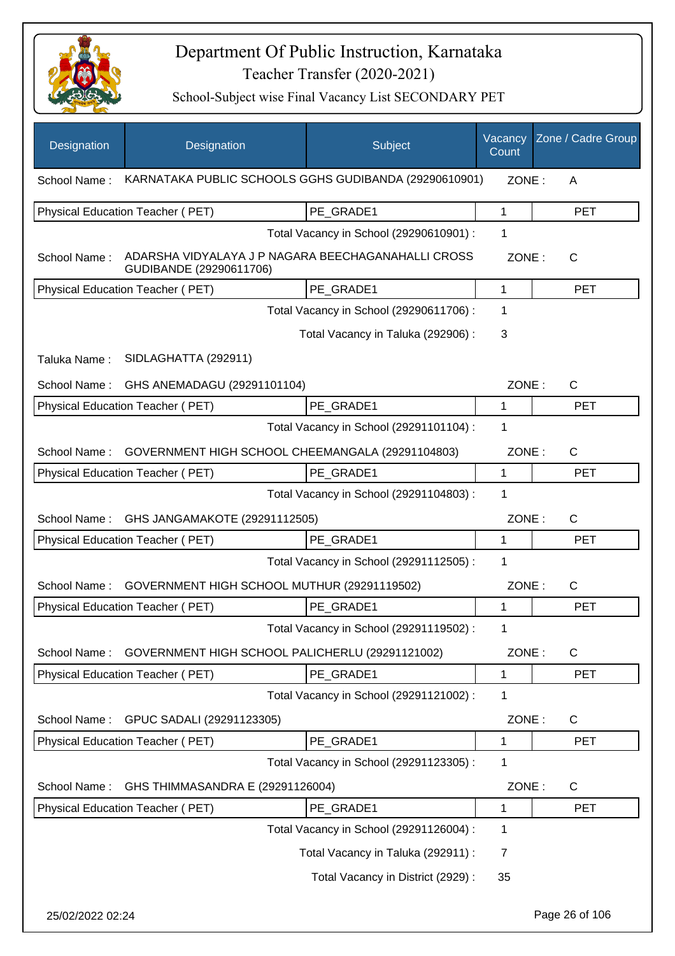

| Designation      | Designation                                                                   | Subject                                 | Vacancy<br>Count | Zone / Cadre Group |
|------------------|-------------------------------------------------------------------------------|-----------------------------------------|------------------|--------------------|
| School Name:     | KARNATAKA PUBLIC SCHOOLS GGHS GUDIBANDA (29290610901)                         |                                         | ZONE:            | A                  |
|                  | Physical Education Teacher (PET)                                              | PE GRADE1                               | 1                | <b>PET</b>         |
|                  |                                                                               | Total Vacancy in School (29290610901) : | 1                |                    |
| School Name:     | ADARSHA VIDYALAYA J P NAGARA BEECHAGANAHALLI CROSS<br>GUDIBANDE (29290611706) |                                         | ZONE:            | $\mathsf{C}$       |
|                  | Physical Education Teacher (PET)                                              | PE_GRADE1                               | 1                | <b>PET</b>         |
|                  |                                                                               | Total Vacancy in School (29290611706) : | 1                |                    |
|                  |                                                                               | Total Vacancy in Taluka (292906) :      | 3                |                    |
| Taluka Name:     | SIDLAGHATTA (292911)                                                          |                                         |                  |                    |
| School Name:     | GHS ANEMADAGU (29291101104)                                                   |                                         | ZONE:            | $\mathsf{C}$       |
|                  | Physical Education Teacher (PET)                                              | PE GRADE1                               | 1                | <b>PET</b>         |
|                  |                                                                               | Total Vacancy in School (29291101104) : | 1                |                    |
| School Name:     | GOVERNMENT HIGH SCHOOL CHEEMANGALA (29291104803)                              |                                         | ZONE:            | $\mathsf{C}$       |
|                  | Physical Education Teacher (PET)                                              | PE_GRADE1                               | 1                | <b>PET</b>         |
|                  |                                                                               | Total Vacancy in School (29291104803) : | 1                |                    |
| School Name:     | GHS JANGAMAKOTE (29291112505)                                                 |                                         | ZONE:            | C                  |
|                  | Physical Education Teacher (PET)                                              | PE_GRADE1                               | $\mathbf{1}$     | <b>PET</b>         |
|                  |                                                                               | Total Vacancy in School (29291112505) : | 1                |                    |
| School Name:     | GOVERNMENT HIGH SCHOOL MUTHUR (29291119502)                                   |                                         | ZONE:            | C                  |
|                  | <b>Physical Education Teacher (PET)</b>                                       | PE GRADE1                               | 1                | <b>PET</b>         |
|                  |                                                                               | Total Vacancy in School (29291119502) : |                  |                    |
| School Name:     | GOVERNMENT HIGH SCHOOL PALICHERLU (29291121002)                               |                                         | ZONE:            | C                  |
|                  | Physical Education Teacher (PET)                                              | PE_GRADE1                               | 1                | <b>PET</b>         |
|                  |                                                                               | Total Vacancy in School (29291121002) : | 1                |                    |
| School Name:     | GPUC SADALI (29291123305)                                                     |                                         | ZONE:            | C                  |
|                  | Physical Education Teacher (PET)                                              | PE_GRADE1                               | 1                | <b>PET</b>         |
|                  |                                                                               | Total Vacancy in School (29291123305) : | 1                |                    |
| School Name:     | GHS THIMMASANDRA E (29291126004)                                              |                                         | ZONE:            | C                  |
|                  | Physical Education Teacher (PET)                                              | PE GRADE1                               | 1                | <b>PET</b>         |
|                  |                                                                               | Total Vacancy in School (29291126004) : | 1                |                    |
|                  |                                                                               | Total Vacancy in Taluka (292911) :      | 7                |                    |
|                  |                                                                               | Total Vacancy in District (2929) :      | 35               |                    |
| 25/02/2022 02:24 |                                                                               |                                         |                  | Page 26 of 106     |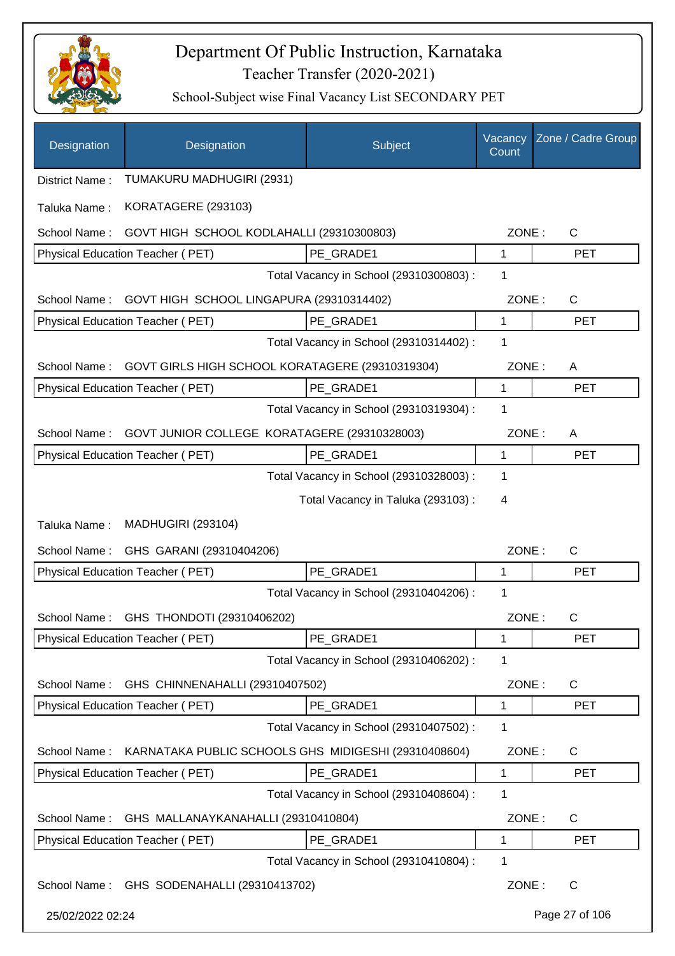

| Designation      | Designation                                          | Subject                                 | Vacancy<br>Count | Zone / Cadre Group |
|------------------|------------------------------------------------------|-----------------------------------------|------------------|--------------------|
| District Name:   | TUMAKURU MADHUGIRI (2931)                            |                                         |                  |                    |
| Taluka Name:     | KORATAGERE (293103)                                  |                                         |                  |                    |
| School Name:     | GOVT HIGH SCHOOL KODLAHALLI (29310300803)            |                                         | ZONE:            | C                  |
|                  | Physical Education Teacher (PET)                     | PE_GRADE1                               | 1                | <b>PET</b>         |
|                  |                                                      | Total Vacancy in School (29310300803) : | 1                |                    |
| School Name:     | GOVT HIGH SCHOOL LINGAPURA (29310314402)             |                                         | ZONE:            | C                  |
|                  | Physical Education Teacher (PET)                     | PE GRADE1                               | 1                | <b>PET</b>         |
|                  |                                                      | Total Vacancy in School (29310314402) : | 1                |                    |
| School Name:     | GOVT GIRLS HIGH SCHOOL KORATAGERE (29310319304)      |                                         | ZONE:            | A                  |
|                  | Physical Education Teacher (PET)                     | PE_GRADE1                               | 1                | <b>PET</b>         |
|                  |                                                      | Total Vacancy in School (29310319304) : | 1                |                    |
| School Name:     | GOVT JUNIOR COLLEGE KORATAGERE (29310328003)         |                                         | ZONE:            | A                  |
|                  | Physical Education Teacher (PET)                     | PE GRADE1                               | $\mathbf{1}$     | <b>PET</b>         |
|                  |                                                      | Total Vacancy in School (29310328003) : | 1                |                    |
|                  |                                                      | Total Vacancy in Taluka (293103) :      | 4                |                    |
| Taluka Name:     | <b>MADHUGIRI (293104)</b>                            |                                         |                  |                    |
| School Name:     | GHS GARANI (29310404206)                             |                                         | ZONE:            | C                  |
|                  | Physical Education Teacher (PET)                     | PE_GRADE1                               | 1                | <b>PET</b>         |
|                  |                                                      | Total Vacancy in School (29310404206) : | 1                |                    |
| School Name:     | GHS THONDOTI (29310406202)                           |                                         | ZONE:            | C                  |
|                  | Physical Education Teacher (PET)                     | PE GRADE1                               | 1                | <b>PET</b>         |
|                  |                                                      | Total Vacancy in School (29310406202) : | 1                |                    |
| School Name:     | GHS CHINNENAHALLI (29310407502)                      |                                         | ZONE:            | $\mathsf{C}$       |
|                  | Physical Education Teacher (PET)                     | PE GRADE1                               | 1                | <b>PET</b>         |
|                  |                                                      | Total Vacancy in School (29310407502) : | 1                |                    |
| School Name:     | KARNATAKA PUBLIC SCHOOLS GHS MIDIGESHI (29310408604) |                                         | ZONE:            | C                  |
|                  | Physical Education Teacher (PET)                     | PE_GRADE1                               | 1                | <b>PET</b>         |
|                  |                                                      | Total Vacancy in School (29310408604) : | 1                |                    |
| School Name:     | GHS MALLANAYKANAHALLI (29310410804)                  |                                         | ZONE:            | C                  |
|                  | Physical Education Teacher (PET)                     | PE_GRADE1                               | 1                | PET                |
|                  |                                                      | Total Vacancy in School (29310410804) : | 1                |                    |
| School Name:     | GHS SODENAHALLI (29310413702)                        |                                         | ZONE:            | C                  |
| 25/02/2022 02:24 |                                                      |                                         |                  | Page 27 of 106     |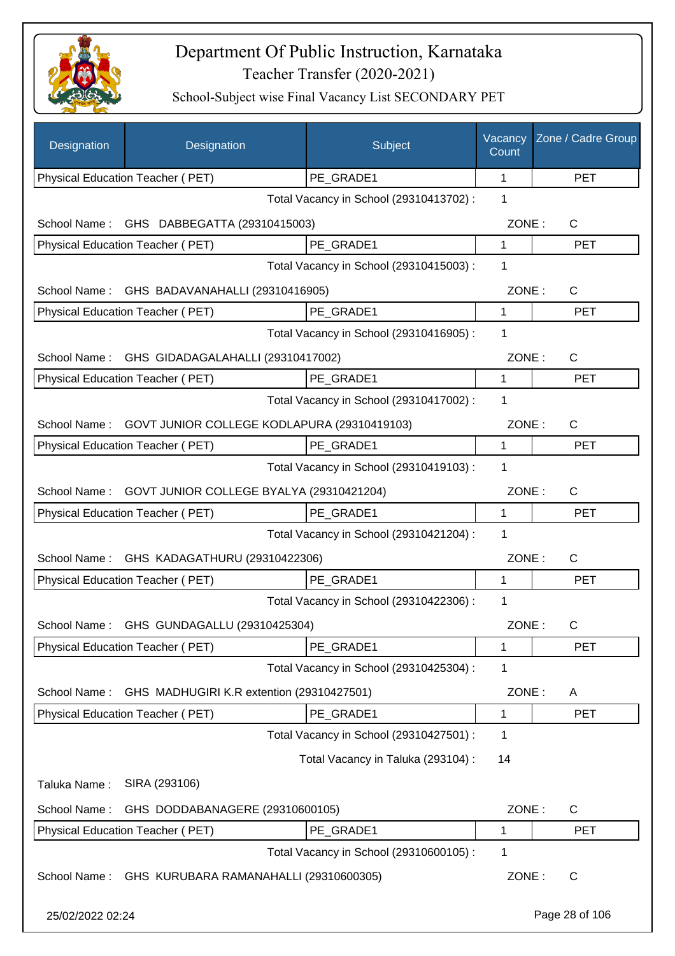

| Designation      | Designation                                 | Subject                                 | Vacancy<br>Count | Zone / Cadre Group |
|------------------|---------------------------------------------|-----------------------------------------|------------------|--------------------|
|                  | Physical Education Teacher (PET)            | PE_GRADE1                               | 1                | <b>PET</b>         |
|                  |                                             | Total Vacancy in School (29310413702) : | 1                |                    |
| School Name:     | GHS DABBEGATTA (29310415003)                |                                         | ZONE:            | C                  |
|                  | Physical Education Teacher (PET)            | PE GRADE1                               | 1                | <b>PET</b>         |
|                  |                                             | Total Vacancy in School (29310415003) : | 1                |                    |
| School Name:     | GHS BADAVANAHALLI (29310416905)             |                                         | ZONE:            | $\mathsf{C}$       |
|                  | Physical Education Teacher (PET)            | PE GRADE1                               | 1                | <b>PET</b>         |
|                  |                                             | Total Vacancy in School (29310416905) : | 1                |                    |
| School Name:     | GHS GIDADAGALAHALLI (29310417002)           |                                         | ZONE:            | $\mathsf{C}$       |
|                  | Physical Education Teacher (PET)            | PE GRADE1                               | 1                | <b>PET</b>         |
|                  |                                             | Total Vacancy in School (29310417002) : | 1                |                    |
| School Name:     | GOVT JUNIOR COLLEGE KODLAPURA (29310419103) |                                         | ZONE:            | $\mathsf{C}$       |
|                  | Physical Education Teacher (PET)            | PE GRADE1                               | 1                | <b>PET</b>         |
|                  |                                             | Total Vacancy in School (29310419103) : | 1                |                    |
| School Name:     | GOVT JUNIOR COLLEGE BYALYA (29310421204)    |                                         | ZONE:            | $\mathsf{C}$       |
|                  | Physical Education Teacher (PET)            | PE_GRADE1                               | 1                | <b>PET</b>         |
|                  |                                             | Total Vacancy in School (29310421204) : | 1                |                    |
| School Name:     | GHS KADAGATHURU (29310422306)               |                                         | ZONE:            | $\mathsf{C}$       |
|                  | Physical Education Teacher (PET)            | PE GRADE1                               | 1                | <b>PET</b>         |
|                  |                                             | Total Vacancy in School (29310422306) : | 1                |                    |
|                  | School Name: GHS GUNDAGALLU (29310425304)   |                                         | ZONE:            | C                  |
|                  | Physical Education Teacher (PET)            | PE_GRADE1                               | 1                | <b>PET</b>         |
|                  |                                             | Total Vacancy in School (29310425304) : | 1                |                    |
| School Name:     | GHS MADHUGIRI K.R extention (29310427501)   |                                         | ZONE:            | A                  |
|                  | Physical Education Teacher (PET)            | PE_GRADE1                               | 1                | <b>PET</b>         |
|                  |                                             | Total Vacancy in School (29310427501) : | 1                |                    |
|                  |                                             | Total Vacancy in Taluka (293104) :      | 14               |                    |
| Taluka Name:     | SIRA (293106)                               |                                         |                  |                    |
| School Name:     | GHS DODDABANAGERE (29310600105)             |                                         | ZONE:            | $\mathsf{C}$       |
|                  | Physical Education Teacher (PET)            | PE_GRADE1                               | 1                | <b>PET</b>         |
|                  |                                             | Total Vacancy in School (29310600105) : | 1                |                    |
| School Name:     | GHS KURUBARA RAMANAHALLI (29310600305)      |                                         | ZONE:            | $\mathsf{C}$       |
| 25/02/2022 02:24 |                                             |                                         |                  | Page 28 of 106     |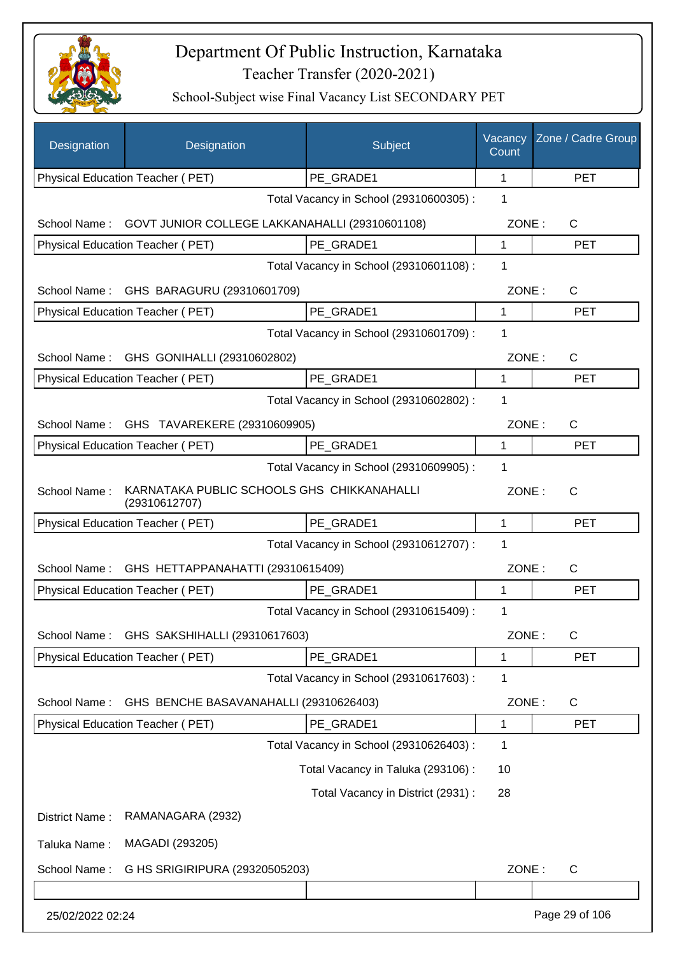

| Designation      | Designation                                                 | Subject                                 | Vacancy<br>Count | Zone / Cadre Group |
|------------------|-------------------------------------------------------------|-----------------------------------------|------------------|--------------------|
|                  | Physical Education Teacher (PET)                            | PE_GRADE1                               | 1                | <b>PET</b>         |
|                  |                                                             | Total Vacancy in School (29310600305) : | 1                |                    |
| School Name:     | GOVT JUNIOR COLLEGE LAKKANAHALLI (29310601108)              |                                         | ZONE:            | C                  |
|                  | Physical Education Teacher (PET)                            | PE GRADE1                               | 1                | <b>PET</b>         |
|                  |                                                             | Total Vacancy in School (29310601108) : | 1                |                    |
| School Name:     | GHS BARAGURU (29310601709)                                  |                                         | ZONE:            | $\mathsf{C}$       |
|                  | Physical Education Teacher (PET)                            | PE_GRADE1                               | 1                | <b>PET</b>         |
|                  |                                                             | Total Vacancy in School (29310601709) : | 1                |                    |
| School Name:     | GHS GONIHALLI (29310602802)                                 |                                         | ZONE:            | C                  |
|                  | Physical Education Teacher (PET)                            | PE GRADE1                               | 1                | <b>PET</b>         |
|                  |                                                             | Total Vacancy in School (29310602802) : | 1                |                    |
| School Name:     | GHS TAVAREKERE (29310609905)                                |                                         | ZONE:            | $\mathsf{C}$       |
|                  | Physical Education Teacher (PET)                            | PE GRADE1                               | 1                | <b>PET</b>         |
|                  |                                                             | Total Vacancy in School (29310609905) : | 1                |                    |
| School Name:     | KARNATAKA PUBLIC SCHOOLS GHS CHIKKANAHALLI<br>(29310612707) |                                         | ZONE:            | C                  |
|                  | Physical Education Teacher (PET)                            | PE_GRADE1                               | 1                | <b>PET</b>         |
|                  |                                                             | Total Vacancy in School (29310612707) : | 1                |                    |
| School Name:     | GHS HETTAPPANAHATTI (29310615409)                           |                                         | ZONE:            | $\mathsf{C}$       |
|                  | Physical Education Teacher (PET)                            | PE_GRADE1                               | 1                | <b>PET</b>         |
|                  |                                                             | Total Vacancy in School (29310615409) : | 1                |                    |
| School Name:     | GHS SAKSHIHALLI (29310617603)                               |                                         | ZONE:            | C                  |
|                  | Physical Education Teacher (PET)                            | PE_GRADE1                               | 1                | <b>PET</b>         |
|                  |                                                             | Total Vacancy in School (29310617603) : | 1                |                    |
| School Name:     | GHS BENCHE BASAVANAHALLI (29310626403)                      |                                         | ZONE:            | C                  |
|                  | Physical Education Teacher (PET)                            | PE_GRADE1                               | 1                | <b>PET</b>         |
|                  |                                                             | Total Vacancy in School (29310626403) : | 1                |                    |
|                  |                                                             | Total Vacancy in Taluka (293106):       | 10               |                    |
|                  |                                                             | Total Vacancy in District (2931) :      | 28               |                    |
| District Name:   | RAMANAGARA (2932)                                           |                                         |                  |                    |
| Taluka Name:     | MAGADI (293205)                                             |                                         |                  |                    |
| School Name:     | G HS SRIGIRIPURA (29320505203)                              |                                         | ZONE:            | $\mathsf C$        |
|                  |                                                             |                                         |                  |                    |
| 25/02/2022 02:24 |                                                             |                                         |                  | Page 29 of 106     |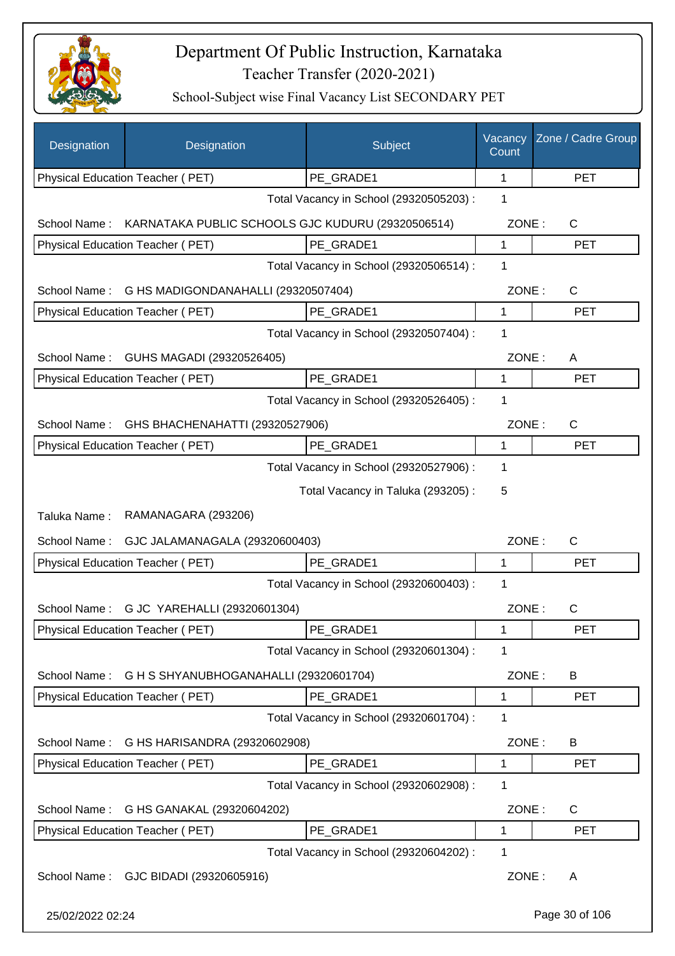

| Designation      | Designation                                       | Subject                                 | Vacancy<br>Count | Zone / Cadre Group |
|------------------|---------------------------------------------------|-----------------------------------------|------------------|--------------------|
|                  | Physical Education Teacher (PET)                  | PE GRADE1                               | 1                | <b>PET</b>         |
|                  |                                                   | Total Vacancy in School (29320505203) : | 1                |                    |
| School Name:     | KARNATAKA PUBLIC SCHOOLS GJC KUDURU (29320506514) |                                         | ZONE:            | C                  |
|                  | Physical Education Teacher (PET)                  | PE_GRADE1                               | 1                | <b>PET</b>         |
|                  |                                                   | Total Vacancy in School (29320506514) : | 1                |                    |
| School Name:     | G HS MADIGONDANAHALLI (29320507404)               |                                         | ZONE:            | C                  |
|                  | Physical Education Teacher (PET)                  | PE_GRADE1                               | 1                | <b>PET</b>         |
|                  |                                                   | Total Vacancy in School (29320507404) : | 1                |                    |
| School Name:     | GUHS MAGADI (29320526405)                         |                                         | ZONE:            | A                  |
|                  | Physical Education Teacher (PET)                  | PE GRADE1                               | 1                | <b>PET</b>         |
|                  |                                                   | Total Vacancy in School (29320526405) : | 1                |                    |
| School Name:     | GHS BHACHENAHATTI (29320527906)                   |                                         | ZONE:            | $\mathsf{C}$       |
|                  | Physical Education Teacher (PET)                  | PE GRADE1                               | 1                | <b>PET</b>         |
|                  |                                                   | Total Vacancy in School (29320527906) : | 1                |                    |
|                  |                                                   | Total Vacancy in Taluka (293205):       | 5                |                    |
| Taluka Name:     | RAMANAGARA (293206)                               |                                         |                  |                    |
| School Name:     | GJC JALAMANAGALA (29320600403)                    |                                         | ZONE:            | C                  |
|                  | Physical Education Teacher (PET)                  | PE_GRADE1                               | 1                | <b>PET</b>         |
|                  |                                                   | Total Vacancy in School (29320600403) : | 1                |                    |
|                  | School Name: G JC YAREHALLI (29320601304)         |                                         | ZONE:            | $\mathsf{C}$       |
|                  | Physical Education Teacher (PET)                  | PE_GRADE1                               | 1                | PET                |
|                  |                                                   | Total Vacancy in School (29320601304) : | 1                |                    |
| School Name:     | G H S SHYANUBHOGANAHALLI (29320601704)            |                                         | ZONE:            | B                  |
|                  | Physical Education Teacher (PET)                  | PE_GRADE1                               | 1                | <b>PET</b>         |
|                  |                                                   | Total Vacancy in School (29320601704) : | 1                |                    |
| School Name:     | G HS HARISANDRA (29320602908)                     |                                         | ZONE:            | B                  |
|                  | Physical Education Teacher (PET)                  | PE GRADE1                               | 1                | <b>PET</b>         |
|                  |                                                   | Total Vacancy in School (29320602908) : | 1                |                    |
| School Name:     | G HS GANAKAL (29320604202)                        |                                         | ZONE:            | C                  |
|                  | Physical Education Teacher (PET)                  | PE_GRADE1                               | 1                | <b>PET</b>         |
|                  |                                                   | Total Vacancy in School (29320604202) : | 1                |                    |
| School Name:     | GJC BIDADI (29320605916)                          |                                         | ZONE:            | A                  |
| 25/02/2022 02:24 |                                                   |                                         |                  | Page 30 of 106     |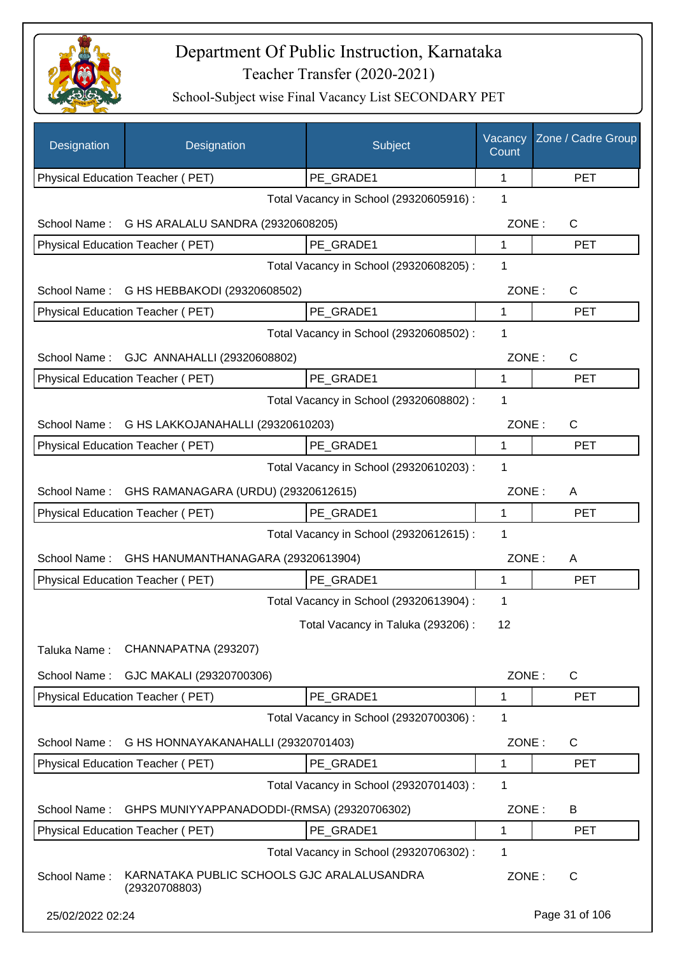

| Designation                                         | Designation                                                 | Subject                                 | Vacancy<br>Count | Zone / Cadre Group |
|-----------------------------------------------------|-------------------------------------------------------------|-----------------------------------------|------------------|--------------------|
|                                                     | Physical Education Teacher (PET)                            | PE_GRADE1                               | 1                | <b>PET</b>         |
|                                                     |                                                             | Total Vacancy in School (29320605916) : | 1                |                    |
| School Name:                                        | G HS ARALALU SANDRA (29320608205)                           |                                         | ZONE:            | C                  |
|                                                     | Physical Education Teacher (PET)                            | PE_GRADE1                               | 1                | <b>PET</b>         |
|                                                     |                                                             | Total Vacancy in School (29320608205) : | 1                |                    |
| School Name:                                        | G HS HEBBAKODI (29320608502)                                |                                         | ZONE:            | C                  |
|                                                     | Physical Education Teacher (PET)                            | PE GRADE1                               | 1                | <b>PET</b>         |
|                                                     |                                                             | Total Vacancy in School (29320608502) : | 1                |                    |
|                                                     | School Name: GJC ANNAHALLI (29320608802)                    |                                         | ZONE:            | C                  |
|                                                     | Physical Education Teacher (PET)                            | PE GRADE1                               | 1                | <b>PET</b>         |
|                                                     |                                                             | Total Vacancy in School (29320608802) : | 1                |                    |
| School Name:                                        | G HS LAKKOJANAHALLI (29320610203)                           |                                         | ZONE:            | C                  |
|                                                     | Physical Education Teacher (PET)                            | PE_GRADE1                               | $\mathbf{1}$     | <b>PET</b>         |
|                                                     |                                                             | Total Vacancy in School (29320610203) : | 1                |                    |
| School Name:<br>GHS RAMANAGARA (URDU) (29320612615) |                                                             |                                         |                  | ZONE:<br>Α         |
|                                                     | Physical Education Teacher (PET)                            | PE GRADE1                               | 1                | <b>PET</b>         |
|                                                     |                                                             | Total Vacancy in School (29320612615) : | 1                |                    |
| School Name:<br>GHS HANUMANTHANAGARA (29320613904)  |                                                             |                                         |                  | ZONE:<br>A         |
|                                                     | Physical Education Teacher (PET)                            | PE_GRADE1                               | 1                | <b>PET</b>         |
|                                                     |                                                             | Total Vacancy in School (29320613904) : | 1                |                    |
|                                                     |                                                             | Total Vacancy in Taluka (293206) :      | 12               |                    |
| Taluka Name:                                        | CHANNAPATNA (293207)                                        |                                         |                  |                    |
|                                                     |                                                             |                                         |                  |                    |
| School Name:                                        | GJC MAKALI (29320700306)                                    |                                         | ZONE:            | C                  |
|                                                     | Physical Education Teacher (PET)                            | PE_GRADE1                               | 1                | <b>PET</b>         |
|                                                     |                                                             | Total Vacancy in School (29320700306) : | 1                |                    |
| School Name:                                        | G HS HONNAYAKANAHALLI (29320701403)                         |                                         | ZONE:            | C                  |
|                                                     | Physical Education Teacher (PET)                            | PE_GRADE1                               | 1                | <b>PET</b>         |
|                                                     |                                                             | Total Vacancy in School (29320701403) : | 1                |                    |
| School Name:                                        | GHPS MUNIYYAPPANADODDI-(RMSA) (29320706302)                 |                                         | ZONE:            | B                  |
|                                                     | Physical Education Teacher (PET)                            | PE_GRADE1                               | 1                | <b>PET</b>         |
|                                                     |                                                             | Total Vacancy in School (29320706302) : | 1                |                    |
| School Name:                                        | KARNATAKA PUBLIC SCHOOLS GJC ARALALUSANDRA<br>(29320708803) |                                         | ZONE:            | C                  |
| 25/02/2022 02:24                                    |                                                             |                                         |                  | Page 31 of 106     |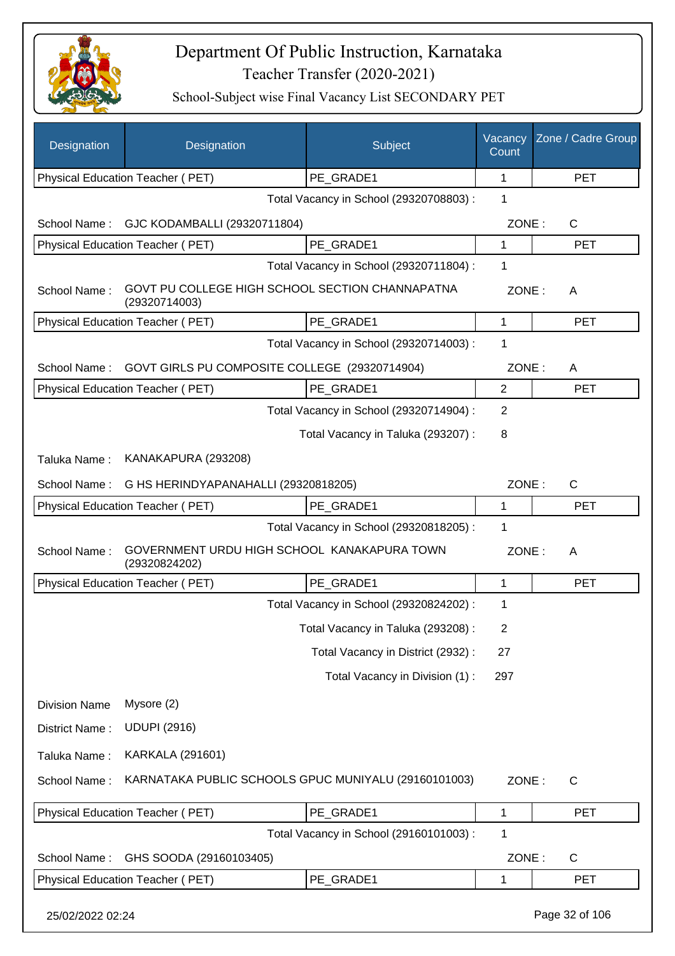

| Designation          | Designation                                                      | Subject                                 | Vacancy<br>Count | Zone / Cadre Group |
|----------------------|------------------------------------------------------------------|-----------------------------------------|------------------|--------------------|
|                      | Physical Education Teacher (PET)                                 | PE_GRADE1                               | 1                | <b>PET</b>         |
|                      |                                                                  | Total Vacancy in School (29320708803) : | 1                |                    |
| School Name:         | GJC KODAMBALLI (29320711804)                                     |                                         | ZONE:            | $\mathsf{C}$       |
|                      | Physical Education Teacher (PET)                                 | PE_GRADE1                               | 1                | <b>PET</b>         |
|                      |                                                                  | Total Vacancy in School (29320711804) : | 1                |                    |
| School Name:         | GOVT PU COLLEGE HIGH SCHOOL SECTION CHANNAPATNA<br>(29320714003) |                                         | ZONE:            | A                  |
|                      | Physical Education Teacher (PET)                                 | PE GRADE1                               | 1                | <b>PET</b>         |
|                      |                                                                  | Total Vacancy in School (29320714003) : | 1                |                    |
| School Name:         | GOVT GIRLS PU COMPOSITE COLLEGE (29320714904)                    |                                         | ZONE:            | A                  |
|                      | Physical Education Teacher (PET)                                 | PE GRADE1                               | $\overline{2}$   | <b>PET</b>         |
|                      |                                                                  | Total Vacancy in School (29320714904) : | 2                |                    |
|                      |                                                                  | Total Vacancy in Taluka (293207) :      | 8                |                    |
| Taluka Name:         | KANAKAPURA (293208)                                              |                                         |                  |                    |
| School Name:         | G HS HERINDYAPANAHALLI (29320818205)                             |                                         | ZONE:            | $\mathsf{C}$       |
|                      | Physical Education Teacher (PET)                                 | PE_GRADE1                               | 1                | <b>PET</b>         |
|                      |                                                                  | Total Vacancy in School (29320818205) : | 1                |                    |
| School Name:         | GOVERNMENT URDU HIGH SCHOOL KANAKAPURA TOWN<br>(29320824202)     |                                         | ZONE:            | A                  |
|                      | Physical Education Teacher (PET)                                 | PE_GRADE1                               | 1                | <b>PET</b>         |
|                      |                                                                  | Total Vacancy in School (29320824202) : | 1                |                    |
|                      |                                                                  | Total Vacancy in Taluka (293208) :      | 2                |                    |
|                      |                                                                  | Total Vacancy in District (2932):       | 27               |                    |
|                      |                                                                  | Total Vacancy in Division (1):          | 297              |                    |
| <b>Division Name</b> | Mysore (2)                                                       |                                         |                  |                    |
| District Name:       | <b>UDUPI (2916)</b>                                              |                                         |                  |                    |
| Taluka Name:         | <b>KARKALA (291601)</b>                                          |                                         |                  |                    |
| School Name:         | KARNATAKA PUBLIC SCHOOLS GPUC MUNIYALU (29160101003)             |                                         | ZONE:            | $\mathsf{C}$       |
|                      | Physical Education Teacher (PET)                                 | PE_GRADE1                               | 1                | <b>PET</b>         |
|                      |                                                                  | Total Vacancy in School (29160101003) : | 1                |                    |
| School Name:         | GHS SOODA (29160103405)                                          |                                         | ZONE:            | $\mathsf{C}$       |
|                      | Physical Education Teacher (PET)                                 | PE_GRADE1                               | 1                | <b>PET</b>         |
| 25/02/2022 02:24     |                                                                  |                                         |                  | Page 32 of 106     |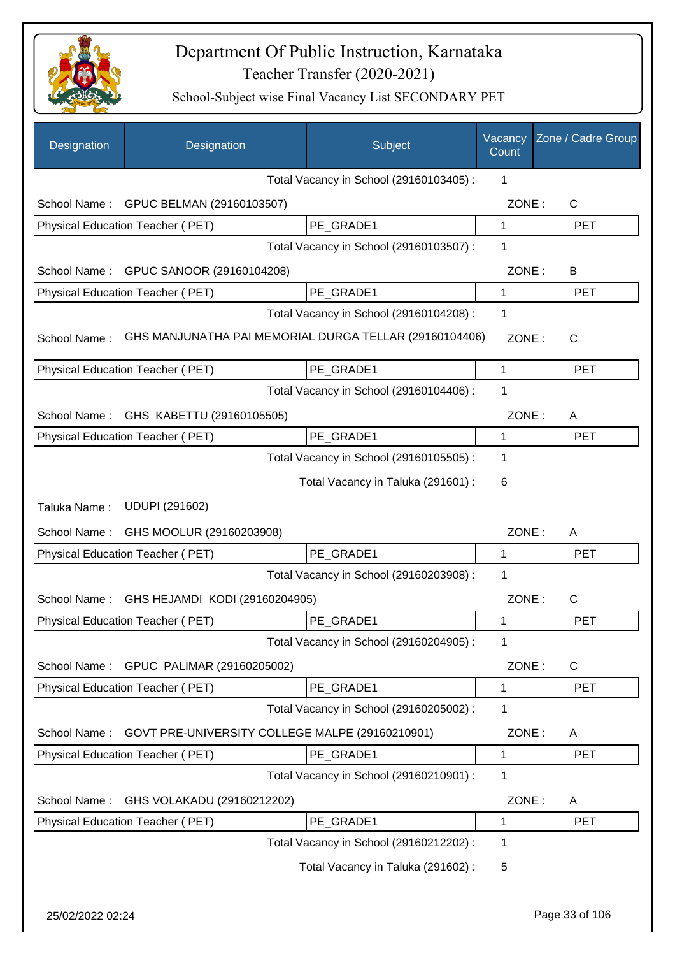

| Total Vacancy in School (29160103405) :<br>1<br>GPUC BELMAN (29160103507)<br>C<br>School Name:<br>ZONE:<br>PE GRADE1<br>Physical Education Teacher (PET)<br>1<br><b>PET</b><br>Total Vacancy in School (29160103507) :<br>1<br>GPUC SANOOR (29160104208)<br>ZONE:<br>School Name:<br>B<br>Physical Education Teacher (PET)<br>PE GRADE1<br>1<br><b>PET</b><br>Total Vacancy in School (29160104208) :<br>1<br>GHS MANJUNATHA PAI MEMORIAL DURGA TELLAR (29160104406)<br>School Name:<br>ZONE:<br>$\mathsf{C}$<br>Physical Education Teacher (PET)<br>PE_GRADE1<br><b>PET</b><br>1<br>1<br>Total Vacancy in School (29160104406) :<br>GHS KABETTU (29160105505)<br>ZONE:<br>School Name:<br>A<br>PE_GRADE1<br>Physical Education Teacher (PET)<br><b>PET</b><br>1<br>Total Vacancy in School (29160105505) :<br>1<br>Total Vacancy in Taluka (291601) :<br>6<br><b>UDUPI (291602)</b><br>Taluka Name:<br>GHS MOOLUR (29160203908)<br>ZONE:<br>School Name:<br>A<br>Physical Education Teacher (PET)<br>PE GRADE1<br><b>PET</b><br>1<br>Total Vacancy in School (29160203908) :<br>1<br>ZONE:<br>C<br>School Name:<br>GHS HEJAMDI KODI (29160204905)<br>Physical Education Teacher (PET)<br>PE_GRADE1<br>PET<br>Total Vacancy in School (29160204905) :<br>1<br>GPUC PALIMAR (29160205002)<br>ZONE:<br>C<br>School Name:<br>Physical Education Teacher (PET)<br>PE GRADE1<br><b>PET</b><br>1<br>Total Vacancy in School (29160205002) :<br>1<br>GOVT PRE-UNIVERSITY COLLEGE MALPE (29160210901)<br>ZONE:<br>School Name:<br>A<br>PE GRADE1<br>Physical Education Teacher (PET)<br><b>PET</b><br>1<br>Total Vacancy in School (29160210901) :<br>1<br>GHS VOLAKADU (29160212202)<br>ZONE:<br>School Name:<br>A<br>Physical Education Teacher (PET)<br>PE_GRADE1<br><b>PET</b><br>1<br>Total Vacancy in School (29160212202) :<br>1 | Designation | Designation | Subject | Vacancy<br>Count | Zone / Cadre Group |
|---------------------------------------------------------------------------------------------------------------------------------------------------------------------------------------------------------------------------------------------------------------------------------------------------------------------------------------------------------------------------------------------------------------------------------------------------------------------------------------------------------------------------------------------------------------------------------------------------------------------------------------------------------------------------------------------------------------------------------------------------------------------------------------------------------------------------------------------------------------------------------------------------------------------------------------------------------------------------------------------------------------------------------------------------------------------------------------------------------------------------------------------------------------------------------------------------------------------------------------------------------------------------------------------------------------------------------------------------------------------------------------------------------------------------------------------------------------------------------------------------------------------------------------------------------------------------------------------------------------------------------------------------------------------------------------------------------------------------------------------------------------------------------------------------------------------------------|-------------|-------------|---------|------------------|--------------------|
|                                                                                                                                                                                                                                                                                                                                                                                                                                                                                                                                                                                                                                                                                                                                                                                                                                                                                                                                                                                                                                                                                                                                                                                                                                                                                                                                                                                                                                                                                                                                                                                                                                                                                                                                                                                                                                 |             |             |         |                  |                    |
|                                                                                                                                                                                                                                                                                                                                                                                                                                                                                                                                                                                                                                                                                                                                                                                                                                                                                                                                                                                                                                                                                                                                                                                                                                                                                                                                                                                                                                                                                                                                                                                                                                                                                                                                                                                                                                 |             |             |         |                  |                    |
|                                                                                                                                                                                                                                                                                                                                                                                                                                                                                                                                                                                                                                                                                                                                                                                                                                                                                                                                                                                                                                                                                                                                                                                                                                                                                                                                                                                                                                                                                                                                                                                                                                                                                                                                                                                                                                 |             |             |         |                  |                    |
|                                                                                                                                                                                                                                                                                                                                                                                                                                                                                                                                                                                                                                                                                                                                                                                                                                                                                                                                                                                                                                                                                                                                                                                                                                                                                                                                                                                                                                                                                                                                                                                                                                                                                                                                                                                                                                 |             |             |         |                  |                    |
|                                                                                                                                                                                                                                                                                                                                                                                                                                                                                                                                                                                                                                                                                                                                                                                                                                                                                                                                                                                                                                                                                                                                                                                                                                                                                                                                                                                                                                                                                                                                                                                                                                                                                                                                                                                                                                 |             |             |         |                  |                    |
|                                                                                                                                                                                                                                                                                                                                                                                                                                                                                                                                                                                                                                                                                                                                                                                                                                                                                                                                                                                                                                                                                                                                                                                                                                                                                                                                                                                                                                                                                                                                                                                                                                                                                                                                                                                                                                 |             |             |         |                  |                    |
|                                                                                                                                                                                                                                                                                                                                                                                                                                                                                                                                                                                                                                                                                                                                                                                                                                                                                                                                                                                                                                                                                                                                                                                                                                                                                                                                                                                                                                                                                                                                                                                                                                                                                                                                                                                                                                 |             |             |         |                  |                    |
|                                                                                                                                                                                                                                                                                                                                                                                                                                                                                                                                                                                                                                                                                                                                                                                                                                                                                                                                                                                                                                                                                                                                                                                                                                                                                                                                                                                                                                                                                                                                                                                                                                                                                                                                                                                                                                 |             |             |         |                  |                    |
|                                                                                                                                                                                                                                                                                                                                                                                                                                                                                                                                                                                                                                                                                                                                                                                                                                                                                                                                                                                                                                                                                                                                                                                                                                                                                                                                                                                                                                                                                                                                                                                                                                                                                                                                                                                                                                 |             |             |         |                  |                    |
|                                                                                                                                                                                                                                                                                                                                                                                                                                                                                                                                                                                                                                                                                                                                                                                                                                                                                                                                                                                                                                                                                                                                                                                                                                                                                                                                                                                                                                                                                                                                                                                                                                                                                                                                                                                                                                 |             |             |         |                  |                    |
|                                                                                                                                                                                                                                                                                                                                                                                                                                                                                                                                                                                                                                                                                                                                                                                                                                                                                                                                                                                                                                                                                                                                                                                                                                                                                                                                                                                                                                                                                                                                                                                                                                                                                                                                                                                                                                 |             |             |         |                  |                    |
|                                                                                                                                                                                                                                                                                                                                                                                                                                                                                                                                                                                                                                                                                                                                                                                                                                                                                                                                                                                                                                                                                                                                                                                                                                                                                                                                                                                                                                                                                                                                                                                                                                                                                                                                                                                                                                 |             |             |         |                  |                    |
|                                                                                                                                                                                                                                                                                                                                                                                                                                                                                                                                                                                                                                                                                                                                                                                                                                                                                                                                                                                                                                                                                                                                                                                                                                                                                                                                                                                                                                                                                                                                                                                                                                                                                                                                                                                                                                 |             |             |         |                  |                    |
|                                                                                                                                                                                                                                                                                                                                                                                                                                                                                                                                                                                                                                                                                                                                                                                                                                                                                                                                                                                                                                                                                                                                                                                                                                                                                                                                                                                                                                                                                                                                                                                                                                                                                                                                                                                                                                 |             |             |         |                  |                    |
|                                                                                                                                                                                                                                                                                                                                                                                                                                                                                                                                                                                                                                                                                                                                                                                                                                                                                                                                                                                                                                                                                                                                                                                                                                                                                                                                                                                                                                                                                                                                                                                                                                                                                                                                                                                                                                 |             |             |         |                  |                    |
|                                                                                                                                                                                                                                                                                                                                                                                                                                                                                                                                                                                                                                                                                                                                                                                                                                                                                                                                                                                                                                                                                                                                                                                                                                                                                                                                                                                                                                                                                                                                                                                                                                                                                                                                                                                                                                 |             |             |         |                  |                    |
|                                                                                                                                                                                                                                                                                                                                                                                                                                                                                                                                                                                                                                                                                                                                                                                                                                                                                                                                                                                                                                                                                                                                                                                                                                                                                                                                                                                                                                                                                                                                                                                                                                                                                                                                                                                                                                 |             |             |         |                  |                    |
|                                                                                                                                                                                                                                                                                                                                                                                                                                                                                                                                                                                                                                                                                                                                                                                                                                                                                                                                                                                                                                                                                                                                                                                                                                                                                                                                                                                                                                                                                                                                                                                                                                                                                                                                                                                                                                 |             |             |         |                  |                    |
|                                                                                                                                                                                                                                                                                                                                                                                                                                                                                                                                                                                                                                                                                                                                                                                                                                                                                                                                                                                                                                                                                                                                                                                                                                                                                                                                                                                                                                                                                                                                                                                                                                                                                                                                                                                                                                 |             |             |         |                  |                    |
|                                                                                                                                                                                                                                                                                                                                                                                                                                                                                                                                                                                                                                                                                                                                                                                                                                                                                                                                                                                                                                                                                                                                                                                                                                                                                                                                                                                                                                                                                                                                                                                                                                                                                                                                                                                                                                 |             |             |         |                  |                    |
|                                                                                                                                                                                                                                                                                                                                                                                                                                                                                                                                                                                                                                                                                                                                                                                                                                                                                                                                                                                                                                                                                                                                                                                                                                                                                                                                                                                                                                                                                                                                                                                                                                                                                                                                                                                                                                 |             |             |         |                  |                    |
|                                                                                                                                                                                                                                                                                                                                                                                                                                                                                                                                                                                                                                                                                                                                                                                                                                                                                                                                                                                                                                                                                                                                                                                                                                                                                                                                                                                                                                                                                                                                                                                                                                                                                                                                                                                                                                 |             |             |         |                  |                    |
|                                                                                                                                                                                                                                                                                                                                                                                                                                                                                                                                                                                                                                                                                                                                                                                                                                                                                                                                                                                                                                                                                                                                                                                                                                                                                                                                                                                                                                                                                                                                                                                                                                                                                                                                                                                                                                 |             |             |         |                  |                    |
|                                                                                                                                                                                                                                                                                                                                                                                                                                                                                                                                                                                                                                                                                                                                                                                                                                                                                                                                                                                                                                                                                                                                                                                                                                                                                                                                                                                                                                                                                                                                                                                                                                                                                                                                                                                                                                 |             |             |         |                  |                    |
|                                                                                                                                                                                                                                                                                                                                                                                                                                                                                                                                                                                                                                                                                                                                                                                                                                                                                                                                                                                                                                                                                                                                                                                                                                                                                                                                                                                                                                                                                                                                                                                                                                                                                                                                                                                                                                 |             |             |         |                  |                    |
|                                                                                                                                                                                                                                                                                                                                                                                                                                                                                                                                                                                                                                                                                                                                                                                                                                                                                                                                                                                                                                                                                                                                                                                                                                                                                                                                                                                                                                                                                                                                                                                                                                                                                                                                                                                                                                 |             |             |         |                  |                    |
|                                                                                                                                                                                                                                                                                                                                                                                                                                                                                                                                                                                                                                                                                                                                                                                                                                                                                                                                                                                                                                                                                                                                                                                                                                                                                                                                                                                                                                                                                                                                                                                                                                                                                                                                                                                                                                 |             |             |         |                  |                    |
|                                                                                                                                                                                                                                                                                                                                                                                                                                                                                                                                                                                                                                                                                                                                                                                                                                                                                                                                                                                                                                                                                                                                                                                                                                                                                                                                                                                                                                                                                                                                                                                                                                                                                                                                                                                                                                 |             |             |         |                  |                    |
|                                                                                                                                                                                                                                                                                                                                                                                                                                                                                                                                                                                                                                                                                                                                                                                                                                                                                                                                                                                                                                                                                                                                                                                                                                                                                                                                                                                                                                                                                                                                                                                                                                                                                                                                                                                                                                 |             |             |         |                  |                    |
|                                                                                                                                                                                                                                                                                                                                                                                                                                                                                                                                                                                                                                                                                                                                                                                                                                                                                                                                                                                                                                                                                                                                                                                                                                                                                                                                                                                                                                                                                                                                                                                                                                                                                                                                                                                                                                 |             |             |         |                  |                    |
| Total Vacancy in Taluka (291602) :<br>5                                                                                                                                                                                                                                                                                                                                                                                                                                                                                                                                                                                                                                                                                                                                                                                                                                                                                                                                                                                                                                                                                                                                                                                                                                                                                                                                                                                                                                                                                                                                                                                                                                                                                                                                                                                         |             |             |         |                  |                    |
|                                                                                                                                                                                                                                                                                                                                                                                                                                                                                                                                                                                                                                                                                                                                                                                                                                                                                                                                                                                                                                                                                                                                                                                                                                                                                                                                                                                                                                                                                                                                                                                                                                                                                                                                                                                                                                 |             |             |         |                  |                    |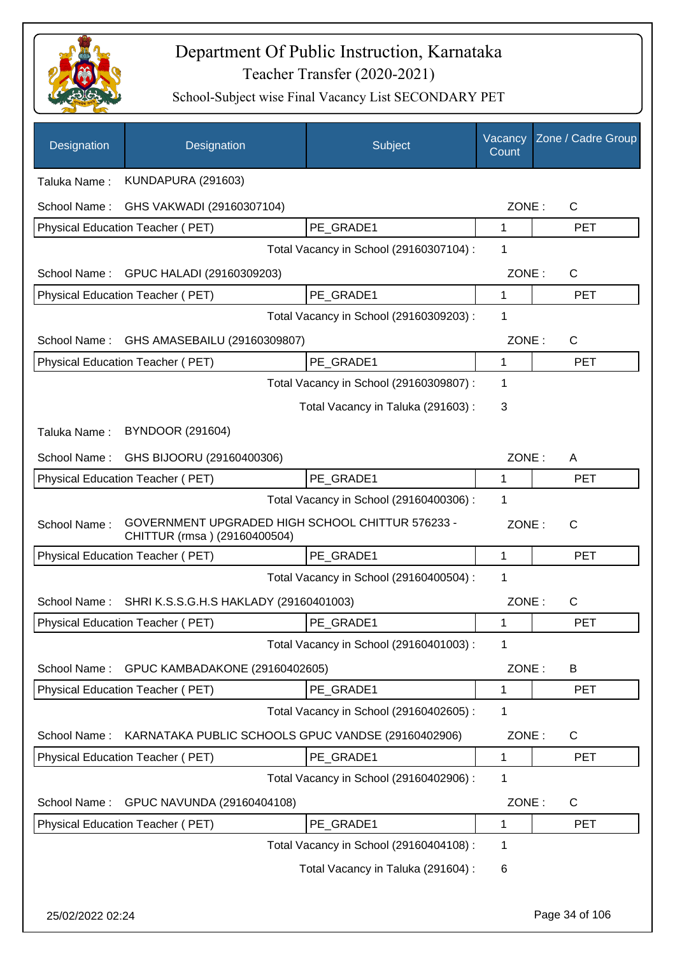

| Designation      | Designation                                                                      | Subject                                 | Vacancy<br>Count | Zone / Cadre Group |
|------------------|----------------------------------------------------------------------------------|-----------------------------------------|------------------|--------------------|
| Taluka Name:     | <b>KUNDAPURA (291603)</b>                                                        |                                         |                  |                    |
| School Name:     | GHS VAKWADI (29160307104)                                                        |                                         | ZONE:            | $\mathsf C$        |
|                  | Physical Education Teacher (PET)                                                 | PE GRADE1                               | 1                | <b>PET</b>         |
|                  |                                                                                  | Total Vacancy in School (29160307104) : | 1                |                    |
| School Name:     | GPUC HALADI (29160309203)                                                        |                                         | ZONE:            | $\mathsf C$        |
|                  | Physical Education Teacher (PET)                                                 | PE GRADE1                               | $\mathbf{1}$     | <b>PET</b>         |
|                  |                                                                                  | Total Vacancy in School (29160309203) : | 1                |                    |
| School Name:     | GHS AMASEBAILU (29160309807)                                                     |                                         | ZONE:            | $\mathsf C$        |
|                  | Physical Education Teacher (PET)                                                 | PE GRADE1                               | 1                | <b>PET</b>         |
|                  |                                                                                  | Total Vacancy in School (29160309807) : | 1                |                    |
|                  |                                                                                  | Total Vacancy in Taluka (291603):       | 3                |                    |
| Taluka Name:     | <b>BYNDOOR (291604)</b>                                                          |                                         |                  |                    |
| School Name:     | GHS BIJOORU (29160400306)                                                        |                                         | ZONE:            | A                  |
|                  | Physical Education Teacher (PET)                                                 | PE GRADE1                               | 1                | <b>PET</b>         |
|                  |                                                                                  | Total Vacancy in School (29160400306) : | 1                |                    |
| School Name:     | GOVERNMENT UPGRADED HIGH SCHOOL CHITTUR 576233 -<br>CHITTUR (rmsa) (29160400504) |                                         | ZONE:            | C                  |
|                  | Physical Education Teacher (PET)                                                 | PE GRADE1                               | $\mathbf{1}$     | <b>PET</b>         |
|                  |                                                                                  | Total Vacancy in School (29160400504) : | 1                |                    |
| School Name:     | SHRI K.S.S.G.H.S HAKLADY (29160401003)                                           |                                         | ZONE:            | C                  |
|                  | Physical Education Teacher (PET)                                                 | PE GRADE1                               |                  | PET                |
|                  |                                                                                  | Total Vacancy in School (29160401003) : | 1                |                    |
| School Name:     | GPUC KAMBADAKONE (29160402605)                                                   |                                         | ZONE:            | B                  |
|                  | <b>Physical Education Teacher (PET)</b>                                          | PE_GRADE1                               | 1                | <b>PET</b>         |
|                  |                                                                                  | Total Vacancy in School (29160402605) : | 1                |                    |
| School Name:     | KARNATAKA PUBLIC SCHOOLS GPUC VANDSE (29160402906)                               |                                         | ZONE:            | $\mathsf{C}$       |
|                  | Physical Education Teacher (PET)                                                 | PE_GRADE1                               | 1                | <b>PET</b>         |
|                  |                                                                                  | Total Vacancy in School (29160402906) : | 1                |                    |
| School Name:     | GPUC NAVUNDA (29160404108)                                                       |                                         | ZONE:            | C                  |
|                  | Physical Education Teacher (PET)                                                 | PE_GRADE1                               | 1                | <b>PET</b>         |
|                  |                                                                                  | Total Vacancy in School (29160404108) : | 1                |                    |
|                  |                                                                                  | Total Vacancy in Taluka (291604) :      | 6                |                    |
| 25/02/2022 02:24 |                                                                                  |                                         |                  | Page 34 of 106     |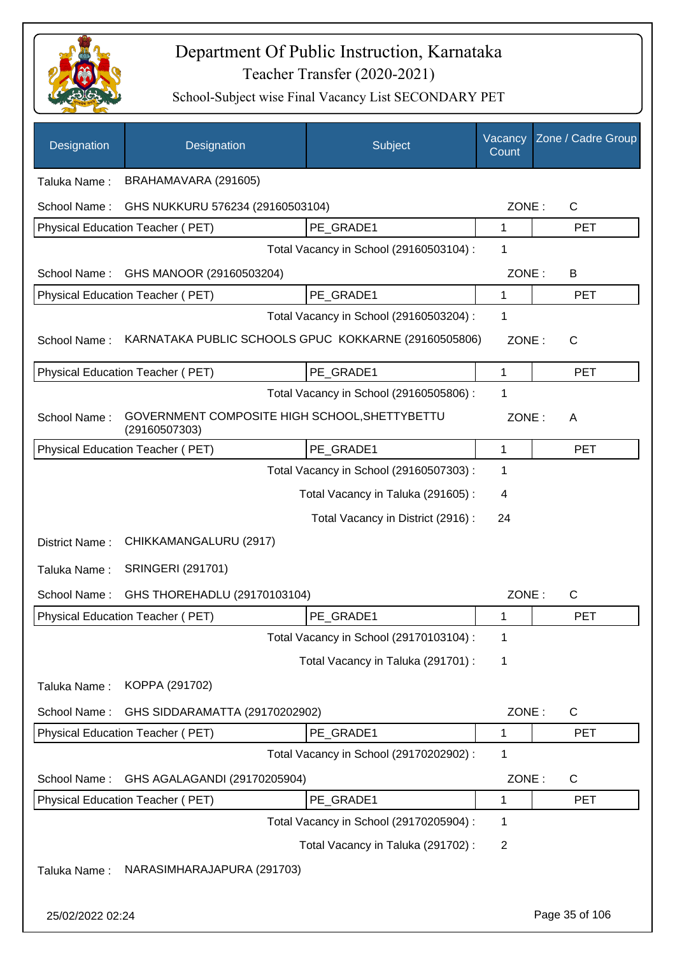

| Designation      | Designation                                                    | Subject                                 | Vacancy<br>Count | Zone / Cadre Group |
|------------------|----------------------------------------------------------------|-----------------------------------------|------------------|--------------------|
| Taluka Name:     | BRAHAMAVARA (291605)                                           |                                         |                  |                    |
| School Name:     | GHS NUKKURU 576234 (29160503104)                               |                                         | ZONE:            | $\mathsf{C}$       |
|                  | Physical Education Teacher (PET)                               | PE GRADE1                               | 1                | <b>PET</b>         |
|                  |                                                                | Total Vacancy in School (29160503104) : | 1                |                    |
| School Name:     | GHS MANOOR (29160503204)                                       |                                         | ZONE:            | B                  |
|                  | Physical Education Teacher (PET)                               | PE GRADE1                               | 1                | <b>PET</b>         |
|                  |                                                                | Total Vacancy in School (29160503204) : | 1                |                    |
| School Name:     | KARNATAKA PUBLIC SCHOOLS GPUC KOKKARNE (29160505806)           |                                         | ZONE:            | $\mathsf{C}$       |
|                  | Physical Education Teacher (PET)                               | PE_GRADE1                               | $\mathbf{1}$     | <b>PET</b>         |
|                  |                                                                | Total Vacancy in School (29160505806) : | 1                |                    |
| School Name:     | GOVERNMENT COMPOSITE HIGH SCHOOL, SHETTYBETTU<br>(29160507303) |                                         | ZONE:            | A                  |
|                  | Physical Education Teacher (PET)                               | PE GRADE1                               | 1                | <b>PET</b>         |
|                  |                                                                | Total Vacancy in School (29160507303) : | 1                |                    |
|                  |                                                                | Total Vacancy in Taluka (291605):       | 4                |                    |
|                  |                                                                | Total Vacancy in District (2916) :      | 24               |                    |
| District Name:   | CHIKKAMANGALURU (2917)                                         |                                         |                  |                    |
| Taluka Name:     | <b>SRINGERI (291701)</b>                                       |                                         |                  |                    |
| School Name:     | GHS THOREHADLU (29170103104)                                   |                                         | ZONE:            | $\mathsf{C}$       |
|                  | Physical Education Teacher (PET)                               | PE_GRADE1                               | 1                | <b>PET</b>         |
|                  |                                                                | Total Vacancy in School (29170103104) : | 1                |                    |
|                  |                                                                | Total Vacancy in Taluka (291701) :      | 1                |                    |
| Taluka Name:     | KOPPA (291702)                                                 |                                         |                  |                    |
| School Name:     | GHS SIDDARAMATTA (29170202902)                                 |                                         | ZONE:            | C                  |
|                  | Physical Education Teacher (PET)                               | PE_GRADE1                               | 1                | <b>PET</b>         |
|                  |                                                                | Total Vacancy in School (29170202902) : | 1                |                    |
| School Name:     | GHS AGALAGANDI (29170205904)                                   |                                         | ZONE:            | C                  |
|                  | Physical Education Teacher (PET)                               | PE_GRADE1                               | 1                | <b>PET</b>         |
|                  |                                                                | Total Vacancy in School (29170205904) : | 1                |                    |
|                  |                                                                | Total Vacancy in Taluka (291702) :      | $\overline{2}$   |                    |
| Taluka Name:     | NARASIMHARAJAPURA (291703)                                     |                                         |                  |                    |
| 25/02/2022 02:24 |                                                                |                                         |                  | Page 35 of 106     |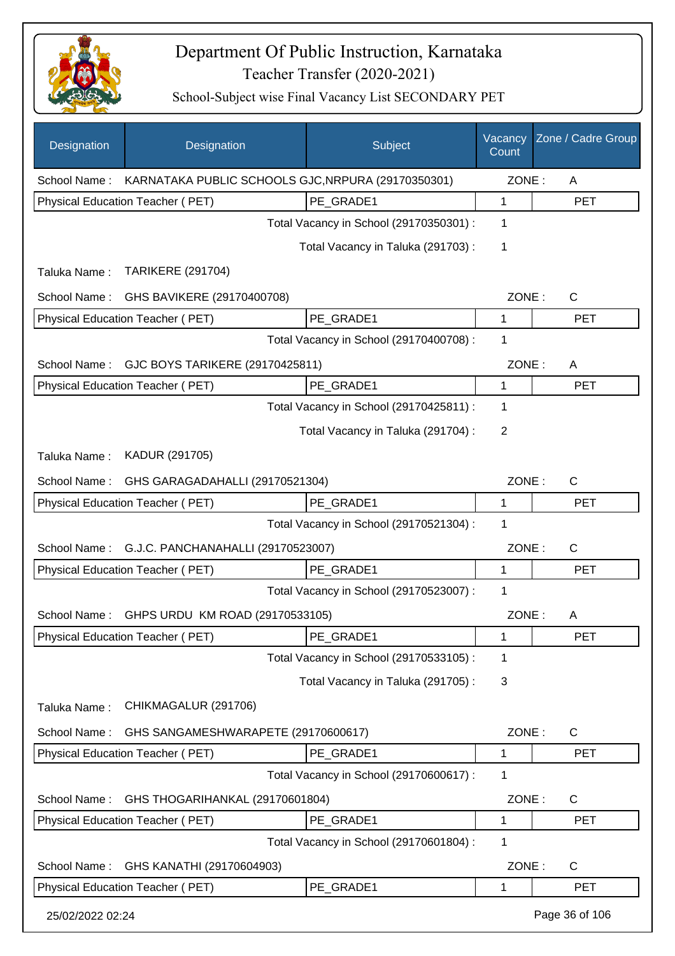

| Designation                             | Designation                                        | Subject                                 | Vacancy<br>Count | Zone / Cadre Group |
|-----------------------------------------|----------------------------------------------------|-----------------------------------------|------------------|--------------------|
| School Name:                            | KARNATAKA PUBLIC SCHOOLS GJC, NRPURA (29170350301) |                                         | ZONE:            | A                  |
|                                         | Physical Education Teacher (PET)                   | PE_GRADE1                               | 1                | <b>PET</b>         |
|                                         |                                                    | Total Vacancy in School (29170350301) : | 1                |                    |
|                                         |                                                    | Total Vacancy in Taluka (291703) :      | 1                |                    |
| Taluka Name:                            | <b>TARIKERE (291704)</b>                           |                                         |                  |                    |
| School Name:                            | GHS BAVIKERE (29170400708)                         |                                         | ZONE:            | $\mathsf{C}$       |
|                                         | Physical Education Teacher (PET)                   | PE_GRADE1                               | 1                | <b>PET</b>         |
|                                         |                                                    | Total Vacancy in School (29170400708) : | 1                |                    |
| School Name:                            | GJC BOYS TARIKERE (29170425811)                    |                                         | ZONE:            | A                  |
|                                         | Physical Education Teacher (PET)                   | PE_GRADE1                               | 1                | <b>PET</b>         |
|                                         |                                                    | Total Vacancy in School (29170425811) : | 1                |                    |
|                                         |                                                    | Total Vacancy in Taluka (291704) :      | 2                |                    |
| Taluka Name:                            | KADUR (291705)                                     |                                         |                  |                    |
| School Name:                            | GHS GARAGADAHALLI (29170521304)                    |                                         | ZONE:            | C                  |
|                                         | Physical Education Teacher (PET)                   | PE GRADE1                               | 1                | <b>PET</b>         |
| Total Vacancy in School (29170521304) : |                                                    |                                         |                  |                    |
| School Name:                            | G.J.C. PANCHANAHALLI (29170523007)                 |                                         |                  | ZONE:<br>C         |
|                                         | <b>Physical Education Teacher (PET)</b>            | PE_GRADE1                               | 1                | <b>PET</b>         |
|                                         |                                                    | Total Vacancy in School (29170523007) : | 1                |                    |
| School Name:                            | GHPS URDU KM ROAD (29170533105)                    |                                         | ZONE:            | A                  |
|                                         | Physical Education Teacher (PET)                   | PE_GRADE1                               | 1                | <b>PET</b>         |
|                                         |                                                    | Total Vacancy in School (29170533105) : | 1                |                    |
|                                         |                                                    | Total Vacancy in Taluka (291705):       | 3                |                    |
| Taluka Name:                            | CHIKMAGALUR (291706)                               |                                         |                  |                    |
| School Name:                            | GHS SANGAMESHWARAPETE (29170600617)                |                                         | ZONE:            | C                  |
|                                         | Physical Education Teacher (PET)                   | PE_GRADE1                               | 1                | <b>PET</b>         |
|                                         |                                                    | Total Vacancy in School (29170600617) : | 1                |                    |
| School Name:                            | GHS THOGARIHANKAL (29170601804)                    |                                         | ZONE:            | C                  |
|                                         | Physical Education Teacher (PET)                   | PE_GRADE1                               | 1                | <b>PET</b>         |
|                                         |                                                    | Total Vacancy in School (29170601804) : | 1                |                    |
| School Name:                            | GHS KANATHI (29170604903)                          |                                         | ZONE:            | C                  |
|                                         | Physical Education Teacher (PET)                   | PE GRADE1                               | 1                | <b>PET</b>         |
| 25/02/2022 02:24                        |                                                    |                                         |                  | Page 36 of 106     |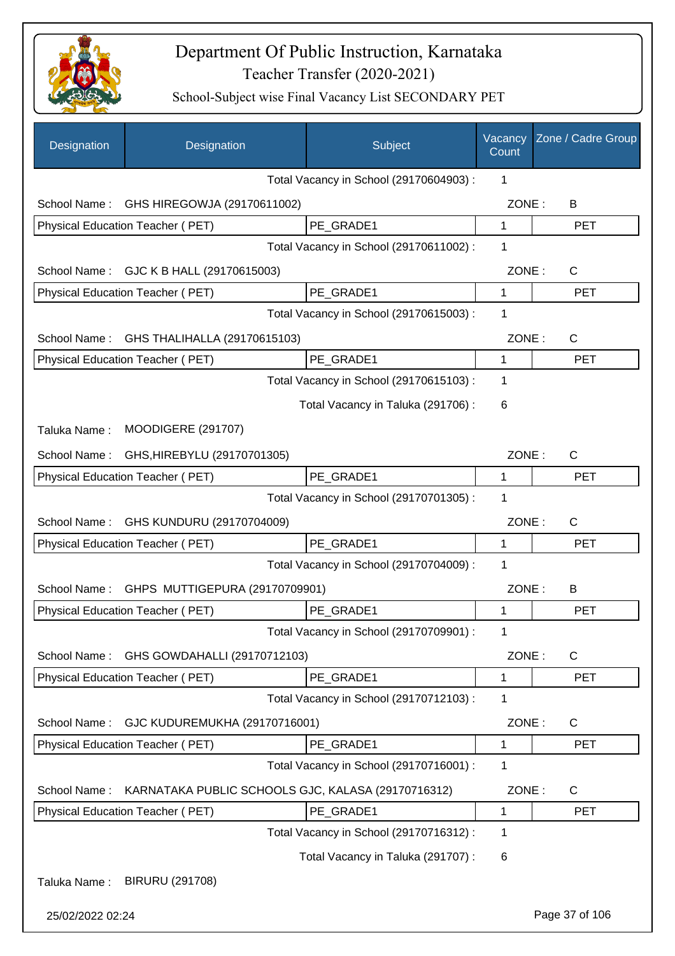

| Designation      | Designation                                                                            | Subject                                 | Vacancy<br>Count | Zone / Cadre Group |
|------------------|----------------------------------------------------------------------------------------|-----------------------------------------|------------------|--------------------|
|                  |                                                                                        | Total Vacancy in School (29170604903) : | 1                |                    |
| School Name:     | GHS HIREGOWJA (29170611002)                                                            |                                         | ZONE:            | B                  |
|                  | Physical Education Teacher (PET)                                                       | PE_GRADE1                               | $\mathbf 1$      | <b>PET</b>         |
|                  |                                                                                        | Total Vacancy in School (29170611002):  | 1                |                    |
| School Name:     | GJC K B HALL (29170615003)                                                             |                                         | ZONE:            | C                  |
|                  | Physical Education Teacher (PET)                                                       | PE_GRADE1                               | 1                | <b>PET</b>         |
|                  |                                                                                        | Total Vacancy in School (29170615003) : | 1                |                    |
| School Name:     | GHS THALIHALLA (29170615103)                                                           |                                         | ZONE:            | C                  |
|                  | Physical Education Teacher (PET)                                                       | PE_GRADE1                               | 1                | <b>PET</b>         |
|                  |                                                                                        | Total Vacancy in School (29170615103) : | 1                |                    |
|                  |                                                                                        | Total Vacancy in Taluka (291706):       | 6                |                    |
| Taluka Name:     | <b>MOODIGERE (291707)</b>                                                              |                                         |                  |                    |
| School Name:     | GHS, HIREBYLU (29170701305)                                                            |                                         | ZONE:            | C                  |
|                  | Physical Education Teacher (PET)                                                       | PE GRADE1                               | 1                | <b>PET</b>         |
|                  |                                                                                        | Total Vacancy in School (29170701305) : | 1                |                    |
| School Name:     | GHS KUNDURU (29170704009)                                                              |                                         | ZONE:            | C                  |
|                  | Physical Education Teacher (PET)                                                       | PE GRADE1                               | 1                | <b>PET</b>         |
|                  |                                                                                        | Total Vacancy in School (29170704009) : | 1                |                    |
| School Name:     | GHPS MUTTIGEPURA (29170709901)                                                         |                                         | ZONE:            | B                  |
|                  | Physical Education Teacher (PET)                                                       | PE GRADE1                               | 1                | <b>PET</b>         |
|                  |                                                                                        | Total Vacancy in School (29170709901) : | 1                |                    |
| School Name:     | GHS GOWDAHALLI (29170712103)                                                           |                                         | ZONE:            | C                  |
|                  | Physical Education Teacher (PET)                                                       | PE GRADE1                               | 1                | <b>PET</b>         |
|                  |                                                                                        | Total Vacancy in School (29170712103) : | 1                |                    |
| School Name:     | GJC KUDUREMUKHA (29170716001)                                                          |                                         | ZONE:            | $\mathsf{C}$       |
|                  | <b>Physical Education Teacher (PET)</b>                                                | PE_GRADE1                               | 1                | <b>PET</b>         |
|                  |                                                                                        | Total Vacancy in School (29170716001) : | 1                |                    |
| School Name:     |                                                                                        |                                         | ZONE:            | $\mathsf{C}$       |
|                  | KARNATAKA PUBLIC SCHOOLS GJC, KALASA (29170716312)<br>Physical Education Teacher (PET) | PE_GRADE1                               | 1                | <b>PET</b>         |
|                  |                                                                                        | Total Vacancy in School (29170716312) : | 1                |                    |
|                  |                                                                                        | Total Vacancy in Taluka (291707) :      | 6                |                    |
|                  |                                                                                        |                                         |                  |                    |
| Taluka Name:     | <b>BIRURU (291708)</b>                                                                 |                                         |                  |                    |
| 25/02/2022 02:24 |                                                                                        |                                         |                  | Page 37 of 106     |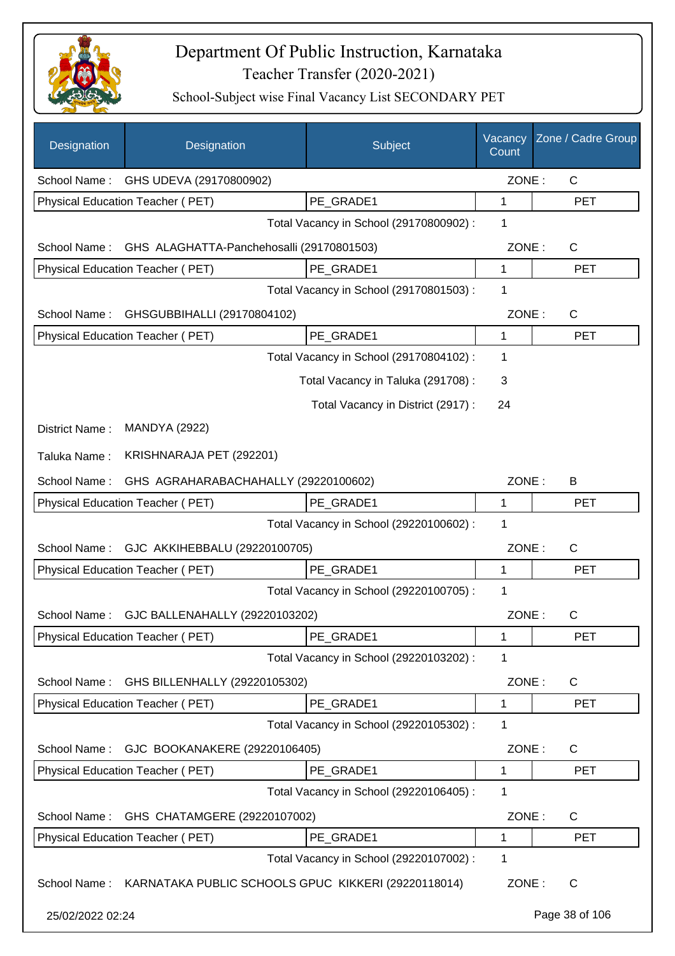

| Designation      | Designation                                                      | Subject                                 | Vacancy<br>Count | Zone / Cadre Group |
|------------------|------------------------------------------------------------------|-----------------------------------------|------------------|--------------------|
|                  | School Name: GHS UDEVA (29170800902)                             |                                         | ZONE:            | $\mathsf{C}$       |
|                  | <b>Physical Education Teacher (PET)</b>                          | PE_GRADE1                               | 1                | <b>PET</b>         |
|                  |                                                                  | Total Vacancy in School (29170800902):  | 1                |                    |
| School Name:     | GHS ALAGHATTA-Panchehosalli (29170801503)                        |                                         | ZONE:            | C                  |
|                  | <b>Physical Education Teacher (PET)</b>                          | PE_GRADE1                               | 1                | <b>PET</b>         |
|                  |                                                                  | Total Vacancy in School (29170801503) : | 1                |                    |
| School Name:     | GHSGUBBIHALLI (29170804102)                                      |                                         | ZONE:            | $\mathsf{C}$       |
|                  | Physical Education Teacher (PET)                                 | PE GRADE1                               | $\mathbf{1}$     | <b>PET</b>         |
|                  |                                                                  | Total Vacancy in School (29170804102) : | 1                |                    |
|                  |                                                                  | Total Vacancy in Taluka (291708) :      | 3                |                    |
|                  |                                                                  | Total Vacancy in District (2917) :      | 24               |                    |
| District Name:   | <b>MANDYA (2922)</b>                                             |                                         |                  |                    |
| Taluka Name:     | KRISHNARAJA PET (292201)                                         |                                         |                  |                    |
| School Name:     | GHS AGRAHARABACHAHALLY (29220100602)                             |                                         | ZONE:            | B                  |
|                  | Physical Education Teacher (PET)                                 | PE GRADE1                               | 1                | <b>PET</b>         |
|                  |                                                                  | Total Vacancy in School (29220100602) : | 1                |                    |
| School Name:     | GJC AKKIHEBBALU (29220100705)                                    |                                         | ZONE:            | C                  |
|                  | <b>Physical Education Teacher (PET)</b>                          | PE_GRADE1                               | 1                | <b>PET</b>         |
|                  |                                                                  | Total Vacancy in School (29220100705) : | 1                |                    |
| School Name:     | GJC BALLENAHALLY (29220103202)                                   |                                         | ZONE:            | $\mathsf{C}$       |
|                  | Physical Education Teacher (PET)                                 | PE_GRADE1                               | 1                | PET                |
|                  |                                                                  | Total Vacancy in School (29220103202) : | 1                |                    |
| School Name:     | GHS BILLENHALLY (29220105302)                                    |                                         | ZONE:            | C                  |
|                  | Physical Education Teacher (PET)                                 | PE_GRADE1                               | 1                | <b>PET</b>         |
|                  |                                                                  | Total Vacancy in School (29220105302) : | 1                |                    |
| School Name:     | GJC BOOKANAKERE (29220106405)                                    |                                         | ZONE:            | C                  |
|                  | Physical Education Teacher (PET)                                 | PE_GRADE1                               | 1                | <b>PET</b>         |
|                  |                                                                  | Total Vacancy in School (29220106405) : | 1                |                    |
| School Name:     | GHS CHATAMGERE (29220107002)                                     |                                         | ZONE:            | C                  |
|                  | Physical Education Teacher (PET)                                 | PE_GRADE1                               | 1                | <b>PET</b>         |
|                  |                                                                  | Total Vacancy in School (29220107002) : | 1                |                    |
|                  | School Name: KARNATAKA PUBLIC SCHOOLS GPUC KIKKERI (29220118014) |                                         | ZONE:            | C                  |
| 25/02/2022 02:24 |                                                                  |                                         |                  | Page 38 of 106     |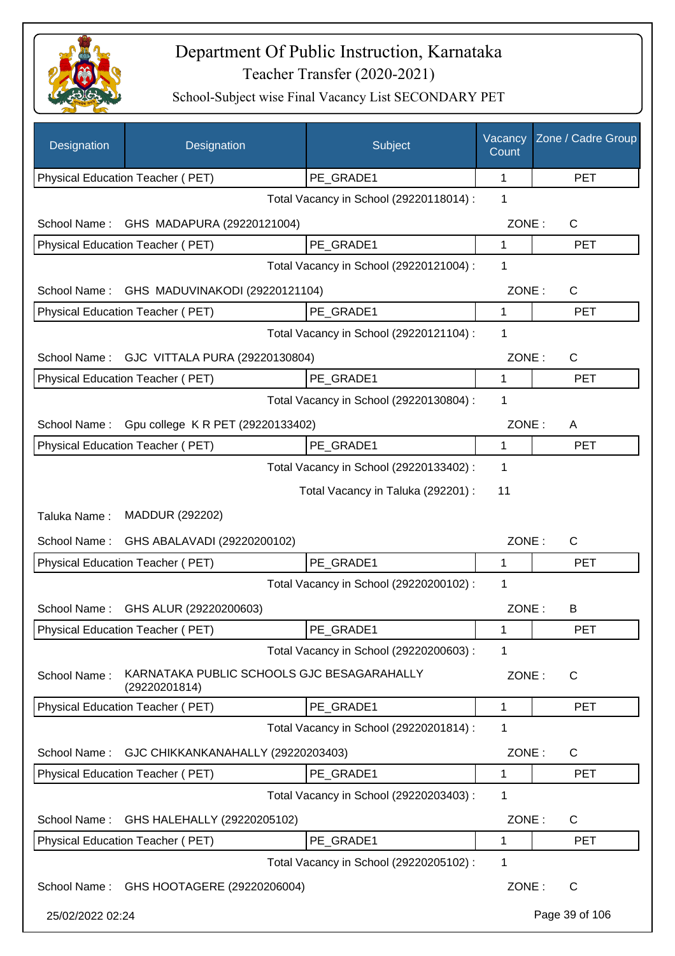

| Designation      | Designation                                                 | Subject                                 | Vacancy<br>Count | Zone / Cadre Group |
|------------------|-------------------------------------------------------------|-----------------------------------------|------------------|--------------------|
|                  | Physical Education Teacher (PET)                            | PE_GRADE1                               | 1                | <b>PET</b>         |
|                  |                                                             | Total Vacancy in School (29220118014) : | 1                |                    |
| School Name:     | GHS MADAPURA (29220121004)                                  |                                         | ZONE:            | C                  |
|                  | Physical Education Teacher (PET)                            | PE_GRADE1                               | 1                | <b>PET</b>         |
|                  |                                                             | Total Vacancy in School (29220121004) : | 1                |                    |
| School Name:     | GHS MADUVINAKODI (29220121104)                              |                                         | ZONE:            | C                  |
|                  | Physical Education Teacher (PET)                            | PE_GRADE1                               | 1                | <b>PET</b>         |
|                  |                                                             | Total Vacancy in School (29220121104) : | 1                |                    |
| School Name:     | GJC VITTALA PURA (29220130804)                              |                                         | ZONE:            | C                  |
|                  | Physical Education Teacher (PET)                            | PE GRADE1                               | 1                | <b>PET</b>         |
|                  |                                                             | Total Vacancy in School (29220130804) : | 1                |                    |
| School Name:     | Gpu college K R PET (29220133402)                           |                                         | ZONE:            | A                  |
|                  | Physical Education Teacher (PET)                            | PE_GRADE1                               | 1                | <b>PET</b>         |
|                  |                                                             | Total Vacancy in School (29220133402) : | 1                |                    |
|                  |                                                             | Total Vacancy in Taluka (292201) :      | 11               |                    |
| Taluka Name:     | MADDUR (292202)                                             |                                         |                  |                    |
| School Name:     | GHS ABALAVADI (29220200102)                                 |                                         | ZONE:            | C                  |
|                  | Physical Education Teacher (PET)                            | PE_GRADE1                               | 1                | <b>PET</b>         |
|                  |                                                             | Total Vacancy in School (29220200102) : | 1                |                    |
|                  | School Name: GHS ALUR (29220200603)                         |                                         | ZONE:            | B                  |
|                  | <b>Physical Education Teacher (PET)</b>                     | PE_GRADE1                               | 1                | <b>PET</b>         |
|                  |                                                             | Total Vacancy in School (29220200603) : | 1                |                    |
| School Name:     | KARNATAKA PUBLIC SCHOOLS GJC BESAGARAHALLY<br>(29220201814) |                                         | ZONE:            | C                  |
|                  | Physical Education Teacher (PET)                            | PE GRADE1                               | 1                | <b>PET</b>         |
|                  |                                                             | Total Vacancy in School (29220201814) : | 1                |                    |
| School Name:     | GJC CHIKKANKANAHALLY (29220203403)                          |                                         | ZONE:            | $\mathsf{C}$       |
|                  | Physical Education Teacher (PET)                            | PE_GRADE1                               | 1                | <b>PET</b>         |
|                  |                                                             | Total Vacancy in School (29220203403) : | 1                |                    |
| School Name:     | GHS HALEHALLY (29220205102)                                 |                                         | ZONE:            | C                  |
|                  | Physical Education Teacher (PET)                            | PE_GRADE1                               | 1                | <b>PET</b>         |
|                  |                                                             | Total Vacancy in School (29220205102) : | 1                |                    |
|                  | School Name: GHS HOOTAGERE (29220206004)                    |                                         | ZONE:            | C                  |
| 25/02/2022 02:24 |                                                             |                                         |                  | Page 39 of 106     |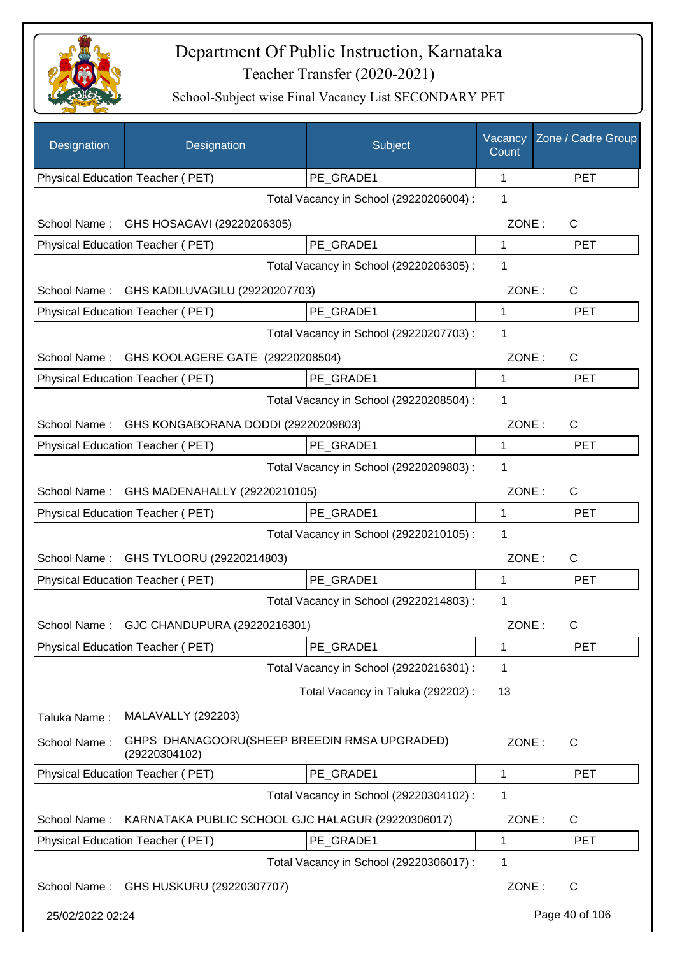

| Designation      | Designation                               | Subject                                           | Vacancy<br>Count | Zone / Cadre Group |
|------------------|-------------------------------------------|---------------------------------------------------|------------------|--------------------|
|                  | Physical Education Teacher (PET)          | PE_GRADE1                                         | 1                | <b>PET</b>         |
|                  |                                           | Total Vacancy in School (29220206004) :           | 1                |                    |
| School Name:     | GHS HOSAGAVI (29220206305)                |                                                   | ZONE:            | C                  |
|                  | Physical Education Teacher (PET)          | PE_GRADE1                                         | 1                | <b>PET</b>         |
|                  |                                           | Total Vacancy in School (29220206305) :           | 1                |                    |
| School Name:     | GHS KADILUVAGILU (29220207703)            |                                                   | ZONE:            | C                  |
|                  | Physical Education Teacher (PET)          | PE_GRADE1                                         | 1                | <b>PET</b>         |
|                  |                                           | Total Vacancy in School (29220207703) :           | 1                |                    |
| School Name:     | GHS KOOLAGERE GATE (29220208504)          |                                                   | ZONE:            | C                  |
|                  | Physical Education Teacher (PET)          | PE_GRADE1                                         | 1                | <b>PET</b>         |
|                  |                                           | Total Vacancy in School (29220208504) :           | 1                |                    |
| School Name:     | GHS KONGABORANA DODDI (29220209803)       |                                                   | ZONE:            | C                  |
|                  | Physical Education Teacher (PET)          | PE GRADE1                                         | 1                | <b>PET</b>         |
|                  |                                           | Total Vacancy in School (29220209803) :           | 1                |                    |
| School Name:     | GHS MADENAHALLY (29220210105)             |                                                   | ZONE:            | C                  |
|                  | Physical Education Teacher (PET)          | PE_GRADE1                                         | 1                | <b>PET</b>         |
|                  |                                           | Total Vacancy in School (29220210105) :           | 1                |                    |
| School Name:     | GHS TYLOORU (29220214803)                 |                                                   | ZONE:            | $\mathsf{C}$       |
|                  | Physical Education Teacher (PET)          | PE_GRADE1                                         | 1                | <b>PET</b>         |
|                  |                                           | Total Vacancy in School (29220214803) :           | 1                |                    |
|                  | School Name: GJC CHANDUPURA (29220216301) |                                                   | ZONE:            | C.                 |
|                  | <b>Physical Education Teacher (PET)</b>   | PE_GRADE1                                         | 1                | <b>PET</b>         |
|                  |                                           | Total Vacancy in School (29220216301) :           | 1                |                    |
|                  |                                           | Total Vacancy in Taluka (292202) :                | 13               |                    |
| Taluka Name:     | <b>MALAVALLY (292203)</b>                 |                                                   |                  |                    |
| School Name:     | (29220304102)                             | GHPS DHANAGOORU(SHEEP BREEDIN RMSA UPGRADED)      | ZONE:            | $\mathsf{C}$       |
|                  | Physical Education Teacher (PET)          | PE_GRADE1                                         | 1                | <b>PET</b>         |
|                  |                                           | Total Vacancy in School (29220304102) :           | 1                |                    |
| School Name:     |                                           | KARNATAKA PUBLIC SCHOOL GJC HALAGUR (29220306017) | ZONE:            | C                  |
|                  | Physical Education Teacher (PET)          | PE_GRADE1                                         | 1                | <b>PET</b>         |
|                  |                                           | Total Vacancy in School (29220306017) :           | 1                |                    |
|                  | School Name: GHS HUSKURU (29220307707)    |                                                   | ZONE:            | $\mathsf{C}$       |
| 25/02/2022 02:24 |                                           |                                                   |                  | Page 40 of 106     |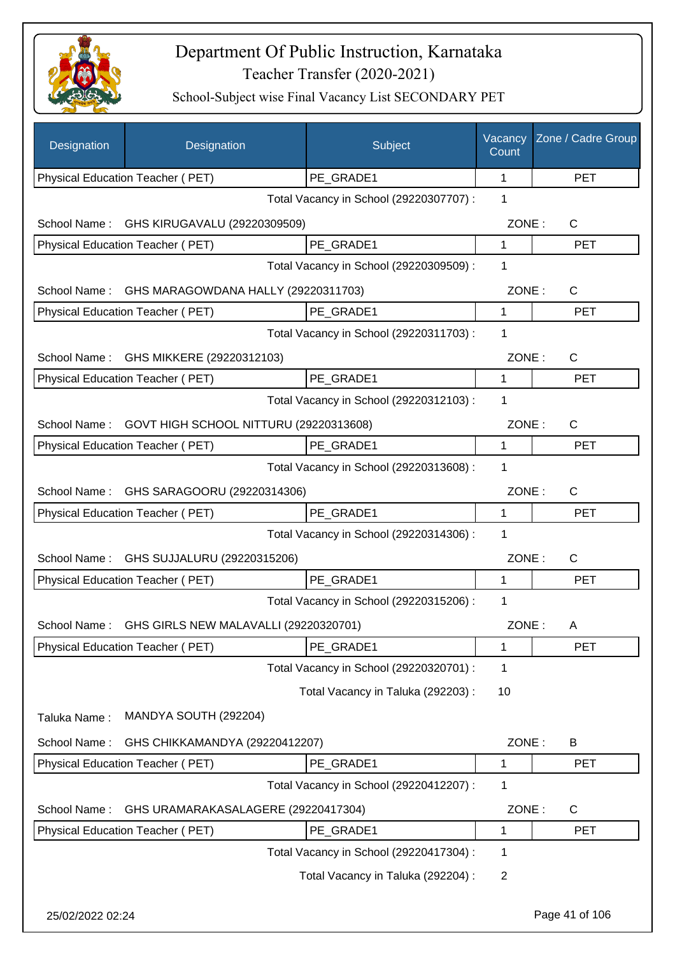

| Designation      | Designation                            | Subject                                 | Vacancy<br>Count | Zone / Cadre Group |
|------------------|----------------------------------------|-----------------------------------------|------------------|--------------------|
|                  | Physical Education Teacher (PET)       | PE_GRADE1                               | 1                | <b>PET</b>         |
|                  |                                        | Total Vacancy in School (29220307707) : | 1                |                    |
| School Name:     | GHS KIRUGAVALU (29220309509)           |                                         | ZONE:            | C                  |
|                  | Physical Education Teacher (PET)       | PE GRADE1                               | 1                | <b>PET</b>         |
|                  |                                        | Total Vacancy in School (29220309509) : | 1                |                    |
| School Name:     | GHS MARAGOWDANA HALLY (29220311703)    |                                         | ZONE:            | $\mathsf C$        |
|                  | Physical Education Teacher (PET)       | PE_GRADE1                               | 1                | <b>PET</b>         |
|                  |                                        | Total Vacancy in School (29220311703) : | 1                |                    |
| School Name:     | GHS MIKKERE (29220312103)              |                                         | ZONE:            | C                  |
|                  | Physical Education Teacher (PET)       | PE GRADE1                               | 1                | <b>PET</b>         |
|                  |                                        | Total Vacancy in School (29220312103) : | 1                |                    |
| School Name:     | GOVT HIGH SCHOOL NITTURU (29220313608) |                                         | ZONE:            | C                  |
|                  | Physical Education Teacher (PET)       | PE GRADE1                               | 1                | <b>PET</b>         |
|                  |                                        | Total Vacancy in School (29220313608) : | 1                |                    |
| School Name:     | GHS SARAGOORU (29220314306)            |                                         | ZONE:            | C                  |
|                  | Physical Education Teacher (PET)       | PE_GRADE1                               | 1                | <b>PET</b>         |
|                  |                                        | Total Vacancy in School (29220314306) : | 1                |                    |
| School Name:     | GHS SUJJALURU (29220315206)            |                                         | ZONE:            | C                  |
|                  | Physical Education Teacher (PET)       | PE_GRADE1                               | 1                | PET                |
|                  |                                        | Total Vacancy in School (29220315206) : | 1                |                    |
| School Name :    | GHS GIRLS NEW MALAVALLI (29220320701)  |                                         | ZONE:            | A                  |
|                  | Physical Education Teacher (PET)       | PE_GRADE1                               | 1                | <b>PET</b>         |
|                  |                                        | Total Vacancy in School (29220320701) : | 1                |                    |
|                  |                                        | Total Vacancy in Taluka (292203) :      | 10               |                    |
| Taluka Name:     | MANDYA SOUTH (292204)                  |                                         |                  |                    |
|                  |                                        |                                         |                  |                    |
| School Name:     | GHS CHIKKAMANDYA (29220412207)         |                                         | ZONE:            | B                  |
|                  | Physical Education Teacher (PET)       | PE_GRADE1                               | 1                | <b>PET</b>         |
|                  |                                        | Total Vacancy in School (29220412207) : | 1                |                    |
| School Name:     | GHS URAMARAKASALAGERE (29220417304)    |                                         | ZONE:            | C                  |
|                  | Physical Education Teacher (PET)       | PE_GRADE1                               | 1                | <b>PET</b>         |
|                  |                                        | Total Vacancy in School (29220417304) : | 1                |                    |
|                  |                                        | Total Vacancy in Taluka (292204) :      | $\overline{2}$   |                    |
| 25/02/2022 02:24 |                                        |                                         |                  | Page 41 of 106     |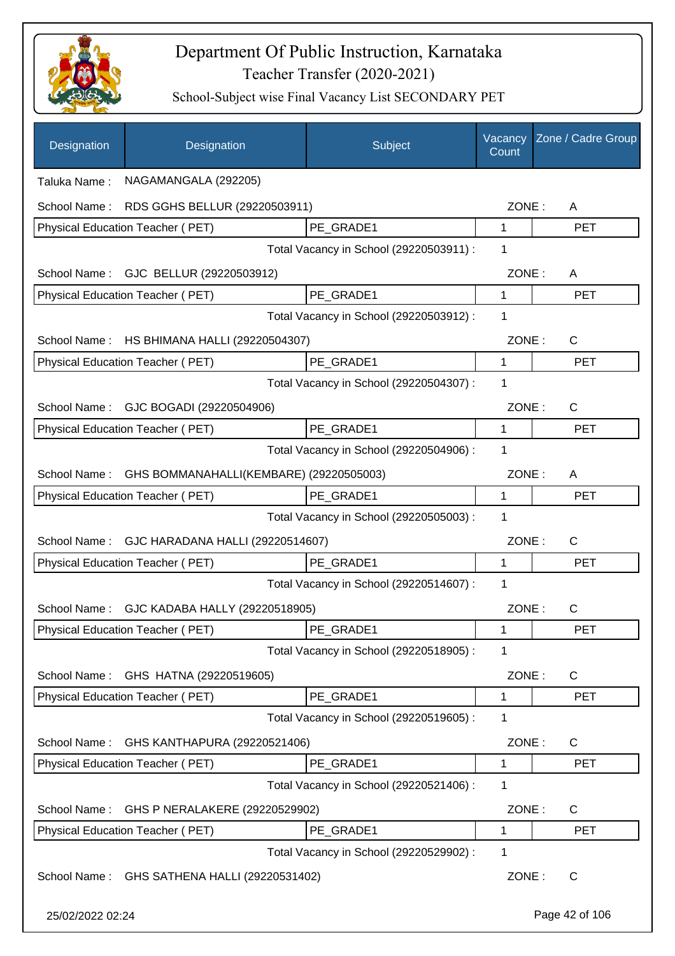

| Designation      | Designation                                  | Subject                                 | Vacancy<br>Count | Zone / Cadre Group |
|------------------|----------------------------------------------|-----------------------------------------|------------------|--------------------|
| Taluka Name:     | NAGAMANGALA (292205)                         |                                         |                  |                    |
| School Name:     | RDS GGHS BELLUR (29220503911)                |                                         | ZONE:            | A                  |
|                  | Physical Education Teacher (PET)             | PE GRADE1                               | 1                | <b>PET</b>         |
|                  |                                              | Total Vacancy in School (29220503911) : | 1                |                    |
|                  | School Name: GJC BELLUR (29220503912)        |                                         | ZONE:            | A                  |
|                  | Physical Education Teacher (PET)             | PE GRADE1                               | 1                | <b>PET</b>         |
|                  |                                              | Total Vacancy in School (29220503912) : | 1                |                    |
| School Name:     | HS BHIMANA HALLI (29220504307)               |                                         | ZONE:            | C                  |
|                  | Physical Education Teacher (PET)             | PE_GRADE1                               | $\mathbf{1}$     | <b>PET</b>         |
|                  |                                              | Total Vacancy in School (29220504307) : | 1                |                    |
|                  | School Name: GJC BOGADI (29220504906)        |                                         | ZONE:            | C                  |
|                  | Physical Education Teacher (PET)             | PE GRADE1                               | $\mathbf{1}$     | <b>PET</b>         |
|                  |                                              | Total Vacancy in School (29220504906) : | 1                |                    |
| School Name:     | GHS BOMMANAHALLI(KEMBARE) (29220505003)      |                                         | ZONE:            | A                  |
|                  | Physical Education Teacher (PET)             | PE_GRADE1                               | 1                | <b>PET</b>         |
|                  |                                              | Total Vacancy in School (29220505003) : | 1                |                    |
| School Name:     | GJC HARADANA HALLI (29220514607)             |                                         | ZONE:            | $\mathsf{C}$       |
|                  | Physical Education Teacher (PET)             | PE_GRADE1                               | 1                | <b>PET</b>         |
|                  |                                              | Total Vacancy in School (29220514607) : | 1                |                    |
| School Name:     | GJC KADABA HALLY (29220518905)               |                                         | ZONE:            | C                  |
|                  | Physical Education Teacher (PET)             | PE_GRADE1                               | 1                | <b>PET</b>         |
|                  |                                              | Total Vacancy in School (29220518905) : | 1                |                    |
| School Name:     | GHS HATNA (29220519605)                      |                                         | ZONE:            | C                  |
|                  | Physical Education Teacher (PET)             | PE GRADE1                               | 1                | <b>PET</b>         |
|                  |                                              | Total Vacancy in School (29220519605) : | 1                |                    |
| School Name:     | GHS KANTHAPURA (29220521406)                 |                                         | ZONE:            | C                  |
|                  | Physical Education Teacher (PET)             | PE_GRADE1                               | 1                | <b>PET</b>         |
|                  |                                              | Total Vacancy in School (29220521406) : | 1                |                    |
| School Name:     | GHS P NERALAKERE (29220529902)               |                                         | ZONE:            | C                  |
|                  | Physical Education Teacher (PET)             | PE_GRADE1                               | 1                | <b>PET</b>         |
|                  |                                              | Total Vacancy in School (29220529902) : | 1                |                    |
|                  | School Name: GHS SATHENA HALLI (29220531402) |                                         | ZONE:            | C                  |
| 25/02/2022 02:24 |                                              |                                         |                  | Page 42 of 106     |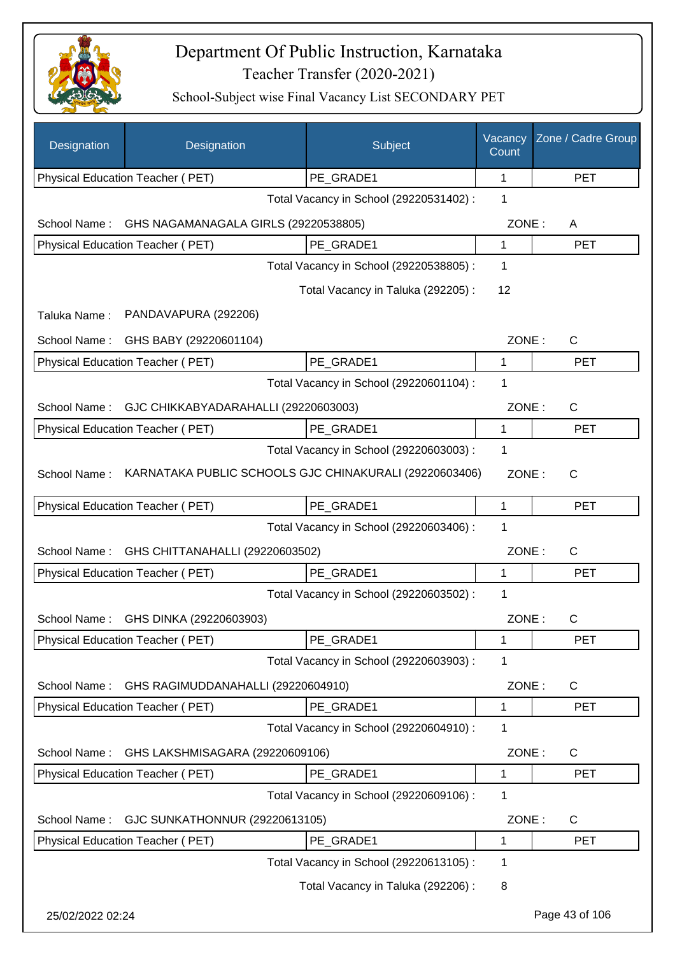

| Designation      | Designation                                            | Subject                                 | Vacancy<br>Count | Zone / Cadre Group |
|------------------|--------------------------------------------------------|-----------------------------------------|------------------|--------------------|
|                  | Physical Education Teacher (PET)                       | PE_GRADE1                               | 1                | <b>PET</b>         |
|                  |                                                        | Total Vacancy in School (29220531402) : | 1                |                    |
| School Name:     | GHS NAGAMANAGALA GIRLS (29220538805)                   |                                         | ZONE:            | A                  |
|                  | Physical Education Teacher (PET)                       | PE_GRADE1                               | 1                | <b>PET</b>         |
|                  |                                                        | Total Vacancy in School (29220538805) : | 1                |                    |
|                  |                                                        | Total Vacancy in Taluka (292205):       | 12               |                    |
| Taluka Name:     | PANDAVAPURA (292206)                                   |                                         |                  |                    |
| School Name:     | GHS BABY (29220601104)                                 |                                         | ZONE:            | C                  |
|                  | Physical Education Teacher (PET)                       | PE_GRADE1                               | 1                | <b>PET</b>         |
|                  |                                                        | Total Vacancy in School (29220601104) : | 1                |                    |
| School Name:     | GJC CHIKKABYADARAHALLI (29220603003)                   |                                         | ZONE:            | C                  |
|                  | Physical Education Teacher (PET)                       | PE_GRADE1                               | 1                | <b>PET</b>         |
|                  |                                                        | Total Vacancy in School (29220603003) : | 1                |                    |
| School Name:     | KARNATAKA PUBLIC SCHOOLS GJC CHINAKURALI (29220603406) |                                         | ZONE:            | C                  |
|                  | Physical Education Teacher (PET)                       | PE_GRADE1                               | 1                | <b>PET</b>         |
|                  |                                                        | Total Vacancy in School (29220603406) : | 1                |                    |
| School Name:     | GHS CHITTANAHALLI (29220603502)                        |                                         | ZONE:            | C                  |
|                  | Physical Education Teacher (PET)                       | PE_GRADE1                               | 1                | <b>PET</b>         |
|                  |                                                        | Total Vacancy in School (29220603502) : | 1                |                    |
| School Name:     | GHS DINKA (29220603903)                                |                                         | ZONE:            | С                  |
|                  | Physical Education Teacher (PET)                       | PE_GRADE1                               | 1                | <b>PET</b>         |
|                  |                                                        | Total Vacancy in School (29220603903) : | 1                |                    |
| School Name:     | GHS RAGIMUDDANAHALLI (29220604910)                     |                                         | ZONE:            | C                  |
|                  | Physical Education Teacher (PET)                       | PE GRADE1                               | 1                | <b>PET</b>         |
|                  |                                                        | Total Vacancy in School (29220604910) : | 1                |                    |
| School Name:     | GHS LAKSHMISAGARA (29220609106)                        |                                         | ZONE:            | $\mathsf{C}$       |
|                  | Physical Education Teacher (PET)                       | PE GRADE1                               | 1                | <b>PET</b>         |
|                  |                                                        | Total Vacancy in School (29220609106) : | 1                |                    |
| School Name:     | GJC SUNKATHONNUR (29220613105)                         |                                         | ZONE:            | C                  |
|                  | Physical Education Teacher (PET)                       | PE_GRADE1                               | 1                | <b>PET</b>         |
|                  |                                                        | Total Vacancy in School (29220613105) : | 1                |                    |
|                  |                                                        | Total Vacancy in Taluka (292206) :      | 8                |                    |
| 25/02/2022 02:24 |                                                        |                                         |                  | Page 43 of 106     |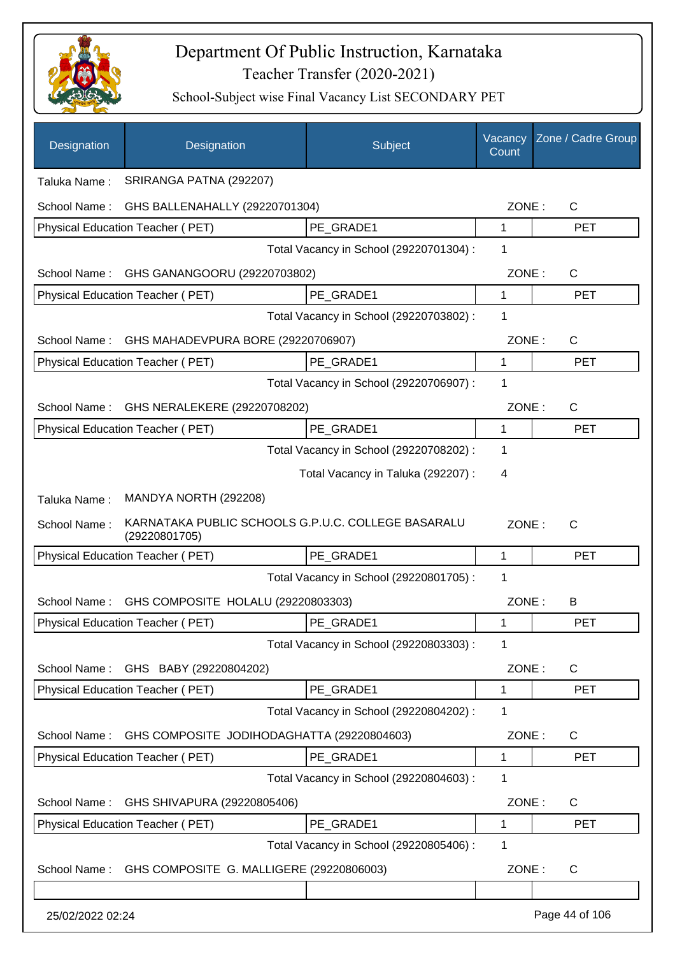

| Designation      | Designation                                                         | Subject                                 | Vacancy<br>Count | Zone / Cadre Group |
|------------------|---------------------------------------------------------------------|-----------------------------------------|------------------|--------------------|
| Taluka Name:     | SRIRANGA PATNA (292207)                                             |                                         |                  |                    |
| School Name:     | GHS BALLENAHALLY (29220701304)                                      |                                         | ZONE:            | $\mathsf C$        |
|                  | Physical Education Teacher (PET)                                    | PE_GRADE1                               | 1                | <b>PET</b>         |
|                  |                                                                     | Total Vacancy in School (29220701304) : | 1                |                    |
| School Name:     | GHS GANANGOORU (29220703802)                                        |                                         | ZONE:            | C                  |
|                  | Physical Education Teacher (PET)                                    | PE GRADE1                               | 1                | <b>PET</b>         |
|                  |                                                                     | Total Vacancy in School (29220703802) : | 1                |                    |
| School Name:     | GHS MAHADEVPURA BORE (29220706907)                                  |                                         | ZONE:            | C                  |
|                  | Physical Education Teacher (PET)                                    | PE GRADE1                               | 1                | <b>PET</b>         |
|                  |                                                                     | Total Vacancy in School (29220706907) : | 1                |                    |
| School Name:     | GHS NERALEKERE (29220708202)                                        |                                         | ZONE:            | $\mathsf{C}$       |
|                  | Physical Education Teacher (PET)                                    | PE_GRADE1                               | 1                | <b>PET</b>         |
|                  |                                                                     | Total Vacancy in School (29220708202) : | 1                |                    |
|                  |                                                                     | Total Vacancy in Taluka (292207) :      | 4                |                    |
| Taluka Name:     | MANDYA NORTH (292208)                                               |                                         |                  |                    |
| School Name:     | KARNATAKA PUBLIC SCHOOLS G.P.U.C. COLLEGE BASARALU<br>(29220801705) |                                         | ZONE:            | $\mathsf{C}$       |
|                  | Physical Education Teacher (PET)                                    | PE_GRADE1                               | 1                | <b>PET</b>         |
|                  |                                                                     | Total Vacancy in School (29220801705) : | 1                |                    |
| School Name:     | GHS COMPOSITE HOLALU (29220803303)                                  |                                         | ZONE:            | B                  |
|                  | Physical Education Teacher (PET)                                    | PE_GRADE1                               | 1                | <b>PET</b>         |
|                  |                                                                     | Total Vacancy in School (29220803303) : | 1                |                    |
|                  | School Name: GHS BABY (29220804202)                                 |                                         | ZONE:            | C                  |
|                  | Physical Education Teacher (PET)                                    | PE_GRADE1                               | 1                | <b>PET</b>         |
|                  |                                                                     | Total Vacancy in School (29220804202) : | 1                |                    |
| School Name:     | GHS COMPOSITE JODIHODAGHATTA (29220804603)                          |                                         | ZONE:            | C                  |
|                  | Physical Education Teacher (PET)                                    | PE GRADE1                               | 1                | <b>PET</b>         |
|                  |                                                                     | Total Vacancy in School (29220804603) : | 1                |                    |
| School Name:     | GHS SHIVAPURA (29220805406)                                         |                                         | ZONE:            | $\mathsf{C}$       |
|                  | Physical Education Teacher (PET)                                    | PE_GRADE1                               | $\mathbf 1$      | <b>PET</b>         |
|                  |                                                                     | Total Vacancy in School (29220805406) : | 1                |                    |
| School Name:     | GHS COMPOSITE G. MALLIGERE (29220806003)                            |                                         | ZONE:            | $\mathsf C$        |
|                  |                                                                     |                                         |                  |                    |
| 25/02/2022 02:24 |                                                                     |                                         |                  | Page 44 of 106     |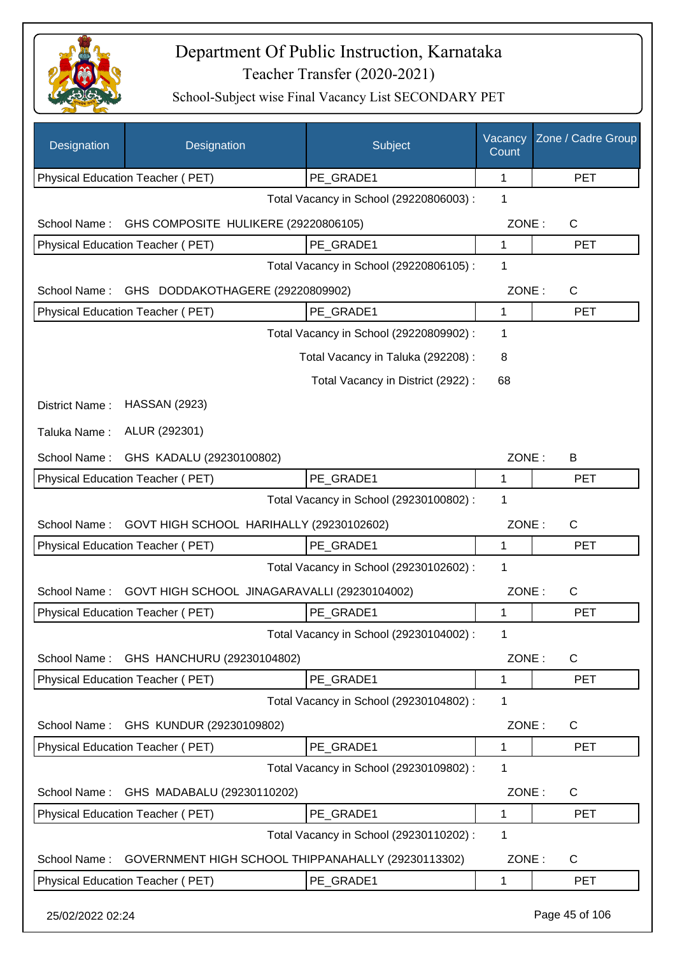

| Physical Education Teacher (PET)<br>PE GRADE1<br>1<br><b>PET</b><br>Total Vacancy in School (29220806003) :<br>1<br>GHS COMPOSITE HULIKERE (29220806105)<br>ZONE:<br>$\mathsf{C}$<br>School Name:<br>PE GRADE1<br>Physical Education Teacher (PET)<br>1<br><b>PET</b><br>Total Vacancy in School (29220806105) :<br>1<br>ZONE:<br>C<br>School Name:<br>GHS DODDAKOTHAGERE (29220809902)<br>PE_GRADE1<br>Physical Education Teacher (PET)<br>1<br><b>PET</b><br>Total Vacancy in School (29220809902) :<br>1<br>Total Vacancy in Taluka (292208) :<br>8<br>Total Vacancy in District (2922) :<br>68<br><b>HASSAN (2923)</b><br>District Name:<br>ALUR (292301)<br>Taluka Name:<br>ZONE:<br>School Name:<br>GHS KADALU (29230100802)<br>B<br>Physical Education Teacher (PET)<br>PE_GRADE1<br>1<br><b>PET</b><br>1<br>Total Vacancy in School (29230100802) :<br>GOVT HIGH SCHOOL HARIHALLY (29230102602)<br>ZONE:<br>School Name:<br>C |  |
|---------------------------------------------------------------------------------------------------------------------------------------------------------------------------------------------------------------------------------------------------------------------------------------------------------------------------------------------------------------------------------------------------------------------------------------------------------------------------------------------------------------------------------------------------------------------------------------------------------------------------------------------------------------------------------------------------------------------------------------------------------------------------------------------------------------------------------------------------------------------------------------------------------------------------------------|--|
|                                                                                                                                                                                                                                                                                                                                                                                                                                                                                                                                                                                                                                                                                                                                                                                                                                                                                                                                       |  |
|                                                                                                                                                                                                                                                                                                                                                                                                                                                                                                                                                                                                                                                                                                                                                                                                                                                                                                                                       |  |
|                                                                                                                                                                                                                                                                                                                                                                                                                                                                                                                                                                                                                                                                                                                                                                                                                                                                                                                                       |  |
|                                                                                                                                                                                                                                                                                                                                                                                                                                                                                                                                                                                                                                                                                                                                                                                                                                                                                                                                       |  |
|                                                                                                                                                                                                                                                                                                                                                                                                                                                                                                                                                                                                                                                                                                                                                                                                                                                                                                                                       |  |
|                                                                                                                                                                                                                                                                                                                                                                                                                                                                                                                                                                                                                                                                                                                                                                                                                                                                                                                                       |  |
|                                                                                                                                                                                                                                                                                                                                                                                                                                                                                                                                                                                                                                                                                                                                                                                                                                                                                                                                       |  |
|                                                                                                                                                                                                                                                                                                                                                                                                                                                                                                                                                                                                                                                                                                                                                                                                                                                                                                                                       |  |
|                                                                                                                                                                                                                                                                                                                                                                                                                                                                                                                                                                                                                                                                                                                                                                                                                                                                                                                                       |  |
|                                                                                                                                                                                                                                                                                                                                                                                                                                                                                                                                                                                                                                                                                                                                                                                                                                                                                                                                       |  |
|                                                                                                                                                                                                                                                                                                                                                                                                                                                                                                                                                                                                                                                                                                                                                                                                                                                                                                                                       |  |
|                                                                                                                                                                                                                                                                                                                                                                                                                                                                                                                                                                                                                                                                                                                                                                                                                                                                                                                                       |  |
|                                                                                                                                                                                                                                                                                                                                                                                                                                                                                                                                                                                                                                                                                                                                                                                                                                                                                                                                       |  |
|                                                                                                                                                                                                                                                                                                                                                                                                                                                                                                                                                                                                                                                                                                                                                                                                                                                                                                                                       |  |
|                                                                                                                                                                                                                                                                                                                                                                                                                                                                                                                                                                                                                                                                                                                                                                                                                                                                                                                                       |  |
|                                                                                                                                                                                                                                                                                                                                                                                                                                                                                                                                                                                                                                                                                                                                                                                                                                                                                                                                       |  |
| Physical Education Teacher (PET)<br>PE GRADE1<br>1<br><b>PET</b>                                                                                                                                                                                                                                                                                                                                                                                                                                                                                                                                                                                                                                                                                                                                                                                                                                                                      |  |
| 1<br>Total Vacancy in School (29230102602) :                                                                                                                                                                                                                                                                                                                                                                                                                                                                                                                                                                                                                                                                                                                                                                                                                                                                                          |  |
| GOVT HIGH SCHOOL JINAGARAVALLI (29230104002)<br>ZONE:<br>School Name:<br>C                                                                                                                                                                                                                                                                                                                                                                                                                                                                                                                                                                                                                                                                                                                                                                                                                                                            |  |
| Physical Education Teacher (PET)<br>PE GRADE1<br><b>PET</b><br>1                                                                                                                                                                                                                                                                                                                                                                                                                                                                                                                                                                                                                                                                                                                                                                                                                                                                      |  |
| Total Vacancy in School (29230104002) :<br>1                                                                                                                                                                                                                                                                                                                                                                                                                                                                                                                                                                                                                                                                                                                                                                                                                                                                                          |  |
| GHS HANCHURU (29230104802)<br>ZONE:<br>C<br>School Name:                                                                                                                                                                                                                                                                                                                                                                                                                                                                                                                                                                                                                                                                                                                                                                                                                                                                              |  |
| Physical Education Teacher (PET)<br>PE_GRADE1<br><b>PET</b><br>1                                                                                                                                                                                                                                                                                                                                                                                                                                                                                                                                                                                                                                                                                                                                                                                                                                                                      |  |
| Total Vacancy in School (29230104802) :<br>1                                                                                                                                                                                                                                                                                                                                                                                                                                                                                                                                                                                                                                                                                                                                                                                                                                                                                          |  |
| GHS KUNDUR (29230109802)<br>ZONE:<br>C<br>School Name:                                                                                                                                                                                                                                                                                                                                                                                                                                                                                                                                                                                                                                                                                                                                                                                                                                                                                |  |
| Physical Education Teacher (PET)<br>PE_GRADE1<br><b>PET</b><br>1                                                                                                                                                                                                                                                                                                                                                                                                                                                                                                                                                                                                                                                                                                                                                                                                                                                                      |  |
| Total Vacancy in School (29230109802) :<br>1                                                                                                                                                                                                                                                                                                                                                                                                                                                                                                                                                                                                                                                                                                                                                                                                                                                                                          |  |
| GHS MADABALU (29230110202)<br>ZONE:<br>C<br>School Name:                                                                                                                                                                                                                                                                                                                                                                                                                                                                                                                                                                                                                                                                                                                                                                                                                                                                              |  |
| Physical Education Teacher (PET)<br>PE GRADE1<br>1<br><b>PET</b>                                                                                                                                                                                                                                                                                                                                                                                                                                                                                                                                                                                                                                                                                                                                                                                                                                                                      |  |
| Total Vacancy in School (29230110202) :<br>1                                                                                                                                                                                                                                                                                                                                                                                                                                                                                                                                                                                                                                                                                                                                                                                                                                                                                          |  |
| GOVERNMENT HIGH SCHOOL THIPPANAHALLY (29230113302)<br>ZONE:<br>School Name:<br>C                                                                                                                                                                                                                                                                                                                                                                                                                                                                                                                                                                                                                                                                                                                                                                                                                                                      |  |
| Physical Education Teacher (PET)<br>PE_GRADE1<br>1<br><b>PET</b>                                                                                                                                                                                                                                                                                                                                                                                                                                                                                                                                                                                                                                                                                                                                                                                                                                                                      |  |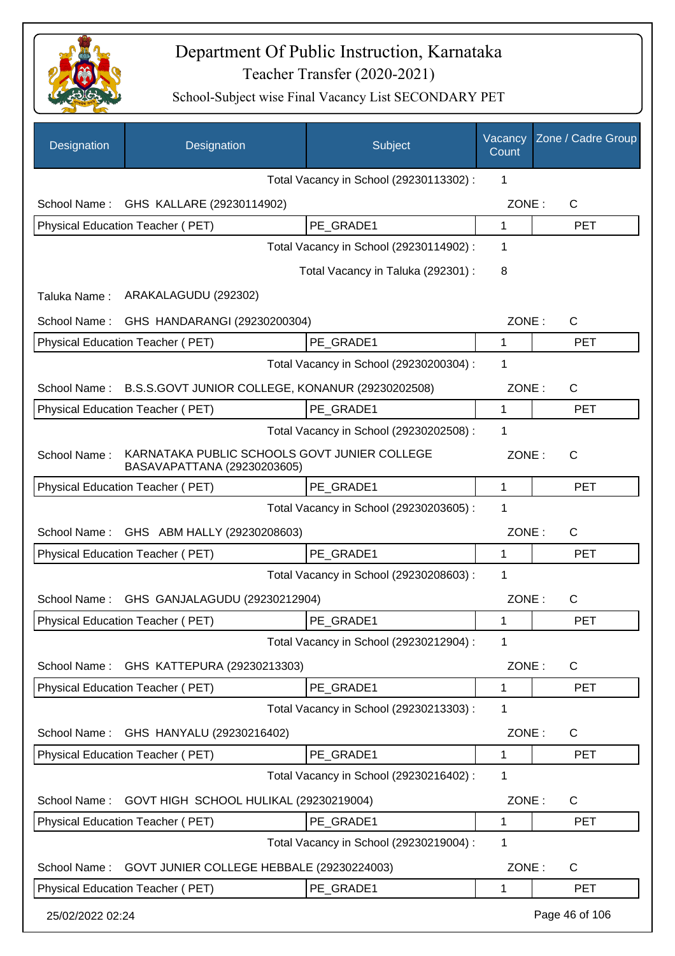

| Designation      | Designation                                                                 | Subject                                 | Vacancy<br>Count | Zone / Cadre Group |
|------------------|-----------------------------------------------------------------------------|-----------------------------------------|------------------|--------------------|
|                  |                                                                             | Total Vacancy in School (29230113302) : | 1                |                    |
| School Name:     | GHS KALLARE (29230114902)                                                   |                                         | ZONE:            | $\mathsf{C}$       |
|                  | Physical Education Teacher (PET)                                            | PE GRADE1                               | 1                | <b>PET</b>         |
|                  |                                                                             | Total Vacancy in School (29230114902) : | 1                |                    |
|                  |                                                                             | Total Vacancy in Taluka (292301) :      | 8                |                    |
| Taluka Name:     | ARAKALAGUDU (292302)                                                        |                                         |                  |                    |
| School Name:     | GHS HANDARANGI (29230200304)                                                |                                         | ZONE:            | $\mathsf{C}$       |
|                  | Physical Education Teacher (PET)                                            | PE_GRADE1                               | 1                | <b>PET</b>         |
|                  |                                                                             | Total Vacancy in School (29230200304) : | 1                |                    |
| School Name:     | B.S.S.GOVT JUNIOR COLLEGE, KONANUR (29230202508)                            |                                         | ZONE:            | $\mathsf{C}$       |
|                  | Physical Education Teacher (PET)                                            | PE GRADE1                               | 1                | <b>PET</b>         |
|                  |                                                                             | Total Vacancy in School (29230202508) : | 1                |                    |
| School Name:     | KARNATAKA PUBLIC SCHOOLS GOVT JUNIER COLLEGE<br>BASAVAPATTANA (29230203605) |                                         | ZONE:            | $\mathsf{C}$       |
|                  | Physical Education Teacher (PET)                                            | PE GRADE1                               | 1                | <b>PET</b>         |
|                  |                                                                             | Total Vacancy in School (29230203605) : | 1                |                    |
| School Name:     | GHS ABM HALLY (29230208603)                                                 |                                         | ZONE:            | $\mathsf{C}$       |
|                  | Physical Education Teacher (PET)                                            | PE GRADE1                               | 1                | <b>PET</b>         |
|                  |                                                                             | Total Vacancy in School (29230208603) : | 1                |                    |
| School Name:     | GHS GANJALAGUDU (29230212904)                                               |                                         | ZONE:            | $\mathsf{C}$       |
|                  | Physical Education Teacher (PET)                                            | PE GRADE1                               | 1                | <b>PET</b>         |
|                  |                                                                             | Total Vacancy in School (29230212904) : | 1                |                    |
| School Name:     | GHS KATTEPURA (29230213303)                                                 |                                         | ZONE:            | C                  |
|                  | Physical Education Teacher (PET)                                            | PE_GRADE1                               | 1                | <b>PET</b>         |
|                  |                                                                             | Total Vacancy in School (29230213303) : | 1                |                    |
| School Name:     | GHS HANYALU (29230216402)                                                   |                                         | ZONE:            | C                  |
|                  | Physical Education Teacher (PET)                                            | PE GRADE1                               | 1                | <b>PET</b>         |
|                  |                                                                             | Total Vacancy in School (29230216402) : | 1                |                    |
| School Name:     | GOVT HIGH SCHOOL HULIKAL (29230219004)                                      |                                         | ZONE:            | C                  |
|                  | Physical Education Teacher (PET)                                            | PE_GRADE1                               | 1                | <b>PET</b>         |
|                  |                                                                             | Total Vacancy in School (29230219004) : | 1                |                    |
| School Name:     | GOVT JUNIER COLLEGE HEBBALE (29230224003)                                   |                                         | ZONE:            | C                  |
|                  | Physical Education Teacher (PET)                                            | PE_GRADE1                               | 1                | <b>PET</b>         |
| 25/02/2022 02:24 |                                                                             |                                         |                  | Page 46 of 106     |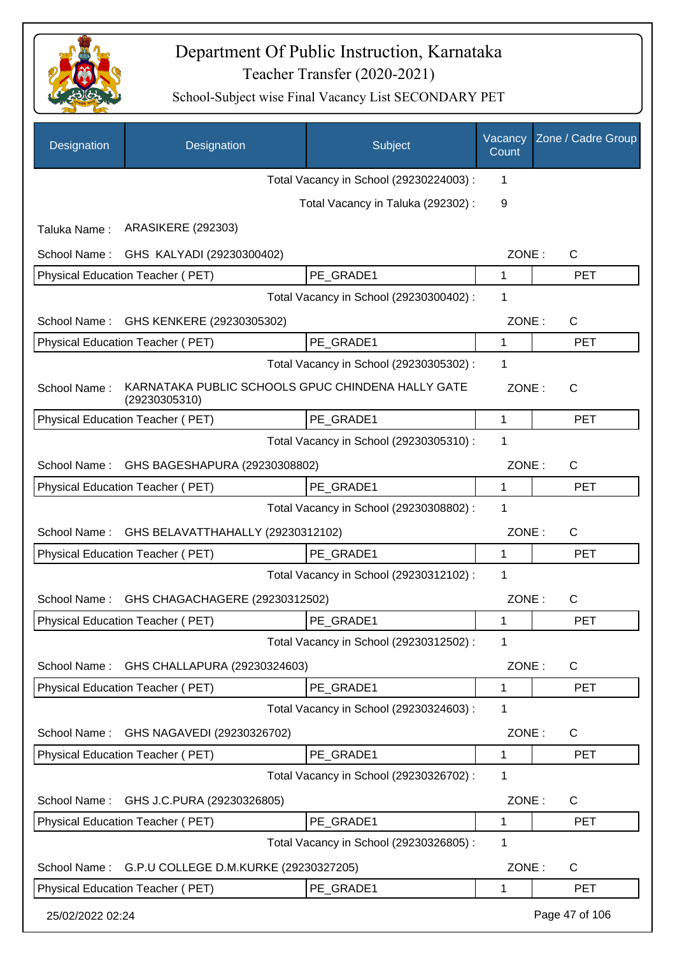

| Designation      | Designation                                                        | Subject                                 | Vacancy<br>Count | Zone / Cadre Group |
|------------------|--------------------------------------------------------------------|-----------------------------------------|------------------|--------------------|
|                  |                                                                    | Total Vacancy in School (29230224003) : | 1                |                    |
|                  |                                                                    | Total Vacancy in Taluka (292302) :      | 9                |                    |
| Taluka Name:     | <b>ARASIKERE (292303)</b>                                          |                                         |                  |                    |
| School Name:     | GHS KALYADI (29230300402)                                          |                                         | ZONE:            | $\mathsf{C}$       |
|                  | <b>Physical Education Teacher (PET)</b>                            | PE GRADE1                               | 1                | <b>PET</b>         |
|                  |                                                                    | Total Vacancy in School (29230300402) : | 1                |                    |
| School Name:     | GHS KENKERE (29230305302)                                          |                                         | ZONE:            | $\mathsf{C}$       |
|                  | Physical Education Teacher (PET)                                   | PE_GRADE1                               | 1                | <b>PET</b>         |
|                  |                                                                    | Total Vacancy in School (29230305302) : | 1                |                    |
| School Name:     | KARNATAKA PUBLIC SCHOOLS GPUC CHINDENA HALLY GATE<br>(29230305310) |                                         | ZONE:            | $\mathsf{C}$       |
|                  | <b>Physical Education Teacher (PET)</b>                            | PE GRADE1                               | 1                | <b>PET</b>         |
|                  |                                                                    | Total Vacancy in School (29230305310) : | 1                |                    |
| School Name:     | GHS BAGESHAPURA (29230308802)                                      |                                         | ZONE:            | $\mathsf{C}$       |
|                  | Physical Education Teacher (PET)                                   | PE GRADE1                               | $\mathbf{1}$     | <b>PET</b>         |
|                  |                                                                    | Total Vacancy in School (29230308802) : | 1                |                    |
| School Name:     | GHS BELAVATTHAHALLY (29230312102)                                  |                                         | ZONE:            | C                  |
|                  | Physical Education Teacher (PET)                                   | PE_GRADE1                               | 1                | <b>PET</b>         |
|                  |                                                                    | Total Vacancy in School (29230312102) : | 1                |                    |
| School Name:     | GHS CHAGACHAGERE (29230312502)                                     |                                         | ZONE:            | C                  |
|                  | Physical Education Teacher (PET)                                   | PE GRADE1                               | 1                | <b>PET</b>         |
|                  |                                                                    | Total Vacancy in School (29230312502) : | 1                |                    |
| School Name:     | GHS CHALLAPURA (29230324603)                                       |                                         | ZONE:            | C                  |
|                  | Physical Education Teacher (PET)                                   | PE GRADE1                               | 1                | <b>PET</b>         |
|                  |                                                                    | Total Vacancy in School (29230324603) : | 1                |                    |
| School Name:     | GHS NAGAVEDI (29230326702)                                         |                                         | ZONE:            | C                  |
|                  | Physical Education Teacher (PET)                                   | PE GRADE1                               | 1                | <b>PET</b>         |
|                  |                                                                    | Total Vacancy in School (29230326702) : | 1                |                    |
| School Name:     | GHS J.C.PURA (29230326805)                                         |                                         | ZONE:            | C                  |
|                  | Physical Education Teacher (PET)                                   | PE GRADE1                               | 1                | <b>PET</b>         |
|                  |                                                                    | Total Vacancy in School (29230326805) : | 1                |                    |
| School Name:     | G.P.U COLLEGE D.M.KURKE (29230327205)                              |                                         | ZONE:            | C                  |
|                  | Physical Education Teacher (PET)                                   | PE GRADE1                               | 1                | <b>PET</b>         |
| 25/02/2022 02:24 |                                                                    |                                         |                  | Page 47 of 106     |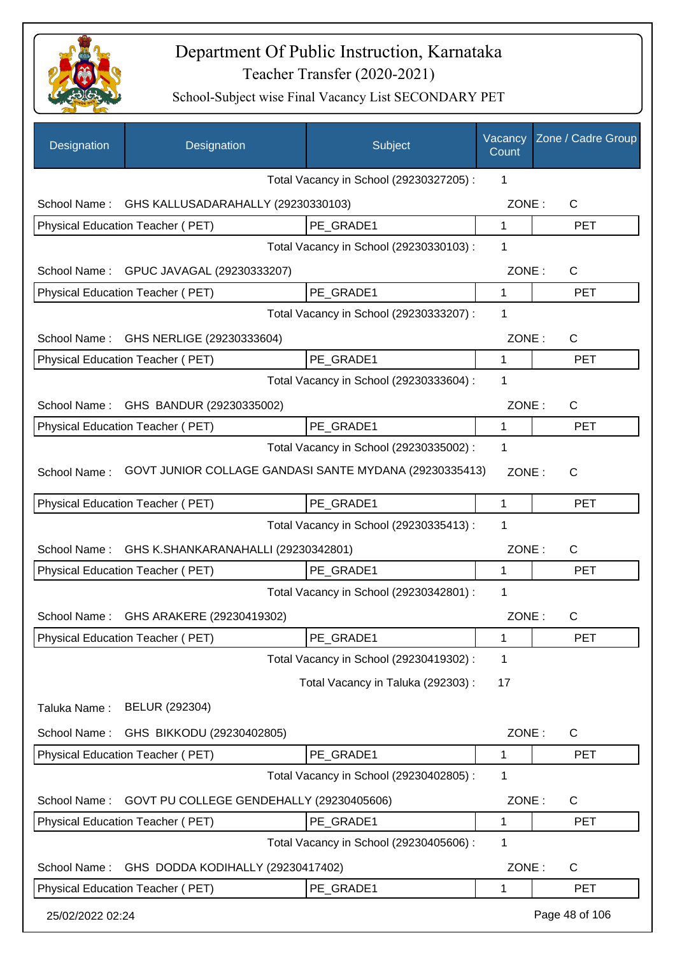

| Designation      | Designation                                            | Subject                                 | Vacancy<br>Count | Zone / Cadre Group |
|------------------|--------------------------------------------------------|-----------------------------------------|------------------|--------------------|
|                  |                                                        | Total Vacancy in School (29230327205) : | 1                |                    |
| School Name:     | GHS KALLUSADARAHALLY (29230330103)                     |                                         | ZONE:            | $\mathsf{C}$       |
|                  | Physical Education Teacher (PET)                       | PE GRADE1                               | 1                | <b>PET</b>         |
|                  |                                                        | Total Vacancy in School (29230330103) : | 1                |                    |
|                  | School Name: GPUC JAVAGAL (29230333207)                |                                         | ZONE:            | $\mathsf{C}$       |
|                  | Physical Education Teacher (PET)                       | PE_GRADE1                               | 1                | <b>PET</b>         |
|                  |                                                        | Total Vacancy in School (29230333207) : | 1                |                    |
| School Name:     | GHS NERLIGE (29230333604)                              |                                         | ZONE:            | C                  |
|                  | Physical Education Teacher (PET)                       | PE_GRADE1                               | 1                | <b>PET</b>         |
|                  |                                                        | Total Vacancy in School (29230333604) : | 1                |                    |
| School Name:     | GHS BANDUR (29230335002)                               |                                         | ZONE:            | C                  |
|                  | Physical Education Teacher (PET)                       | PE GRADE1                               | 1                | <b>PET</b>         |
|                  |                                                        | Total Vacancy in School (29230335002) : | 1                |                    |
| School Name:     | GOVT JUNIOR COLLAGE GANDASI SANTE MYDANA (29230335413) |                                         | ZONE:            | $\mathsf{C}$       |
|                  | Physical Education Teacher (PET)                       | PE_GRADE1                               | 1                | <b>PET</b>         |
|                  |                                                        | Total Vacancy in School (29230335413) : | 1                |                    |
| School Name:     | GHS K.SHANKARANAHALLI (29230342801)                    |                                         | ZONE:            | C                  |
|                  | Physical Education Teacher (PET)                       | PE_GRADE1                               | 1                | <b>PET</b>         |
|                  |                                                        | Total Vacancy in School (29230342801) : | 1                |                    |
| School Name:     | GHS ARAKERE (29230419302)                              |                                         | ZONE:            | С                  |
|                  | Physical Education Teacher (PET)                       | PE_GRADE1                               | 1                | <b>PET</b>         |
|                  |                                                        | Total Vacancy in School (29230419302) : | 1                |                    |
|                  |                                                        | Total Vacancy in Taluka (292303) :      | 17               |                    |
| Taluka Name:     | BELUR (292304)                                         |                                         |                  |                    |
| School Name:     | GHS BIKKODU (29230402805)                              |                                         | ZONE:            | C                  |
|                  | Physical Education Teacher (PET)                       | PE GRADE1                               | 1                | <b>PET</b>         |
|                  |                                                        | Total Vacancy in School (29230402805) : | 1                |                    |
| School Name:     | GOVT PU COLLEGE GENDEHALLY (29230405606)               |                                         | ZONE:            | C                  |
|                  | Physical Education Teacher (PET)                       | PE_GRADE1                               | 1                | <b>PET</b>         |
|                  |                                                        | Total Vacancy in School (29230405606) : | 1                |                    |
| School Name:     | GHS DODDA KODIHALLY (29230417402)                      |                                         | ZONE:            | C                  |
|                  | Physical Education Teacher (PET)                       | PE_GRADE1                               | 1                | <b>PET</b>         |
|                  |                                                        |                                         |                  |                    |
| 25/02/2022 02:24 |                                                        |                                         |                  | Page 48 of 106     |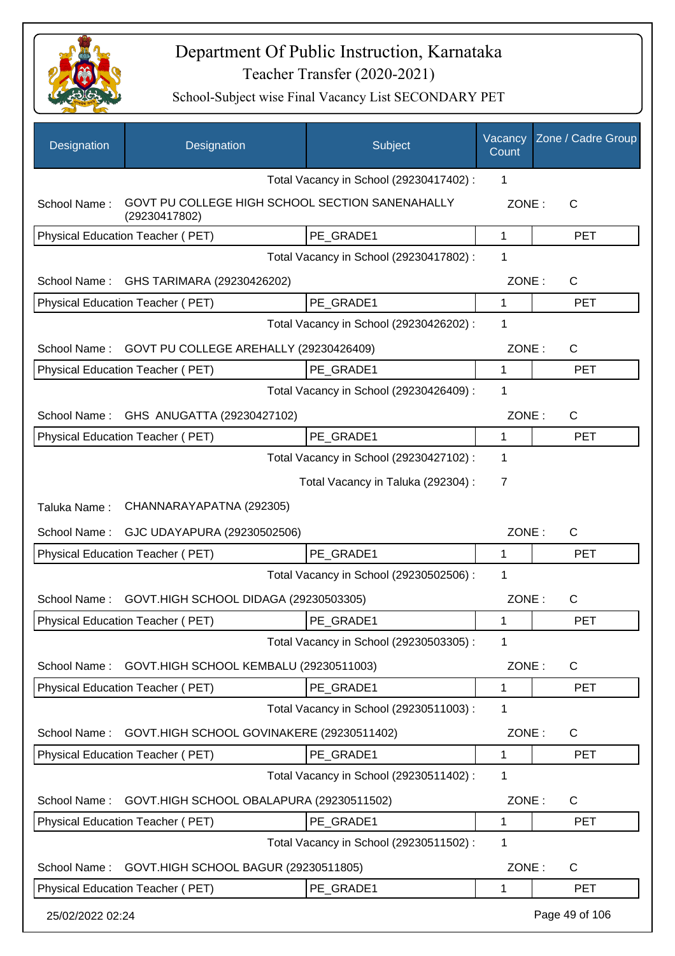

| Designation      | Designation                                                      | Subject                                 | Vacancy<br>Count | Zone / Cadre Group |
|------------------|------------------------------------------------------------------|-----------------------------------------|------------------|--------------------|
|                  |                                                                  | Total Vacancy in School (29230417402) : | 1                |                    |
| School Name:     | GOVT PU COLLEGE HIGH SCHOOL SECTION SANENAHALLY<br>(29230417802) |                                         | ZONE:            | C                  |
|                  | <b>Physical Education Teacher (PET)</b>                          | PE GRADE1                               | 1                | <b>PET</b>         |
|                  |                                                                  | Total Vacancy in School (29230417802) : | 1                |                    |
| School Name:     | GHS TARIMARA (29230426202)                                       |                                         | ZONE:            | $\mathsf{C}$       |
|                  | Physical Education Teacher (PET)                                 | PE_GRADE1                               | 1                | <b>PET</b>         |
|                  |                                                                  | Total Vacancy in School (29230426202) : | 1                |                    |
| School Name:     | GOVT PU COLLEGE AREHALLY (29230426409)                           |                                         | ZONE:            | C                  |
|                  | Physical Education Teacher (PET)                                 | PE_GRADE1                               | 1                | <b>PET</b>         |
|                  |                                                                  | Total Vacancy in School (29230426409) : | 1                |                    |
| School Name:     | GHS ANUGATTA (29230427102)                                       |                                         | ZONE:            | C                  |
|                  | Physical Education Teacher (PET)                                 | PE GRADE1                               | 1                | <b>PET</b>         |
|                  |                                                                  | Total Vacancy in School (29230427102) : | 1                |                    |
|                  |                                                                  | Total Vacancy in Taluka (292304) :      | $\overline{7}$   |                    |
| Taluka Name:     | CHANNARAYAPATNA (292305)                                         |                                         |                  |                    |
| School Name:     | GJC UDAYAPURA (29230502506)                                      |                                         | ZONE:            | $\mathsf{C}$       |
|                  | Physical Education Teacher (PET)                                 | PE_GRADE1                               | 1                | <b>PET</b>         |
|                  |                                                                  | Total Vacancy in School (29230502506) : | 1                |                    |
| School Name:     | GOVT.HIGH SCHOOL DIDAGA (29230503305)                            |                                         | ZONE:            | C                  |
|                  | Physical Education Teacher (PET)                                 | PE_GRADE1                               |                  | <b>PET</b>         |
|                  |                                                                  | Total Vacancy in School (29230503305) : | 1                |                    |
| School Name:     | GOVT.HIGH SCHOOL KEMBALU (29230511003)                           |                                         | ZONE:            | $\mathsf{C}$       |
|                  | Physical Education Teacher (PET)                                 | PE GRADE1                               | 1                | <b>PET</b>         |
|                  |                                                                  | Total Vacancy in School (29230511003):  | 1                |                    |
| School Name:     | GOVT.HIGH SCHOOL GOVINAKERE (29230511402)                        |                                         | ZONE:            | C                  |
|                  | Physical Education Teacher (PET)                                 | PE GRADE1                               | 1                | <b>PET</b>         |
|                  |                                                                  | Total Vacancy in School (29230511402) : | 1                |                    |
| School Name:     | GOVT.HIGH SCHOOL OBALAPURA (29230511502)                         |                                         | ZONE:            | C                  |
|                  | Physical Education Teacher (PET)                                 | PE GRADE1                               | 1                | <b>PET</b>         |
|                  |                                                                  | Total Vacancy in School (29230511502) : | 1                |                    |
| School Name:     | GOVT.HIGH SCHOOL BAGUR (29230511805)                             |                                         | ZONE:            | C                  |
|                  | Physical Education Teacher (PET)                                 | PE_GRADE1                               | 1                | <b>PET</b>         |
| 25/02/2022 02:24 |                                                                  |                                         |                  | Page 49 of 106     |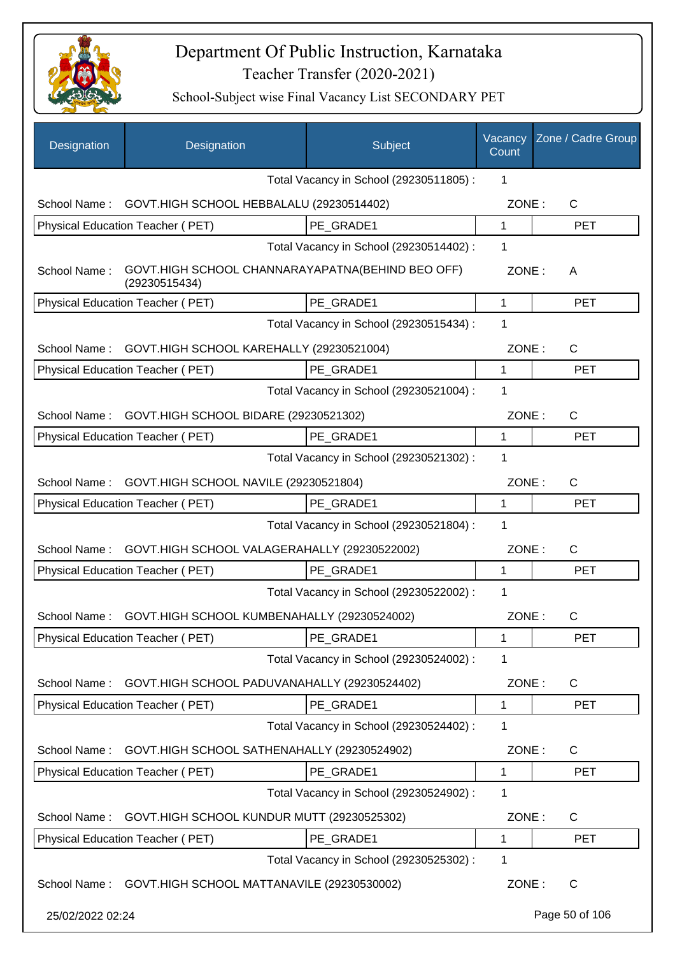

| Designation      | Designation                                                       | Subject                                 | Vacancy<br>Count | Zone / Cadre Group |
|------------------|-------------------------------------------------------------------|-----------------------------------------|------------------|--------------------|
|                  |                                                                   | Total Vacancy in School (29230511805) : | 1                |                    |
| School Name:     | GOVT.HIGH SCHOOL HEBBALALU (29230514402)                          |                                         | ZONE:            | C                  |
|                  | Physical Education Teacher (PET)                                  | PE GRADE1                               | $\mathbf 1$      | <b>PET</b>         |
|                  |                                                                   | Total Vacancy in School (29230514402) : | 1                |                    |
| School Name:     | GOVT.HIGH SCHOOL CHANNARAYAPATNA(BEHIND BEO OFF)<br>(29230515434) |                                         | ZONE:            | A                  |
|                  | Physical Education Teacher (PET)                                  | PE GRADE1                               | 1                | <b>PET</b>         |
|                  |                                                                   | Total Vacancy in School (29230515434) : | 1                |                    |
| School Name:     | GOVT.HIGH SCHOOL KAREHALLY (29230521004)                          |                                         | ZONE:            | C                  |
|                  | Physical Education Teacher (PET)                                  | PE GRADE1                               | 1                | <b>PET</b>         |
|                  |                                                                   | Total Vacancy in School (29230521004) : | 1                |                    |
|                  | School Name: GOVT.HIGH SCHOOL BIDARE (29230521302)                |                                         | ZONE:            | C                  |
|                  | Physical Education Teacher (PET)                                  | PE GRADE1                               | 1                | <b>PET</b>         |
|                  |                                                                   | Total Vacancy in School (29230521302) : | $\mathbf{1}$     |                    |
| School Name:     | GOVT.HIGH SCHOOL NAVILE (29230521804)                             |                                         | ZONE:            | C                  |
|                  | Physical Education Teacher (PET)                                  | PE GRADE1                               | 1                | <b>PET</b>         |
|                  |                                                                   | Total Vacancy in School (29230521804) : | 1                |                    |
| School Name:     | GOVT.HIGH SCHOOL VALAGERAHALLY (29230522002)                      |                                         | ZONE:            | C                  |
|                  | Physical Education Teacher (PET)                                  | PE_GRADE1                               | 1                | <b>PET</b>         |
|                  |                                                                   | Total Vacancy in School (29230522002) : | 1                |                    |
| School Name:     | GOVT.HIGH SCHOOL KUMBENAHALLY (29230524002)                       |                                         | ZONE:            | $\mathsf{C}$       |
|                  | Physical Education Teacher (PET)                                  | PE_GRADE1                               | 1                | <b>PET</b>         |
|                  |                                                                   | Total Vacancy in School (29230524002) : | 1                |                    |
| School Name:     | GOVT.HIGH SCHOOL PADUVANAHALLY (29230524402)                      |                                         | ZONE:            | $\mathsf{C}$       |
|                  | Physical Education Teacher (PET)                                  | PE_GRADE1                               | 1                | <b>PET</b>         |
|                  |                                                                   | Total Vacancy in School (29230524402) : | 1                |                    |
| School Name:     | GOVT.HIGH SCHOOL SATHENAHALLY (29230524902)                       |                                         | ZONE:            | C                  |
|                  | Physical Education Teacher (PET)                                  | PE GRADE1                               | 1                | <b>PET</b>         |
|                  |                                                                   | Total Vacancy in School (29230524902) : | 1                |                    |
| School Name:     | GOVT.HIGH SCHOOL KUNDUR MUTT (29230525302)                        |                                         | ZONE:            | C                  |
|                  | Physical Education Teacher (PET)                                  | PE_GRADE1                               | 1                | <b>PET</b>         |
|                  |                                                                   | Total Vacancy in School (29230525302) : | 1                |                    |
| School Name:     | GOVT.HIGH SCHOOL MATTANAVILE (29230530002)                        |                                         | ZONE:            | C                  |
| 25/02/2022 02:24 |                                                                   |                                         |                  | Page 50 of 106     |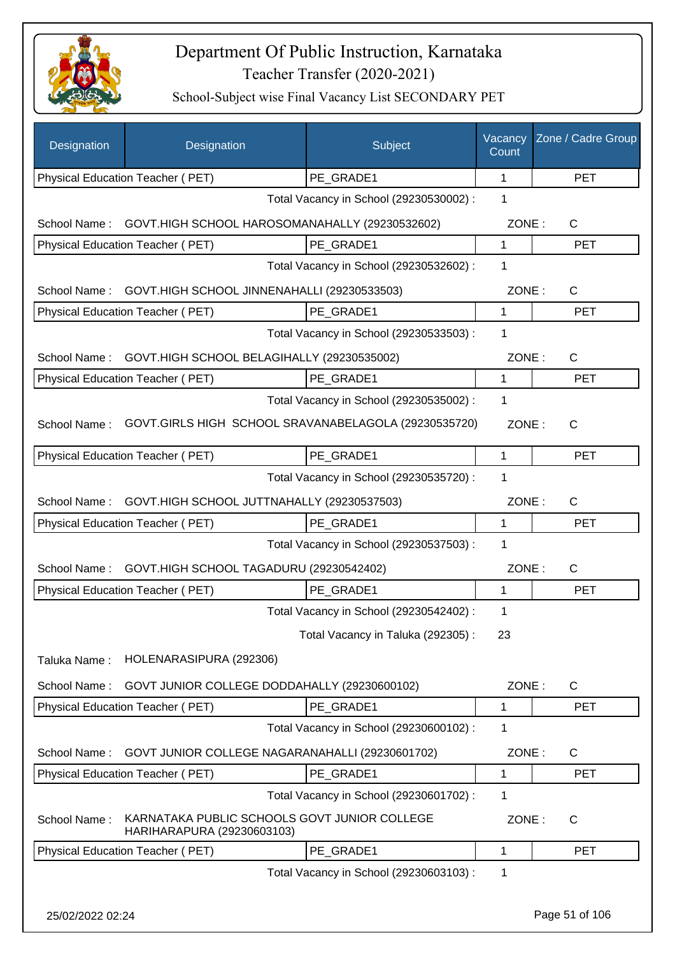

| Designation      | Designation                                                                | Subject                                 | Vacancy<br>Count | Zone / Cadre Group |
|------------------|----------------------------------------------------------------------------|-----------------------------------------|------------------|--------------------|
|                  | Physical Education Teacher (PET)                                           | PE_GRADE1                               | 1                | <b>PET</b>         |
|                  |                                                                            | Total Vacancy in School (29230530002) : | 1                |                    |
| School Name:     | GOVT.HIGH SCHOOL HAROSOMANAHALLY (29230532602)                             |                                         | ZONE:            | $\mathsf{C}$       |
|                  | Physical Education Teacher (PET)                                           | PE GRADE1                               | 1                | <b>PET</b>         |
|                  |                                                                            | Total Vacancy in School (29230532602) : | 1                |                    |
| School Name:     | GOVT.HIGH SCHOOL JINNENAHALLI (29230533503)                                |                                         | ZONE:            | C                  |
|                  | Physical Education Teacher (PET)                                           | PE GRADE1                               | 1                | <b>PET</b>         |
|                  |                                                                            | Total Vacancy in School (29230533503) : | 1                |                    |
|                  | School Name: GOVT.HIGH SCHOOL BELAGIHALLY (29230535002)                    |                                         | ZONE:            | $\mathsf{C}$       |
|                  | Physical Education Teacher (PET)                                           | PE GRADE1                               | 1                | <b>PET</b>         |
|                  |                                                                            | Total Vacancy in School (29230535002) : | 1                |                    |
| School Name:     | GOVT.GIRLS HIGH SCHOOL SRAVANABELAGOLA (29230535720)                       |                                         | ZONE:            | C                  |
|                  | Physical Education Teacher (PET)                                           | PE GRADE1                               | $\mathbf{1}$     | <b>PET</b>         |
|                  |                                                                            | Total Vacancy in School (29230535720) : | 1                |                    |
| School Name:     | GOVT.HIGH SCHOOL JUTTNAHALLY (29230537503)                                 |                                         | ZONE:            | C                  |
|                  | Physical Education Teacher (PET)                                           | PE GRADE1                               | 1                | <b>PET</b>         |
|                  |                                                                            | Total Vacancy in School (29230537503) : | 1                |                    |
| School Name:     | GOVT.HIGH SCHOOL TAGADURU (29230542402)                                    |                                         | ZONE:            | $\mathsf{C}$       |
|                  | Physical Education Teacher (PET)                                           | PE GRADE1                               | 1                | <b>PET</b>         |
|                  |                                                                            | Total Vacancy in School (29230542402) : | 1                |                    |
|                  |                                                                            | Total Vacancy in Taluka (292305):       | 23               |                    |
| Taluka Name:     | HOLENARASIPURA (292306)                                                    |                                         |                  |                    |
| School Name:     | GOVT JUNIOR COLLEGE DODDAHALLY (29230600102)                               |                                         | ZONE:            | $\mathsf{C}$       |
|                  | Physical Education Teacher (PET)                                           | PE GRADE1                               | 1                | <b>PET</b>         |
|                  |                                                                            | Total Vacancy in School (29230600102) : | 1                |                    |
| School Name:     | GOVT JUNIOR COLLEGE NAGARANAHALLI (29230601702)                            |                                         | ZONE:            | $\mathsf{C}$       |
|                  | <b>Physical Education Teacher (PET)</b>                                    | PE_GRADE1                               | 1                | <b>PET</b>         |
|                  |                                                                            | Total Vacancy in School (29230601702) : | 1                |                    |
| School Name:     | KARNATAKA PUBLIC SCHOOLS GOVT JUNIOR COLLEGE<br>HARIHARAPURA (29230603103) |                                         | ZONE:            | C                  |
|                  | Physical Education Teacher (PET)                                           | PE GRADE1                               | 1                | <b>PET</b>         |
|                  |                                                                            | Total Vacancy in School (29230603103) : | 1                |                    |
| 25/02/2022 02:24 |                                                                            |                                         |                  | Page 51 of 106     |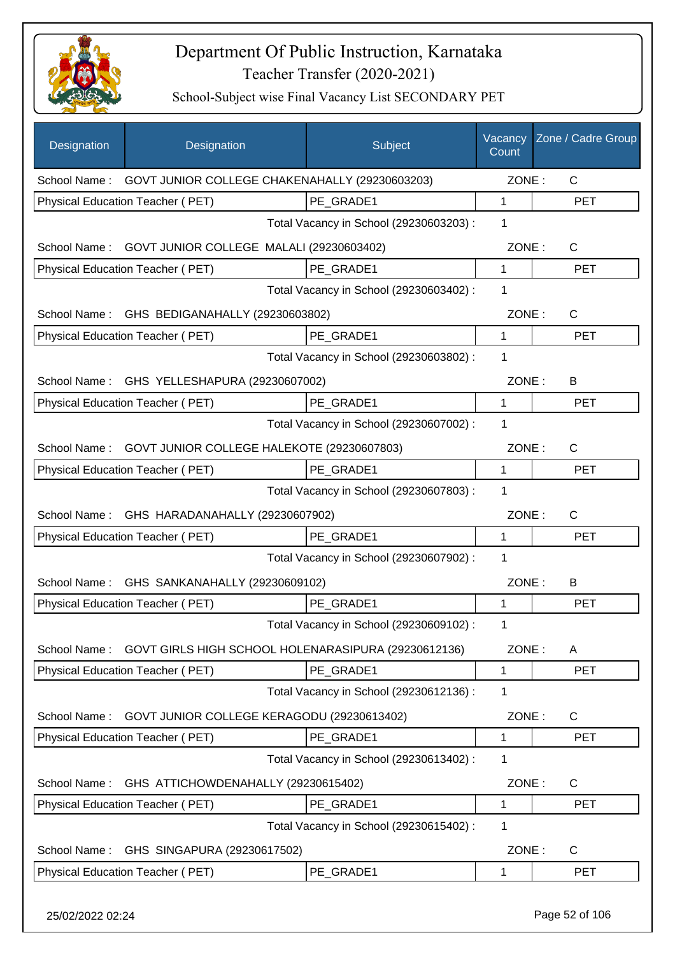

| <b>Designation</b> | Designation                                                 | Subject                                 | Vacancy<br>Count | Zone / Cadre Group |
|--------------------|-------------------------------------------------------------|-----------------------------------------|------------------|--------------------|
|                    | School Name: GOVT JUNIOR COLLEGE CHAKENAHALLY (29230603203) |                                         | ZONE:            | $\mathsf{C}$       |
|                    | <b>Physical Education Teacher (PET)</b>                     | PE GRADE1                               | 1                | <b>PET</b>         |
|                    |                                                             | Total Vacancy in School (29230603203) : | 1                |                    |
|                    | School Name: GOVT JUNIOR COLLEGE MALALI (29230603402)       |                                         | ZONE:            | $\mathsf{C}$       |
|                    | Physical Education Teacher (PET)                            | PE_GRADE1                               | 1                | <b>PET</b>         |
|                    |                                                             | Total Vacancy in School (29230603402) : | 1                |                    |
| School Name:       | GHS BEDIGANAHALLY (29230603802)                             |                                         | ZONE:            | C                  |
|                    | Physical Education Teacher (PET)                            | PE GRADE1                               | $\mathbf{1}$     | <b>PET</b>         |
|                    |                                                             | Total Vacancy in School (29230603802) : | 1                |                    |
| School Name:       | GHS YELLESHAPURA (29230607002)                              |                                         | ZONE:            | B                  |
|                    | Physical Education Teacher (PET)                            | PE_GRADE1                               | 1                | <b>PET</b>         |
|                    |                                                             | Total Vacancy in School (29230607002) : | 1                |                    |
| School Name:       | GOVT JUNIOR COLLEGE HALEKOTE (29230607803)                  |                                         | ZONE:            | $\mathsf{C}$       |
|                    | Physical Education Teacher (PET)                            | PE_GRADE1                               | 1                | <b>PET</b>         |
|                    |                                                             | Total Vacancy in School (29230607803) : | 1                |                    |
| School Name:       | GHS HARADANAHALLY (29230607902)                             |                                         | ZONE:            | C                  |
|                    | Physical Education Teacher (PET)                            | PE GRADE1                               | 1                | <b>PET</b>         |
|                    |                                                             | Total Vacancy in School (29230607902) : | 1                |                    |
|                    | School Name: GHS SANKANAHALLY (29230609102)                 |                                         | ZONE:            | B                  |
|                    | Physical Education Teacher (PET)                            | PE_GRADE1                               | 1                | <b>PET</b>         |
|                    |                                                             | Total Vacancy in School (29230609102) : | 1                |                    |
| School Name:       | GOVT GIRLS HIGH SCHOOL HOLENARASIPURA (29230612136)         |                                         | ZONE:            | A                  |
|                    | Physical Education Teacher (PET)                            | PE_GRADE1                               | 1                | <b>PET</b>         |
|                    |                                                             | Total Vacancy in School (29230612136) : | 1                |                    |
| School Name:       | GOVT JUNIOR COLLEGE KERAGODU (29230613402)                  |                                         | ZONE:            | C                  |
|                    | Physical Education Teacher (PET)                            | PE GRADE1                               | 1                | <b>PET</b>         |
|                    |                                                             | Total Vacancy in School (29230613402) : | 1                |                    |
| School Name:       | GHS ATTICHOWDENAHALLY (29230615402)                         |                                         | ZONE:            | C                  |
|                    | Physical Education Teacher (PET)                            | PE_GRADE1                               | 1                | <b>PET</b>         |
|                    |                                                             | Total Vacancy in School (29230615402) : | 1                |                    |
| School Name:       | GHS SINGAPURA (29230617502)                                 |                                         | ZONE:            | C                  |
|                    | Physical Education Teacher (PET)                            | PE_GRADE1                               | 1                | <b>PET</b>         |
| 25/02/2022 02:24   |                                                             |                                         |                  | Page 52 of 106     |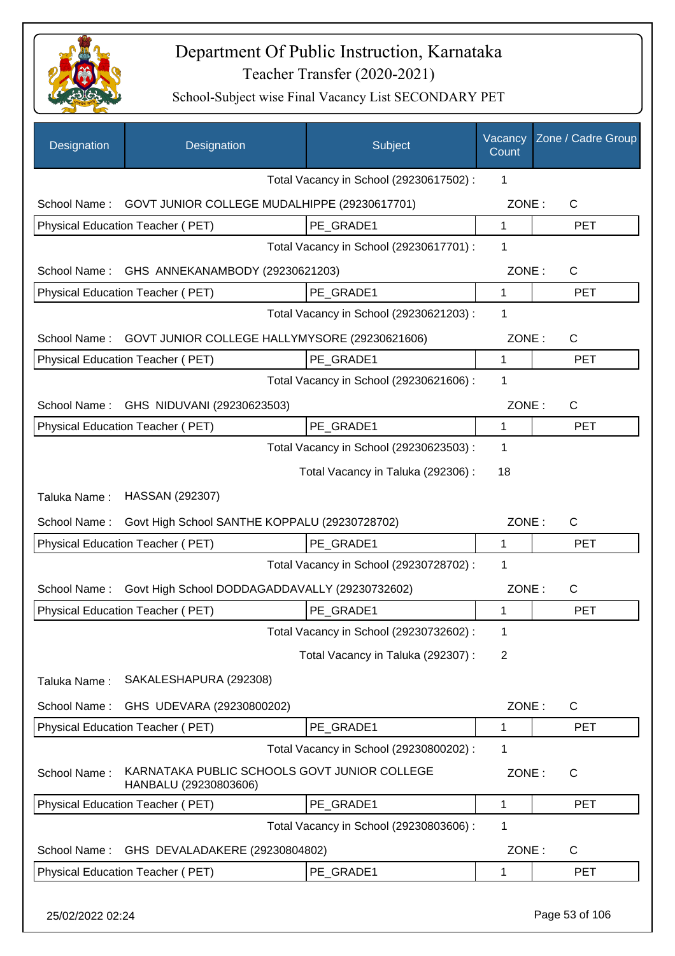

| Designation      | Designation                                                           | Subject                                 | Vacancy<br>Count | Zone / Cadre Group |
|------------------|-----------------------------------------------------------------------|-----------------------------------------|------------------|--------------------|
|                  |                                                                       | Total Vacancy in School (29230617502) : | 1                |                    |
| School Name:     | GOVT JUNIOR COLLEGE MUDALHIPPE (29230617701)                          |                                         | ZONE:            | $\mathsf{C}$       |
|                  | Physical Education Teacher (PET)                                      | PE GRADE1                               | $\mathbf{1}$     | <b>PET</b>         |
|                  |                                                                       | Total Vacancy in School (29230617701) : | 1                |                    |
| School Name:     | GHS ANNEKANAMBODY (29230621203)                                       |                                         | ZONE:            | C                  |
|                  | Physical Education Teacher (PET)                                      | PE GRADE1                               | $\mathbf{1}$     | <b>PET</b>         |
|                  |                                                                       | Total Vacancy in School (29230621203) : | 1                |                    |
| School Name:     | GOVT JUNIOR COLLEGE HALLYMYSORE (29230621606)                         |                                         | ZONE:            | $\mathsf{C}$       |
|                  | Physical Education Teacher (PET)                                      | PE GRADE1                               | 1                | <b>PET</b>         |
|                  |                                                                       | Total Vacancy in School (29230621606) : | 1                |                    |
| School Name:     | GHS NIDUVANI (29230623503)                                            |                                         | ZONE:            | C                  |
|                  | Physical Education Teacher (PET)                                      | PE_GRADE1                               | 1                | <b>PET</b>         |
|                  |                                                                       | Total Vacancy in School (29230623503) : | 1                |                    |
|                  |                                                                       | Total Vacancy in Taluka (292306) :      | 18               |                    |
| Taluka Name:     | HASSAN (292307)                                                       |                                         |                  |                    |
| School Name:     | Govt High School SANTHE KOPPALU (29230728702)                         |                                         | ZONE:            | C                  |
|                  | Physical Education Teacher (PET)                                      | PE GRADE1                               | 1                | <b>PET</b>         |
|                  |                                                                       | Total Vacancy in School (29230728702) : | 1                |                    |
| School Name:     | Govt High School DODDAGADDAVALLY (29230732602)                        |                                         | ZONE:            | С                  |
|                  | Physical Education Teacher (PET)                                      | PE GRADE1                               | 1                | <b>PET</b>         |
|                  |                                                                       | Total Vacancy in School (29230732602) : | 1                |                    |
|                  |                                                                       | Total Vacancy in Taluka (292307) :      | 2                |                    |
| Taluka Name:     | SAKALESHAPURA (292308)                                                |                                         |                  |                    |
| School Name:     | GHS UDEVARA (29230800202)                                             |                                         | ZONE:            | C                  |
|                  | Physical Education Teacher (PET)                                      | PE_GRADE1                               | 1                | <b>PET</b>         |
|                  |                                                                       | Total Vacancy in School (29230800202) : | 1                |                    |
| School Name:     | KARNATAKA PUBLIC SCHOOLS GOVT JUNIOR COLLEGE<br>HANBALU (29230803606) |                                         | ZONE:            | C                  |
|                  | Physical Education Teacher (PET)                                      | PE_GRADE1                               | 1                | <b>PET</b>         |
|                  |                                                                       | Total Vacancy in School (29230803606) : | 1                |                    |
| School Name:     | GHS DEVALADAKERE (29230804802)                                        |                                         | ZONE:            | C                  |
|                  | Physical Education Teacher (PET)                                      | PE_GRADE1                               | 1                | <b>PET</b>         |
| 25/02/2022 02:24 |                                                                       |                                         |                  | Page 53 of 106     |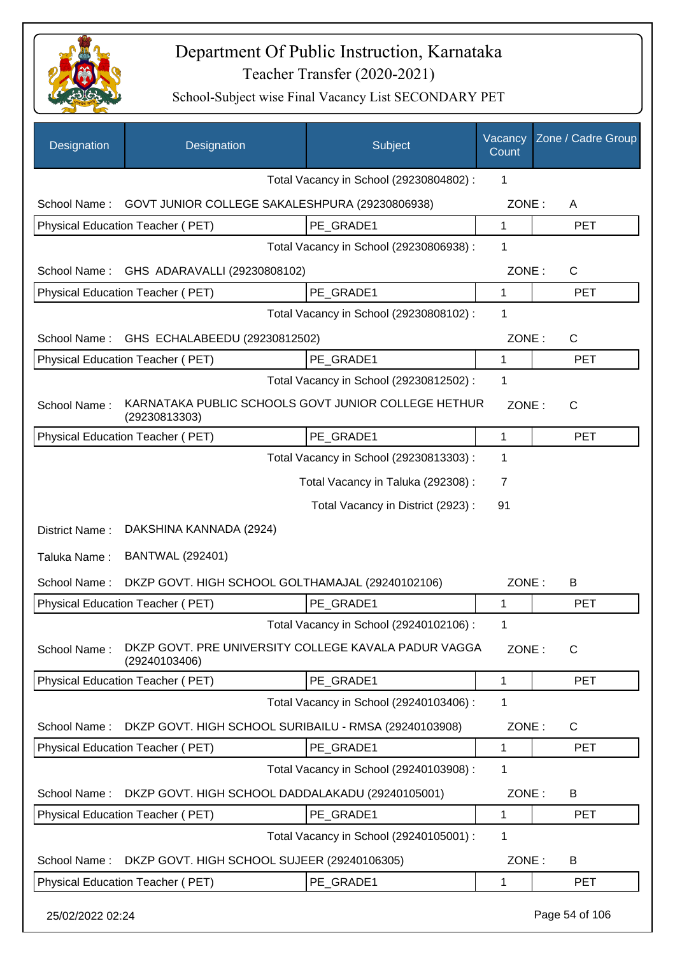

| Designation      | Designation                                                           | Subject                                 | Vacancy<br>Count | Zone / Cadre Group |
|------------------|-----------------------------------------------------------------------|-----------------------------------------|------------------|--------------------|
|                  |                                                                       | Total Vacancy in School (29230804802) : | 1                |                    |
| School Name:     | GOVT JUNIOR COLLEGE SAKALESHPURA (29230806938)                        |                                         | ZONE:            | A                  |
|                  | Physical Education Teacher (PET)                                      | PE GRADE1                               | $\mathbf 1$      | <b>PET</b>         |
|                  |                                                                       | Total Vacancy in School (29230806938) : | 1                |                    |
| School Name:     | GHS ADARAVALLI (29230808102)                                          |                                         | ZONE:            | $\mathsf{C}$       |
|                  | Physical Education Teacher (PET)                                      | PE_GRADE1                               | $\mathbf 1$      | <b>PET</b>         |
|                  |                                                                       | Total Vacancy in School (29230808102) : | 1                |                    |
| School Name:     | GHS ECHALABEEDU (29230812502)                                         |                                         | ZONE:            | $\mathsf{C}$       |
|                  | Physical Education Teacher (PET)                                      | PE GRADE1                               | 1                | <b>PET</b>         |
|                  |                                                                       | Total Vacancy in School (29230812502) : | $\mathbf 1$      |                    |
| School Name:     | KARNATAKA PUBLIC SCHOOLS GOVT JUNIOR COLLEGE HETHUR<br>(29230813303)  |                                         | ZONE:            | $\mathsf{C}$       |
|                  | Physical Education Teacher (PET)                                      | PE GRADE1                               | $\mathbf{1}$     | <b>PET</b>         |
|                  |                                                                       | Total Vacancy in School (29230813303) : | 1                |                    |
|                  |                                                                       | Total Vacancy in Taluka (292308) :      | $\overline{7}$   |                    |
|                  |                                                                       | Total Vacancy in District (2923):       | 91               |                    |
| District Name:   | DAKSHINA KANNADA (2924)                                               |                                         |                  |                    |
| Taluka Name:     | <b>BANTWAL (292401)</b>                                               |                                         |                  |                    |
| School Name:     | DKZP GOVT. HIGH SCHOOL GOLTHAMAJAL (29240102106)                      |                                         | ZONE:            | B                  |
|                  | Physical Education Teacher (PET)                                      | PE_GRADE1                               | 1                | <b>PET</b>         |
|                  |                                                                       | Total Vacancy in School (29240102106) : | 1.               |                    |
| School Name:     | DKZP GOVT. PRE UNIVERSITY COLLEGE KAVALA PADUR VAGGA<br>(29240103406) |                                         | ZONE:            | $\mathsf{C}$       |
|                  | Physical Education Teacher (PET)                                      | PE_GRADE1                               | $\mathbf 1$      | <b>PET</b>         |
|                  |                                                                       | Total Vacancy in School (29240103406) : | 1                |                    |
| School Name:     | DKZP GOVT. HIGH SCHOOL SURIBAILU - RMSA (29240103908)                 |                                         | ZONE:            | C                  |
|                  | Physical Education Teacher (PET)                                      | PE_GRADE1                               | 1                | <b>PET</b>         |
|                  |                                                                       | Total Vacancy in School (29240103908) : | $\mathbf 1$      |                    |
| School Name:     | DKZP GOVT. HIGH SCHOOL DADDALAKADU (29240105001)                      |                                         | ZONE:            | B                  |
|                  | Physical Education Teacher (PET)                                      | PE_GRADE1                               | 1                | <b>PET</b>         |
|                  |                                                                       | Total Vacancy in School (29240105001) : | 1                |                    |
| School Name:     | DKZP GOVT. HIGH SCHOOL SUJEER (29240106305)                           |                                         | ZONE:            | B                  |
|                  | Physical Education Teacher (PET)                                      | PE_GRADE1                               | 1                | <b>PET</b>         |
| 25/02/2022 02:24 |                                                                       |                                         |                  | Page 54 of 106     |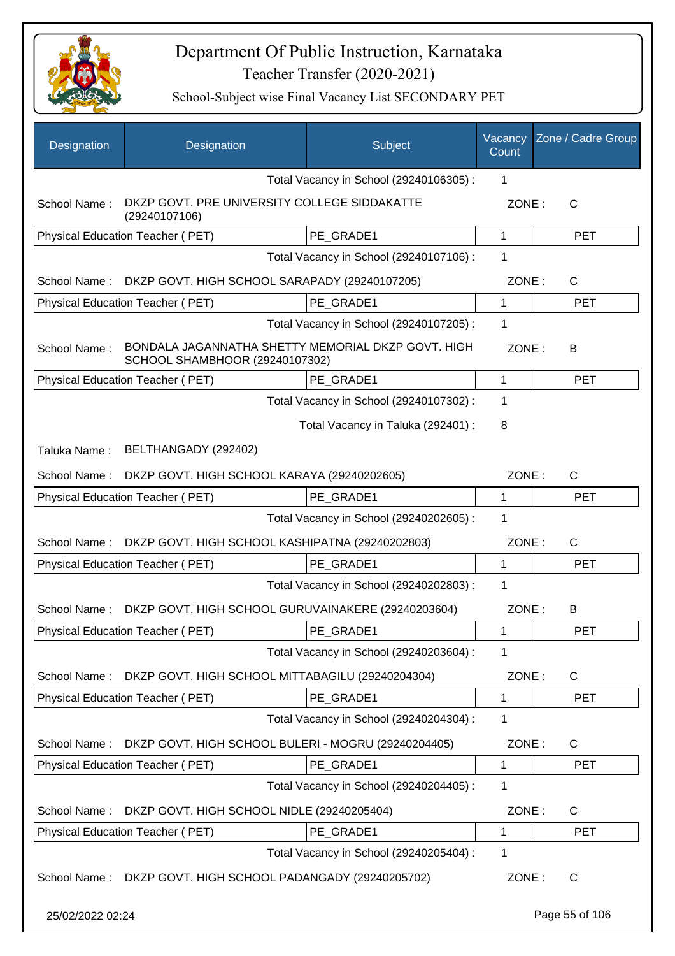

| Designation      | Designation                                                                          | Subject                                 | Vacancy<br>Count | Zone / Cadre Group |
|------------------|--------------------------------------------------------------------------------------|-----------------------------------------|------------------|--------------------|
|                  |                                                                                      | Total Vacancy in School (29240106305) : | 1                |                    |
| School Name:     | DKZP GOVT. PRE UNIVERSITY COLLEGE SIDDAKATTE<br>(29240107106)                        |                                         | ZONE:            | $\mathsf{C}$       |
|                  | Physical Education Teacher (PET)                                                     | PE GRADE1                               | 1                | <b>PET</b>         |
|                  |                                                                                      | Total Vacancy in School (29240107106) : | 1                |                    |
| School Name:     | DKZP GOVT. HIGH SCHOOL SARAPADY (29240107205)                                        |                                         | ZONE:            | $\mathsf{C}$       |
|                  | Physical Education Teacher (PET)                                                     | PE GRADE1                               | 1                | <b>PET</b>         |
|                  |                                                                                      | Total Vacancy in School (29240107205) : | 1                |                    |
| School Name:     | BONDALA JAGANNATHA SHETTY MEMORIAL DKZP GOVT. HIGH<br>SCHOOL SHAMBHOOR (29240107302) |                                         | ZONE:            | B                  |
|                  | Physical Education Teacher (PET)                                                     | PE GRADE1                               | 1                | <b>PET</b>         |
|                  |                                                                                      | Total Vacancy in School (29240107302) : | 1                |                    |
|                  |                                                                                      | Total Vacancy in Taluka (292401) :      | 8                |                    |
| Taluka Name:     | BELTHANGADY (292402)                                                                 |                                         |                  |                    |
| School Name:     | DKZP GOVT. HIGH SCHOOL KARAYA (29240202605)                                          |                                         | ZONE:            | $\mathsf{C}$       |
|                  | Physical Education Teacher (PET)                                                     | PE GRADE1                               | 1                | <b>PET</b>         |
|                  |                                                                                      | Total Vacancy in School (29240202605) : | 1                |                    |
| School Name:     | DKZP GOVT. HIGH SCHOOL KASHIPATNA (29240202803)                                      |                                         | ZONE:            | $\mathsf{C}$       |
|                  | Physical Education Teacher (PET)                                                     | PE GRADE1                               | 1                | <b>PET</b>         |
|                  |                                                                                      | Total Vacancy in School (29240202803) : | $\mathbf 1$      |                    |
| School Name:     | DKZP GOVT. HIGH SCHOOL GURUVAINAKERE (29240203604)                                   |                                         | ZONE:            | B                  |
|                  | Physical Education Teacher (PET)                                                     | PE_GRADE1                               | 1                | PET                |
|                  |                                                                                      | Total Vacancy in School (29240203604) : | 1                |                    |
| School Name:     | DKZP GOVT. HIGH SCHOOL MITTABAGILU (29240204304)                                     |                                         | ZONE:            | $\mathsf{C}$       |
|                  | Physical Education Teacher (PET)                                                     | PE_GRADE1                               | 1                | <b>PET</b>         |
|                  |                                                                                      | Total Vacancy in School (29240204304) : | 1                |                    |
| School Name:     | DKZP GOVT. HIGH SCHOOL BULERI - MOGRU (29240204405)                                  |                                         | ZONE:            | $\mathsf{C}$       |
|                  | Physical Education Teacher (PET)                                                     | PE_GRADE1                               | 1                | <b>PET</b>         |
|                  |                                                                                      | Total Vacancy in School (29240204405) : | 1                |                    |
| School Name:     | DKZP GOVT. HIGH SCHOOL NIDLE (29240205404)                                           |                                         | ZONE:            | $\mathsf{C}$       |
|                  | Physical Education Teacher (PET)                                                     | PE_GRADE1                               | 1                | <b>PET</b>         |
|                  |                                                                                      | Total Vacancy in School (29240205404) : | 1                |                    |
| School Name:     | DKZP GOVT. HIGH SCHOOL PADANGADY (29240205702)                                       |                                         | ZONE:            | $\mathsf{C}$       |
| 25/02/2022 02:24 |                                                                                      |                                         |                  | Page 55 of 106     |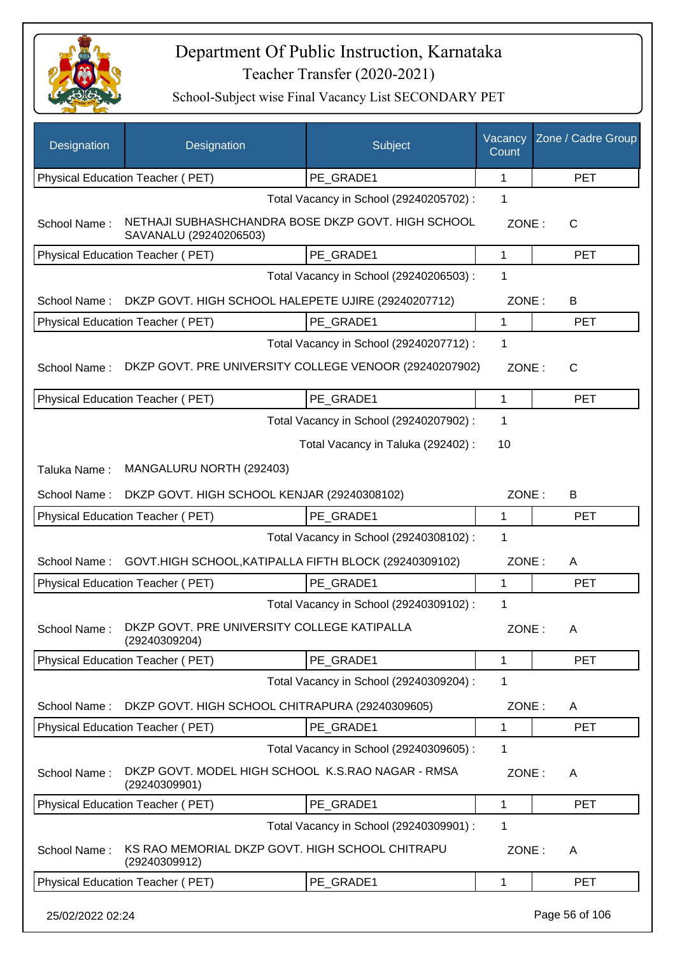

| Designation      | Designation                                                                  | Subject                                 | Vacancy<br>Count | Zone / Cadre Group |
|------------------|------------------------------------------------------------------------------|-----------------------------------------|------------------|--------------------|
|                  | Physical Education Teacher (PET)                                             | PE GRADE1                               | 1                | <b>PET</b>         |
|                  |                                                                              | Total Vacancy in School (29240205702) : | 1                |                    |
| School Name:     | NETHAJI SUBHASHCHANDRA BOSE DKZP GOVT. HIGH SCHOOL<br>SAVANALU (29240206503) |                                         | ZONE:            | C                  |
|                  | Physical Education Teacher (PET)                                             | PE GRADE1                               | $\mathbf 1$      | <b>PET</b>         |
|                  |                                                                              | Total Vacancy in School (29240206503) : | 1                |                    |
| School Name:     | DKZP GOVT. HIGH SCHOOL HALEPETE UJIRE (29240207712)                          |                                         | ZONE:            | B                  |
|                  | Physical Education Teacher (PET)                                             | PE_GRADE1                               | 1                | <b>PET</b>         |
|                  |                                                                              | Total Vacancy in School (29240207712) : | $\mathbf 1$      |                    |
| School Name:     | DKZP GOVT. PRE UNIVERSITY COLLEGE VENOOR (29240207902)                       |                                         | ZONE:            | $\mathsf{C}$       |
|                  | Physical Education Teacher (PET)                                             | PE GRADE1                               | 1                | <b>PET</b>         |
|                  |                                                                              | Total Vacancy in School (29240207902) : | $\mathbf{1}$     |                    |
|                  |                                                                              | Total Vacancy in Taluka (292402) :      | 10               |                    |
| Taluka Name:     | MANGALURU NORTH (292403)                                                     |                                         |                  |                    |
| School Name:     | DKZP GOVT. HIGH SCHOOL KENJAR (29240308102)                                  |                                         | ZONE:            | B                  |
|                  | Physical Education Teacher (PET)                                             | PE GRADE1                               | $\mathbf{1}$     | <b>PET</b>         |
|                  |                                                                              | Total Vacancy in School (29240308102) : | $\mathbf 1$      |                    |
| School Name:     | GOVT.HIGH SCHOOL, KATIPALLA FIFTH BLOCK (29240309102)                        |                                         | ZONE:            | A                  |
|                  | Physical Education Teacher (PET)                                             | PE GRADE1                               | $\mathbf{1}$     | <b>PET</b>         |
|                  |                                                                              | Total Vacancy in School (29240309102) : | 1                |                    |
|                  | School Name: DKZP GOVT. PRE UNIVERSITY COLLEGE KATIPALLA<br>(29240309204)    |                                         | ZONE:            | A                  |
|                  | <b>Physical Education Teacher (PET)</b>                                      | PE GRADE1                               | 1                | <b>PET</b>         |
|                  |                                                                              | Total Vacancy in School (29240309204) : | 1                |                    |
| School Name:     | DKZP GOVT. HIGH SCHOOL CHITRAPURA (29240309605)                              |                                         | ZONE:            | A                  |
|                  | Physical Education Teacher (PET)                                             | PE GRADE1                               | 1                | <b>PET</b>         |
|                  |                                                                              | Total Vacancy in School (29240309605) : | 1                |                    |
| School Name:     | DKZP GOVT. MODEL HIGH SCHOOL K.S.RAO NAGAR - RMSA<br>(29240309901)           |                                         | ZONE:            | A                  |
|                  | Physical Education Teacher (PET)                                             | PE_GRADE1                               | 1                | <b>PET</b>         |
|                  |                                                                              | Total Vacancy in School (29240309901) : | $\mathbf 1$      |                    |
| School Name:     | KS RAO MEMORIAL DKZP GOVT. HIGH SCHOOL CHITRAPU<br>(29240309912)             |                                         | ZONE:            | A                  |
|                  | Physical Education Teacher (PET)                                             | PE_GRADE1                               | 1                | <b>PET</b>         |
| 25/02/2022 02:24 |                                                                              |                                         |                  | Page 56 of 106     |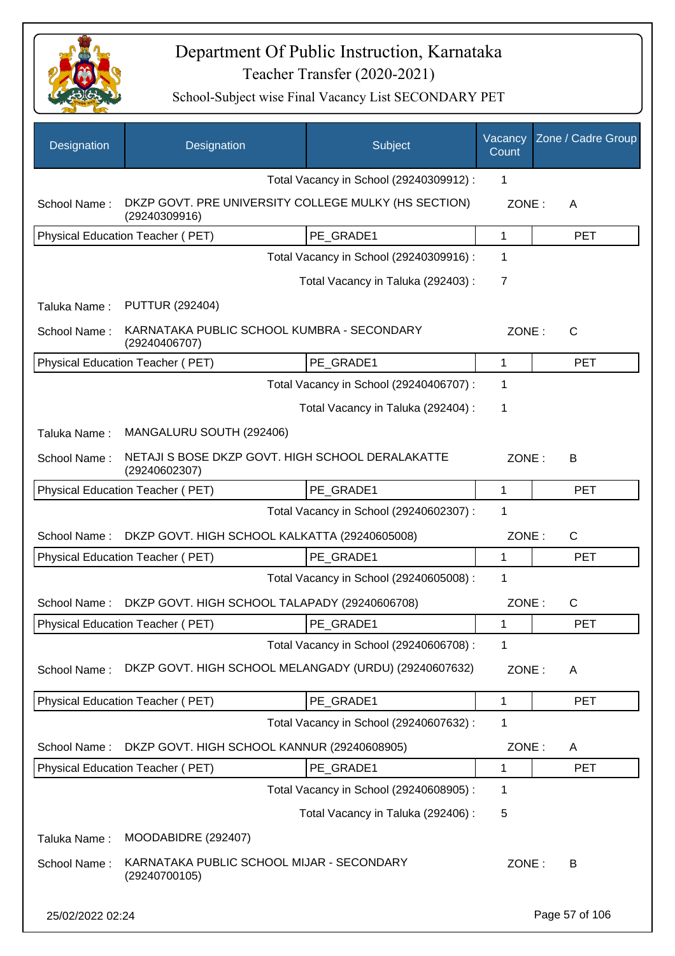

| Designation      | Designation                                                           | Subject                                 | Vacancy<br>Count | Zone / Cadre Group |
|------------------|-----------------------------------------------------------------------|-----------------------------------------|------------------|--------------------|
|                  |                                                                       | Total Vacancy in School (29240309912) : | 1                |                    |
| School Name:     | DKZP GOVT. PRE UNIVERSITY COLLEGE MULKY (HS SECTION)<br>(29240309916) |                                         | ZONE:            | A                  |
|                  | Physical Education Teacher (PET)                                      | PE_GRADE1                               | $\mathbf{1}$     | <b>PET</b>         |
|                  |                                                                       | Total Vacancy in School (29240309916) : | 1                |                    |
|                  |                                                                       | Total Vacancy in Taluka (292403) :      | $\overline{7}$   |                    |
| Taluka Name:     | <b>PUTTUR (292404)</b>                                                |                                         |                  |                    |
| School Name:     | KARNATAKA PUBLIC SCHOOL KUMBRA - SECONDARY<br>(29240406707)           |                                         | ZONE:            | C                  |
|                  | Physical Education Teacher (PET)                                      | PE GRADE1                               | $\mathbf 1$      | <b>PET</b>         |
|                  |                                                                       | Total Vacancy in School (29240406707) : | 1                |                    |
|                  |                                                                       | Total Vacancy in Taluka (292404) :      | 1                |                    |
| Taluka Name:     | MANGALURU SOUTH (292406)                                              |                                         |                  |                    |
| School Name:     | NETAJI S BOSE DKZP GOVT. HIGH SCHOOL DERALAKATTE<br>(29240602307)     |                                         | ZONE:            | B                  |
|                  | Physical Education Teacher (PET)                                      | PE GRADE1                               | 1                | <b>PET</b>         |
|                  |                                                                       | Total Vacancy in School (29240602307) : | 1                |                    |
| School Name:     | DKZP GOVT. HIGH SCHOOL KALKATTA (29240605008)                         |                                         | ZONE:            | $\mathsf{C}$       |
|                  | Physical Education Teacher (PET)                                      | PE_GRADE1                               | 1                | <b>PET</b>         |
|                  |                                                                       | Total Vacancy in School (29240605008) : | 1                |                    |
| School Name:     | DKZP GOVT. HIGH SCHOOL TALAPADY (29240606708)                         |                                         | ZONE:            | C                  |
|                  | Physical Education Teacher (PET)                                      | PE_GRADE1                               | 1                | PET                |
|                  |                                                                       | Total Vacancy in School (29240606708) : | 1                |                    |
| School Name:     | DKZP GOVT. HIGH SCHOOL MELANGADY (URDU) (29240607632)                 |                                         | ZONE:            | A                  |
|                  | Physical Education Teacher (PET)                                      | PE GRADE1                               | 1                | <b>PET</b>         |
|                  |                                                                       | Total Vacancy in School (29240607632) : | 1                |                    |
| School Name:     | DKZP GOVT. HIGH SCHOOL KANNUR (29240608905)                           |                                         | ZONE:            | A                  |
|                  | Physical Education Teacher (PET)                                      | PE_GRADE1                               | 1                | <b>PET</b>         |
|                  |                                                                       | Total Vacancy in School (29240608905) : | 1                |                    |
|                  |                                                                       | Total Vacancy in Taluka (292406):       | 5                |                    |
| Taluka Name:     | MOODABIDRE (292407)                                                   |                                         |                  |                    |
| School Name:     | KARNATAKA PUBLIC SCHOOL MIJAR - SECONDARY<br>(29240700105)            |                                         | ZONE:            | B                  |
| 25/02/2022 02:24 |                                                                       |                                         |                  | Page 57 of 106     |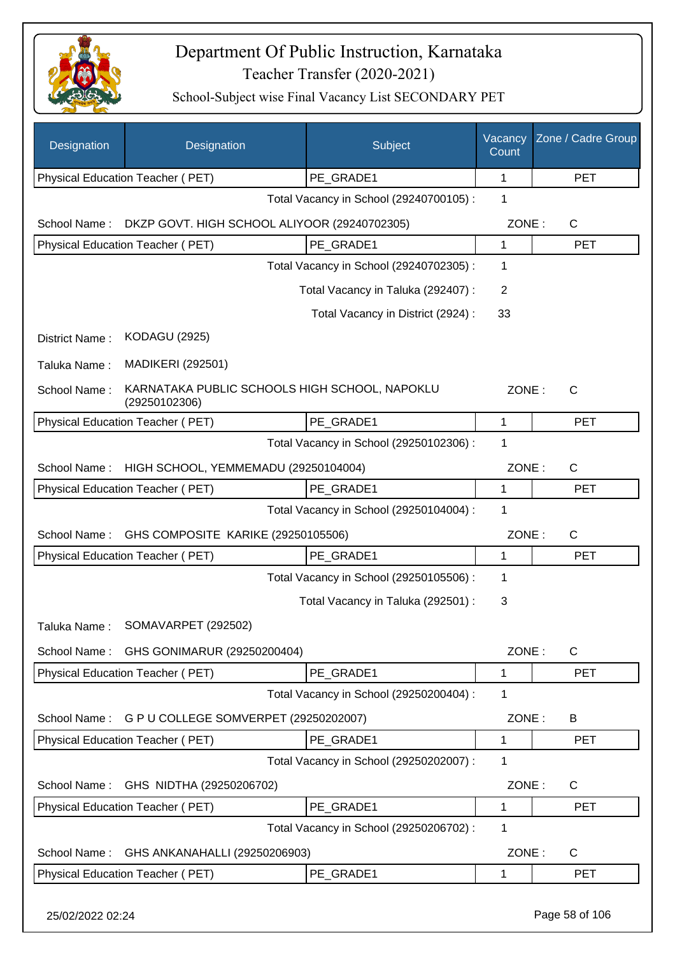

| Designation      | Designation                                                    | Subject                                 | Vacancy<br>Count | Zone / Cadre Group |
|------------------|----------------------------------------------------------------|-----------------------------------------|------------------|--------------------|
|                  | Physical Education Teacher (PET)                               | PE_GRADE1                               | 1                | <b>PET</b>         |
|                  |                                                                | Total Vacancy in School (29240700105) : | 1                |                    |
| School Name:     | DKZP GOVT. HIGH SCHOOL ALIYOOR (29240702305)                   |                                         | ZONE:            | $\mathsf C$        |
|                  | Physical Education Teacher (PET)                               | PE_GRADE1                               | 1                | <b>PET</b>         |
|                  |                                                                | Total Vacancy in School (29240702305) : | 1                |                    |
|                  |                                                                | Total Vacancy in Taluka (292407) :      | 2                |                    |
|                  |                                                                | Total Vacancy in District (2924) :      | 33               |                    |
| District Name:   | <b>KODAGU (2925)</b>                                           |                                         |                  |                    |
| Taluka Name:     | <b>MADIKERI (292501)</b>                                       |                                         |                  |                    |
| School Name:     | KARNATAKA PUBLIC SCHOOLS HIGH SCHOOL, NAPOKLU<br>(29250102306) |                                         | ZONE:            | $\mathsf{C}$       |
|                  | <b>Physical Education Teacher (PET)</b>                        | PE GRADE1                               | 1                | <b>PET</b>         |
|                  |                                                                | Total Vacancy in School (29250102306) : | 1                |                    |
| School Name:     | HIGH SCHOOL, YEMMEMADU (29250104004)                           |                                         | ZONE:            | $\mathsf C$        |
|                  | Physical Education Teacher (PET)                               | PE GRADE1                               | $\mathbf 1$      | <b>PET</b>         |
|                  |                                                                | Total Vacancy in School (29250104004) : | 1                |                    |
| School Name:     | GHS COMPOSITE KARIKE (29250105506)                             |                                         | ZONE:            | C                  |
|                  | Physical Education Teacher (PET)                               | PE GRADE1                               | $\mathbf{1}$     | <b>PET</b>         |
|                  |                                                                | Total Vacancy in School (29250105506) : | 1                |                    |
|                  |                                                                | Total Vacancy in Taluka (292501) :      | 3                |                    |
| Taluka Name:     | SOMAVARPET (292502)                                            |                                         |                  |                    |
| School Name:     | GHS GONIMARUR (29250200404)                                    |                                         | ZONE:            | $\mathsf C$        |
|                  | Physical Education Teacher (PET)                               | PE GRADE1                               | 1                | <b>PET</b>         |
|                  |                                                                | Total Vacancy in School (29250200404) : | 1                |                    |
| School Name:     | G P U COLLEGE SOMVERPET (29250202007)                          |                                         | ZONE:            | B                  |
|                  | Physical Education Teacher (PET)                               | PE GRADE1                               | 1                | <b>PET</b>         |
|                  |                                                                | Total Vacancy in School (29250202007) : | 1                |                    |
| School Name:     | GHS NIDTHA (29250206702)                                       |                                         | ZONE:            | $\mathsf C$        |
|                  | Physical Education Teacher (PET)                               | PE_GRADE1                               | $\mathbf{1}$     | <b>PET</b>         |
|                  |                                                                | Total Vacancy in School (29250206702) : | 1                |                    |
| School Name:     | GHS ANKANAHALLI (29250206903)                                  |                                         | ZONE:            | $\mathsf C$        |
|                  | Physical Education Teacher (PET)                               | PE_GRADE1                               | 1                | PET                |
| 25/02/2022 02:24 |                                                                |                                         |                  | Page 58 of 106     |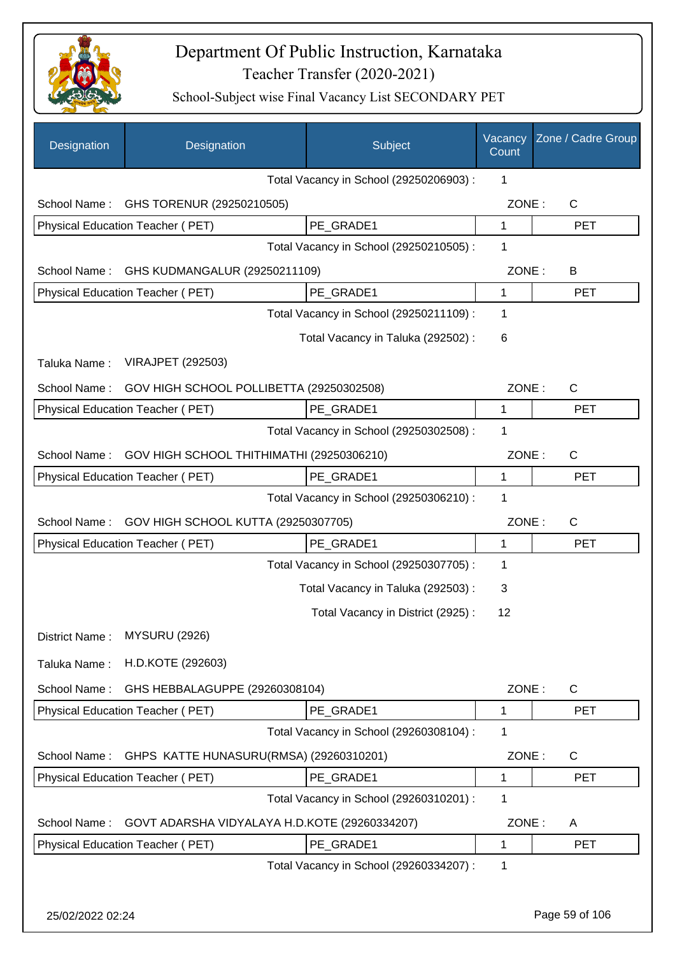

| Designation      | Designation                                   | Subject                                 | Vacancy<br>Count | Zone / Cadre Group |
|------------------|-----------------------------------------------|-----------------------------------------|------------------|--------------------|
|                  |                                               | Total Vacancy in School (29250206903) : | 1                |                    |
| School Name:     | GHS TORENUR (29250210505)                     |                                         | ZONE:            | $\mathsf{C}$       |
|                  | Physical Education Teacher (PET)              | PE_GRADE1                               | $\mathbf{1}$     | <b>PET</b>         |
|                  |                                               | Total Vacancy in School (29250210505) : | 1                |                    |
| School Name:     | GHS KUDMANGALUR (29250211109)                 |                                         | ZONE:            | В                  |
|                  | Physical Education Teacher (PET)              | PE GRADE1                               | $\mathbf{1}$     | <b>PET</b>         |
|                  |                                               | Total Vacancy in School (29250211109) : | 1                |                    |
|                  |                                               | Total Vacancy in Taluka (292502) :      | 6                |                    |
| Taluka Name:     | <b>VIRAJPET (292503)</b>                      |                                         |                  |                    |
| School Name:     | GOV HIGH SCHOOL POLLIBETTA (29250302508)      |                                         | ZONE:            | $\mathsf{C}$       |
|                  | Physical Education Teacher (PET)              | PE GRADE1                               | 1                | <b>PET</b>         |
|                  |                                               | Total Vacancy in School (29250302508) : | 1                |                    |
| School Name:     | GOV HIGH SCHOOL THITHIMATHI (29250306210)     |                                         | ZONE:            | C                  |
|                  | Physical Education Teacher (PET)              | PE GRADE1                               | 1                | <b>PET</b>         |
|                  |                                               | Total Vacancy in School (29250306210) : | 1                |                    |
| School Name:     | GOV HIGH SCHOOL KUTTA (29250307705)           |                                         | ZONE:            | $\mathsf{C}$       |
|                  | Physical Education Teacher (PET)              | PE GRADE1                               | 1                | <b>PET</b>         |
|                  |                                               | Total Vacancy in School (29250307705) : | 1                |                    |
|                  |                                               | Total Vacancy in Taluka (292503) :      | 3                |                    |
|                  |                                               | Total Vacancy in District (2925):       | 12               |                    |
| District Name:   | <b>MYSURU (2926)</b>                          |                                         |                  |                    |
| Taluka Name:     | H.D.KOTE (292603)                             |                                         |                  |                    |
| School Name:     | GHS HEBBALAGUPPE (29260308104)                |                                         | ZONE:            | $\mathsf{C}$       |
|                  | Physical Education Teacher (PET)              | PE GRADE1                               | 1                | <b>PET</b>         |
|                  |                                               | Total Vacancy in School (29260308104) : | 1                |                    |
| School Name:     | GHPS KATTE HUNASURU(RMSA) (29260310201)       |                                         | ZONE:            | C                  |
|                  | Physical Education Teacher (PET)              | PE_GRADE1                               | 1                | <b>PET</b>         |
|                  |                                               | Total Vacancy in School (29260310201) : | 1                |                    |
| School Name:     | GOVT ADARSHA VIDYALAYA H.D.KOTE (29260334207) |                                         | ZONE:            | A                  |
|                  | Physical Education Teacher (PET)              | PE_GRADE1                               | 1                | <b>PET</b>         |
|                  |                                               | Total Vacancy in School (29260334207) : | 1                |                    |
|                  |                                               |                                         |                  |                    |
| 25/02/2022 02:24 |                                               |                                         |                  | Page 59 of 106     |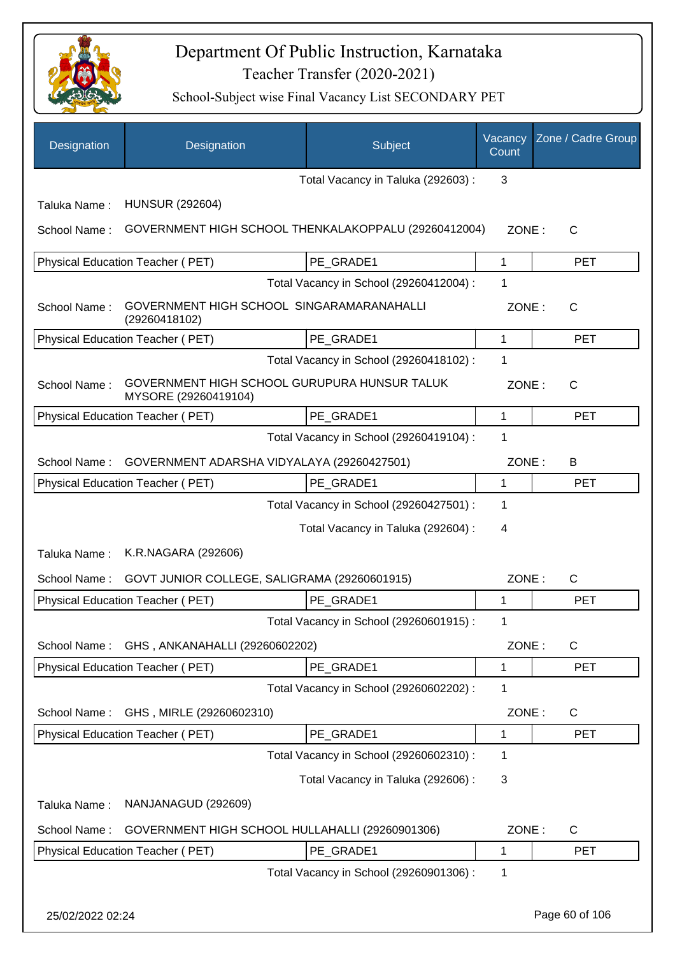

| Designation      | Designation                                                          | Subject                                 | Vacancy<br>Count | Zone / Cadre Group |
|------------------|----------------------------------------------------------------------|-----------------------------------------|------------------|--------------------|
|                  |                                                                      | Total Vacancy in Taluka (292603) :      | 3                |                    |
| Taluka Name:     | <b>HUNSUR (292604)</b>                                               |                                         |                  |                    |
| School Name:     | GOVERNMENT HIGH SCHOOL THENKALAKOPPALU (29260412004)                 |                                         | ZONE:            | $\mathsf{C}$       |
|                  | Physical Education Teacher (PET)                                     | PE_GRADE1                               | 1                | <b>PET</b>         |
|                  |                                                                      | Total Vacancy in School (29260412004) : | 1                |                    |
| School Name:     | GOVERNMENT HIGH SCHOOL SINGARAMARANAHALLI<br>(29260418102)           |                                         | ZONE:            | C                  |
|                  | Physical Education Teacher (PET)                                     | PE GRADE1                               | 1                | <b>PET</b>         |
|                  |                                                                      | Total Vacancy in School (29260418102) : | 1                |                    |
| School Name:     | GOVERNMENT HIGH SCHOOL GURUPURA HUNSUR TALUK<br>MYSORE (29260419104) |                                         | ZONE:            | $\mathsf{C}$       |
|                  | Physical Education Teacher (PET)                                     | PE GRADE1                               | 1                | <b>PET</b>         |
|                  |                                                                      | Total Vacancy in School (29260419104) : | 1                |                    |
| School Name:     | GOVERNMENT ADARSHA VIDYALAYA (29260427501)                           |                                         | ZONE:            | B                  |
|                  | Physical Education Teacher (PET)                                     | PE_GRADE1                               | 1                | <b>PET</b>         |
|                  |                                                                      | Total Vacancy in School (29260427501) : | 1                |                    |
|                  |                                                                      | Total Vacancy in Taluka (292604) :      | 4                |                    |
| Taluka Name:     | K.R.NAGARA (292606)                                                  |                                         |                  |                    |
| School Name:     | GOVT JUNIOR COLLEGE, SALIGRAMA (29260601915)                         |                                         | ZONE:            | C                  |
|                  | <b>Physical Education Teacher (PET)</b>                              | PE_GRADE1                               | 1                | <b>PET</b>         |
|                  |                                                                      | Total Vacancy in School (29260601915) : | 1                |                    |
| School Name:     | GHS, ANKANAHALLI (29260602202)                                       |                                         | ZONE:            | $\mathsf C$        |
|                  | Physical Education Teacher (PET)                                     | PE_GRADE1                               | 1                | <b>PET</b>         |
|                  |                                                                      | Total Vacancy in School (29260602202) : | 1                |                    |
| School Name:     | GHS, MIRLE (29260602310)                                             |                                         | ZONE:            | C                  |
|                  | Physical Education Teacher (PET)                                     | PE_GRADE1                               | 1                | <b>PET</b>         |
|                  |                                                                      | Total Vacancy in School (29260602310) : | 1                |                    |
|                  |                                                                      | Total Vacancy in Taluka (292606) :      | 3                |                    |
| Taluka Name:     | NANJANAGUD (292609)                                                  |                                         |                  |                    |
| School Name:     | GOVERNMENT HIGH SCHOOL HULLAHALLI (29260901306)                      |                                         | ZONE:            | C                  |
|                  | Physical Education Teacher (PET)                                     | PE_GRADE1                               | 1                | <b>PET</b>         |
|                  |                                                                      | Total Vacancy in School (29260901306) : | 1                |                    |
| 25/02/2022 02:24 |                                                                      |                                         |                  | Page 60 of 106     |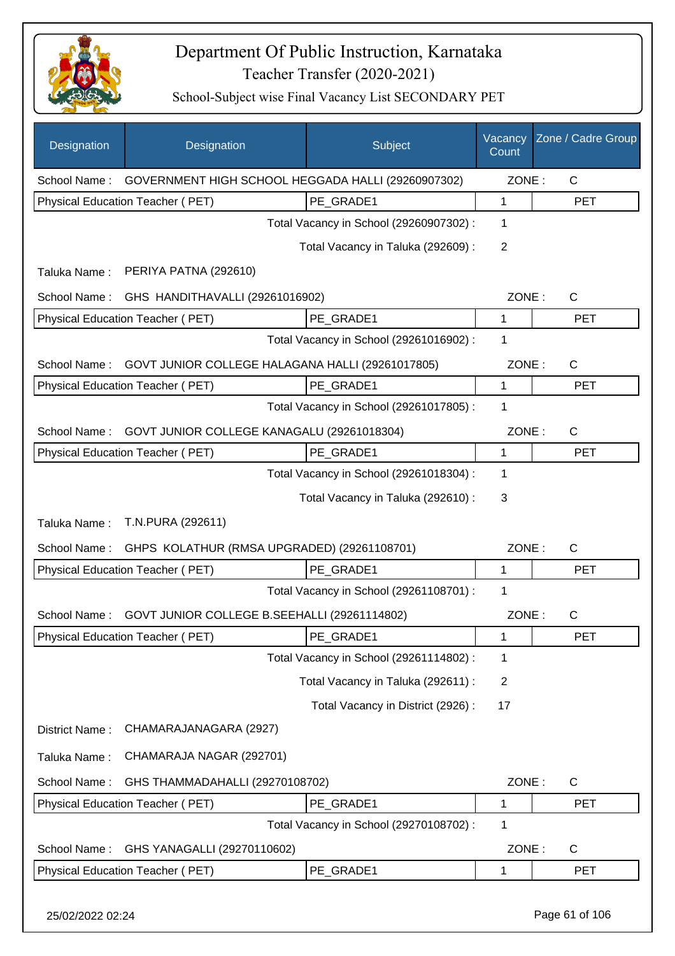

| Designation      | Designation                                        | Subject                                 | Vacancy<br>Count | Zone / Cadre Group |
|------------------|----------------------------------------------------|-----------------------------------------|------------------|--------------------|
| School Name:     | GOVERNMENT HIGH SCHOOL HEGGADA HALLI (29260907302) |                                         | ZONE:            | $\mathsf{C}$       |
|                  | Physical Education Teacher (PET)                   | PE_GRADE1                               | 1                | <b>PET</b>         |
|                  |                                                    | Total Vacancy in School (29260907302) : | $\mathbf 1$      |                    |
|                  |                                                    | Total Vacancy in Taluka (292609) :      | $\overline{2}$   |                    |
| Taluka Name:     | PERIYA PATNA (292610)                              |                                         |                  |                    |
| School Name:     | GHS HANDITHAVALLI (29261016902)                    |                                         | ZONE:            | C                  |
|                  | Physical Education Teacher (PET)                   | PE_GRADE1                               | 1                | <b>PET</b>         |
|                  |                                                    | Total Vacancy in School (29261016902) : | $\mathbf 1$      |                    |
| School Name:     | GOVT JUNIOR COLLEGE HALAGANA HALLI (29261017805)   |                                         | ZONE:            | $\mathsf{C}$       |
|                  | Physical Education Teacher (PET)                   | PE_GRADE1                               | $\mathbf 1$      | <b>PET</b>         |
|                  |                                                    | Total Vacancy in School (29261017805) : | 1                |                    |
| School Name:     | GOVT JUNIOR COLLEGE KANAGALU (29261018304)         |                                         | ZONE:            | $\mathsf{C}$       |
|                  | Physical Education Teacher (PET)                   | PE_GRADE1                               | 1                | <b>PET</b>         |
|                  |                                                    | Total Vacancy in School (29261018304) : | 1                |                    |
|                  |                                                    | Total Vacancy in Taluka (292610) :      | 3                |                    |
| Taluka Name:     | T.N.PURA (292611)                                  |                                         |                  |                    |
| School Name:     | GHPS KOLATHUR (RMSA UPGRADED) (29261108701)        |                                         | ZONE:            | $\mathsf{C}$       |
|                  | Physical Education Teacher (PET)                   | PE GRADE1                               | 1                | <b>PET</b>         |
|                  |                                                    | Total Vacancy in School (29261108701) : | 1                |                    |
| School Name:     | GOVT JUNIOR COLLEGE B.SEEHALLI (29261114802)       |                                         | ZONE:            | $\mathsf{C}$       |
|                  | Physical Education Teacher (PET)                   | PE_GRADE1                               | 1                | <b>PET</b>         |
|                  |                                                    | Total Vacancy in School (29261114802) : | 1                |                    |
|                  |                                                    | Total Vacancy in Taluka (292611) :      | $\overline{2}$   |                    |
|                  |                                                    | Total Vacancy in District (2926) :      | 17               |                    |
| District Name:   | CHAMARAJANAGARA (2927)                             |                                         |                  |                    |
| Taluka Name:     | CHAMARAJA NAGAR (292701)                           |                                         |                  |                    |
| School Name:     | GHS THAMMADAHALLI (29270108702)                    |                                         | ZONE:            | C                  |
|                  | Physical Education Teacher (PET)                   | PE_GRADE1                               | 1                | PET                |
|                  |                                                    | Total Vacancy in School (29270108702) : | 1                |                    |
| School Name:     | GHS YANAGALLI (29270110602)                        |                                         | ZONE:            | C                  |
|                  | Physical Education Teacher (PET)                   | PE_GRADE1                               | 1                | <b>PET</b>         |
| 25/02/2022 02:24 |                                                    |                                         |                  | Page 61 of 106     |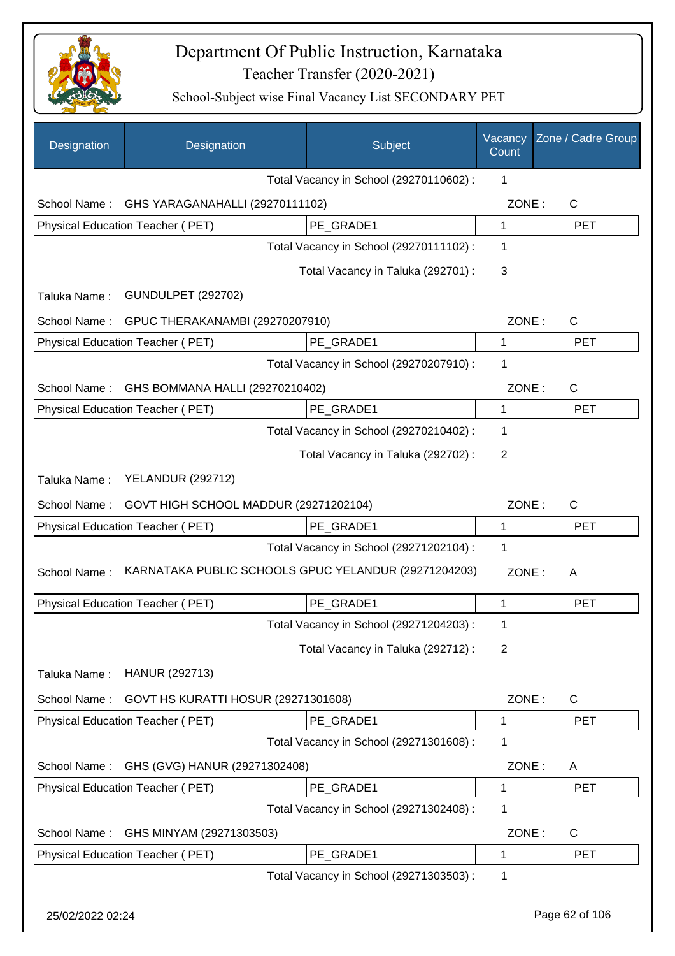

| Designation  | Designation                                          | Subject                                 | Vacancy<br>Count | Zone / Cadre Group |
|--------------|------------------------------------------------------|-----------------------------------------|------------------|--------------------|
|              |                                                      | Total Vacancy in School (29270110602) : | 1                |                    |
| School Name: | GHS YARAGANAHALLI (29270111102)                      |                                         | ZONE:            | $\mathsf{C}$       |
|              | Physical Education Teacher (PET)                     | PE GRADE1                               | 1                | <b>PET</b>         |
|              |                                                      | Total Vacancy in School (29270111102) : | 1                |                    |
|              |                                                      | Total Vacancy in Taluka (292701) :      | 3                |                    |
| Taluka Name: | <b>GUNDULPET (292702)</b>                            |                                         |                  |                    |
| School Name: | GPUC THERAKANAMBI (29270207910)                      |                                         | ZONE:            | $\mathsf{C}$       |
|              | <b>Physical Education Teacher (PET)</b>              | PE_GRADE1                               | $\mathbf{1}$     | <b>PET</b>         |
|              |                                                      | Total Vacancy in School (29270207910) : | 1                |                    |
| School Name: | GHS BOMMANA HALLI (29270210402)                      |                                         | ZONE:            | $\mathsf{C}$       |
|              | Physical Education Teacher (PET)                     | PE_GRADE1                               | 1                | <b>PET</b>         |
|              |                                                      | Total Vacancy in School (29270210402) : | 1                |                    |
|              |                                                      | Total Vacancy in Taluka (292702) :      | $\overline{2}$   |                    |
| Taluka Name: | <b>YELANDUR (292712)</b>                             |                                         |                  |                    |
| School Name: | GOVT HIGH SCHOOL MADDUR (29271202104)                |                                         | ZONE:            | $\mathsf{C}$       |
|              | Physical Education Teacher (PET)                     | PE_GRADE1                               | $\mathbf{1}$     | <b>PET</b>         |
|              |                                                      | Total Vacancy in School (29271202104) : | 1                |                    |
| School Name: | KARNATAKA PUBLIC SCHOOLS GPUC YELANDUR (29271204203) |                                         | ZONE:            | A                  |
|              | Physical Education Teacher (PET)                     | PE_GRADE1                               | 1                | <b>PET</b>         |
|              |                                                      | Total Vacancy in School (29271204203) : | 1                |                    |
|              |                                                      | Total Vacancy in Taluka (292712) :      | 2                |                    |
| Taluka Name: | HANUR (292713)                                       |                                         |                  |                    |
| School Name: | GOVT HS KURATTI HOSUR (29271301608)                  |                                         | ZONE:            | $\mathsf{C}$       |
|              | Physical Education Teacher (PET)                     | PE GRADE1                               | 1                | <b>PET</b>         |
|              |                                                      | Total Vacancy in School (29271301608) : | 1                |                    |
| School Name: | GHS (GVG) HANUR (29271302408)                        |                                         | ZONE:            | A                  |
|              | Physical Education Teacher (PET)                     | PE_GRADE1                               | 1                | <b>PET</b>         |
|              |                                                      | Total Vacancy in School (29271302408) : | 1                |                    |
| School Name: | GHS MINYAM (29271303503)                             |                                         | ZONE:            | $\mathsf{C}$       |
|              | Physical Education Teacher (PET)                     | PE_GRADE1                               | 1                | <b>PET</b>         |
|              |                                                      | Total Vacancy in School (29271303503) : | 1                |                    |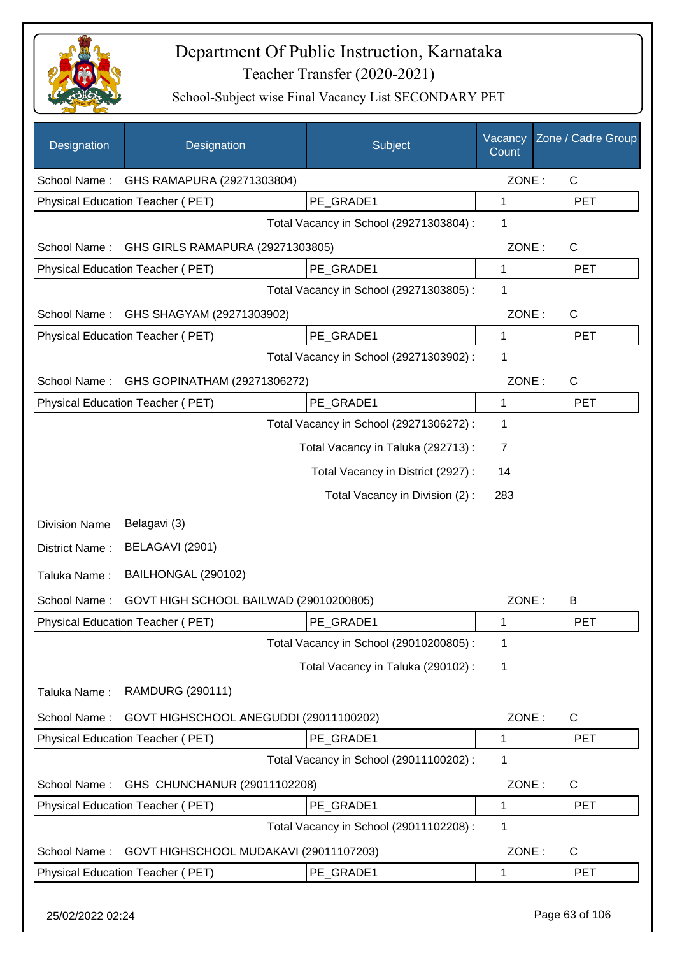

School-Subject wise Final Vacancy List SECONDARY PET

| Designation          | Designation                            | Subject                                 | Vacancy<br>Count | Zone / Cadre Group |
|----------------------|----------------------------------------|-----------------------------------------|------------------|--------------------|
| School Name:         | GHS RAMAPURA (29271303804)             |                                         | ZONE:            | $\mathsf{C}$       |
|                      | Physical Education Teacher (PET)       | PE GRADE1                               | 1                | <b>PET</b>         |
|                      |                                        | Total Vacancy in School (29271303804) : | 1                |                    |
| School Name:         | GHS GIRLS RAMAPURA (29271303805)       |                                         | ZONE:            | $\mathsf{C}$       |
|                      | Physical Education Teacher (PET)       | PE GRADE1                               | 1                | <b>PET</b>         |
|                      |                                        | Total Vacancy in School (29271303805) : | 1                |                    |
| School Name:         | GHS SHAGYAM (29271303902)              |                                         | ZONE:            | $\mathsf{C}$       |
|                      | Physical Education Teacher (PET)       | PE GRADE1                               | $\mathbf{1}$     | <b>PET</b>         |
|                      |                                        | Total Vacancy in School (29271303902) : | 1                |                    |
| School Name:         | GHS GOPINATHAM (29271306272)           |                                         | ZONE:            | $\mathsf{C}$       |
|                      | Physical Education Teacher (PET)       | PE GRADE1                               | 1                | <b>PET</b>         |
|                      |                                        | Total Vacancy in School (29271306272) : | 1                |                    |
|                      |                                        | Total Vacancy in Taluka (292713) :      | 7                |                    |
|                      |                                        | Total Vacancy in District (2927) :      | 14               |                    |
|                      |                                        | Total Vacancy in Division (2):          | 283              |                    |
| <b>Division Name</b> | Belagavi (3)                           |                                         |                  |                    |
| District Name:       | BELAGAVI (2901)                        |                                         |                  |                    |
|                      |                                        |                                         |                  |                    |
| Taluka Name:         | BAILHONGAL (290102)                    |                                         |                  |                    |
| School Name:         | GOVT HIGH SCHOOL BAILWAD (29010200805) |                                         | ZONE:            | B                  |
|                      | Physical Education Teacher (PET)       | PE_GRADE1                               |                  | PET                |
|                      |                                        | Total Vacancy in School (29010200805) : | 1                |                    |
|                      |                                        | Total Vacancy in Taluka (290102):       | 1                |                    |
| Taluka Name:         | RAMDURG (290111)                       |                                         |                  |                    |
| School Name:         | GOVT HIGHSCHOOL ANEGUDDI (29011100202) |                                         | ZONE:            | $\mathsf{C}$       |
|                      | Physical Education Teacher (PET)       | PE_GRADE1                               | 1                | <b>PET</b>         |
|                      |                                        | Total Vacancy in School (29011100202) : | 1                |                    |
| School Name:         | GHS CHUNCHANUR (29011102208)           |                                         | ZONE:            | $\mathsf{C}$       |
|                      | Physical Education Teacher (PET)       | PE GRADE1                               | 1                | <b>PET</b>         |
|                      |                                        | Total Vacancy in School (29011102208) : | 1                |                    |
| School Name:         | GOVT HIGHSCHOOL MUDAKAVI (29011107203) |                                         | ZONE:            | C                  |
|                      | Physical Education Teacher (PET)       | PE_GRADE1                               | 1                | <b>PET</b>         |
|                      |                                        |                                         |                  |                    |

25/02/2022 02:24 Page 63 of 106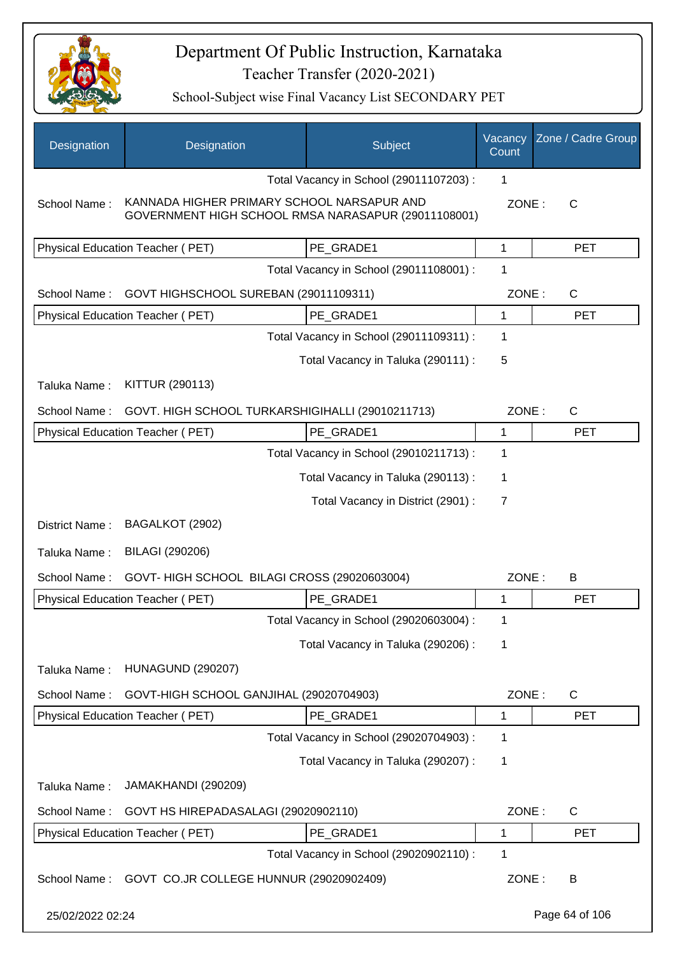

| Designation      | Designation                                                                                       | Subject                                 | Vacancy<br>Count | Zone / Cadre Group |
|------------------|---------------------------------------------------------------------------------------------------|-----------------------------------------|------------------|--------------------|
|                  |                                                                                                   | Total Vacancy in School (29011107203) : | 1                |                    |
| School Name:     | KANNADA HIGHER PRIMARY SCHOOL NARSAPUR AND<br>GOVERNMENT HIGH SCHOOL RMSA NARASAPUR (29011108001) |                                         | ZONE:            | $\mathsf{C}$       |
|                  | Physical Education Teacher (PET)                                                                  | PE_GRADE1                               | 1                | <b>PET</b>         |
|                  |                                                                                                   | Total Vacancy in School (29011108001) : | 1                |                    |
| School Name:     | GOVT HIGHSCHOOL SUREBAN (29011109311)                                                             |                                         | ZONE:            | $\mathsf{C}$       |
|                  | Physical Education Teacher (PET)                                                                  | PE_GRADE1                               | 1                | <b>PET</b>         |
|                  |                                                                                                   | Total Vacancy in School (29011109311) : | 1                |                    |
|                  |                                                                                                   | Total Vacancy in Taluka (290111) :      | 5                |                    |
| Taluka Name:     | KITTUR (290113)                                                                                   |                                         |                  |                    |
| School Name:     | GOVT. HIGH SCHOOL TURKARSHIGIHALLI (29010211713)                                                  |                                         | ZONE:            | $\mathsf{C}$       |
|                  | Physical Education Teacher (PET)                                                                  | PE_GRADE1                               | 1                | <b>PET</b>         |
|                  |                                                                                                   | Total Vacancy in School (29010211713) : | 1                |                    |
|                  |                                                                                                   | Total Vacancy in Taluka (290113):       | 1                |                    |
|                  |                                                                                                   | Total Vacancy in District (2901) :      | 7                |                    |
| District Name:   | BAGALKOT (2902)                                                                                   |                                         |                  |                    |
| Taluka Name:     | <b>BILAGI (290206)</b>                                                                            |                                         |                  |                    |
| School Name:     | GOVT- HIGH SCHOOL BILAGI CROSS (29020603004)                                                      |                                         | ZONE:            | B                  |
|                  | Physical Education Teacher (PET)                                                                  | PE_GRADE1                               | 1                | <b>PET</b>         |
|                  |                                                                                                   | Total Vacancy in School (29020603004) : | 1                |                    |
|                  |                                                                                                   | Total Vacancy in Taluka (290206) :      | 1                |                    |
| Taluka Name:     | <b>HUNAGUND (290207)</b>                                                                          |                                         |                  |                    |
| School Name:     | GOVT-HIGH SCHOOL GANJIHAL (29020704903)                                                           |                                         | ZONE:            | $\mathsf{C}$       |
|                  | Physical Education Teacher (PET)                                                                  | PE_GRADE1                               | 1                | <b>PET</b>         |
|                  |                                                                                                   | Total Vacancy in School (29020704903) : | 1                |                    |
|                  |                                                                                                   | Total Vacancy in Taluka (290207) :      | 1                |                    |
| Taluka Name:     | JAMAKHANDI (290209)                                                                               |                                         |                  |                    |
| School Name:     | GOVT HS HIREPADASALAGI (29020902110)                                                              |                                         | ZONE:            | $\mathsf{C}$       |
|                  | Physical Education Teacher (PET)                                                                  | PE_GRADE1                               | 1                | <b>PET</b>         |
|                  |                                                                                                   | Total Vacancy in School (29020902110) : | 1                |                    |
| School Name:     | GOVT CO.JR COLLEGE HUNNUR (29020902409)                                                           |                                         | ZONE:            | B                  |
| 25/02/2022 02:24 |                                                                                                   |                                         |                  | Page 64 of 106     |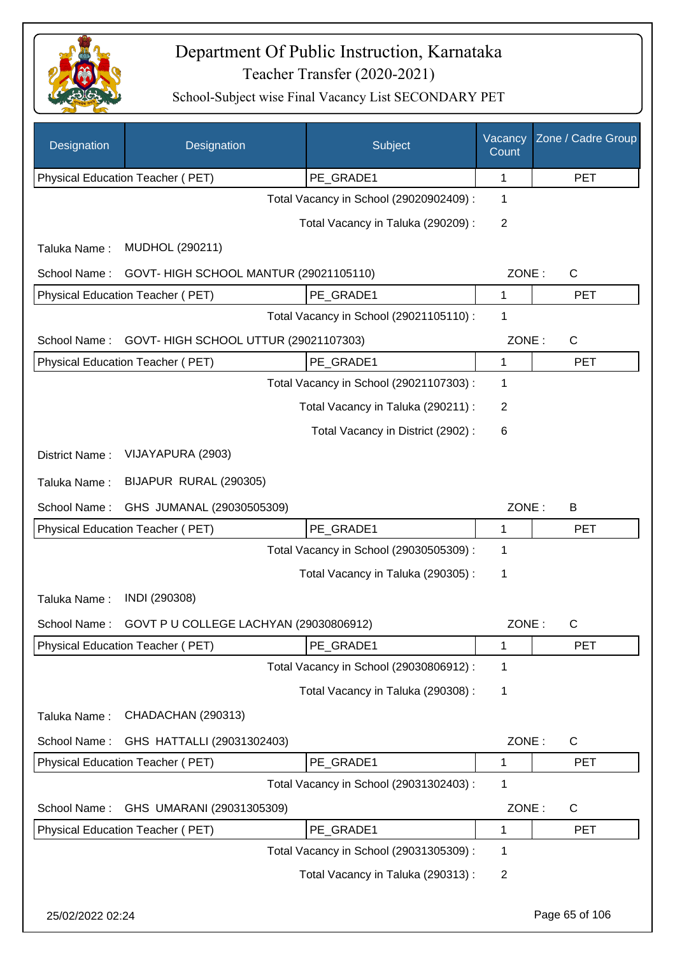

| Designation      | Designation                            | Subject                                 | Vacancy<br>Count | Zone / Cadre Group |
|------------------|----------------------------------------|-----------------------------------------|------------------|--------------------|
|                  | Physical Education Teacher (PET)       | PE_GRADE1                               | 1                | <b>PET</b>         |
|                  |                                        | Total Vacancy in School (29020902409) : | 1                |                    |
|                  |                                        | Total Vacancy in Taluka (290209):       | $\overline{2}$   |                    |
| Taluka Name:     | MUDHOL (290211)                        |                                         |                  |                    |
| School Name:     | GOVT- HIGH SCHOOL MANTUR (29021105110) |                                         | ZONE:            | $\mathsf C$        |
|                  | Physical Education Teacher (PET)       | PE_GRADE1                               | 1                | <b>PET</b>         |
|                  |                                        | Total Vacancy in School (29021105110) : | 1                |                    |
| School Name:     | GOVT- HIGH SCHOOL UTTUR (29021107303)  |                                         | ZONE:            | $\mathsf C$        |
|                  | Physical Education Teacher (PET)       | PE_GRADE1                               | $\mathbf{1}$     | <b>PET</b>         |
|                  |                                        | Total Vacancy in School (29021107303) : | 1                |                    |
|                  |                                        | Total Vacancy in Taluka (290211) :      | $\overline{2}$   |                    |
|                  |                                        | Total Vacancy in District (2902):       | 6                |                    |
| District Name:   | VIJAYAPURA (2903)                      |                                         |                  |                    |
| Taluka Name:     | BIJAPUR RURAL (290305)                 |                                         |                  |                    |
| School Name:     | GHS JUMANAL (29030505309)              |                                         | ZONE:            | B                  |
|                  | Physical Education Teacher (PET)       | PE_GRADE1                               | 1                | <b>PET</b>         |
|                  |                                        | Total Vacancy in School (29030505309) : | 1                |                    |
|                  |                                        | Total Vacancy in Taluka (290305):       | 1                |                    |
| Taluka Name:     | INDI (290308)                          |                                         |                  |                    |
| School Name : .  | GOVT P U COLLEGE LACHYAN (29030806912) |                                         | ZONE:            | C                  |
|                  | Physical Education Teacher (PET)       | PE_GRADE1                               | 1                | <b>PET</b>         |
|                  |                                        | Total Vacancy in School (29030806912) : | 1                |                    |
|                  |                                        | Total Vacancy in Taluka (290308) :      | 1                |                    |
| Taluka Name:     | CHADACHAN (290313)                     |                                         |                  |                    |
| School Name:     | GHS HATTALLI (29031302403)             |                                         | ZONE:            | $\mathsf C$        |
|                  | Physical Education Teacher (PET)       | PE_GRADE1                               | 1                | PET                |
|                  |                                        | Total Vacancy in School (29031302403) : | 1                |                    |
| School Name:     | GHS UMARANI (29031305309)              |                                         | ZONE:            | C                  |
|                  | Physical Education Teacher (PET)       | PE_GRADE1                               | 1                | <b>PET</b>         |
|                  |                                        | Total Vacancy in School (29031305309) : | 1                |                    |
|                  |                                        | Total Vacancy in Taluka (290313):       | $\overline{2}$   |                    |
| 25/02/2022 02:24 |                                        |                                         |                  | Page 65 of 106     |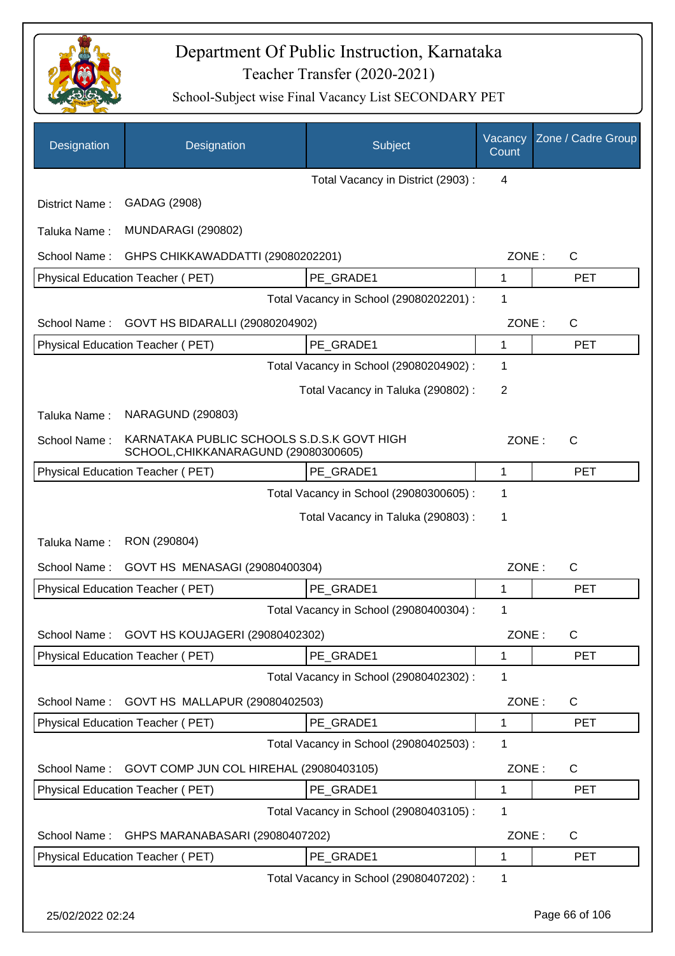

| Designation      | Designation                                                                        | Subject                                 | Vacancy<br>Count | Zone / Cadre Group |
|------------------|------------------------------------------------------------------------------------|-----------------------------------------|------------------|--------------------|
|                  |                                                                                    | Total Vacancy in District (2903):       | $\overline{4}$   |                    |
| District Name:   | GADAG (2908)                                                                       |                                         |                  |                    |
| Taluka Name:     | <b>MUNDARAGI (290802)</b>                                                          |                                         |                  |                    |
| School Name:     | GHPS CHIKKAWADDATTI (29080202201)                                                  |                                         | ZONE:            | C                  |
|                  | Physical Education Teacher (PET)                                                   | PE GRADE1                               | 1                | <b>PET</b>         |
|                  |                                                                                    | Total Vacancy in School (29080202201) : | 1                |                    |
| School Name:     | GOVT HS BIDARALLI (29080204902)                                                    |                                         | ZONE:            | $\mathsf{C}$       |
|                  | Physical Education Teacher (PET)                                                   | PE GRADE1                               | $\mathbf{1}$     | <b>PET</b>         |
|                  |                                                                                    | Total Vacancy in School (29080204902) : | 1                |                    |
|                  |                                                                                    | Total Vacancy in Taluka (290802):       | $\overline{2}$   |                    |
| Taluka Name:     | <b>NARAGUND (290803)</b>                                                           |                                         |                  |                    |
| School Name:     | KARNATAKA PUBLIC SCHOOLS S.D.S.K GOVT HIGH<br>SCHOOL, CHIKKANARAGUND (29080300605) |                                         | ZONE:            | C                  |
|                  | Physical Education Teacher (PET)                                                   | PE_GRADE1                               | 1                | <b>PET</b>         |
|                  |                                                                                    | Total Vacancy in School (29080300605) : | 1                |                    |
|                  |                                                                                    | Total Vacancy in Taluka (290803) :      | 1                |                    |
| Taluka Name:     | RON (290804)                                                                       |                                         |                  |                    |
| School Name:     | GOVT HS MENASAGI (29080400304)                                                     |                                         | ZONE:            | C                  |
|                  | Physical Education Teacher (PET)                                                   | PE GRADE1                               | 1                | <b>PET</b>         |
|                  |                                                                                    | Total Vacancy in School (29080400304) : | 1                |                    |
| School Name:     | GOVT HS KOUJAGERI (29080402302)                                                    |                                         | ZONE:            | $\mathsf C$        |
|                  | Physical Education Teacher (PET)                                                   | PE GRADE1                               | 1                | <b>PET</b>         |
|                  |                                                                                    | Total Vacancy in School (29080402302) : | 1                |                    |
| School Name:     | GOVT HS MALLAPUR (29080402503)                                                     |                                         | ZONE:            | C                  |
|                  | Physical Education Teacher (PET)                                                   | PE_GRADE1                               | 1                | <b>PET</b>         |
|                  |                                                                                    | Total Vacancy in School (29080402503) : | 1                |                    |
| School Name:     | GOVT COMP JUN COL HIREHAL (29080403105)                                            |                                         | ZONE:            | C                  |
|                  | Physical Education Teacher (PET)                                                   | PE_GRADE1                               | 1                | <b>PET</b>         |
|                  |                                                                                    | Total Vacancy in School (29080403105) : | 1                |                    |
| School Name:     | GHPS MARANABASARI (29080407202)                                                    |                                         | ZONE:            | $\mathsf C$        |
|                  | Physical Education Teacher (PET)                                                   | PE_GRADE1                               | 1                | <b>PET</b>         |
|                  |                                                                                    | Total Vacancy in School (29080407202) : | 1                |                    |
| 25/02/2022 02:24 |                                                                                    |                                         |                  | Page 66 of 106     |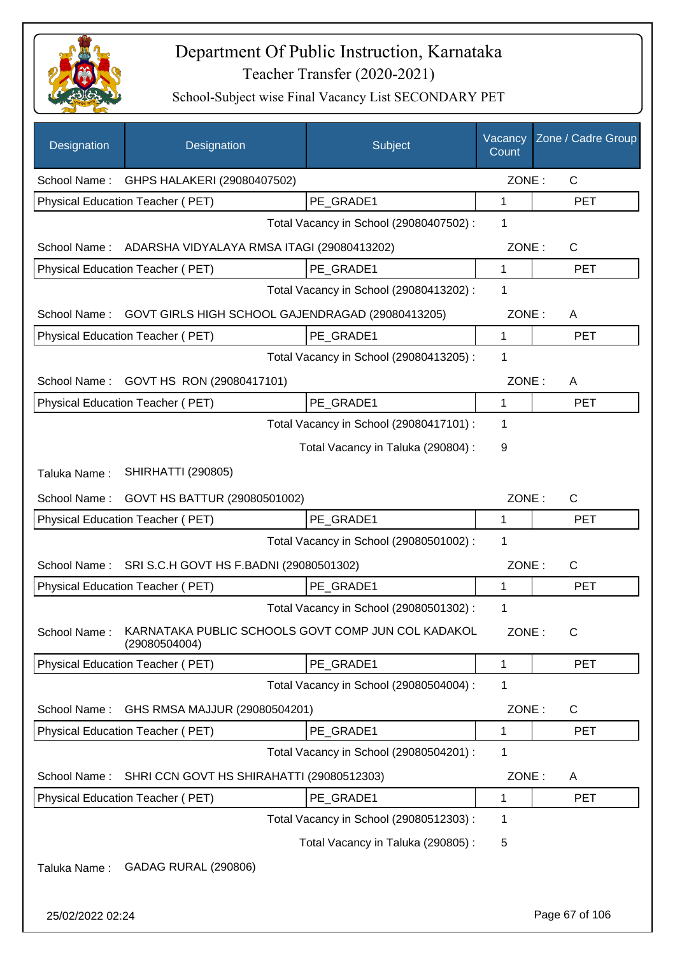

| Designation      | Designation                                                         | Subject                                 | Vacancy<br>Count | Zone / Cadre Group |
|------------------|---------------------------------------------------------------------|-----------------------------------------|------------------|--------------------|
| School Name:     | GHPS HALAKERI (29080407502)                                         |                                         | ZONE:            | $\mathsf{C}$       |
|                  | Physical Education Teacher (PET)                                    | PE GRADE1                               | 1                | <b>PET</b>         |
|                  |                                                                     | Total Vacancy in School (29080407502) : | 1                |                    |
|                  | School Name: ADARSHA VIDYALAYA RMSA ITAGI (29080413202)             |                                         | ZONE:            | $\mathsf{C}$       |
|                  | Physical Education Teacher (PET)                                    | PE_GRADE1                               | 1                | <b>PET</b>         |
|                  |                                                                     | Total Vacancy in School (29080413202) : | 1                |                    |
| School Name:     | GOVT GIRLS HIGH SCHOOL GAJENDRAGAD (29080413205)                    |                                         | ZONE:            | A                  |
|                  | Physical Education Teacher (PET)                                    | PE GRADE1                               | $\mathbf{1}$     | <b>PET</b>         |
|                  |                                                                     | Total Vacancy in School (29080413205) : | 1                |                    |
|                  | School Name: GOVT HS RON (29080417101)                              |                                         | ZONE:            | A                  |
|                  | Physical Education Teacher (PET)                                    | PE GRADE1                               | 1                | <b>PET</b>         |
|                  |                                                                     | Total Vacancy in School (29080417101) : | 1                |                    |
|                  |                                                                     | Total Vacancy in Taluka (290804) :      | 9                |                    |
| Taluka Name:     | <b>SHIRHATTI (290805)</b>                                           |                                         |                  |                    |
| School Name:     | GOVT HS BATTUR (29080501002)                                        |                                         | ZONE:            | $\mathsf{C}$       |
|                  | Physical Education Teacher (PET)                                    | PE_GRADE1                               | 1                | <b>PET</b>         |
|                  |                                                                     | Total Vacancy in School (29080501002) : | 1                |                    |
| School Name:     | SRI S.C.H GOVT HS F.BADNI (29080501302)                             |                                         | ZONE:            | $\mathsf{C}$       |
|                  | Physical Education Teacher (PET)                                    | PE GRADE1                               | 1                | <b>PET</b>         |
|                  |                                                                     | Total Vacancy in School (29080501302) : | 1                |                    |
| School Name:     | KARNATAKA PUBLIC SCHOOLS GOVT COMP JUN COL KADAKOL<br>(29080504004) |                                         | ZONE:            | C                  |
|                  | Physical Education Teacher (PET)                                    | PE GRADE1                               | 1                | <b>PET</b>         |
|                  |                                                                     | Total Vacancy in School (29080504004) : | 1                |                    |
| School Name:     | GHS RMSA MAJJUR (29080504201)                                       |                                         | ZONE:            | $\mathsf{C}$       |
|                  | Physical Education Teacher (PET)                                    | PE_GRADE1                               | 1                | <b>PET</b>         |
|                  |                                                                     | Total Vacancy in School (29080504201) : | 1                |                    |
| School Name:     | SHRI CCN GOVT HS SHIRAHATTI (29080512303)                           |                                         | ZONE:            | A                  |
|                  | Physical Education Teacher (PET)                                    | PE GRADE1                               | 1                | <b>PET</b>         |
|                  |                                                                     | Total Vacancy in School (29080512303) : | 1                |                    |
|                  |                                                                     | Total Vacancy in Taluka (290805):       | 5                |                    |
| Taluka Name:     | GADAG RURAL (290806)                                                |                                         |                  |                    |
| 25/02/2022 02:24 |                                                                     |                                         |                  | Page 67 of 106     |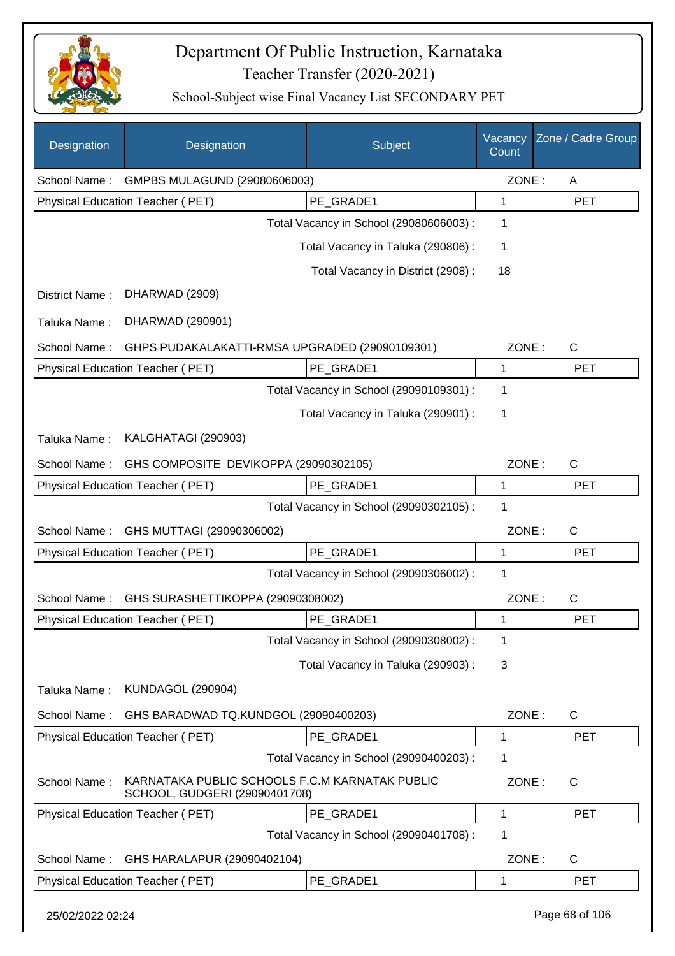

| Designation      | Designation                                                                     | Subject                                 | Vacancy<br>Count | Zone / Cadre Group |
|------------------|---------------------------------------------------------------------------------|-----------------------------------------|------------------|--------------------|
| School Name:     | GMPBS MULAGUND (29080606003)                                                    |                                         | ZONE:            | A                  |
|                  | Physical Education Teacher (PET)                                                | PE_GRADE1                               | 1                | <b>PET</b>         |
|                  |                                                                                 | Total Vacancy in School (29080606003) : | 1                |                    |
|                  |                                                                                 | Total Vacancy in Taluka (290806) :      | 1                |                    |
|                  |                                                                                 | Total Vacancy in District (2908):       | 18               |                    |
| District Name:   | DHARWAD (2909)                                                                  |                                         |                  |                    |
| Taluka Name:     | DHARWAD (290901)                                                                |                                         |                  |                    |
| School Name:     | GHPS PUDAKALAKATTI-RMSA UPGRADED (29090109301)                                  |                                         | ZONE:            | $\mathsf{C}$       |
|                  | Physical Education Teacher (PET)                                                | PE_GRADE1                               | 1                | <b>PET</b>         |
|                  |                                                                                 | Total Vacancy in School (29090109301) : | 1                |                    |
|                  |                                                                                 | Total Vacancy in Taluka (290901) :      | 1                |                    |
| Taluka Name:     | KALGHATAGI (290903)                                                             |                                         |                  |                    |
| School Name:     | GHS COMPOSITE DEVIKOPPA (29090302105)                                           |                                         | ZONE:            | $\mathsf{C}$       |
|                  | Physical Education Teacher (PET)                                                | PE_GRADE1                               | 1                | <b>PET</b>         |
|                  |                                                                                 | Total Vacancy in School (29090302105) : | 1                |                    |
| School Name:     | GHS MUTTAGI (29090306002)                                                       |                                         | ZONE:            | C                  |
|                  | Physical Education Teacher (PET)                                                | PE_GRADE1                               | 1                | <b>PET</b>         |
|                  |                                                                                 | Total Vacancy in School (29090306002) : | 1                |                    |
| School Name:     | GHS SURASHETTIKOPPA (29090308002)                                               |                                         | ZONE:            | $\mathsf{C}$       |
|                  | Physical Education Teacher (PET)                                                | PE GRADE1                               | 1                | <b>PET</b>         |
|                  |                                                                                 | Total Vacancy in School (29090308002) : | 1                |                    |
|                  |                                                                                 | Total Vacancy in Taluka (290903):       | 3                |                    |
| Taluka Name:     | <b>KUNDAGOL (290904)</b>                                                        |                                         |                  |                    |
| School Name:     | GHS BARADWAD TQ.KUNDGOL (29090400203)                                           |                                         | ZONE:            | C                  |
|                  | Physical Education Teacher (PET)                                                | PE GRADE1                               | 1                | <b>PET</b>         |
|                  |                                                                                 | Total Vacancy in School (29090400203) : | 1                |                    |
| School Name:     | KARNATAKA PUBLIC SCHOOLS F.C.M KARNATAK PUBLIC<br>SCHOOL, GUDGERI (29090401708) |                                         | ZONE:            | $\mathsf{C}$       |
|                  | Physical Education Teacher (PET)                                                | PE_GRADE1                               | 1                | <b>PET</b>         |
|                  |                                                                                 | Total Vacancy in School (29090401708) : | 1                |                    |
| School Name:     | GHS HARALAPUR (29090402104)                                                     |                                         | ZONE:            | $\mathsf{C}$       |
|                  | Physical Education Teacher (PET)                                                | PE_GRADE1                               | 1                | <b>PET</b>         |
| 25/02/2022 02:24 |                                                                                 |                                         |                  | Page 68 of 106     |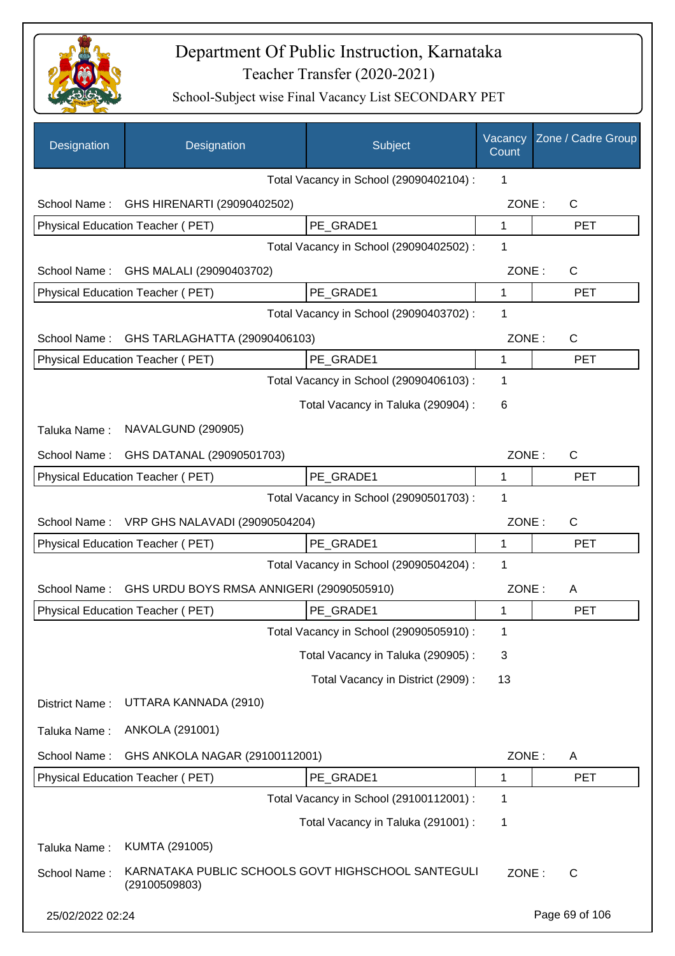

| Designation      | Designation                                                         | Subject                                 | Vacancy<br>Count | Zone / Cadre Group |
|------------------|---------------------------------------------------------------------|-----------------------------------------|------------------|--------------------|
|                  |                                                                     | Total Vacancy in School (29090402104) : | 1                |                    |
| School Name:     | GHS HIRENARTI (29090402502)                                         |                                         | ZONE:            | C                  |
|                  | Physical Education Teacher (PET)                                    | PE_GRADE1                               | 1                | <b>PET</b>         |
|                  |                                                                     | Total Vacancy in School (29090402502) : | 1                |                    |
| School Name:     | GHS MALALI (29090403702)                                            |                                         | ZONE:            | C                  |
|                  | Physical Education Teacher (PET)                                    | PE_GRADE1                               | 1                | <b>PET</b>         |
|                  |                                                                     | Total Vacancy in School (29090403702) : | 1                |                    |
| School Name:     | GHS TARLAGHATTA (29090406103)                                       |                                         | ZONE:            | C                  |
|                  | Physical Education Teacher (PET)                                    | PE_GRADE1                               | 1                | <b>PET</b>         |
|                  |                                                                     | Total Vacancy in School (29090406103) : | 1                |                    |
|                  |                                                                     | Total Vacancy in Taluka (290904) :      | 6                |                    |
| Taluka Name:     | NAVALGUND (290905)                                                  |                                         |                  |                    |
| School Name:     | GHS DATANAL (29090501703)                                           |                                         | ZONE:            | C                  |
|                  | Physical Education Teacher (PET)                                    | PE_GRADE1                               | 1                | <b>PET</b>         |
|                  |                                                                     | Total Vacancy in School (29090501703) : | 1                |                    |
| School Name:     | VRP GHS NALAVADI (29090504204)                                      |                                         | ZONE:            | C                  |
|                  | Physical Education Teacher (PET)                                    | PE_GRADE1                               | 1                | <b>PET</b>         |
|                  |                                                                     | Total Vacancy in School (29090504204) : | 1                |                    |
| School Name:     | GHS URDU BOYS RMSA ANNIGERI (29090505910)                           |                                         | ZONE:            | A                  |
|                  | Physical Education Teacher (PET)                                    | PE GRADE1                               | 1                | <b>PET</b>         |
|                  |                                                                     | Total Vacancy in School (29090505910) : | 1                |                    |
|                  |                                                                     | Total Vacancy in Taluka (290905):       | 3                |                    |
|                  |                                                                     | Total Vacancy in District (2909) :      | 13               |                    |
| District Name:   | UTTARA KANNADA (2910)                                               |                                         |                  |                    |
| Taluka Name:     | ANKOLA (291001)                                                     |                                         |                  |                    |
| School Name:     | GHS ANKOLA NAGAR (29100112001)                                      |                                         | ZONE:            | A                  |
|                  | Physical Education Teacher (PET)                                    | PE_GRADE1                               | 1                | <b>PET</b>         |
|                  |                                                                     | Total Vacancy in School (29100112001) : | 1                |                    |
|                  |                                                                     | Total Vacancy in Taluka (291001) :      | 1                |                    |
| Taluka Name:     | KUMTA (291005)                                                      |                                         |                  |                    |
| School Name:     | KARNATAKA PUBLIC SCHOOLS GOVT HIGHSCHOOL SANTEGULI<br>(29100509803) |                                         | ZONE:            | $\mathsf{C}$       |
| 25/02/2022 02:24 |                                                                     |                                         |                  | Page 69 of 106     |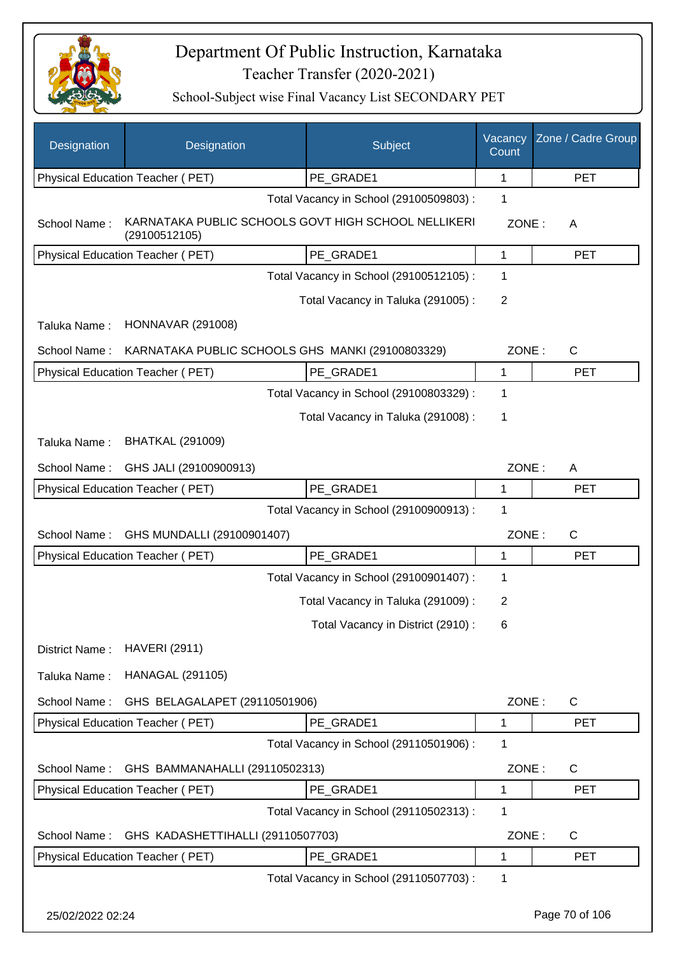

| Designation      | Designation                                                          | Subject                                 | Vacancy<br>Count | Zone / Cadre Group |
|------------------|----------------------------------------------------------------------|-----------------------------------------|------------------|--------------------|
|                  | Physical Education Teacher (PET)                                     | PE_GRADE1                               | 1                | <b>PET</b>         |
|                  |                                                                      | Total Vacancy in School (29100509803) : | 1                |                    |
| School Name:     | KARNATAKA PUBLIC SCHOOLS GOVT HIGH SCHOOL NELLIKERI<br>(29100512105) |                                         | ZONE:            | A                  |
|                  | Physical Education Teacher (PET)                                     | PE_GRADE1                               | 1                | <b>PET</b>         |
|                  |                                                                      | Total Vacancy in School (29100512105) : | 1                |                    |
|                  |                                                                      | Total Vacancy in Taluka (291005):       | $\overline{2}$   |                    |
| Taluka Name:     | <b>HONNAVAR (291008)</b>                                             |                                         |                  |                    |
| School Name:     | KARNATAKA PUBLIC SCHOOLS GHS MANKI (29100803329)                     |                                         | ZONE:            | $\mathsf{C}$       |
|                  | <b>Physical Education Teacher (PET)</b>                              | PE_GRADE1                               | $\mathbf 1$      | <b>PET</b>         |
|                  |                                                                      | Total Vacancy in School (29100803329) : | 1                |                    |
|                  |                                                                      | Total Vacancy in Taluka (291008) :      | 1                |                    |
| Taluka Name:     | <b>BHATKAL (291009)</b>                                              |                                         |                  |                    |
| School Name:     | GHS JALI (29100900913)                                               |                                         | ZONE:            | A                  |
|                  | Physical Education Teacher (PET)                                     | PE_GRADE1                               | 1                | <b>PET</b>         |
|                  |                                                                      | Total Vacancy in School (29100900913) : | 1                |                    |
| School Name:     | GHS MUNDALLI (29100901407)                                           |                                         | ZONE:            | C                  |
|                  | Physical Education Teacher (PET)                                     | PE_GRADE1                               | 1                | <b>PET</b>         |
|                  |                                                                      | Total Vacancy in School (29100901407) : | 1                |                    |
|                  |                                                                      | Total Vacancy in Taluka (291009):       | 2                |                    |
|                  |                                                                      | Total Vacancy in District (2910):       | 6                |                    |
| District Name:   | <b>HAVERI (2911)</b>                                                 |                                         |                  |                    |
| Taluka Name:     | <b>HANAGAL (291105)</b>                                              |                                         |                  |                    |
| School Name:     | GHS BELAGALAPET (29110501906)                                        |                                         | ZONE:            | $\mathsf{C}$       |
|                  | Physical Education Teacher (PET)                                     | PE GRADE1                               | 1                | <b>PET</b>         |
|                  |                                                                      | Total Vacancy in School (29110501906) : | 1                |                    |
| School Name:     | GHS BAMMANAHALLI (29110502313)                                       |                                         | ZONE:            | C                  |
|                  | Physical Education Teacher (PET)                                     | PE GRADE1                               | 1                | <b>PET</b>         |
|                  |                                                                      | Total Vacancy in School (29110502313) : | 1                |                    |
| School Name:     | GHS KADASHETTIHALLI (29110507703)                                    |                                         | ZONE:            | C                  |
|                  | Physical Education Teacher (PET)                                     | PE_GRADE1                               | 1                | <b>PET</b>         |
|                  |                                                                      | Total Vacancy in School (29110507703) : | 1                |                    |
| 25/02/2022 02:24 |                                                                      |                                         |                  | Page 70 of 106     |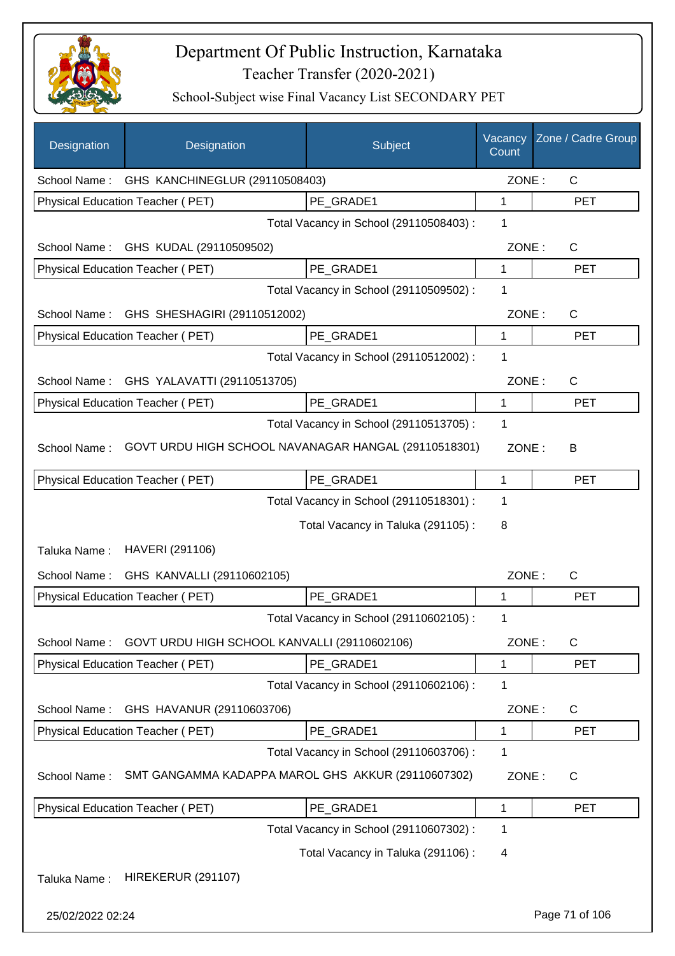

| Designation      | Designation                                          | Subject                                 | Vacancy<br>Count | Zone / Cadre Group |
|------------------|------------------------------------------------------|-----------------------------------------|------------------|--------------------|
|                  | School Name: GHS KANCHINEGLUR (29110508403)          |                                         | ZONE:            | $\mathsf{C}$       |
|                  | Physical Education Teacher (PET)                     | PE_GRADE1                               | 1                | <b>PET</b>         |
|                  |                                                      | Total Vacancy in School (29110508403) : | 1                |                    |
|                  | School Name: GHS KUDAL (29110509502)                 |                                         | ZONE:            | $\mathsf{C}$       |
|                  | <b>Physical Education Teacher (PET)</b>              | PE GRADE1                               | 1                | <b>PET</b>         |
|                  |                                                      | Total Vacancy in School (29110509502) : | 1                |                    |
| School Name:     | GHS SHESHAGIRI (29110512002)                         |                                         | ZONE:            | $\mathsf{C}$       |
|                  | Physical Education Teacher (PET)                     | PE GRADE1                               | $\mathbf{1}$     | <b>PET</b>         |
|                  |                                                      | Total Vacancy in School (29110512002) : | 1                |                    |
| School Name:     | GHS YALAVATTI (29110513705)                          |                                         | ZONE:            | C                  |
|                  | Physical Education Teacher (PET)                     | PE GRADE1                               | 1                | <b>PET</b>         |
|                  |                                                      | Total Vacancy in School (29110513705) : | 1                |                    |
| School Name:     | GOVT URDU HIGH SCHOOL NAVANAGAR HANGAL (29110518301) |                                         | ZONE:            | В                  |
|                  | Physical Education Teacher (PET)                     | PE_GRADE1                               | 1                | <b>PET</b>         |
|                  |                                                      | Total Vacancy in School (29110518301) : | 1                |                    |
|                  |                                                      | Total Vacancy in Taluka (291105):       | 8                |                    |
| Taluka Name:     | HAVERI (291106)                                      |                                         |                  |                    |
| School Name:     | GHS KANVALLI (29110602105)                           |                                         | ZONE:            | C                  |
|                  | <b>Physical Education Teacher (PET)</b>              | PE_GRADE1                               | 1                | <b>PET</b>         |
|                  |                                                      | Total Vacancy in School (29110602105) : | 1                |                    |
| School Name:     | GOVT URDU HIGH SCHOOL KANVALLI (29110602106)         |                                         | ZONE:            | C                  |
|                  | <b>Physical Education Teacher (PET)</b>              | PE_GRADE1                               | 1                | <b>PET</b>         |
|                  |                                                      | Total Vacancy in School (29110602106) : | 1                |                    |
| School Name:     | GHS HAVANUR (29110603706)                            |                                         | ZONE:            | C                  |
|                  | <b>Physical Education Teacher (PET)</b>              | PE GRADE1                               | 1                | <b>PET</b>         |
|                  |                                                      | Total Vacancy in School (29110603706) : | 1                |                    |
| School Name:     | SMT GANGAMMA KADAPPA MAROL GHS AKKUR (29110607302)   |                                         | ZONE:            | $\mathsf{C}$       |
|                  | Physical Education Teacher (PET)                     | PE_GRADE1                               | 1                | <b>PET</b>         |
|                  |                                                      | Total Vacancy in School (29110607302):  | 1                |                    |
|                  |                                                      | Total Vacancy in Taluka (291106) :      | 4                |                    |
| Taluka Name:     | <b>HIREKERUR (291107)</b>                            |                                         |                  |                    |
| 25/02/2022 02:24 |                                                      |                                         |                  | Page 71 of 106     |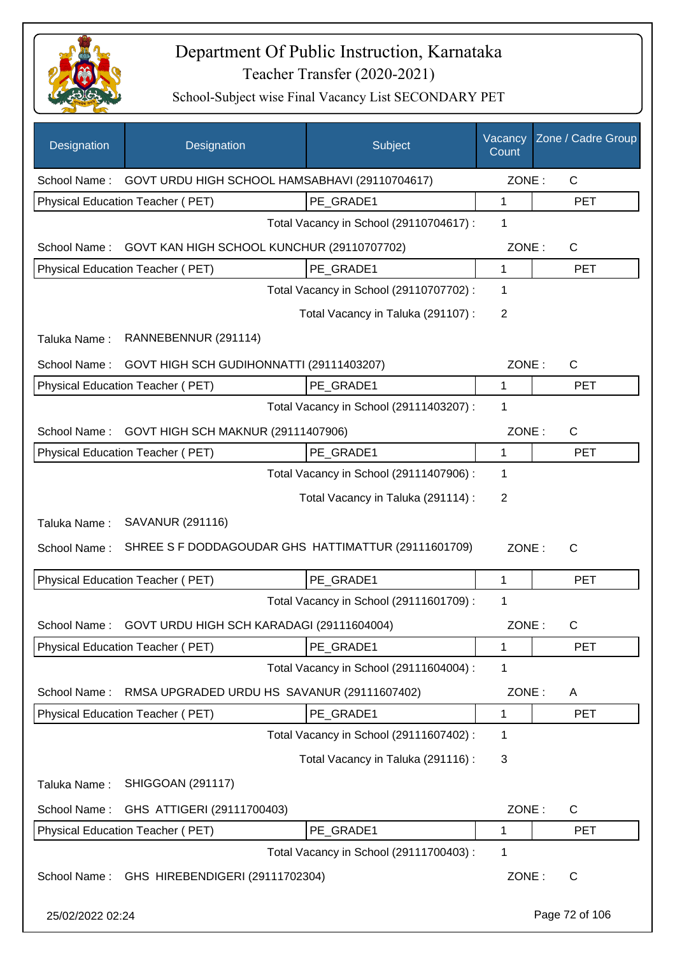

| Designation      | Designation                                         | <b>Subject</b>                          | Vacancy<br>Count | Zone / Cadre Group |
|------------------|-----------------------------------------------------|-----------------------------------------|------------------|--------------------|
| School Name:     | GOVT URDU HIGH SCHOOL HAMSABHAVI (29110704617)      |                                         | ZONE:            | $\mathsf{C}$       |
|                  | Physical Education Teacher (PET)                    | PE GRADE1                               | 1                | <b>PET</b>         |
|                  |                                                     | Total Vacancy in School (29110704617) : | 1                |                    |
| School Name:     | GOVT KAN HIGH SCHOOL KUNCHUR (29110707702)          |                                         | ZONE:            | $\mathsf{C}$       |
|                  | Physical Education Teacher (PET)                    | PE GRADE1                               | 1                | <b>PET</b>         |
|                  |                                                     | Total Vacancy in School (29110707702) : | 1                |                    |
|                  |                                                     | Total Vacancy in Taluka (291107) :      | $\overline{2}$   |                    |
| Taluka Name:     | RANNEBENNUR (291114)                                |                                         |                  |                    |
| School Name:     | GOVT HIGH SCH GUDIHONNATTI (29111403207)            |                                         | ZONE:            | $\mathsf{C}$       |
|                  | Physical Education Teacher (PET)                    | PE GRADE1                               | 1                | <b>PET</b>         |
|                  |                                                     | Total Vacancy in School (29111403207) : | 1                |                    |
| School Name:     | GOVT HIGH SCH MAKNUR (29111407906)                  |                                         | ZONE:            | $\mathsf{C}$       |
|                  | Physical Education Teacher (PET)                    | PE_GRADE1                               | 1                | <b>PET</b>         |
|                  |                                                     | Total Vacancy in School (29111407906) : | 1                |                    |
|                  |                                                     | Total Vacancy in Taluka (291114) :      | 2                |                    |
| Taluka Name:     | SAVANUR (291116)                                    |                                         |                  |                    |
| School Name:     | SHREE S F DODDAGOUDAR GHS HATTIMATTUR (29111601709) |                                         | ZONE:            | $\mathsf{C}$       |
|                  | Physical Education Teacher (PET)                    | PE_GRADE1                               | $\mathbf{1}$     | <b>PET</b>         |
|                  |                                                     | Total Vacancy in School (29111601709) : | 1                |                    |
| School Name:     | GOVT URDU HIGH SCH KARADAGI (29111604004)           |                                         | ZONE:            | C                  |
|                  | Physical Education Teacher (PET)                    | PE_GRADE1                               | 1                | <b>PET</b>         |
|                  |                                                     | Total Vacancy in School (29111604004) : | 1                |                    |
| School Name:     | RMSA UPGRADED URDU HS SAVANUR (29111607402)         |                                         | ZONE:            | A                  |
|                  | Physical Education Teacher (PET)                    | PE_GRADE1                               | 1                | <b>PET</b>         |
|                  |                                                     | Total Vacancy in School (29111607402) : | 1                |                    |
|                  |                                                     | Total Vacancy in Taluka (291116) :      | 3                |                    |
| Taluka Name:     | <b>SHIGGOAN (291117)</b>                            |                                         |                  |                    |
| School Name:     | GHS ATTIGERI (29111700403)                          |                                         | ZONE:            | $\mathsf{C}$       |
|                  | Physical Education Teacher (PET)                    | PE_GRADE1                               | 1                | <b>PET</b>         |
|                  |                                                     | Total Vacancy in School (29111700403) : | 1                |                    |
| School Name:     | GHS HIREBENDIGERI (29111702304)                     |                                         | ZONE:            | $\mathsf{C}$       |
| 25/02/2022 02:24 |                                                     |                                         |                  | Page 72 of 106     |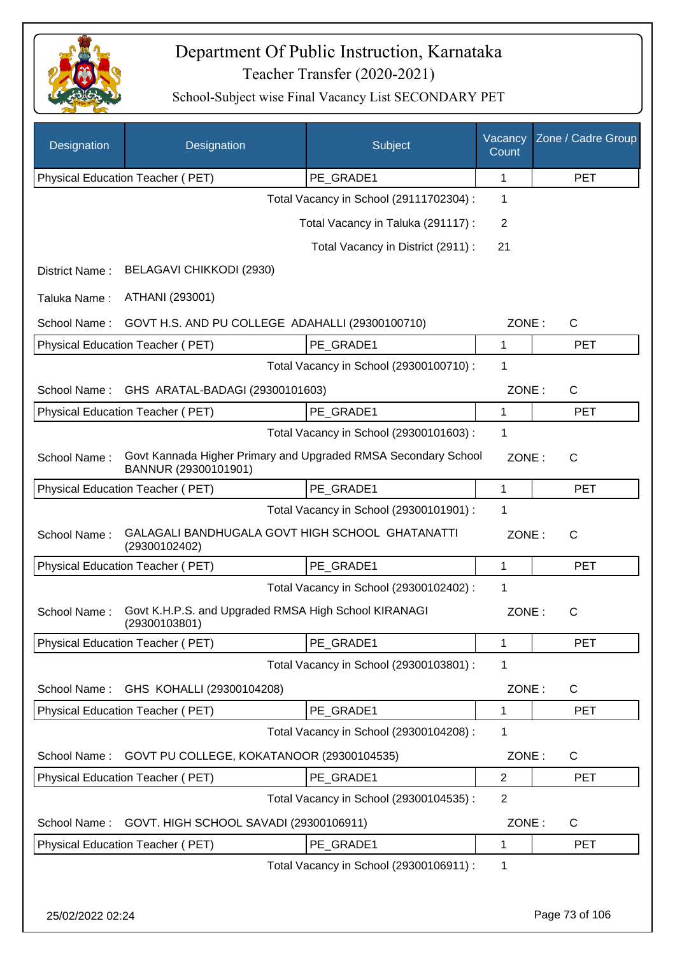

| Designation      | Designation                                                           | Subject                                                        | Vacancy<br>Count | Zone / Cadre Group |
|------------------|-----------------------------------------------------------------------|----------------------------------------------------------------|------------------|--------------------|
|                  | Physical Education Teacher (PET)                                      | PE_GRADE1                                                      | 1                | <b>PET</b>         |
|                  |                                                                       | Total Vacancy in School (29111702304) :                        | 1                |                    |
|                  |                                                                       | Total Vacancy in Taluka (291117) :                             | 2                |                    |
|                  |                                                                       | Total Vacancy in District (2911) :                             | 21               |                    |
| District Name:   | BELAGAVI CHIKKODI (2930)                                              |                                                                |                  |                    |
| Taluka Name:     | ATHANI (293001)                                                       |                                                                |                  |                    |
| School Name:     | GOVT H.S. AND PU COLLEGE ADAHALLI (29300100710)                       |                                                                | ZONE:            | $\mathsf{C}$       |
|                  | Physical Education Teacher (PET)                                      | PE_GRADE1                                                      | 1                | <b>PET</b>         |
|                  |                                                                       | Total Vacancy in School (29300100710) :                        | 1                |                    |
| School Name:     | GHS ARATAL-BADAGI (29300101603)                                       |                                                                | ZONE:            | C                  |
|                  | Physical Education Teacher (PET)                                      | PE GRADE1                                                      | 1                | <b>PET</b>         |
|                  |                                                                       | Total Vacancy in School (29300101603) :                        | 1                |                    |
| School Name:     | BANNUR (29300101901)                                                  | Govt Kannada Higher Primary and Upgraded RMSA Secondary School | ZONE:            | $\mathsf{C}$       |
|                  | Physical Education Teacher (PET)                                      | PE GRADE1                                                      | $\mathbf{1}$     | <b>PET</b>         |
|                  |                                                                       | Total Vacancy in School (29300101901) :                        | 1                |                    |
| School Name:     | GALAGALI BANDHUGALA GOVT HIGH SCHOOL GHATANATTI<br>(29300102402)      |                                                                | ZONE:            | $\mathsf{C}$       |
|                  | Physical Education Teacher (PET)                                      | PE_GRADE1                                                      | 1                | <b>PET</b>         |
|                  |                                                                       | Total Vacancy in School (29300102402) :                        | 1                |                    |
| School Name:     | Govt K.H.P.S. and Upgraded RMSA High School KIRANAGI<br>(29300103801) |                                                                | ZONE:            | С                  |
|                  | Physical Education Teacher (PET)                                      | PE GRADE1                                                      | 1                | <b>PET</b>         |
|                  |                                                                       | Total Vacancy in School (29300103801) :                        | 1                |                    |
| School Name:     | GHS KOHALLI (29300104208)                                             |                                                                | ZONE:            | $\mathsf{C}$       |
|                  | Physical Education Teacher (PET)                                      | PE GRADE1                                                      | $\mathbf{1}$     | <b>PET</b>         |
|                  |                                                                       | Total Vacancy in School (29300104208) :                        | 1                |                    |
| School Name:     | GOVT PU COLLEGE, KOKATANOOR (29300104535)                             |                                                                | ZONE:            | $\mathsf{C}$       |
|                  | Physical Education Teacher (PET)                                      | PE_GRADE1                                                      | 2                | <b>PET</b>         |
|                  |                                                                       | Total Vacancy in School (29300104535) :                        | $\overline{2}$   |                    |
| School Name:     | GOVT. HIGH SCHOOL SAVADI (29300106911)                                |                                                                | ZONE:            | C                  |
|                  | Physical Education Teacher (PET)                                      | PE_GRADE1                                                      | $\mathbf{1}$     | <b>PET</b>         |
|                  |                                                                       | Total Vacancy in School (29300106911) :                        | 1                |                    |
|                  |                                                                       |                                                                |                  |                    |
| 25/02/2022 02:24 |                                                                       |                                                                |                  | Page 73 of 106     |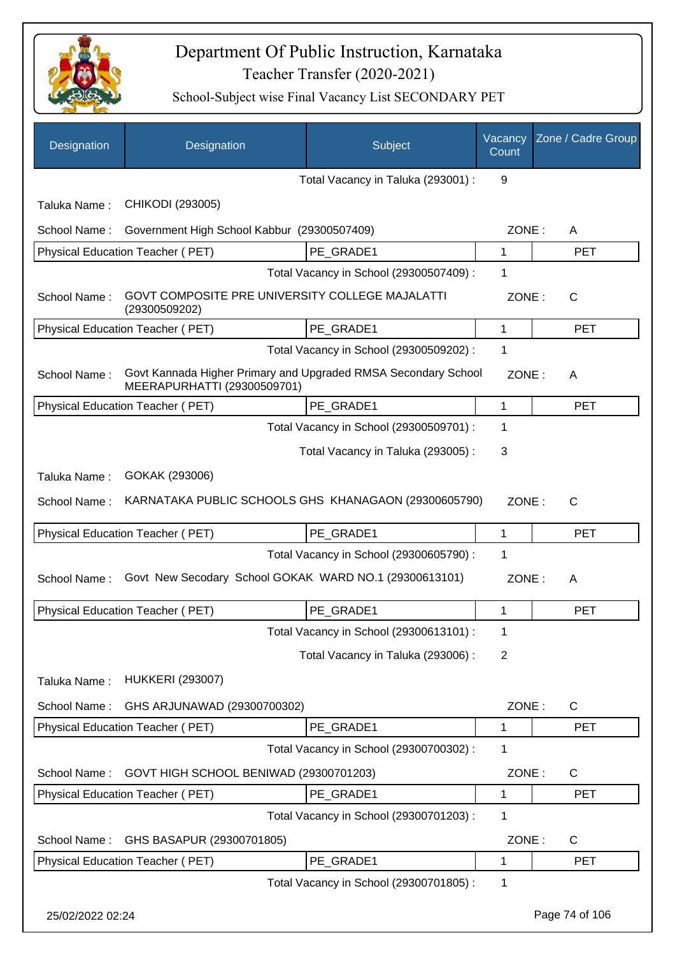

| Designation      | Designation                                                                                   | Subject                                 | Vacancy<br>Count | Zone / Cadre Group |
|------------------|-----------------------------------------------------------------------------------------------|-----------------------------------------|------------------|--------------------|
|                  |                                                                                               | Total Vacancy in Taluka (293001) :      | 9                |                    |
| Taluka Name:     | CHIKODI (293005)                                                                              |                                         |                  |                    |
| School Name:     | Government High School Kabbur (29300507409)                                                   |                                         | ZONE:            | A                  |
|                  | Physical Education Teacher (PET)                                                              | PE GRADE1                               | 1                | <b>PET</b>         |
|                  |                                                                                               | Total Vacancy in School (29300507409) : | 1                |                    |
| School Name:     | GOVT COMPOSITE PRE UNIVERSITY COLLEGE MAJALATTI<br>(29300509202)                              |                                         | ZONE:            | $\mathsf{C}$       |
|                  | Physical Education Teacher (PET)                                                              | PE GRADE1                               | 1                | <b>PET</b>         |
|                  |                                                                                               | Total Vacancy in School (29300509202) : | 1                |                    |
| School Name:     | Govt Kannada Higher Primary and Upgraded RMSA Secondary School<br>MEERAPURHATTI (29300509701) |                                         | ZONE:            | A                  |
|                  | Physical Education Teacher (PET)                                                              | PE GRADE1                               | $\mathbf{1}$     | <b>PET</b>         |
|                  |                                                                                               | Total Vacancy in School (29300509701) : | 1                |                    |
|                  |                                                                                               | Total Vacancy in Taluka (293005):       | 3                |                    |
| Taluka Name:     | GOKAK (293006)                                                                                |                                         |                  |                    |
| School Name:     | KARNATAKA PUBLIC SCHOOLS GHS KHANAGAON (29300605790)                                          |                                         | ZONE:            | C                  |
|                  | Physical Education Teacher (PET)                                                              | PE GRADE1                               | 1                | <b>PET</b>         |
|                  |                                                                                               | Total Vacancy in School (29300605790) : | 1                |                    |
| School Name:     | Govt New Secodary School GOKAK WARD NO.1 (29300613101)                                        |                                         | ZONE:            | A                  |
|                  | Physical Education Teacher (PET)                                                              | PE_GRADE1                               | 1                | <b>PET</b>         |
|                  |                                                                                               | Total Vacancy in School (29300613101) : | 1                |                    |
|                  |                                                                                               | Total Vacancy in Taluka (293006):       | $\overline{2}$   |                    |
| Taluka Name:     | <b>HUKKERI (293007)</b>                                                                       |                                         |                  |                    |
| School Name:     | GHS ARJUNAWAD (29300700302)                                                                   |                                         | ZONE:            | $\mathsf{C}$       |
|                  | Physical Education Teacher (PET)                                                              | PE_GRADE1                               | 1                | <b>PET</b>         |
|                  |                                                                                               | Total Vacancy in School (29300700302) : | 1                |                    |
| School Name:     | GOVT HIGH SCHOOL BENIWAD (29300701203)                                                        |                                         | ZONE:            | $\mathsf{C}$       |
|                  | Physical Education Teacher (PET)                                                              | PE_GRADE1                               | 1                | <b>PET</b>         |
|                  |                                                                                               | Total Vacancy in School (29300701203) : | 1                |                    |
| School Name:     | GHS BASAPUR (29300701805)                                                                     |                                         | ZONE:            | C                  |
|                  | Physical Education Teacher (PET)                                                              | PE_GRADE1                               | 1                | <b>PET</b>         |
|                  |                                                                                               | Total Vacancy in School (29300701805) : | 1                |                    |
| 25/02/2022 02:24 |                                                                                               |                                         |                  | Page 74 of 106     |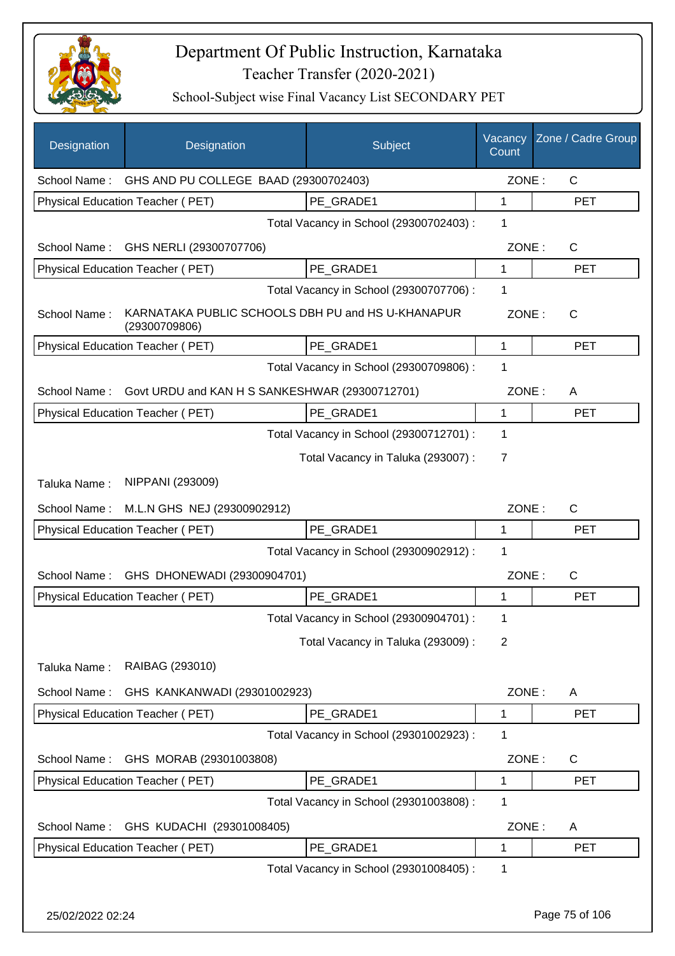

| Designation      | Designation                                                        | Subject                                 | Vacancy<br>Count | Zone / Cadre Group |
|------------------|--------------------------------------------------------------------|-----------------------------------------|------------------|--------------------|
|                  | School Name: GHS AND PU COLLEGE BAAD (29300702403)                 |                                         | ZONE:            | C                  |
|                  | Physical Education Teacher (PET)                                   | PE GRADE1                               | 1                | <b>PET</b>         |
|                  |                                                                    | Total Vacancy in School (29300702403) : | 1                |                    |
|                  | School Name: GHS NERLI (29300707706)                               |                                         | ZONE:            | $\mathsf{C}$       |
|                  | Physical Education Teacher (PET)                                   | PE GRADE1                               | 1                | <b>PET</b>         |
|                  |                                                                    | Total Vacancy in School (29300707706) : | 1                |                    |
| School Name:     | KARNATAKA PUBLIC SCHOOLS DBH PU and HS U-KHANAPUR<br>(29300709806) |                                         | ZONE:            | C                  |
|                  | Physical Education Teacher (PET)                                   | PE GRADE1                               | 1                | <b>PET</b>         |
|                  |                                                                    | Total Vacancy in School (29300709806) : | 1                |                    |
| School Name:     | Govt URDU and KAN H S SANKESHWAR (29300712701)                     |                                         | ZONE:            | A                  |
|                  | <b>Physical Education Teacher (PET)</b>                            | PE GRADE1                               | 1                | <b>PET</b>         |
|                  |                                                                    | Total Vacancy in School (29300712701) : | 1                |                    |
|                  |                                                                    | Total Vacancy in Taluka (293007) :      | 7                |                    |
| Taluka Name:     | NIPPANI (293009)                                                   |                                         |                  |                    |
| School Name:     | M.L.N GHS NEJ (29300902912)                                        |                                         | ZONE:            | C                  |
|                  | Physical Education Teacher (PET)                                   | PE_GRADE1                               | 1                | <b>PET</b>         |
|                  |                                                                    | Total Vacancy in School (29300902912) : | 1                |                    |
| School Name:     | GHS DHONEWADI (29300904701)                                        |                                         | ZONE:            | C                  |
|                  | Physical Education Teacher (PET)                                   | PE GRADE1                               | 1                | <b>PET</b>         |
|                  |                                                                    | Total Vacancy in School (29300904701) : | 1                |                    |
|                  |                                                                    | Total Vacancy in Taluka (293009):       | 2                |                    |
| Taluka Name:     | RAIBAG (293010)                                                    |                                         |                  |                    |
| School Name:     | GHS KANKANWADI (29301002923)                                       |                                         | ZONE:            | A                  |
|                  | Physical Education Teacher (PET)                                   | PE_GRADE1                               | 1                | <b>PET</b>         |
|                  |                                                                    | Total Vacancy in School (29301002923) : | 1                |                    |
| School Name:     | GHS MORAB (29301003808)                                            |                                         | ZONE:            | C                  |
|                  | Physical Education Teacher (PET)                                   | PE GRADE1                               | 1                | <b>PET</b>         |
|                  |                                                                    | Total Vacancy in School (29301003808) : | 1                |                    |
| School Name:     | GHS KUDACHI (29301008405)                                          |                                         | ZONE:            | A                  |
|                  | Physical Education Teacher (PET)                                   | PE GRADE1                               | 1                | <b>PET</b>         |
|                  |                                                                    | Total Vacancy in School (29301008405) : | 1                |                    |
|                  |                                                                    |                                         |                  |                    |
| 25/02/2022 02:24 |                                                                    |                                         |                  | Page 75 of 106     |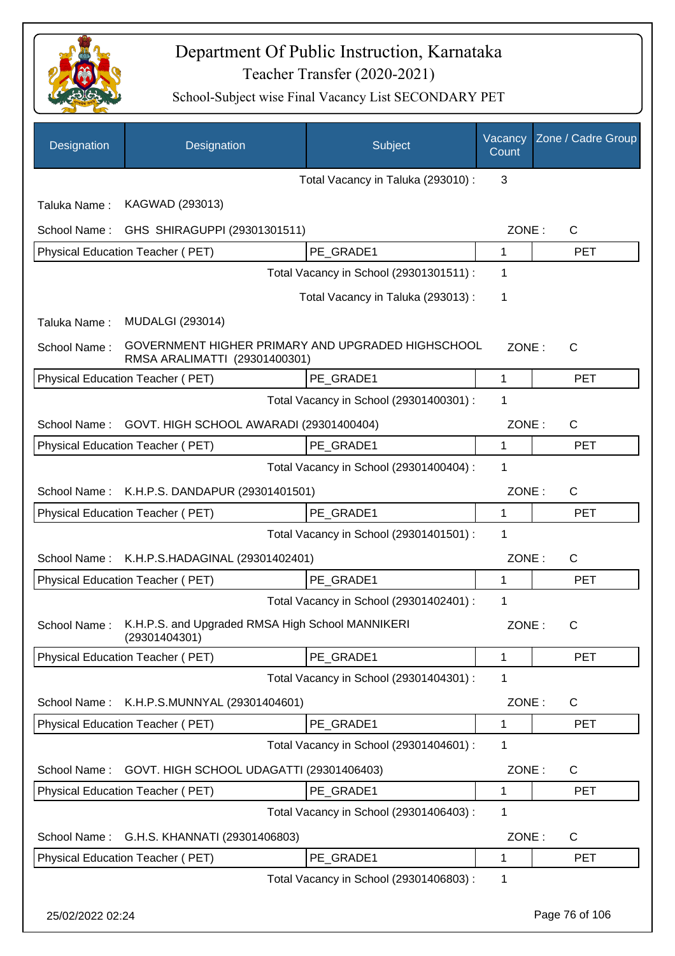

| Designation      | Designation                                                       | Subject                                           | Vacancy<br>Count | Zone / Cadre Group |
|------------------|-------------------------------------------------------------------|---------------------------------------------------|------------------|--------------------|
|                  |                                                                   | Total Vacancy in Taluka (293010) :                | 3                |                    |
| Taluka Name:     | KAGWAD (293013)                                                   |                                                   |                  |                    |
| School Name:     | GHS SHIRAGUPPI (29301301511)                                      |                                                   | ZONE:            | C                  |
|                  | Physical Education Teacher (PET)                                  | PE_GRADE1                                         | 1                | <b>PET</b>         |
|                  |                                                                   | Total Vacancy in School (29301301511) :           | 1                |                    |
|                  |                                                                   | Total Vacancy in Taluka (293013):                 | 1                |                    |
| Taluka Name:     | <b>MUDALGI (293014)</b>                                           |                                                   |                  |                    |
| School Name:     | RMSA ARALIMATTI (29301400301)                                     | GOVERNMENT HIGHER PRIMARY AND UPGRADED HIGHSCHOOL | ZONE:            | C                  |
|                  | Physical Education Teacher (PET)                                  | PE GRADE1                                         | 1                | <b>PET</b>         |
|                  |                                                                   | Total Vacancy in School (29301400301) :           | 1                |                    |
| School Name:     | GOVT. HIGH SCHOOL AWARADI (29301400404)                           |                                                   | ZONE:            | $\mathsf{C}$       |
|                  | Physical Education Teacher (PET)                                  | PE GRADE1                                         | 1                | <b>PET</b>         |
|                  |                                                                   | Total Vacancy in School (29301400404) :           | 1                |                    |
| School Name:     | K.H.P.S. DANDAPUR (29301401501)                                   |                                                   | ZONE:            | C                  |
|                  | Physical Education Teacher (PET)                                  | PE_GRADE1                                         | 1                | <b>PET</b>         |
|                  |                                                                   | Total Vacancy in School (29301401501) :           | 1                |                    |
| School Name:     | K.H.P.S.HADAGINAL (29301402401)                                   |                                                   | ZONE:            | C                  |
|                  | <b>Physical Education Teacher (PET)</b>                           | PE_GRADE1                                         | 1                | <b>PET</b>         |
|                  |                                                                   | Total Vacancy in School (29301402401) :           | 1                |                    |
| School Name:     | K.H.P.S. and Upgraded RMSA High School MANNIKERI<br>(29301404301) |                                                   | ZONE:            | C                  |
|                  | <b>Physical Education Teacher (PET)</b>                           | PE_GRADE1                                         | 1                | <b>PET</b>         |
|                  |                                                                   | Total Vacancy in School (29301404301) :           | 1                |                    |
| School Name:     | K.H.P.S.MUNNYAL (29301404601)                                     |                                                   | ZONE:            | C                  |
|                  | Physical Education Teacher (PET)                                  | PE GRADE1                                         | 1                | <b>PET</b>         |
|                  |                                                                   | Total Vacancy in School (29301404601) :           | 1                |                    |
| School Name:     | GOVT. HIGH SCHOOL UDAGATTI (29301406403)                          |                                                   | ZONE:            | C                  |
|                  | Physical Education Teacher (PET)                                  | PE_GRADE1                                         | 1                | <b>PET</b>         |
|                  |                                                                   | Total Vacancy in School (29301406403) :           | 1                |                    |
| School Name:     | G.H.S. KHANNATI (29301406803)                                     |                                                   | ZONE:            | C                  |
|                  | Physical Education Teacher (PET)                                  | PE_GRADE1                                         | 1                | <b>PET</b>         |
|                  |                                                                   | Total Vacancy in School (29301406803) :           | 1                |                    |
| 25/02/2022 02:24 |                                                                   |                                                   |                  | Page 76 of 106     |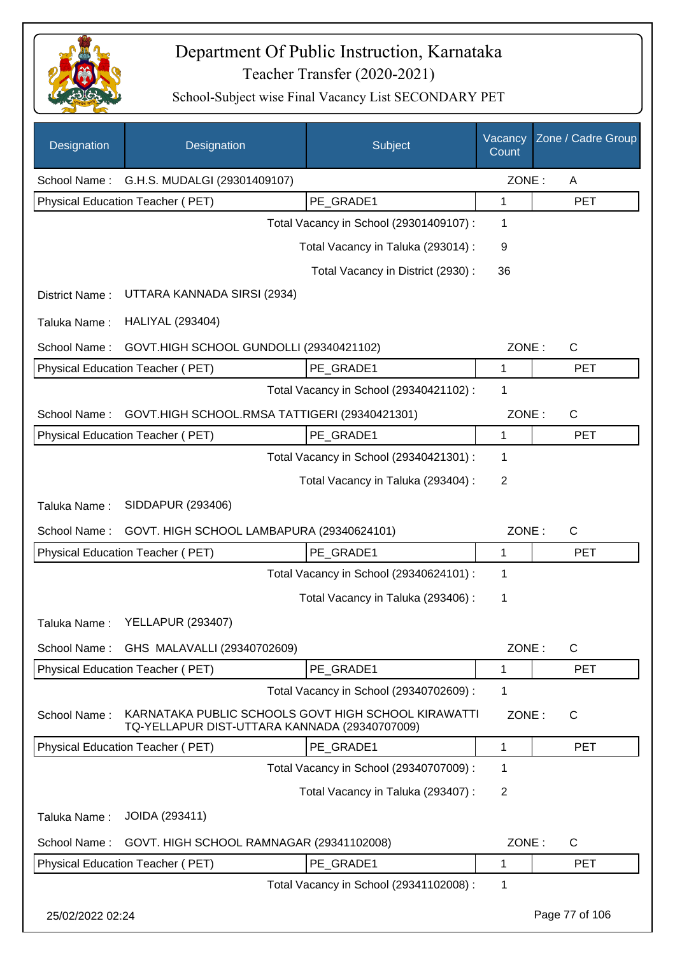

| Designation      | Designation                                                                                          | Subject                                 | Vacancy<br>Count | Zone / Cadre Group |
|------------------|------------------------------------------------------------------------------------------------------|-----------------------------------------|------------------|--------------------|
| School Name:     | G.H.S. MUDALGI (29301409107)                                                                         |                                         | ZONE:            | A                  |
|                  | <b>Physical Education Teacher (PET)</b>                                                              | PE_GRADE1                               | 1                | <b>PET</b>         |
|                  |                                                                                                      | Total Vacancy in School (29301409107) : | 1                |                    |
|                  |                                                                                                      | Total Vacancy in Taluka (293014) :      | 9                |                    |
|                  |                                                                                                      | Total Vacancy in District (2930):       | 36               |                    |
| District Name:   | UTTARA KANNADA SIRSI (2934)                                                                          |                                         |                  |                    |
| Taluka Name:     | <b>HALIYAL (293404)</b>                                                                              |                                         |                  |                    |
| School Name:     | GOVT.HIGH SCHOOL GUNDOLLI (29340421102)                                                              |                                         | ZONE:            | $\mathsf{C}$       |
|                  | <b>Physical Education Teacher (PET)</b>                                                              | PE GRADE1                               | 1                | <b>PET</b>         |
|                  |                                                                                                      | Total Vacancy in School (29340421102) : | 1                |                    |
| School Name:     | GOVT.HIGH SCHOOL.RMSA TATTIGERI (29340421301)                                                        |                                         | ZONE:            | C                  |
|                  | Physical Education Teacher (PET)                                                                     | PE GRADE1                               | 1                | <b>PET</b>         |
|                  |                                                                                                      | Total Vacancy in School (29340421301) : | 1                |                    |
|                  |                                                                                                      | Total Vacancy in Taluka (293404) :      | $\overline{2}$   |                    |
| Taluka Name:     | SIDDAPUR (293406)                                                                                    |                                         |                  |                    |
| School Name:     | GOVT. HIGH SCHOOL LAMBAPURA (29340624101)                                                            |                                         | ZONE:            | $\mathsf{C}$       |
|                  | Physical Education Teacher (PET)                                                                     | PE_GRADE1                               | 1                | <b>PET</b>         |
|                  |                                                                                                      | Total Vacancy in School (29340624101) : | 1                |                    |
|                  |                                                                                                      | Total Vacancy in Taluka (293406) :      | 1                |                    |
| Taluka Name:     | <b>YELLAPUR (293407)</b>                                                                             |                                         |                  |                    |
|                  | School Name: GHS MALAVALLI (29340702609)                                                             |                                         | ZONE:            | C                  |
|                  | <b>Physical Education Teacher (PET)</b>                                                              | PE GRADE1                               | 1                | <b>PET</b>         |
|                  |                                                                                                      | Total Vacancy in School (29340702609) : | 1                |                    |
| School Name:     | KARNATAKA PUBLIC SCHOOLS GOVT HIGH SCHOOL KIRAWATTI<br>TQ-YELLAPUR DIST-UTTARA KANNADA (29340707009) |                                         | ZONE:            | C                  |
|                  | Physical Education Teacher (PET)                                                                     | PE_GRADE1                               | 1                | <b>PET</b>         |
|                  |                                                                                                      | Total Vacancy in School (29340707009) : | 1                |                    |
|                  |                                                                                                      | Total Vacancy in Taluka (293407) :      | $\overline{2}$   |                    |
| Taluka Name:     | JOIDA (293411)                                                                                       |                                         |                  |                    |
| School Name:     | GOVT. HIGH SCHOOL RAMNAGAR (29341102008)                                                             |                                         | ZONE:            | C                  |
|                  | Physical Education Teacher (PET)                                                                     | PE_GRADE1                               | 1                | <b>PET</b>         |
|                  |                                                                                                      | Total Vacancy in School (29341102008) : | 1                |                    |
| 25/02/2022 02:24 |                                                                                                      |                                         |                  | Page 77 of 106     |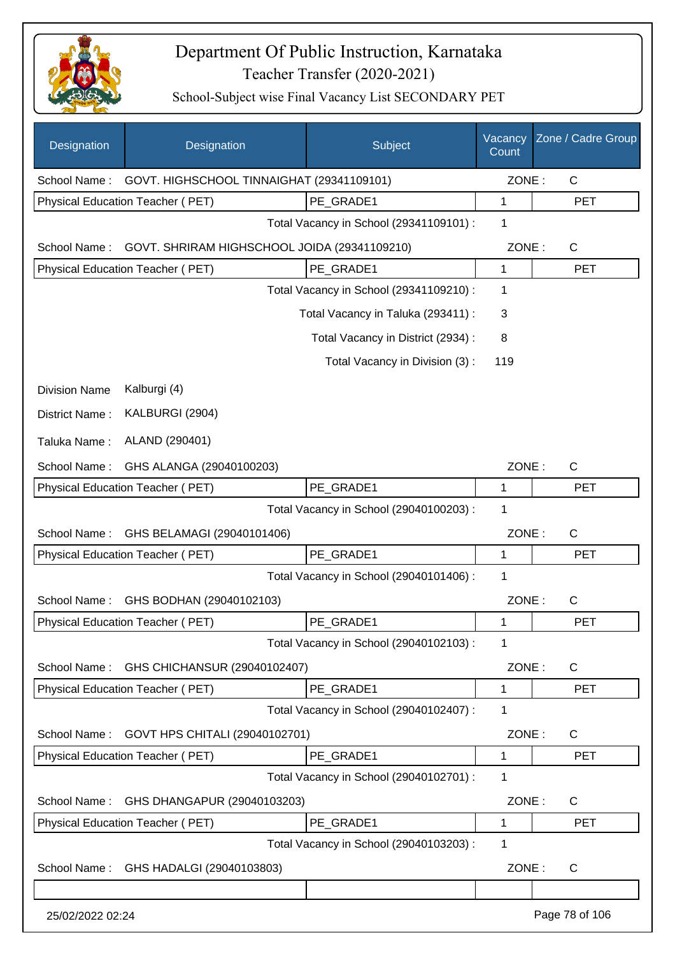

| Designation          | Designation                                  | Subject                                 | Vacancy<br>Count | Zone / Cadre Group |
|----------------------|----------------------------------------------|-----------------------------------------|------------------|--------------------|
| School Name:         | GOVT. HIGHSCHOOL TINNAIGHAT (29341109101)    |                                         | ZONE:            | $\mathsf{C}$       |
|                      | Physical Education Teacher (PET)             | PE GRADE1                               | 1                | <b>PET</b>         |
|                      |                                              | Total Vacancy in School (29341109101) : | 1                |                    |
| School Name:         | GOVT. SHRIRAM HIGHSCHOOL JOIDA (29341109210) |                                         | ZONE:            | $\mathsf{C}$       |
|                      | Physical Education Teacher (PET)             | PE_GRADE1                               | 1                | <b>PET</b>         |
|                      |                                              | Total Vacancy in School (29341109210) : | 1                |                    |
|                      |                                              | Total Vacancy in Taluka (293411) :      | 3                |                    |
|                      |                                              | Total Vacancy in District (2934) :      | 8                |                    |
|                      |                                              | Total Vacancy in Division (3):          | 119              |                    |
| <b>Division Name</b> | Kalburgi (4)                                 |                                         |                  |                    |
| District Name:       | KALBURGI (2904)                              |                                         |                  |                    |
| Taluka Name:         | ALAND (290401)                               |                                         |                  |                    |
| School Name:         | GHS ALANGA (29040100203)                     |                                         | ZONE:            | $\mathsf{C}$       |
|                      | Physical Education Teacher (PET)             | PE GRADE1                               | 1                | <b>PET</b>         |
|                      |                                              | Total Vacancy in School (29040100203) : | 1                |                    |
| School Name:         | GHS BELAMAGI (29040101406)                   |                                         | ZONE:            | $\mathsf{C}$       |
|                      | Physical Education Teacher (PET)             | PE GRADE1                               | 1                | <b>PET</b>         |
|                      |                                              | Total Vacancy in School (29040101406) : | 1                |                    |
| School Name:         | GHS BODHAN (29040102103)                     |                                         | ZONE:            | $\mathsf{C}$       |
|                      | Physical Education Teacher (PET)             | PE GRADE1                               | 1                | <b>PET</b>         |
|                      |                                              | Total Vacancy in School (29040102103) : | 1                |                    |
| School Name:         | GHS CHICHANSUR (29040102407)                 |                                         | ZONE:            | $\mathsf{C}$       |
|                      | Physical Education Teacher (PET)             | PE_GRADE1                               | 1                | <b>PET</b>         |
|                      |                                              | Total Vacancy in School (29040102407) : | 1                |                    |
| School Name:         | GOVT HPS CHITALI (29040102701)               |                                         | ZONE:            | C                  |
|                      | Physical Education Teacher (PET)             | PE_GRADE1                               | 1                | <b>PET</b>         |
|                      |                                              | Total Vacancy in School (29040102701) : | 1                |                    |
| School Name:         | GHS DHANGAPUR (29040103203)                  |                                         | ZONE:            | $\mathsf{C}$       |
|                      | Physical Education Teacher (PET)             | PE_GRADE1                               | 1                | <b>PET</b>         |
|                      |                                              | Total Vacancy in School (29040103203) : | 1                |                    |
| School Name:         | GHS HADALGI (29040103803)                    |                                         | ZONE:            | C                  |
|                      |                                              |                                         |                  |                    |
| 25/02/2022 02:24     |                                              |                                         |                  | Page 78 of 106     |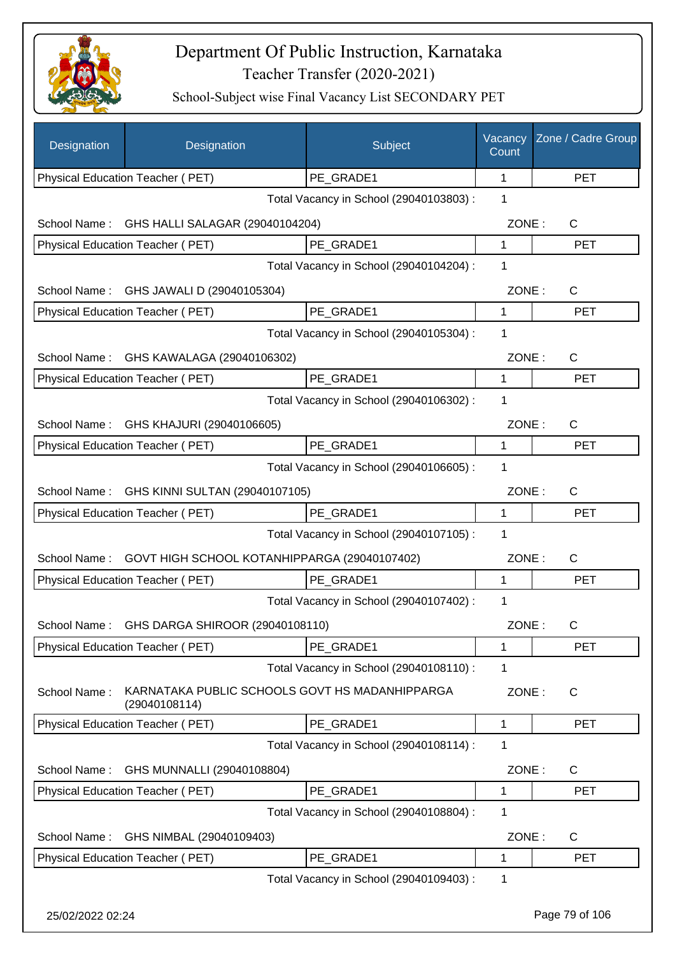

| Designation      | Designation                                                     | Subject                                 | Vacancy<br>Count | Zone / Cadre Group |
|------------------|-----------------------------------------------------------------|-----------------------------------------|------------------|--------------------|
|                  | Physical Education Teacher (PET)                                | PE_GRADE1                               | 1                | <b>PET</b>         |
|                  |                                                                 | Total Vacancy in School (29040103803) : | 1                |                    |
| School Name:     | GHS HALLI SALAGAR (29040104204)                                 |                                         | ZONE:            | C                  |
|                  | Physical Education Teacher (PET)                                | PE_GRADE1                               | 1                | <b>PET</b>         |
|                  |                                                                 | Total Vacancy in School (29040104204) : | 1                |                    |
| School Name:     | GHS JAWALI D (29040105304)                                      |                                         | ZONE:            | C                  |
|                  | Physical Education Teacher (PET)                                | PE GRADE1                               | 1                | <b>PET</b>         |
|                  |                                                                 | Total Vacancy in School (29040105304) : | 1                |                    |
| School Name:     | GHS KAWALAGA (29040106302)                                      |                                         | ZONE:            | $\mathsf{C}$       |
|                  | Physical Education Teacher (PET)                                | PE GRADE1                               | 1                | <b>PET</b>         |
|                  |                                                                 | Total Vacancy in School (29040106302) : | 1                |                    |
|                  | School Name: GHS KHAJURI (29040106605)                          |                                         | ZONE:            | C                  |
|                  | Physical Education Teacher (PET)                                | PE_GRADE1                               | 1                | <b>PET</b>         |
|                  |                                                                 | Total Vacancy in School (29040106605) : | 1                |                    |
| School Name:     | GHS KINNI SULTAN (29040107105)                                  |                                         | ZONE:            | C                  |
|                  | Physical Education Teacher (PET)                                | PE_GRADE1                               | 1                | <b>PET</b>         |
|                  |                                                                 | Total Vacancy in School (29040107105) : | 1                |                    |
| School Name:     | GOVT HIGH SCHOOL KOTANHIPPARGA (29040107402)                    |                                         | ZONE:            | C                  |
|                  | Physical Education Teacher (PET)                                | PE_GRADE1                               | 1                | <b>PET</b>         |
|                  |                                                                 | Total Vacancy in School (29040107402) : | 1                |                    |
| School Name:     | GHS DARGA SHIROOR (29040108110)                                 |                                         | ZONE:            | C                  |
|                  | Physical Education Teacher (PET)                                | PE_GRADE1                               | 1                | <b>PET</b>         |
|                  |                                                                 | Total Vacancy in School (29040108110) : | 1                |                    |
| School Name:     | KARNATAKA PUBLIC SCHOOLS GOVT HS MADANHIPPARGA<br>(29040108114) |                                         | ZONE:            | C                  |
|                  | Physical Education Teacher (PET)                                | PE_GRADE1                               | $\mathbf 1$      | <b>PET</b>         |
|                  |                                                                 | Total Vacancy in School (29040108114) : | 1                |                    |
| School Name:     | GHS MUNNALLI (29040108804)                                      |                                         | ZONE:            | C                  |
|                  | Physical Education Teacher (PET)                                | PE_GRADE1                               | 1                | <b>PET</b>         |
|                  |                                                                 | Total Vacancy in School (29040108804) : | 1                |                    |
| School Name:     | GHS NIMBAL (29040109403)                                        |                                         | ZONE:            | C                  |
|                  | Physical Education Teacher (PET)                                | PE_GRADE1                               | 1                | <b>PET</b>         |
|                  |                                                                 | Total Vacancy in School (29040109403) : | 1                |                    |
| 25/02/2022 02:24 |                                                                 |                                         |                  | Page 79 of 106     |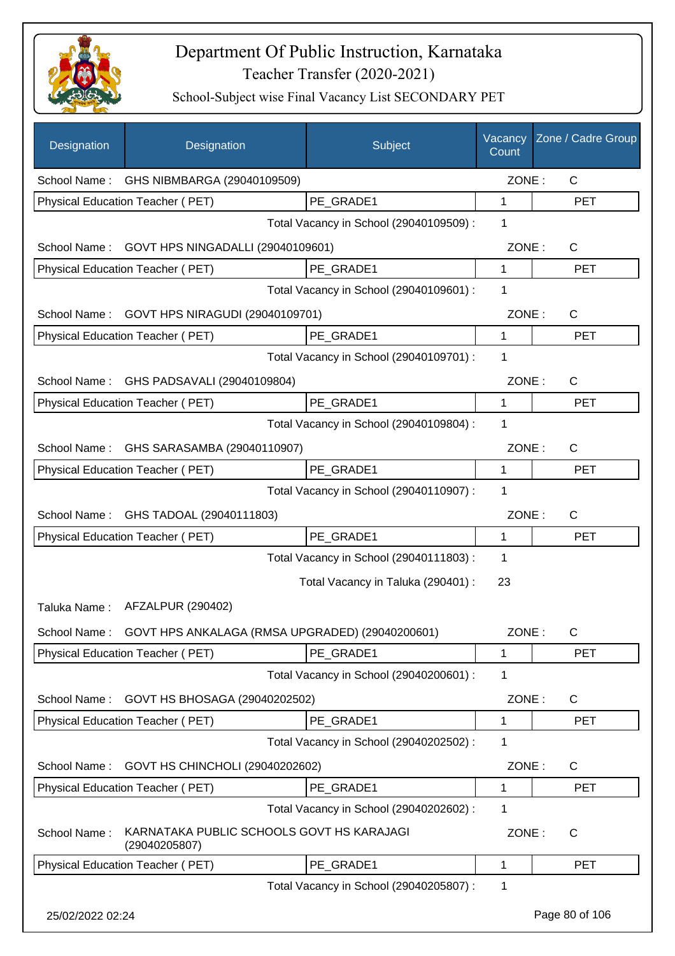

| Designation      | Designation                                                | Subject                                 | Vacancy<br>Count | Zone / Cadre Group |
|------------------|------------------------------------------------------------|-----------------------------------------|------------------|--------------------|
|                  | School Name: GHS NIBMBARGA (29040109509)                   |                                         | ZONE:            | C                  |
|                  | Physical Education Teacher (PET)                           | PE GRADE1                               | 1                | <b>PET</b>         |
|                  |                                                            | Total Vacancy in School (29040109509) : | 1                |                    |
|                  | School Name: GOVT HPS NINGADALLI (29040109601)             |                                         | ZONE:            | $\mathsf{C}$       |
|                  | Physical Education Teacher (PET)                           | PE GRADE1                               | $\mathbf{1}$     | <b>PET</b>         |
|                  |                                                            | Total Vacancy in School (29040109601) : | 1                |                    |
|                  | School Name: GOVT HPS NIRAGUDI (29040109701)               |                                         | ZONE:            | $\mathsf{C}$       |
|                  | Physical Education Teacher (PET)                           | PE GRADE1                               | $\mathbf 1$      | <b>PET</b>         |
|                  |                                                            | Total Vacancy in School (29040109701) : | 1                |                    |
|                  | School Name: GHS PADSAVALI (29040109804)                   |                                         | ZONE:            | C                  |
|                  | Physical Education Teacher (PET)                           | PE GRADE1                               | 1                | <b>PET</b>         |
|                  |                                                            | Total Vacancy in School (29040109804) : | 1                |                    |
|                  | School Name: GHS SARASAMBA (29040110907)                   |                                         | ZONE:            | C                  |
|                  | Physical Education Teacher (PET)                           | PE_GRADE1                               | 1                | <b>PET</b>         |
|                  |                                                            | Total Vacancy in School (29040110907) : | 1                |                    |
| School Name:     | GHS TADOAL (29040111803)                                   |                                         | ZONE:            | C                  |
|                  | Physical Education Teacher (PET)                           | PE_GRADE1                               | 1                | <b>PET</b>         |
|                  |                                                            | Total Vacancy in School (29040111803) : | 1                |                    |
|                  |                                                            | Total Vacancy in Taluka (290401) :      | 23               |                    |
|                  | Taluka Name: AFZALPUR (290402)                             |                                         |                  |                    |
| School Name:     | GOVT HPS ANKALAGA (RMSA UPGRADED) (29040200601)            |                                         | ZONE:            | $\mathsf C$        |
|                  | <b>Physical Education Teacher (PET)</b>                    | PE_GRADE1                               | 1                | <b>PET</b>         |
|                  |                                                            | Total Vacancy in School (29040200601) : | 1                |                    |
| School Name:     | GOVT HS BHOSAGA (29040202502)                              |                                         | ZONE:            | C                  |
|                  | Physical Education Teacher (PET)                           | PE_GRADE1                               | 1                | <b>PET</b>         |
|                  |                                                            | Total Vacancy in School (29040202502) : | 1                |                    |
| School Name:     | GOVT HS CHINCHOLI (29040202602)                            |                                         | ZONE:            | C                  |
|                  | Physical Education Teacher (PET)                           | PE_GRADE1                               | 1                | <b>PET</b>         |
|                  |                                                            | Total Vacancy in School (29040202602) : | 1                |                    |
| School Name:     | KARNATAKA PUBLIC SCHOOLS GOVT HS KARAJAGI<br>(29040205807) |                                         | ZONE:            | $\mathsf{C}$       |
|                  | Physical Education Teacher (PET)                           | PE_GRADE1                               | 1                | <b>PET</b>         |
|                  |                                                            | Total Vacancy in School (29040205807) : | 1                |                    |
| 25/02/2022 02:24 |                                                            |                                         |                  | Page 80 of 106     |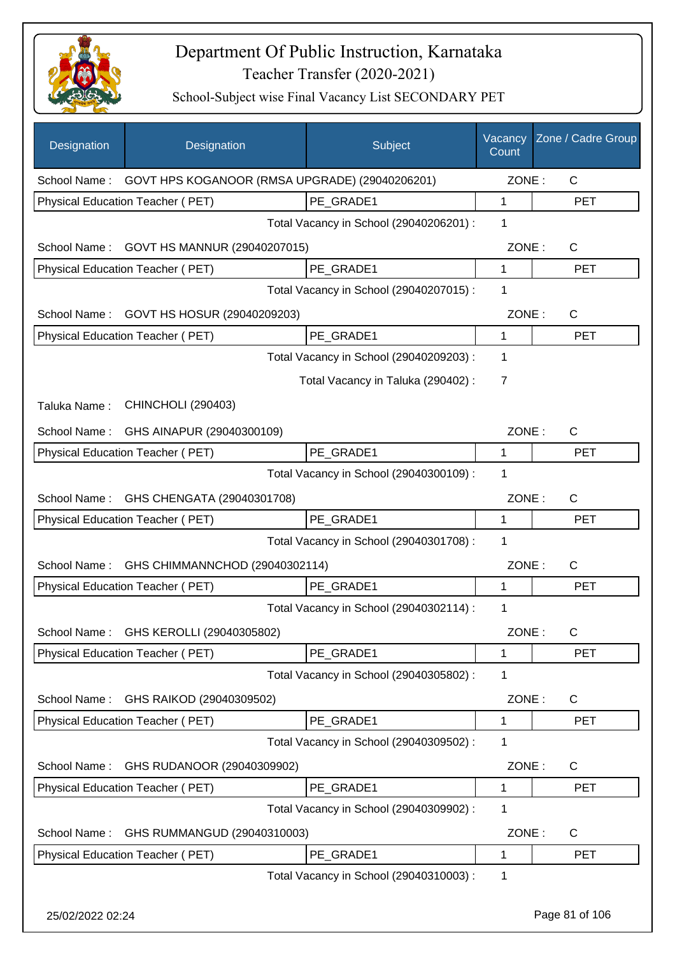

| Designation  | Designation                                                 | Subject                                 | Vacancy<br>Count | Zone / Cadre Group |
|--------------|-------------------------------------------------------------|-----------------------------------------|------------------|--------------------|
|              | School Name: GOVT HPS KOGANOOR (RMSA UPGRADE) (29040206201) |                                         | ZONE:            | $\mathsf{C}$       |
|              | <b>Physical Education Teacher (PET)</b>                     | PE GRADE1                               | 1                | <b>PET</b>         |
|              |                                                             | Total Vacancy in School (29040206201) : | 1                |                    |
| School Name: | GOVT HS MANNUR (29040207015)                                |                                         | ZONE:            | $\mathsf{C}$       |
|              | Physical Education Teacher (PET)                            | PE GRADE1                               | $\mathbf{1}$     | <b>PET</b>         |
|              |                                                             | Total Vacancy in School (29040207015) : | 1                |                    |
| School Name: | GOVT HS HOSUR (29040209203)                                 |                                         | ZONE:            | C                  |
|              | Physical Education Teacher (PET)                            | PE GRADE1                               | 1                | <b>PET</b>         |
|              |                                                             | Total Vacancy in School (29040209203) : | 1                |                    |
|              |                                                             | Total Vacancy in Taluka (290402):       | $\overline{7}$   |                    |
| Taluka Name: | <b>CHINCHOLI (290403)</b>                                   |                                         |                  |                    |
| School Name: | GHS AINAPUR (29040300109)                                   |                                         | ZONE:            | C                  |
|              | Physical Education Teacher (PET)                            | PE_GRADE1                               | 1                | <b>PET</b>         |
|              |                                                             | Total Vacancy in School (29040300109) : | 1                |                    |
| School Name: | GHS CHENGATA (29040301708)                                  |                                         | ZONE:            | C                  |
|              | Physical Education Teacher (PET)                            | PE_GRADE1                               | $\mathbf{1}$     | <b>PET</b>         |
|              |                                                             | Total Vacancy in School (29040301708) : | 1                |                    |
| School Name: | GHS CHIMMANNCHOD (29040302114)                              |                                         | ZONE:            | C                  |
|              | <b>Physical Education Teacher (PET)</b>                     | PE GRADE1                               | 1                | <b>PET</b>         |
|              |                                                             | Total Vacancy in School (29040302114) : | 1                |                    |
|              | School Name: GHS KEROLLI (29040305802)                      |                                         | ZONE:            | C                  |
|              | Physical Education Teacher (PET)                            | PE_GRADE1                               | 1                | PET                |
|              |                                                             | Total Vacancy in School (29040305802) : | 1                |                    |
| School Name: | GHS RAIKOD (29040309502)                                    |                                         | ZONE:            | C                  |
|              | Physical Education Teacher (PET)                            | PE_GRADE1                               | 1                | <b>PET</b>         |
|              |                                                             | Total Vacancy in School (29040309502) : | 1                |                    |
| School Name: | GHS RUDANOOR (29040309902)                                  |                                         | ZONE:            | C                  |
|              | Physical Education Teacher (PET)                            | PE GRADE1                               | 1                | <b>PET</b>         |
|              |                                                             | Total Vacancy in School (29040309902) : | 1                |                    |
| School Name: | GHS RUMMANGUD (29040310003)                                 |                                         | ZONE:            | C                  |
|              | Physical Education Teacher (PET)                            | PE_GRADE1                               | 1                | <b>PET</b>         |
|              |                                                             | Total Vacancy in School (29040310003) : | 1                |                    |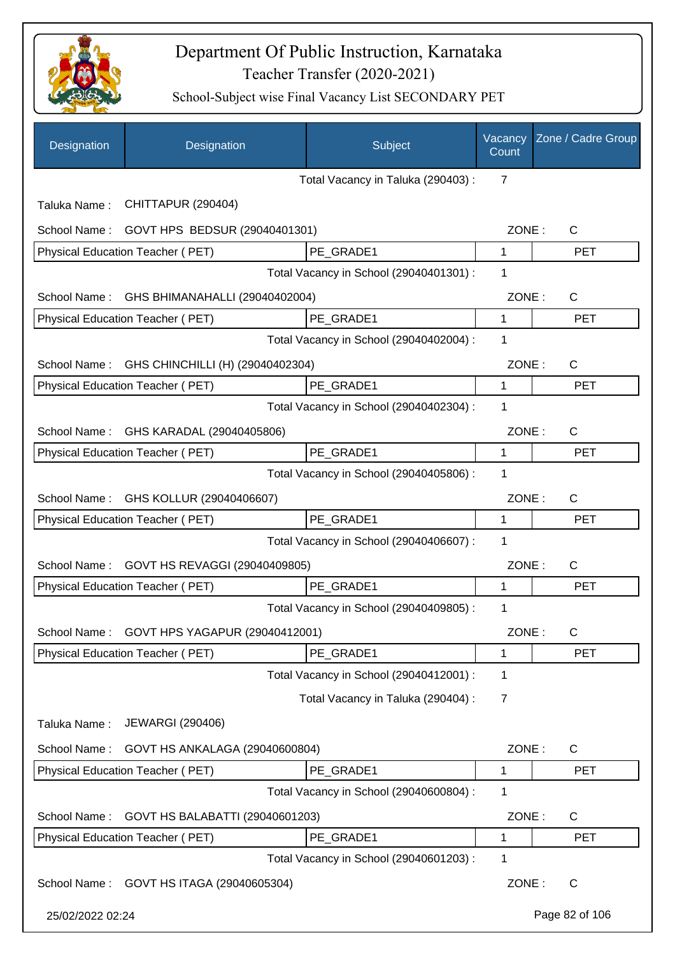

| Designation      | Designation                                   | Subject                                 | Vacancy<br>Count | Zone / Cadre Group |
|------------------|-----------------------------------------------|-----------------------------------------|------------------|--------------------|
|                  |                                               | Total Vacancy in Taluka (290403) :      | 7                |                    |
| Taluka Name:     | CHITTAPUR (290404)                            |                                         |                  |                    |
| School Name:     | GOVT HPS BEDSUR (29040401301)                 |                                         | ZONE:            | $\mathsf{C}$       |
|                  | <b>Physical Education Teacher (PET)</b>       | PE GRADE1                               | $\mathbf 1$      | <b>PET</b>         |
|                  |                                               | Total Vacancy in School (29040401301) : | 1                |                    |
| School Name:     | GHS BHIMANAHALLI (29040402004)                |                                         | ZONE:            | C                  |
|                  | Physical Education Teacher (PET)              | PE_GRADE1                               | $\mathbf{1}$     | <b>PET</b>         |
|                  |                                               | Total Vacancy in School (29040402004) : | 1                |                    |
|                  | School Name: GHS CHINCHILLI (H) (29040402304) |                                         | ZONE:            | C                  |
|                  | Physical Education Teacher (PET)              | PE_GRADE1                               | 1                | <b>PET</b>         |
|                  |                                               | Total Vacancy in School (29040402304) : | 1                |                    |
| School Name:     | GHS KARADAL (29040405806)                     |                                         | ZONE:            | C                  |
|                  | Physical Education Teacher (PET)              | PE_GRADE1                               | 1                | <b>PET</b>         |
|                  |                                               | Total Vacancy in School (29040405806) : | 1                |                    |
|                  | School Name: GHS KOLLUR (29040406607)         |                                         | ZONE:            | C                  |
|                  | Physical Education Teacher (PET)              | PE_GRADE1                               | 1                | <b>PET</b>         |
|                  |                                               | Total Vacancy in School (29040406607) : | 1                |                    |
| School Name:     | GOVT HS REVAGGI (29040409805)                 |                                         | ZONE:            | C                  |
|                  | Physical Education Teacher (PET)              | PE_GRADE1                               | 1                | <b>PET</b>         |
|                  |                                               | Total Vacancy in School (29040409805) : | 1                |                    |
| School Name:     | GOVT HPS YAGAPUR (29040412001)                |                                         | ZONE:            | $\mathsf C$        |
|                  | <b>Physical Education Teacher (PET)</b>       | PE_GRADE1                               | 1                | <b>PET</b>         |
|                  |                                               | Total Vacancy in School (29040412001) : | 1                |                    |
|                  |                                               | Total Vacancy in Taluka (290404) :      | 7                |                    |
| Taluka Name:     | <b>JEWARGI (290406)</b>                       |                                         |                  |                    |
| School Name:     | GOVT HS ANKALAGA (29040600804)                |                                         | ZONE:            | C                  |
|                  | Physical Education Teacher (PET)              | PE_GRADE1                               | 1                | <b>PET</b>         |
|                  |                                               | Total Vacancy in School (29040600804) : | 1                |                    |
| School Name:     | GOVT HS BALABATTI (29040601203)               |                                         | ZONE:            | $\mathsf{C}$       |
|                  | Physical Education Teacher (PET)              | PE_GRADE1                               | 1                | <b>PET</b>         |
|                  |                                               | Total Vacancy in School (29040601203) : | 1                |                    |
|                  | School Name: GOVT HS ITAGA (29040605304)      |                                         | ZONE:            | $\mathsf{C}$       |
| 25/02/2022 02:24 |                                               |                                         |                  | Page 82 of 106     |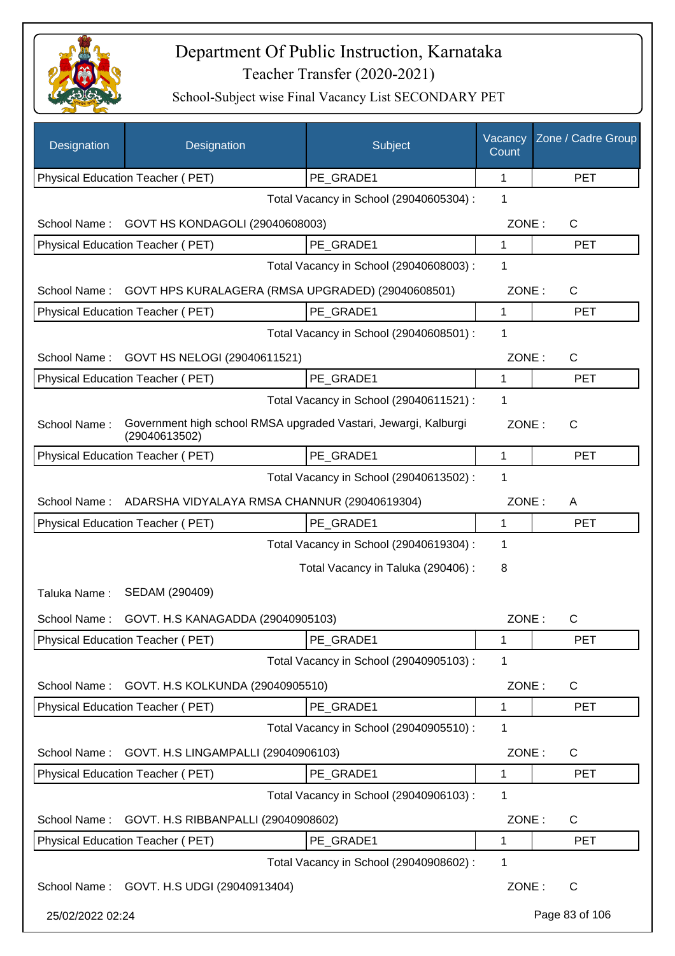

| Designation      | Designation                                                                      | Subject                                 | Vacancy<br>Count | Zone / Cadre Group |
|------------------|----------------------------------------------------------------------------------|-----------------------------------------|------------------|--------------------|
|                  | Physical Education Teacher (PET)                                                 | PE GRADE1                               | 1                | <b>PET</b>         |
|                  |                                                                                  | Total Vacancy in School (29040605304) : | 1                |                    |
| School Name:     | GOVT HS KONDAGOLI (29040608003)                                                  |                                         | ZONE:            | $\mathsf{C}$       |
|                  | Physical Education Teacher (PET)                                                 | PE_GRADE1                               | 1                | <b>PET</b>         |
|                  |                                                                                  | Total Vacancy in School (29040608003) : | 1                |                    |
| School Name:     | GOVT HPS KURALAGERA (RMSA UPGRADED) (29040608501)                                |                                         | ZONE:            | C                  |
|                  | Physical Education Teacher (PET)                                                 | PE_GRADE1                               | 1                | <b>PET</b>         |
|                  |                                                                                  | Total Vacancy in School (29040608501) : | 1                |                    |
| School Name:     | GOVT HS NELOGI (29040611521)                                                     |                                         | ZONE:            | C                  |
|                  | Physical Education Teacher (PET)                                                 | PE GRADE1                               | 1                | <b>PET</b>         |
|                  |                                                                                  | Total Vacancy in School (29040611521) : | 1                |                    |
| School Name:     | Government high school RMSA upgraded Vastari, Jewargi, Kalburgi<br>(29040613502) |                                         | ZONE:            | $\mathsf{C}$       |
|                  | Physical Education Teacher (PET)                                                 | PE_GRADE1                               | 1                | <b>PET</b>         |
|                  |                                                                                  | Total Vacancy in School (29040613502) : | 1                |                    |
| School Name:     | ADARSHA VIDYALAYA RMSA CHANNUR (29040619304)                                     |                                         | ZONE:            | A                  |
|                  | Physical Education Teacher (PET)                                                 | PE_GRADE1                               | 1                | <b>PET</b>         |
|                  |                                                                                  | Total Vacancy in School (29040619304) : | 1                |                    |
|                  |                                                                                  | Total Vacancy in Taluka (290406) :      | 8                |                    |
| Taluka Name:     | SEDAM (290409)                                                                   |                                         |                  |                    |
| School Name:     | GOVT. H.S KANAGADDA (29040905103)                                                |                                         | ZONE:            | С                  |
|                  | <b>Physical Education Teacher (PET)</b>                                          | PE GRADE1                               | 1                | <b>PET</b>         |
|                  |                                                                                  | Total Vacancy in School (29040905103) : | 1                |                    |
| School Name:     | GOVT. H.S KOLKUNDA (29040905510)                                                 |                                         | ZONE:            | C                  |
|                  | Physical Education Teacher (PET)                                                 | PE_GRADE1                               | 1                | <b>PET</b>         |
|                  |                                                                                  | Total Vacancy in School (29040905510) : | 1                |                    |
| School Name:     | GOVT. H.S LINGAMPALLI (29040906103)                                              |                                         | ZONE:            | C                  |
|                  | Physical Education Teacher (PET)                                                 | PE_GRADE1                               | 1                | <b>PET</b>         |
|                  |                                                                                  | Total Vacancy in School (29040906103) : | 1                |                    |
| School Name:     | GOVT. H.S RIBBANPALLI (29040908602)                                              |                                         | ZONE:            | $\mathsf{C}$       |
|                  | Physical Education Teacher (PET)                                                 | PE_GRADE1                               | 1                | <b>PET</b>         |
|                  |                                                                                  | Total Vacancy in School (29040908602) : | 1                |                    |
|                  | School Name: GOVT. H.S UDGI (29040913404)                                        |                                         | ZONE:            | $\mathsf{C}$       |
| 25/02/2022 02:24 |                                                                                  |                                         |                  | Page 83 of 106     |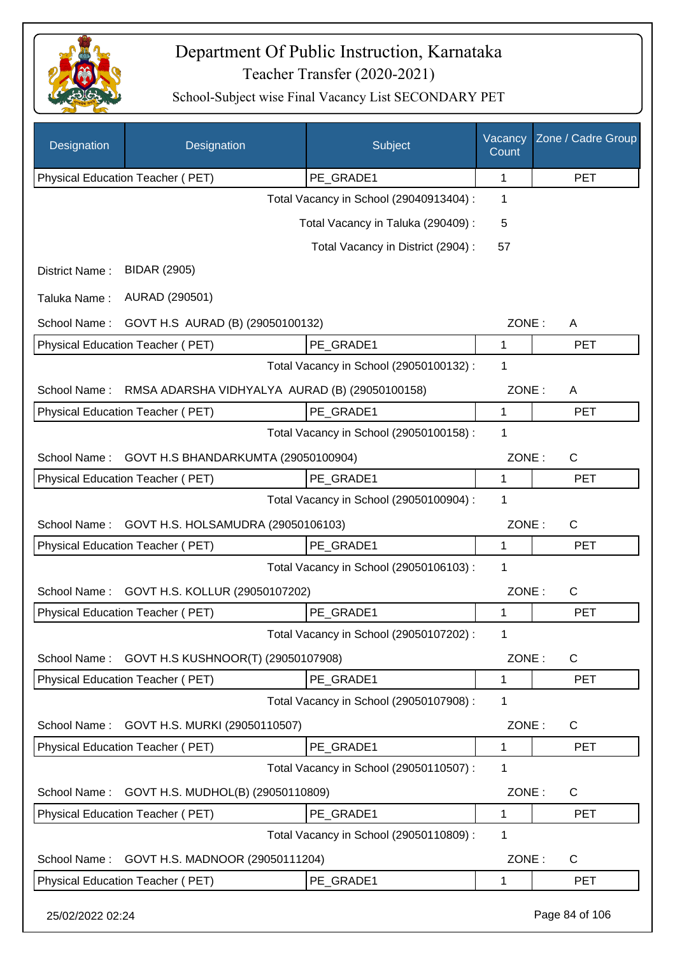

| Designation      | Designation                                    | Subject                                 | Vacancy<br>Count | Zone / Cadre Group |
|------------------|------------------------------------------------|-----------------------------------------|------------------|--------------------|
|                  | Physical Education Teacher (PET)               | PE GRADE1                               | 1                | <b>PET</b>         |
|                  |                                                | Total Vacancy in School (29040913404) : | 1                |                    |
|                  |                                                | Total Vacancy in Taluka (290409) :      | 5                |                    |
|                  |                                                | Total Vacancy in District (2904) :      | 57               |                    |
| District Name:   | <b>BIDAR (2905)</b>                            |                                         |                  |                    |
| Taluka Name:     | AURAD (290501)                                 |                                         |                  |                    |
| School Name:     | GOVT H.S AURAD (B) (29050100132)               |                                         | ZONE:            | A                  |
|                  | Physical Education Teacher (PET)               | PE GRADE1                               | 1                | <b>PET</b>         |
|                  |                                                | Total Vacancy in School (29050100132) : | 1                |                    |
| School Name:     | RMSA ADARSHA VIDHYALYA AURAD (B) (29050100158) |                                         | ZONE:            | A                  |
|                  | Physical Education Teacher (PET)               | PE GRADE1                               | $\mathbf{1}$     | <b>PET</b>         |
|                  |                                                | Total Vacancy in School (29050100158) : | 1                |                    |
| School Name:     | GOVT H.S BHANDARKUMTA (29050100904)            |                                         | ZONE:            | $\mathsf{C}$       |
|                  | Physical Education Teacher (PET)               | PE GRADE1                               | 1                | <b>PET</b>         |
|                  |                                                | Total Vacancy in School (29050100904) : | 1                |                    |
| School Name:     | GOVT H.S. HOLSAMUDRA (29050106103)             |                                         | ZONE:            | $\mathsf{C}$       |
|                  | Physical Education Teacher (PET)               | PE GRADE1                               | 1                | <b>PET</b>         |
|                  |                                                | Total Vacancy in School (29050106103) : | 1                |                    |
| School Name:     | GOVT H.S. KOLLUR (29050107202)                 |                                         | ZONE:            | C                  |
|                  | Physical Education Teacher (PET)               | PE GRADE1                               | 1                | <b>PET</b>         |
|                  |                                                | Total Vacancy in School (29050107202) : | 1                |                    |
| School Name:     | GOVT H.S KUSHNOOR(T) (29050107908)             |                                         | ZONE:            | $\mathsf{C}$       |
|                  | Physical Education Teacher (PET)               | PE_GRADE1                               | 1                | <b>PET</b>         |
|                  |                                                | Total Vacancy in School (29050107908) : | 1                |                    |
| School Name:     | GOVT H.S. MURKI (29050110507)                  |                                         | ZONE:            | $\mathsf{C}$       |
|                  | Physical Education Teacher (PET)               | PE_GRADE1                               | 1                | <b>PET</b>         |
|                  |                                                | Total Vacancy in School (29050110507) : | 1                |                    |
| School Name:     | GOVT H.S. MUDHOL(B) (29050110809)              |                                         | ZONE:            | $\mathsf{C}$       |
|                  | Physical Education Teacher (PET)               | PE GRADE1                               | 1                | <b>PET</b>         |
|                  |                                                | Total Vacancy in School (29050110809):  | 1                |                    |
| School Name:     | GOVT H.S. MADNOOR (29050111204)                |                                         | ZONE:            | $\mathsf{C}$       |
|                  | Physical Education Teacher (PET)               | PE_GRADE1                               | 1                | <b>PET</b>         |
| 25/02/2022 02:24 |                                                |                                         |                  | Page 84 of 106     |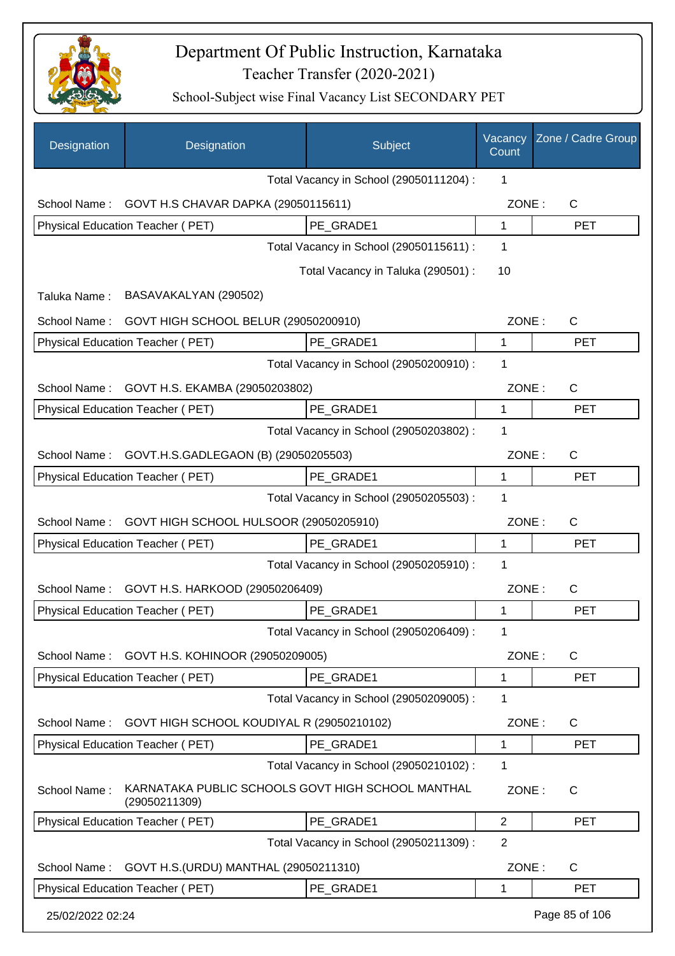

| Designation      | Designation                                                        | Subject                                 | Vacancy<br>Count | Zone / Cadre Group |
|------------------|--------------------------------------------------------------------|-----------------------------------------|------------------|--------------------|
|                  |                                                                    | Total Vacancy in School (29050111204) : | 1                |                    |
|                  | School Name: GOVT H.S CHAVAR DAPKA (29050115611)                   |                                         | ZONE:            | $\mathsf{C}$       |
|                  | Physical Education Teacher (PET)                                   | PE_GRADE1                               | 1                | <b>PET</b>         |
|                  |                                                                    | Total Vacancy in School (29050115611) : | $\mathbf 1$      |                    |
|                  |                                                                    | Total Vacancy in Taluka (290501) :      | 10               |                    |
| Taluka Name:     | BASAVAKALYAN (290502)                                              |                                         |                  |                    |
| School Name:     | GOVT HIGH SCHOOL BELUR (29050200910)                               |                                         | ZONE:            | C                  |
|                  | Physical Education Teacher (PET)                                   | PE_GRADE1                               | 1                | <b>PET</b>         |
|                  |                                                                    | Total Vacancy in School (29050200910) : | 1                |                    |
| School Name:     | GOVT H.S. EKAMBA (29050203802)                                     |                                         | ZONE:            | C                  |
|                  | Physical Education Teacher (PET)                                   | PE_GRADE1                               | 1                | <b>PET</b>         |
|                  |                                                                    | Total Vacancy in School (29050203802) : | 1                |                    |
| School Name:     | GOVT.H.S.GADLEGAON (B) (29050205503)                               |                                         | ZONE:            | C                  |
|                  | Physical Education Teacher (PET)                                   | PE GRADE1                               | 1                | <b>PET</b>         |
|                  |                                                                    | Total Vacancy in School (29050205503) : | 1                |                    |
| School Name:     | GOVT HIGH SCHOOL HULSOOR (29050205910)                             |                                         | ZONE:            | C                  |
|                  | Physical Education Teacher (PET)                                   | PE GRADE1                               | 1                | <b>PET</b>         |
|                  |                                                                    | Total Vacancy in School (29050205910) : | $\mathbf 1$      |                    |
| School Name:     | GOVT H.S. HARKOOD (29050206409)                                    |                                         | ZONE:            | C                  |
|                  | <b>Physical Education Teacher (PET)</b>                            | PE_GRADE1                               | 1                | <b>PET</b>         |
|                  |                                                                    | Total Vacancy in School (29050206409) : | 1                |                    |
| School Name:     | GOVT H.S. KOHINOOR (29050209005)                                   |                                         | ZONE:            | C                  |
|                  | Physical Education Teacher (PET)                                   | PE_GRADE1                               | 1                | <b>PET</b>         |
|                  |                                                                    | Total Vacancy in School (29050209005) : | 1                |                    |
| School Name:     | GOVT HIGH SCHOOL KOUDIYAL R (29050210102)                          |                                         | ZONE:            | C                  |
|                  | Physical Education Teacher (PET)                                   | PE_GRADE1                               | 1                | <b>PET</b>         |
|                  |                                                                    | Total Vacancy in School (29050210102) : | 1                |                    |
| School Name:     | KARNATAKA PUBLIC SCHOOLS GOVT HIGH SCHOOL MANTHAL<br>(29050211309) |                                         | ZONE:            | $\mathsf{C}$       |
|                  | Physical Education Teacher (PET)                                   | PE_GRADE1                               | $\overline{2}$   | PET                |
|                  |                                                                    | Total Vacancy in School (29050211309) : | $\overline{2}$   |                    |
| School Name:     | GOVT H.S. (URDU) MANTHAL (29050211310)                             |                                         | ZONE:            | C                  |
|                  | Physical Education Teacher (PET)                                   | PE_GRADE1                               | 1                | <b>PET</b>         |
| 25/02/2022 02:24 |                                                                    |                                         |                  | Page 85 of 106     |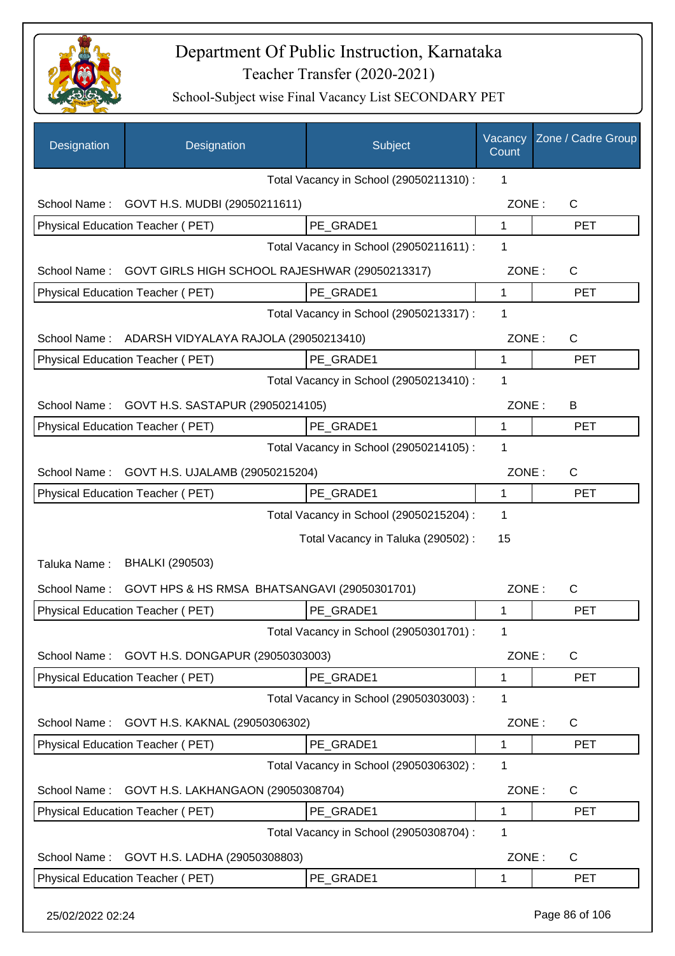

| Designation      | Designation                                        | Subject                                 | Vacancy<br>Count | Zone / Cadre Group |
|------------------|----------------------------------------------------|-----------------------------------------|------------------|--------------------|
|                  |                                                    | Total Vacancy in School (29050211310) : | 1                |                    |
|                  | School Name: GOVT H.S. MUDBI (29050211611)         |                                         | ZONE:            | C                  |
|                  | Physical Education Teacher (PET)                   | PE GRADE1                               | $\mathbf 1$      | <b>PET</b>         |
|                  |                                                    | Total Vacancy in School (29050211611) : | 1                |                    |
| School Name:     | GOVT GIRLS HIGH SCHOOL RAJESHWAR (29050213317)     |                                         | ZONE:            | C                  |
|                  | Physical Education Teacher (PET)                   | PE_GRADE1                               | $\mathbf{1}$     | <b>PET</b>         |
|                  |                                                    | Total Vacancy in School (29050213317) : | 1                |                    |
|                  | School Name: ADARSH VIDYALAYA RAJOLA (29050213410) |                                         | ZONE:            | $\mathsf{C}$       |
|                  | Physical Education Teacher (PET)                   | PE GRADE1                               | 1                | <b>PET</b>         |
|                  |                                                    | Total Vacancy in School (29050213410) : | 1                |                    |
| School Name:     | GOVT H.S. SASTAPUR (29050214105)                   |                                         | ZONE:            | В                  |
|                  | <b>Physical Education Teacher (PET)</b>            | PE GRADE1                               | $\mathbf 1$      | <b>PET</b>         |
|                  |                                                    | Total Vacancy in School (29050214105) : | 1                |                    |
| School Name:     | GOVT H.S. UJALAMB (29050215204)                    |                                         | ZONE:            | $\mathsf{C}$       |
|                  | Physical Education Teacher (PET)                   | PE_GRADE1                               | 1                | <b>PET</b>         |
|                  |                                                    | Total Vacancy in School (29050215204) : | 1                |                    |
|                  |                                                    | Total Vacancy in Taluka (290502) :      | 15               |                    |
| Taluka Name:     | <b>BHALKI (290503)</b>                             |                                         |                  |                    |
| School Name:     | GOVT HPS & HS RMSA BHATSANGAVI (29050301701)       |                                         | ZONE:            | C                  |
|                  | Physical Education Teacher (PET)                   | PE GRADE1                               | 1                | <b>PET</b>         |
|                  |                                                    | Total Vacancy in School (29050301701) : | 1                |                    |
| School Name:     | GOVT H.S. DONGAPUR (29050303003)                   |                                         | ZONE:            | $\mathsf{C}$       |
|                  | Physical Education Teacher (PET)                   | PE_GRADE1                               | 1                | <b>PET</b>         |
|                  |                                                    | Total Vacancy in School (29050303003) : | 1                |                    |
| School Name:     | GOVT H.S. KAKNAL (29050306302)                     |                                         | ZONE:            | $\mathsf{C}$       |
|                  | <b>Physical Education Teacher (PET)</b>            | PE_GRADE1                               | 1                | <b>PET</b>         |
|                  |                                                    | Total Vacancy in School (29050306302) : | 1                |                    |
| School Name:     | GOVT H.S. LAKHANGAON (29050308704)                 |                                         | ZONE:            | $\mathsf{C}$       |
|                  | Physical Education Teacher (PET)                   | PE_GRADE1                               | 1                | <b>PET</b>         |
|                  |                                                    | Total Vacancy in School (29050308704) : | $\mathbf{1}$     |                    |
| School Name:     | GOVT H.S. LADHA (29050308803)                      |                                         | ZONE:            | C                  |
|                  | Physical Education Teacher (PET)                   | PE_GRADE1                               | 1                | <b>PET</b>         |
| 25/02/2022 02:24 |                                                    |                                         |                  | Page 86 of 106     |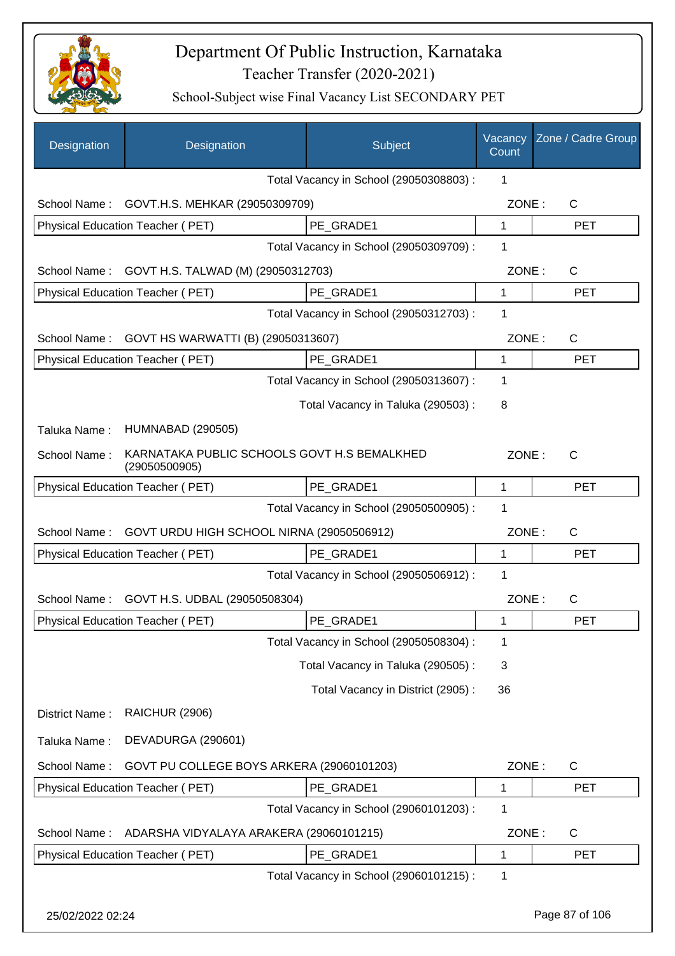

| Designation      | Designation                                                  | Subject                                 | Vacancy<br>Count | Zone / Cadre Group |
|------------------|--------------------------------------------------------------|-----------------------------------------|------------------|--------------------|
|                  |                                                              | Total Vacancy in School (29050308803) : | 1                |                    |
| School Name:     | GOVT.H.S. MEHKAR (29050309709)                               |                                         | ZONE:            | $\mathsf{C}$       |
|                  | Physical Education Teacher (PET)                             | PE GRADE1                               | $\mathbf{1}$     | <b>PET</b>         |
|                  |                                                              | Total Vacancy in School (29050309709) : | 1                |                    |
| School Name:     | GOVT H.S. TALWAD (M) (29050312703)                           |                                         | ZONE:            | $\mathsf{C}$       |
|                  | Physical Education Teacher (PET)                             | PE_GRADE1                               | 1                | <b>PET</b>         |
|                  |                                                              | Total Vacancy in School (29050312703) : | 1                |                    |
| School Name:     | GOVT HS WARWATTI (B) (29050313607)                           |                                         | ZONE:            | $\mathsf{C}$       |
|                  | Physical Education Teacher (PET)                             | PE GRADE1                               | $\mathbf{1}$     | <b>PET</b>         |
|                  |                                                              | Total Vacancy in School (29050313607) : | 1                |                    |
|                  |                                                              | Total Vacancy in Taluka (290503):       | 8                |                    |
| Taluka Name:     | <b>HUMNABAD (290505)</b>                                     |                                         |                  |                    |
| School Name:     | KARNATAKA PUBLIC SCHOOLS GOVT H.S BEMALKHED<br>(29050500905) |                                         | ZONE:            | $\mathsf{C}$       |
|                  | Physical Education Teacher (PET)                             | PE_GRADE1                               | $\mathbf 1$      | <b>PET</b>         |
|                  |                                                              | Total Vacancy in School (29050500905) : | 1                |                    |
| School Name:     | GOVT URDU HIGH SCHOOL NIRNA (29050506912)                    |                                         | ZONE:            | C                  |
|                  | Physical Education Teacher (PET)                             | PE GRADE1                               | 1                | <b>PET</b>         |
|                  |                                                              | Total Vacancy in School (29050506912) : | 1                |                    |
| School Name:     | GOVT H.S. UDBAL (29050508304)                                |                                         | ZONE:            | $\mathsf{C}$       |
|                  | Physical Education Teacher (PET)                             | PE_GRADE1                               |                  | <b>PET</b>         |
|                  |                                                              | Total Vacancy in School (29050508304) : | 1                |                    |
|                  |                                                              | Total Vacancy in Taluka (290505):       | 3                |                    |
|                  |                                                              | Total Vacancy in District (2905):       | 36               |                    |
| District Name:   | <b>RAICHUR (2906)</b>                                        |                                         |                  |                    |
| Taluka Name:     | DEVADURGA (290601)                                           |                                         |                  |                    |
| School Name:     | GOVT PU COLLEGE BOYS ARKERA (29060101203)                    |                                         | ZONE:            | C                  |
|                  | Physical Education Teacher (PET)                             | PE_GRADE1                               | 1                | PET                |
|                  |                                                              | Total Vacancy in School (29060101203) : | 1                |                    |
| School Name:     | ADARSHA VIDYALAYA ARAKERA (29060101215)                      |                                         | ZONE:            | C                  |
|                  | Physical Education Teacher (PET)                             | PE_GRADE1                               | $\mathbf 1$      | <b>PET</b>         |
|                  |                                                              | Total Vacancy in School (29060101215) : | 1                |                    |
| 25/02/2022 02:24 |                                                              |                                         |                  | Page 87 of 106     |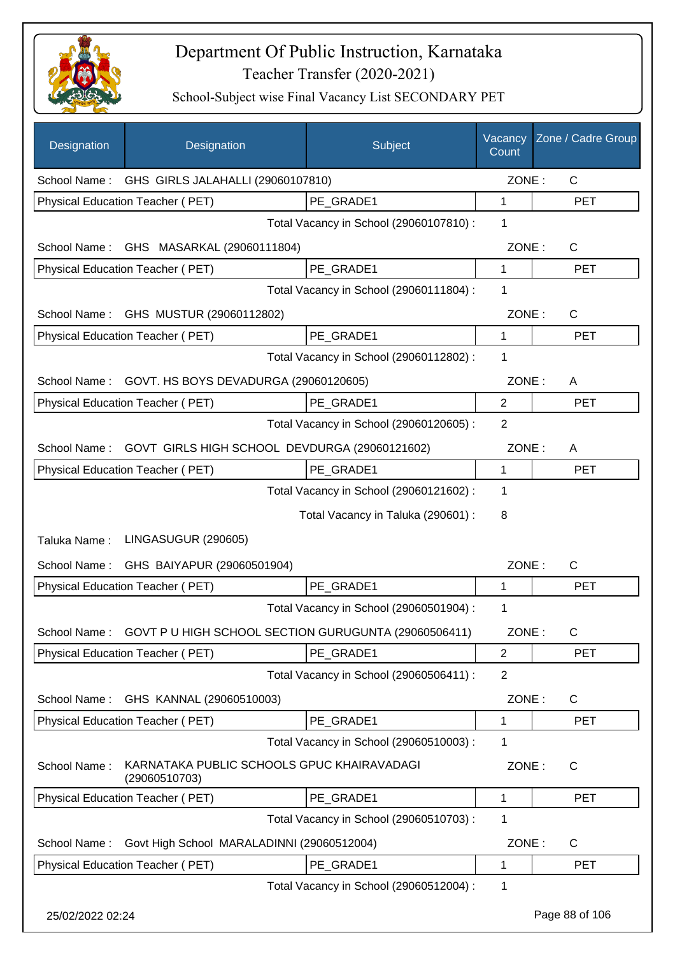

| Designation      | Designation                                                 | Subject                                 | Vacancy<br>Count | Zone / Cadre Group |
|------------------|-------------------------------------------------------------|-----------------------------------------|------------------|--------------------|
|                  | School Name: GHS GIRLS JALAHALLI (29060107810)              |                                         | ZONE:            | $\mathsf{C}$       |
|                  | Physical Education Teacher (PET)                            | PE GRADE1                               | 1                | <b>PET</b>         |
|                  |                                                             | Total Vacancy in School (29060107810) : | 1                |                    |
| School Name:     | GHS MASARKAL (29060111804)                                  |                                         | ZONE:            | $\mathsf{C}$       |
|                  | Physical Education Teacher (PET)                            | PE GRADE1                               | 1                | <b>PET</b>         |
|                  |                                                             | Total Vacancy in School (29060111804) : | 1                |                    |
| School Name:     | GHS MUSTUR (29060112802)                                    |                                         | ZONE:            | $\mathsf{C}$       |
|                  | Physical Education Teacher (PET)                            | PE_GRADE1                               | 1                | <b>PET</b>         |
|                  |                                                             | Total Vacancy in School (29060112802) : | 1                |                    |
| School Name:     | GOVT. HS BOYS DEVADURGA (29060120605)                       |                                         | ZONE:            | A                  |
|                  | Physical Education Teacher (PET)                            | PE GRADE1                               | $\overline{2}$   | <b>PET</b>         |
|                  |                                                             | Total Vacancy in School (29060120605) : | 2                |                    |
| School Name:     | GOVT GIRLS HIGH SCHOOL DEVDURGA (29060121602)               |                                         | ZONE:            | A                  |
|                  | Physical Education Teacher (PET)                            | PE_GRADE1                               | 1                | <b>PET</b>         |
|                  |                                                             | Total Vacancy in School (29060121602) : | 1                |                    |
|                  |                                                             | Total Vacancy in Taluka (290601) :      | 8                |                    |
| Taluka Name:     | LINGASUGUR (290605)                                         |                                         |                  |                    |
|                  | School Name: GHS BAIYAPUR (29060501904)                     |                                         | ZONE:            | C                  |
|                  | Physical Education Teacher (PET)                            | PE GRADE1                               | 1                | <b>PET</b>         |
|                  |                                                             | Total Vacancy in School (29060501904) : | 1                |                    |
| School Name:     | GOVT P U HIGH SCHOOL SECTION GURUGUNTA (29060506411)        |                                         | ZONE:            | $\mathsf C$        |
|                  | Physical Education Teacher (PET)                            | PE GRADE1                               | $\overline{2}$   | PET                |
|                  |                                                             | Total Vacancy in School (29060506411) : | $\overline{2}$   |                    |
| School Name:     | GHS KANNAL (29060510003)                                    |                                         | ZONE:            | C                  |
|                  | Physical Education Teacher (PET)                            | PE GRADE1                               | 1                | <b>PET</b>         |
|                  |                                                             | Total Vacancy in School (29060510003) : | 1                |                    |
| School Name:     | KARNATAKA PUBLIC SCHOOLS GPUC KHAIRAVADAGI<br>(29060510703) |                                         | ZONE:            | $\mathsf{C}$       |
|                  | Physical Education Teacher (PET)                            | PE_GRADE1                               | 1                | <b>PET</b>         |
|                  |                                                             | Total Vacancy in School (29060510703) : | 1                |                    |
| School Name:     | Govt High School MARALADINNI (29060512004)                  |                                         | ZONE:            | C                  |
|                  | Physical Education Teacher (PET)                            | PE_GRADE1                               | 1                | <b>PET</b>         |
|                  |                                                             | Total Vacancy in School (29060512004) : | 1                |                    |
| 25/02/2022 02:24 |                                                             |                                         |                  | Page 88 of 106     |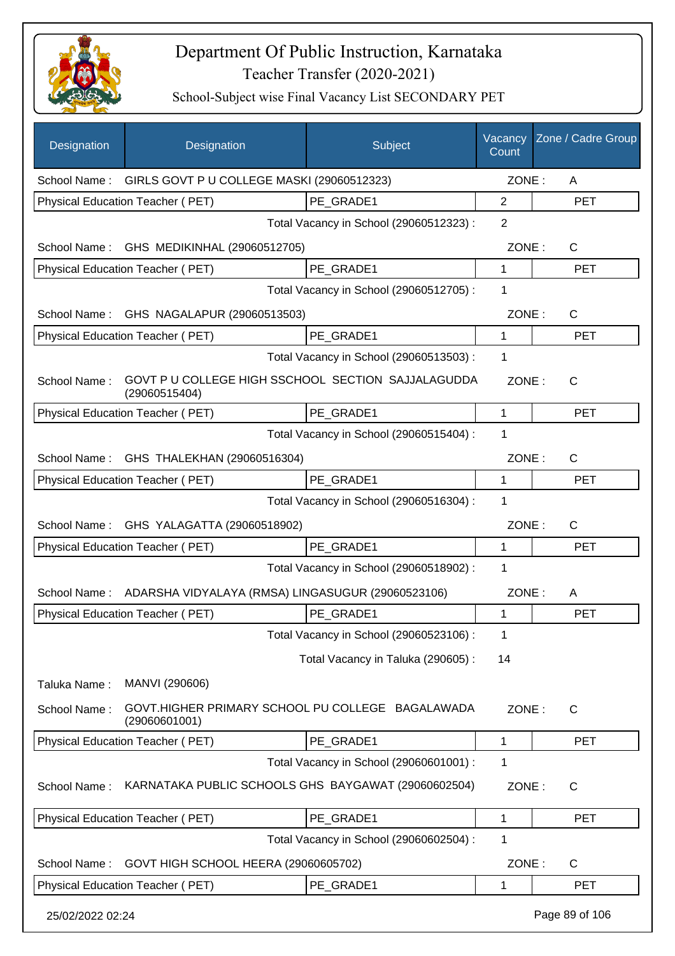

| Designation      | Designation                                                         | Subject                                 | Vacancy<br>Count | Zone / Cadre Group |
|------------------|---------------------------------------------------------------------|-----------------------------------------|------------------|--------------------|
|                  | School Name: GIRLS GOVT P U COLLEGE MASKI (29060512323)             |                                         | ZONE:            | A                  |
|                  | Physical Education Teacher (PET)                                    | PE GRADE1                               | $\overline{2}$   | <b>PET</b>         |
|                  |                                                                     | Total Vacancy in School (29060512323) : | 2                |                    |
|                  | School Name: GHS MEDIKINHAL (29060512705)                           |                                         | ZONE:            | $\mathsf{C}$       |
|                  | Physical Education Teacher (PET)                                    | PE GRADE1                               | 1                | <b>PET</b>         |
|                  |                                                                     | Total Vacancy in School (29060512705) : | 1                |                    |
|                  | School Name: GHS NAGALAPUR (29060513503)                            |                                         | ZONE:            | $\mathsf{C}$       |
|                  | Physical Education Teacher (PET)                                    | PE GRADE1                               | 1                | <b>PET</b>         |
|                  |                                                                     | Total Vacancy in School (29060513503) : | 1                |                    |
| School Name:     | GOVT P U COLLEGE HIGH SSCHOOL SECTION SAJJALAGUDDA<br>(29060515404) |                                         | ZONE:            | $\mathsf{C}$       |
|                  | Physical Education Teacher (PET)                                    | PE GRADE1                               | 1                | <b>PET</b>         |
|                  |                                                                     | Total Vacancy in School (29060515404) : | 1                |                    |
|                  | School Name: GHS THALEKHAN (29060516304)                            |                                         | ZONE:            | C                  |
|                  | Physical Education Teacher (PET)                                    | PE GRADE1                               | 1                | <b>PET</b>         |
|                  |                                                                     | Total Vacancy in School (29060516304) : | 1                |                    |
| School Name:     | GHS YALAGATTA (29060518902)                                         |                                         | ZONE:            | $\mathsf{C}$       |
|                  | Physical Education Teacher (PET)                                    | PE GRADE1                               | 1                | <b>PET</b>         |
|                  |                                                                     | Total Vacancy in School (29060518902) : | 1                |                    |
| School Name:     | ADARSHA VIDYALAYA (RMSA) LINGASUGUR (29060523106)                   |                                         | ZONE:            | A                  |
|                  | Physical Education Teacher (PET)                                    | PE GRADE1                               | 1                | <b>PET</b>         |
|                  |                                                                     | Total Vacancy in School (29060523106) : | 1                |                    |
|                  |                                                                     | Total Vacancy in Taluka (290605):       | 14               |                    |
| Taluka Name:     | MANVI (290606)                                                      |                                         |                  |                    |
| School Name:     | GOVT.HIGHER PRIMARY SCHOOL PU COLLEGE BAGALAWADA<br>(29060601001)   |                                         | ZONE:            | C                  |
|                  | <b>Physical Education Teacher (PET)</b>                             | PE_GRADE1                               | 1                | <b>PET</b>         |
|                  |                                                                     | Total Vacancy in School (29060601001) : | 1                |                    |
| School Name:     | KARNATAKA PUBLIC SCHOOLS GHS BAYGAWAT (29060602504)                 |                                         | ZONE:            | C                  |
|                  | Physical Education Teacher (PET)                                    | PE_GRADE1                               | 1                | <b>PET</b>         |
|                  |                                                                     | Total Vacancy in School (29060602504) : | 1                |                    |
| School Name:     | GOVT HIGH SCHOOL HEERA (29060605702)                                |                                         | ZONE:            | C                  |
|                  | Physical Education Teacher (PET)                                    | PE_GRADE1                               | 1                | <b>PET</b>         |
| 25/02/2022 02:24 |                                                                     |                                         |                  | Page 89 of 106     |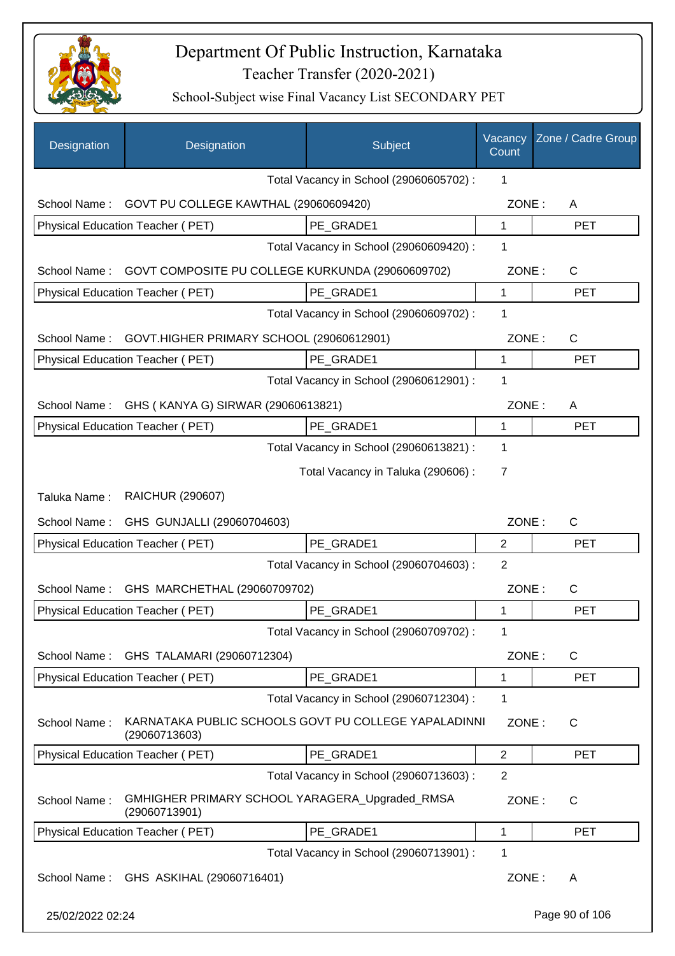

| Designation      | Designation                                                           | Subject                                 | Vacancy<br>Count | Zone / Cadre Group |
|------------------|-----------------------------------------------------------------------|-----------------------------------------|------------------|--------------------|
|                  |                                                                       | Total Vacancy in School (29060605702) : | 1                |                    |
| School Name:     | GOVT PU COLLEGE KAWTHAL (29060609420)                                 |                                         | ZONE:            | A                  |
|                  | Physical Education Teacher (PET)                                      | PE GRADE1                               | 1                | <b>PET</b>         |
|                  |                                                                       | Total Vacancy in School (29060609420) : | 1                |                    |
| School Name:     | GOVT COMPOSITE PU COLLEGE KURKUNDA (29060609702)                      |                                         | ZONE:            | $\mathsf{C}$       |
|                  | Physical Education Teacher (PET)                                      | PE GRADE1                               | $\mathbf 1$      | <b>PET</b>         |
|                  |                                                                       | Total Vacancy in School (29060609702) : | 1                |                    |
| School Name:     | GOVT.HIGHER PRIMARY SCHOOL (29060612901)                              |                                         | ZONE:            | $\mathsf{C}$       |
|                  | Physical Education Teacher (PET)                                      | PE GRADE1                               | 1                | <b>PET</b>         |
|                  |                                                                       | Total Vacancy in School (29060612901) : | 1                |                    |
| School Name:     | GHS (KANYA G) SIRWAR (29060613821)                                    |                                         | ZONE:            | A                  |
|                  | Physical Education Teacher (PET)                                      | PE_GRADE1                               | 1                | <b>PET</b>         |
|                  |                                                                       | Total Vacancy in School (29060613821) : | 1                |                    |
|                  |                                                                       | Total Vacancy in Taluka (290606) :      | 7                |                    |
| Taluka Name:     | RAICHUR (290607)                                                      |                                         |                  |                    |
| School Name:     | GHS GUNJALLI (29060704603)                                            |                                         | ZONE:            | C                  |
|                  | Physical Education Teacher (PET)                                      | PE_GRADE1                               | $\overline{2}$   | <b>PET</b>         |
|                  |                                                                       | Total Vacancy in School (29060704603) : | $\overline{2}$   |                    |
| School Name:     | GHS MARCHETHAL (29060709702)                                          |                                         | ZONE:            | C                  |
|                  | Physical Education Teacher (PET)                                      | PE GRADE1                               | 1                | <b>PET</b>         |
|                  |                                                                       | Total Vacancy in School (29060709702) : | 1                |                    |
| School Name:     | GHS TALAMARI (29060712304)                                            |                                         | ZONE:            | C                  |
|                  | Physical Education Teacher (PET)                                      | PE GRADE1                               | 1                | <b>PET</b>         |
|                  |                                                                       | Total Vacancy in School (29060712304) : | 1                |                    |
| School Name:     | KARNATAKA PUBLIC SCHOOLS GOVT PU COLLEGE YAPALADINNI<br>(29060713603) |                                         | ZONE:            | $\mathsf{C}$       |
|                  | Physical Education Teacher (PET)                                      | PE_GRADE1                               | $\overline{2}$   | <b>PET</b>         |
|                  |                                                                       | Total Vacancy in School (29060713603) : | $\overline{2}$   |                    |
| School Name:     | GMHIGHER PRIMARY SCHOOL YARAGERA_Upgraded_RMSA<br>(29060713901)       |                                         | ZONE:            | $\mathsf{C}$       |
|                  | Physical Education Teacher (PET)                                      | PE_GRADE1                               | 1                | <b>PET</b>         |
|                  |                                                                       | Total Vacancy in School (29060713901) : | 1                |                    |
| School Name:     | GHS ASKIHAL (29060716401)                                             |                                         | ZONE:            | A                  |
| 25/02/2022 02:24 |                                                                       |                                         |                  | Page 90 of 106     |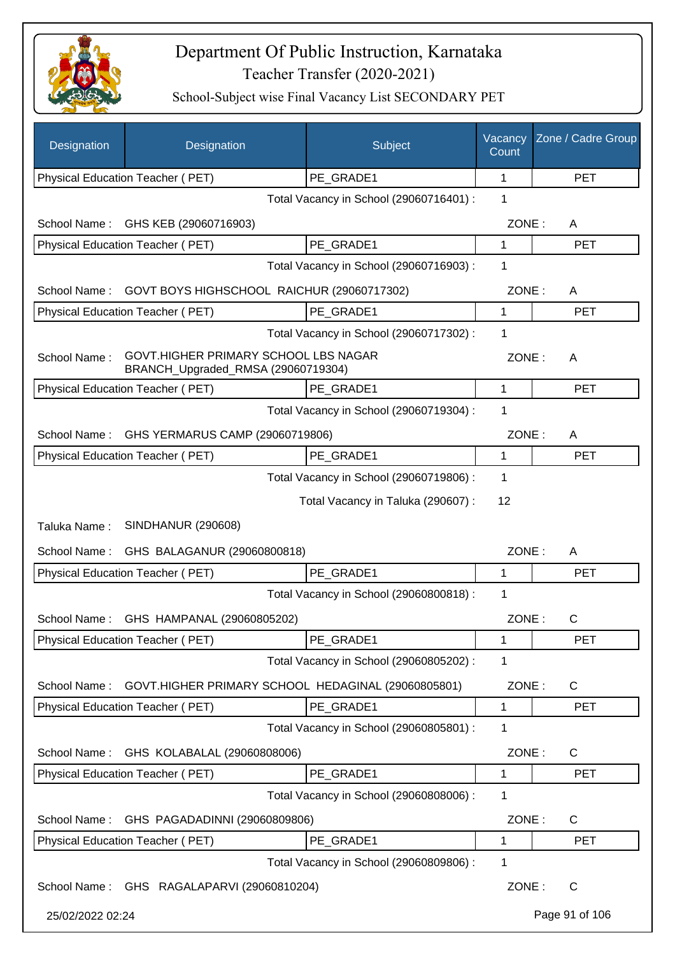

| Designation      | Designation                                                                | Subject                                 | Vacancy<br>Count | Zone / Cadre Group |
|------------------|----------------------------------------------------------------------------|-----------------------------------------|------------------|--------------------|
|                  | Physical Education Teacher (PET)                                           | PE_GRADE1                               | 1                | <b>PET</b>         |
|                  |                                                                            | Total Vacancy in School (29060716401) : | 1                |                    |
| School Name:     | GHS KEB (29060716903)                                                      |                                         | ZONE:            | A                  |
|                  | Physical Education Teacher (PET)                                           | PE_GRADE1                               | 1                | <b>PET</b>         |
|                  |                                                                            | Total Vacancy in School (29060716903) : | 1                |                    |
| School Name:     | GOVT BOYS HIGHSCHOOL RAICHUR (29060717302)                                 |                                         | ZONE:            | A                  |
|                  | Physical Education Teacher (PET)                                           | PE GRADE1                               | 1                | <b>PET</b>         |
|                  |                                                                            | Total Vacancy in School (29060717302) : | 1                |                    |
| School Name:     | GOVT.HIGHER PRIMARY SCHOOL LBS NAGAR<br>BRANCH_Upgraded_RMSA (29060719304) |                                         | ZONE:            | A                  |
|                  | Physical Education Teacher (PET)                                           | PE GRADE1                               | 1                | <b>PET</b>         |
|                  |                                                                            | Total Vacancy in School (29060719304) : | 1                |                    |
| School Name:     | GHS YERMARUS CAMP (29060719806)                                            |                                         | ZONE:            | A                  |
|                  | Physical Education Teacher (PET)                                           | PE_GRADE1                               | 1                | <b>PET</b>         |
|                  |                                                                            | Total Vacancy in School (29060719806) : | 1                |                    |
|                  |                                                                            | Total Vacancy in Taluka (290607) :      | 12               |                    |
| Taluka Name:     | <b>SINDHANUR (290608)</b>                                                  |                                         |                  |                    |
| School Name:     | GHS BALAGANUR (29060800818)                                                |                                         | ZONE:            | A                  |
|                  | Physical Education Teacher (PET)                                           | PE GRADE1                               | 1                | <b>PET</b>         |
|                  |                                                                            | Total Vacancy in School (29060800818) : | 1                |                    |
| School Name:     | GHS HAMPANAL (29060805202)                                                 |                                         | ZONE:            | С                  |
|                  | Physical Education Teacher (PET)                                           | PE_GRADE1                               | 1                | <b>PET</b>         |
|                  |                                                                            | Total Vacancy in School (29060805202) : | 1                |                    |
| School Name:     | GOVT.HIGHER PRIMARY SCHOOL HEDAGINAL (29060805801)                         |                                         | ZONE:            | C                  |
|                  | Physical Education Teacher (PET)                                           | PE GRADE1                               | 1                | <b>PET</b>         |
|                  |                                                                            | Total Vacancy in School (29060805801) : | 1                |                    |
| School Name:     | GHS KOLABALAL (29060808006)                                                |                                         | ZONE:            | $\mathsf{C}$       |
|                  | Physical Education Teacher (PET)                                           | PE_GRADE1                               | 1                | <b>PET</b>         |
|                  |                                                                            | Total Vacancy in School (29060808006) : | 1                |                    |
| School Name:     | GHS PAGADADINNI (29060809806)                                              |                                         | ZONE:            | C                  |
|                  | Physical Education Teacher (PET)                                           | PE_GRADE1                               | 1                | <b>PET</b>         |
|                  |                                                                            | Total Vacancy in School (29060809806) : | 1                |                    |
|                  | School Name: GHS RAGALAPARVI (29060810204)                                 |                                         | ZONE:            | C                  |
| 25/02/2022 02:24 |                                                                            |                                         |                  | Page 91 of 106     |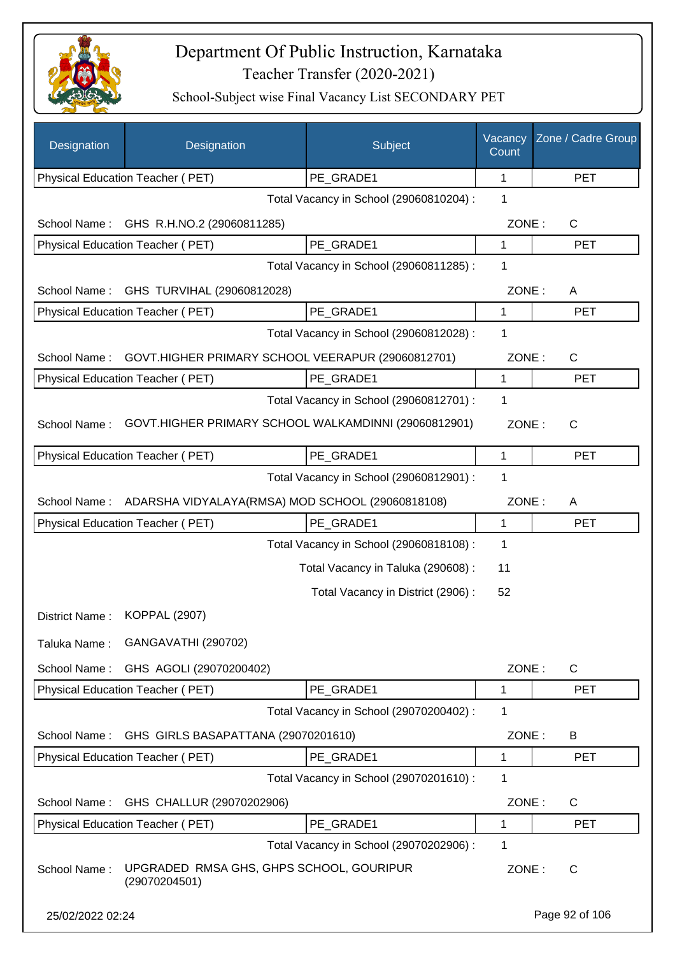

| Designation      | Designation                                               | Subject                                 | Vacancy<br>Count | Zone / Cadre Group |
|------------------|-----------------------------------------------------------|-----------------------------------------|------------------|--------------------|
|                  | Physical Education Teacher (PET)                          | PE_GRADE1                               | 1                | <b>PET</b>         |
|                  |                                                           | Total Vacancy in School (29060810204) : | 1                |                    |
| School Name:     | GHS R.H.NO.2 (29060811285)                                |                                         | ZONE:            | $\mathsf{C}$       |
|                  | Physical Education Teacher (PET)                          | PE GRADE1                               | 1                | <b>PET</b>         |
|                  |                                                           | Total Vacancy in School (29060811285) : | 1                |                    |
| School Name:     | GHS TURVIHAL (29060812028)                                |                                         | ZONE:            | A                  |
|                  | Physical Education Teacher (PET)                          | PE GRADE1                               | 1                | <b>PET</b>         |
|                  |                                                           | Total Vacancy in School (29060812028) : | 1                |                    |
| School Name:     | GOVT.HIGHER PRIMARY SCHOOL VEERAPUR (29060812701)         |                                         | ZONE:            | $\mathsf{C}$       |
|                  | <b>Physical Education Teacher (PET)</b>                   | PE GRADE1                               | $\mathbf{1}$     | <b>PET</b>         |
|                  |                                                           | Total Vacancy in School (29060812701) : | 1                |                    |
| School Name:     | GOVT.HIGHER PRIMARY SCHOOL WALKAMDINNI (29060812901)      |                                         | ZONE:            | $\mathsf{C}$       |
|                  | Physical Education Teacher (PET)                          | PE GRADE1                               | $\mathbf{1}$     | <b>PET</b>         |
|                  |                                                           | Total Vacancy in School (29060812901) : | 1                |                    |
| School Name:     | ADARSHA VIDYALAYA(RMSA) MOD SCHOOL (29060818108)          |                                         | ZONE:            | A                  |
|                  | Physical Education Teacher (PET)                          | PE_GRADE1                               | 1                | <b>PET</b>         |
|                  |                                                           | Total Vacancy in School (29060818108) : | 1                |                    |
|                  |                                                           | Total Vacancy in Taluka (290608) :      | 11               |                    |
|                  |                                                           | Total Vacancy in District (2906):       | 52               |                    |
| District Name:   | <b>KOPPAL (2907)</b>                                      |                                         |                  |                    |
| Taluka Name:     | <b>GANGAVATHI (290702)</b>                                |                                         |                  |                    |
| School Name:     | GHS AGOLI (29070200402)                                   |                                         | ZONE:            | $\mathsf{C}$       |
|                  | Physical Education Teacher (PET)                          | PE_GRADE1                               | 1                | <b>PET</b>         |
|                  |                                                           | Total Vacancy in School (29070200402) : | 1                |                    |
| School Name:     | GHS GIRLS BASAPATTANA (29070201610)                       |                                         | ZONE:            | B                  |
|                  | Physical Education Teacher (PET)                          | PE_GRADE1                               | 1                | <b>PET</b>         |
|                  |                                                           | Total Vacancy in School (29070201610) : | 1                |                    |
| School Name:     | GHS CHALLUR (29070202906)                                 |                                         | ZONE:            | C                  |
|                  | Physical Education Teacher (PET)                          | PE_GRADE1                               | 1                | <b>PET</b>         |
|                  |                                                           | Total Vacancy in School (29070202906) : | 1                |                    |
| School Name:     | UPGRADED RMSA GHS, GHPS SCHOOL, GOURIPUR<br>(29070204501) |                                         | ZONE:            | C                  |
| 25/02/2022 02:24 |                                                           |                                         |                  | Page 92 of 106     |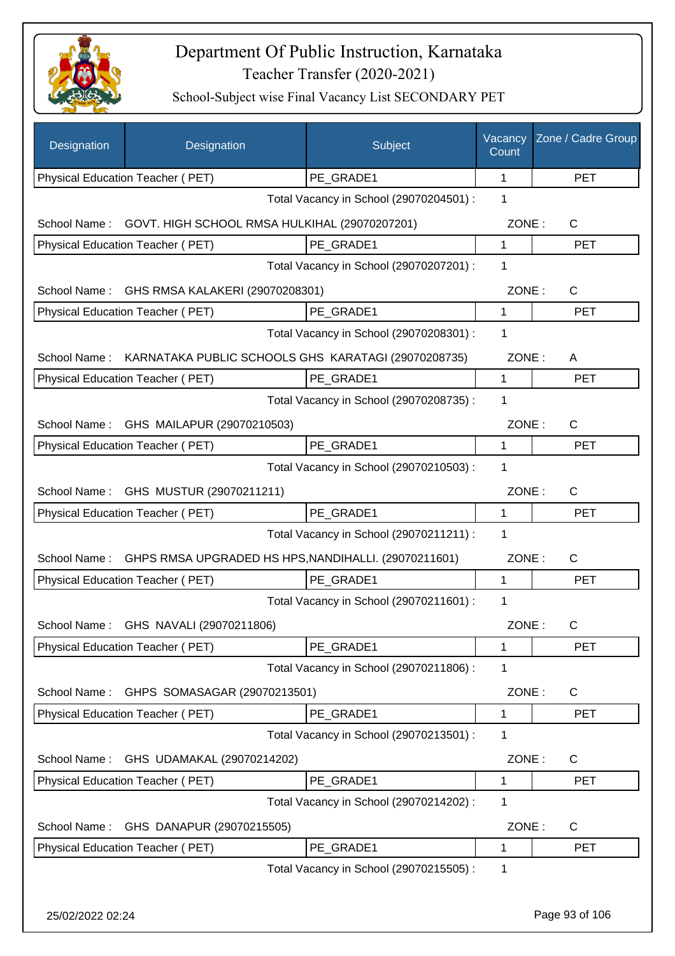

| Designation                             | Designation                                          | Subject                                 | Vacancy<br>Count     | Zone / Cadre Group         |
|-----------------------------------------|------------------------------------------------------|-----------------------------------------|----------------------|----------------------------|
|                                         | Physical Education Teacher (PET)                     | PE GRADE1                               | 1                    | <b>PET</b>                 |
|                                         |                                                      | Total Vacancy in School (29070204501) : | 1                    |                            |
| School Name:                            | GOVT. HIGH SCHOOL RMSA HULKIHAL (29070207201)        |                                         | ZONE:                | C                          |
|                                         | Physical Education Teacher (PET)                     | PE GRADE1                               | 1                    | <b>PET</b>                 |
|                                         |                                                      | Total Vacancy in School (29070207201) : | 1                    |                            |
| School Name:                            | GHS RMSA KALAKERI (29070208301)                      |                                         | ZONE:                | $\mathsf{C}$               |
|                                         | Physical Education Teacher (PET)                     | PE GRADE1                               | 1                    | <b>PET</b>                 |
|                                         |                                                      | Total Vacancy in School (29070208301) : | 1                    |                            |
| School Name:                            | KARNATAKA PUBLIC SCHOOLS GHS KARATAGI (29070208735)  |                                         | ZONE:                | A                          |
|                                         | Physical Education Teacher (PET)                     | PE GRADE1                               | $\mathbf{1}$         | <b>PET</b>                 |
|                                         |                                                      | Total Vacancy in School (29070208735) : | 1                    |                            |
| School Name:                            | GHS MAILAPUR (29070210503)                           |                                         | ZONE:                | $\mathsf{C}$               |
|                                         | Physical Education Teacher (PET)                     | PE GRADE1                               | 1                    | <b>PET</b>                 |
|                                         |                                                      | Total Vacancy in School (29070210503) : | 1                    |                            |
|                                         | School Name: GHS MUSTUR (29070211211)                |                                         | ZONE:                | $\mathsf{C}$               |
|                                         | Physical Education Teacher (PET)                     | PE_GRADE1                               | 1                    | <b>PET</b>                 |
| Total Vacancy in School (29070211211) : |                                                      |                                         | 1                    |                            |
| School Name:                            | GHPS RMSA UPGRADED HS HPS, NANDIHALLI. (29070211601) |                                         | ZONE:                | $\mathsf{C}$               |
|                                         | <b>Physical Education Teacher (PET)</b>              | PE_GRADE1                               | $\mathbf{1}$         | <b>PET</b>                 |
|                                         |                                                      | Total Vacancy in School (29070211601) : | 1                    |                            |
|                                         | School Name: GHS NAVALI (29070211806)                |                                         | ZONE:                | C.                         |
|                                         | Physical Education Teacher (PET)                     | PE GRADE1                               | 1                    | <b>PET</b>                 |
|                                         |                                                      | Total Vacancy in School (29070211806) : | 1                    |                            |
|                                         |                                                      |                                         |                      |                            |
| School Name:                            | GHPS SOMASAGAR (29070213501)                         | PE_GRADE1                               | ZONE:<br>$\mathbf 1$ | $\mathsf{C}$<br><b>PET</b> |
|                                         | Physical Education Teacher (PET)                     | Total Vacancy in School (29070213501) : | 1                    |                            |
|                                         |                                                      |                                         |                      |                            |
| School Name:                            | GHS UDAMAKAL (29070214202)                           |                                         | ZONE:                | C                          |
|                                         | Physical Education Teacher (PET)                     | PE GRADE1                               | 1                    | <b>PET</b>                 |
|                                         |                                                      | Total Vacancy in School (29070214202) : | 1                    |                            |
| School Name:                            | GHS DANAPUR (29070215505)                            |                                         | ZONE:                | $\mathsf{C}$               |
|                                         | Physical Education Teacher (PET)                     | PE_GRADE1                               | 1                    | <b>PET</b>                 |
|                                         |                                                      | Total Vacancy in School (29070215505) : | 1                    |                            |
| 25/02/2022 02:24                        |                                                      |                                         |                      | Page 93 of 106             |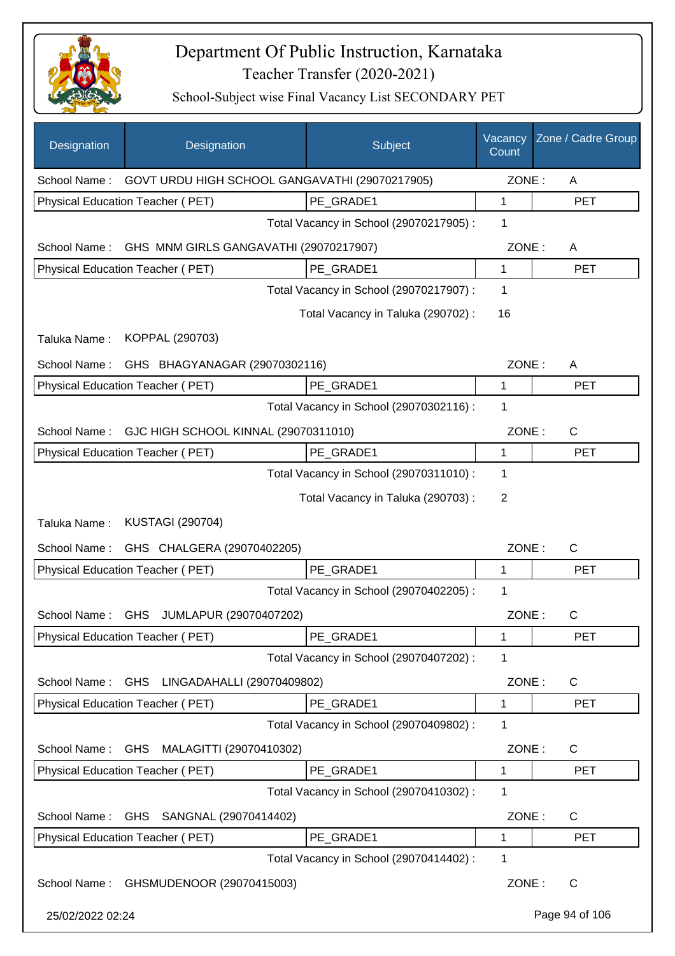

| Designation      | Designation                                    | Subject                                 | Vacancy<br>Count | Zone / Cadre Group |
|------------------|------------------------------------------------|-----------------------------------------|------------------|--------------------|
| School Name:     | GOVT URDU HIGH SCHOOL GANGAVATHI (29070217905) |                                         | ZONE:            | A                  |
|                  | Physical Education Teacher (PET)               | PE GRADE1                               | 1                | <b>PET</b>         |
|                  |                                                | Total Vacancy in School (29070217905) : | 1                |                    |
| School Name:     | GHS MNM GIRLS GANGAVATHI (29070217907)         |                                         | ZONE:            | A                  |
|                  | Physical Education Teacher (PET)               | PE GRADE1                               | 1                | <b>PET</b>         |
|                  |                                                | Total Vacancy in School (29070217907) : | 1                |                    |
|                  |                                                | Total Vacancy in Taluka (290702) :      | 16               |                    |
| Taluka Name:     | KOPPAL (290703)                                |                                         |                  |                    |
| School Name:     | GHS BHAGYANAGAR (29070302116)                  |                                         | ZONE:            | A                  |
|                  | Physical Education Teacher (PET)               | PE GRADE1                               | 1                | <b>PET</b>         |
|                  |                                                | Total Vacancy in School (29070302116) : | 1                |                    |
| School Name:     | GJC HIGH SCHOOL KINNAL (29070311010)           |                                         | ZONE:            | $\mathsf{C}$       |
|                  | Physical Education Teacher (PET)               | PE_GRADE1                               | 1                | <b>PET</b>         |
|                  |                                                | Total Vacancy in School (29070311010) : | 1                |                    |
|                  |                                                | Total Vacancy in Taluka (290703) :      | 2                |                    |
| Taluka Name:     | <b>KUSTAGI (290704)</b>                        |                                         |                  |                    |
| School Name:     | GHS CHALGERA (29070402205)                     |                                         | ZONE:            | C                  |
|                  | Physical Education Teacher (PET)               | PE GRADE1                               | 1                | <b>PET</b>         |
|                  |                                                | Total Vacancy in School (29070402205) : | 1                |                    |
| School Name:     | GHS JUMLAPUR (29070407202)                     |                                         | ZONE:            | $\mathsf{C}$       |
|                  | Physical Education Teacher (PET)               | PE GRADE1                               | 1                | <b>PET</b>         |
|                  |                                                | Total Vacancy in School (29070407202) : | 1                |                    |
| School Name:     | LINGADAHALLI (29070409802)<br><b>GHS</b>       |                                         | ZONE:            | C                  |
|                  | Physical Education Teacher (PET)               | PE_GRADE1                               | 1                | <b>PET</b>         |
|                  |                                                | Total Vacancy in School (29070409802) : | 1                |                    |
| School Name:     | MALAGITTI (29070410302)<br><b>GHS</b>          |                                         | ZONE:            | C                  |
|                  | Physical Education Teacher (PET)               | PE_GRADE1                               | 1                | <b>PET</b>         |
|                  |                                                | Total Vacancy in School (29070410302) : | 1                |                    |
| School Name:     | SANGNAL (29070414402)<br><b>GHS</b>            |                                         | ZONE:            | C                  |
|                  | Physical Education Teacher (PET)               | PE_GRADE1                               | 1                | <b>PET</b>         |
|                  |                                                | Total Vacancy in School (29070414402) : | 1                |                    |
| School Name:     | GHSMUDENOOR (29070415003)                      |                                         | ZONE:            | C                  |
| 25/02/2022 02:24 |                                                |                                         |                  | Page 94 of 106     |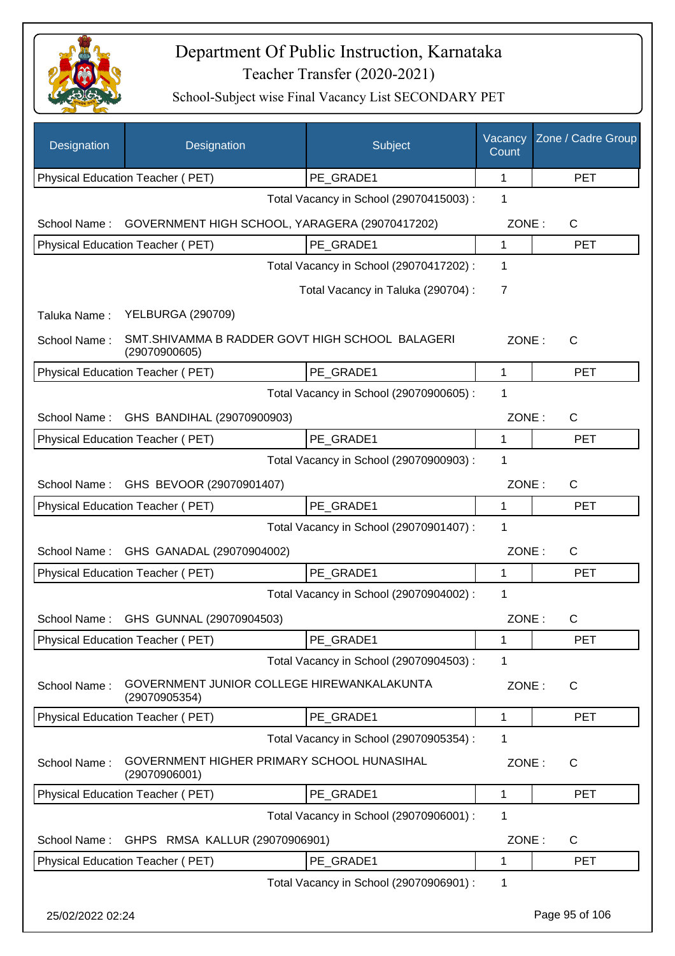

| Designation      | Designation                                                      | Subject                                 | Vacancy<br>Count | Zone / Cadre Group |
|------------------|------------------------------------------------------------------|-----------------------------------------|------------------|--------------------|
|                  | Physical Education Teacher (PET)                                 | PE_GRADE1                               | 1                | <b>PET</b>         |
|                  |                                                                  | Total Vacancy in School (29070415003) : | 1                |                    |
| School Name:     | GOVERNMENT HIGH SCHOOL, YARAGERA (29070417202)                   |                                         | ZONE:            | $\mathsf{C}$       |
|                  | Physical Education Teacher (PET)                                 | PE GRADE1                               | 1                | <b>PET</b>         |
|                  |                                                                  | Total Vacancy in School (29070417202) : | 1                |                    |
|                  |                                                                  | Total Vacancy in Taluka (290704) :      | 7                |                    |
| Taluka Name:     | <b>YELBURGA (290709)</b>                                         |                                         |                  |                    |
| School Name:     | SMT.SHIVAMMA B RADDER GOVT HIGH SCHOOL BALAGERI<br>(29070900605) |                                         | ZONE:            | $\mathsf{C}$       |
|                  | Physical Education Teacher (PET)                                 | PE_GRADE1                               | 1                | <b>PET</b>         |
|                  |                                                                  | Total Vacancy in School (29070900605) : | 1                |                    |
| School Name:     | GHS BANDIHAL (29070900903)                                       |                                         | ZONE:            | C                  |
|                  | Physical Education Teacher (PET)                                 | PE_GRADE1                               | 1                | <b>PET</b>         |
|                  |                                                                  | Total Vacancy in School (29070900903) : | 1                |                    |
| School Name:     | GHS BEVOOR (29070901407)                                         |                                         | ZONE:            | C                  |
|                  | Physical Education Teacher (PET)                                 | PE GRADE1                               | 1                | <b>PET</b>         |
|                  |                                                                  | Total Vacancy in School (29070901407) : | 1                |                    |
| School Name:     | GHS GANADAL (29070904002)                                        |                                         | ZONE:            | C                  |
|                  | Physical Education Teacher (PET)                                 | PE GRADE1                               | 1                | <b>PET</b>         |
|                  |                                                                  | Total Vacancy in School (29070904002) : | 1                |                    |
| School Name:     | GHS GUNNAL (29070904503)                                         |                                         | ZONE:            | С                  |
|                  | Physical Education Teacher (PET)                                 | PE_GRADE1                               | 1                | <b>PET</b>         |
|                  |                                                                  | Total Vacancy in School (29070904503) : | 1                |                    |
| School Name:     | GOVERNMENT JUNIOR COLLEGE HIREWANKALAKUNTA<br>(29070905354)      |                                         | ZONE:            | C                  |
|                  | Physical Education Teacher (PET)                                 | PE_GRADE1                               | 1                | <b>PET</b>         |
|                  |                                                                  | Total Vacancy in School (29070905354) : | 1                |                    |
| School Name:     | GOVERNMENT HIGHER PRIMARY SCHOOL HUNASIHAL<br>(29070906001)      |                                         | ZONE:            | C                  |
|                  | Physical Education Teacher (PET)                                 | PE_GRADE1                               | 1                | <b>PET</b>         |
|                  |                                                                  | Total Vacancy in School (29070906001) : | 1                |                    |
| School Name:     | GHPS RMSA KALLUR (29070906901)                                   |                                         | ZONE:            | C                  |
|                  | Physical Education Teacher (PET)                                 | PE_GRADE1                               | 1                | <b>PET</b>         |
|                  |                                                                  | Total Vacancy in School (29070906901) : | 1                |                    |
| 25/02/2022 02:24 |                                                                  |                                         |                  | Page 95 of 106     |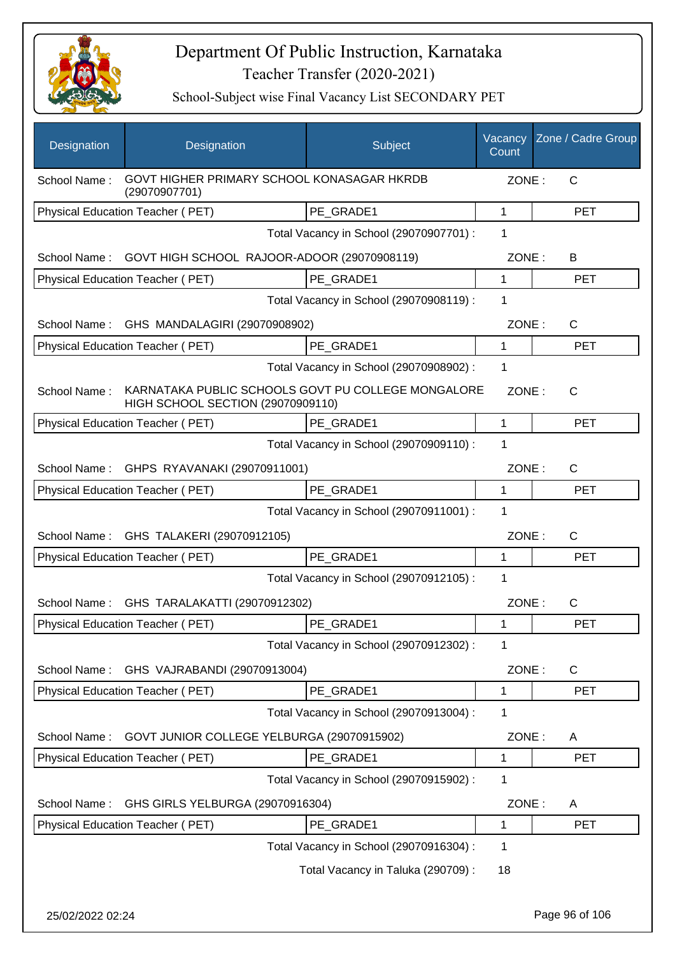

| Designation      | Designation                                                                             | Subject                                 | Vacancy<br>Count | Zone / Cadre Group |
|------------------|-----------------------------------------------------------------------------------------|-----------------------------------------|------------------|--------------------|
| School Name:     | GOVT HIGHER PRIMARY SCHOOL KONASAGAR HKRDB<br>(29070907701)                             |                                         | ZONE:            | C                  |
|                  | Physical Education Teacher (PET)                                                        | PE GRADE1                               | $\mathbf{1}$     | <b>PET</b>         |
|                  |                                                                                         | Total Vacancy in School (29070907701) : | 1                |                    |
| School Name:     | GOVT HIGH SCHOOL RAJOOR-ADOOR (29070908119)                                             |                                         | ZONE:            | B                  |
|                  | Physical Education Teacher (PET)                                                        | PE_GRADE1                               | 1                | <b>PET</b>         |
|                  |                                                                                         | Total Vacancy in School (29070908119) : | 1                |                    |
| School Name:     | GHS MANDALAGIRI (29070908902)                                                           |                                         | ZONE:            | C                  |
|                  | Physical Education Teacher (PET)                                                        | PE_GRADE1                               | 1                | <b>PET</b>         |
|                  |                                                                                         | Total Vacancy in School (29070908902) : | 1                |                    |
| School Name:     | KARNATAKA PUBLIC SCHOOLS GOVT PU COLLEGE MONGALORE<br>HIGH SCHOOL SECTION (29070909110) |                                         | ZONE:            | $\mathsf{C}$       |
|                  | Physical Education Teacher (PET)                                                        | PE_GRADE1                               | $\mathbf{1}$     | <b>PET</b>         |
|                  |                                                                                         | Total Vacancy in School (29070909110) : | 1                |                    |
| School Name:     | GHPS RYAVANAKI (29070911001)                                                            |                                         | ZONE:            | C                  |
|                  | Physical Education Teacher (PET)                                                        | PE GRADE1                               | 1                | <b>PET</b>         |
|                  |                                                                                         | Total Vacancy in School (29070911001) : | 1                |                    |
| School Name:     | GHS TALAKERI (29070912105)                                                              |                                         | ZONE:            | C                  |
|                  | Physical Education Teacher (PET)                                                        | PE_GRADE1                               | 1                | <b>PET</b>         |
|                  |                                                                                         | Total Vacancy in School (29070912105) : | 1                |                    |
| School Name:     | GHS TARALAKATTI (29070912302)                                                           |                                         | ZONE:            | C                  |
|                  | Physical Education Teacher (PET)                                                        | PE_GRADE1                               | 1                | <b>PET</b>         |
|                  |                                                                                         | Total Vacancy in School (29070912302) : | 1                |                    |
|                  | School Name: GHS VAJRABANDI (29070913004)                                               |                                         | ZONE:            | $\mathsf C$        |
|                  | Physical Education Teacher (PET)                                                        | PE_GRADE1                               | 1                | <b>PET</b>         |
|                  |                                                                                         | Total Vacancy in School (29070913004) : | 1                |                    |
| School Name:     | GOVT JUNIOR COLLEGE YELBURGA (29070915902)                                              |                                         | ZONE:            | A                  |
|                  | Physical Education Teacher (PET)                                                        | PE GRADE1                               | 1                | <b>PET</b>         |
|                  |                                                                                         | Total Vacancy in School (29070915902) : | 1                |                    |
| School Name:     | GHS GIRLS YELBURGA (29070916304)                                                        |                                         | ZONE:            | A                  |
|                  | Physical Education Teacher (PET)                                                        | PE_GRADE1                               | 1                | <b>PET</b>         |
|                  |                                                                                         | Total Vacancy in School (29070916304) : | 1                |                    |
|                  |                                                                                         | Total Vacancy in Taluka (290709) :      | 18               |                    |
| 25/02/2022 02:24 |                                                                                         |                                         |                  | Page 96 of 106     |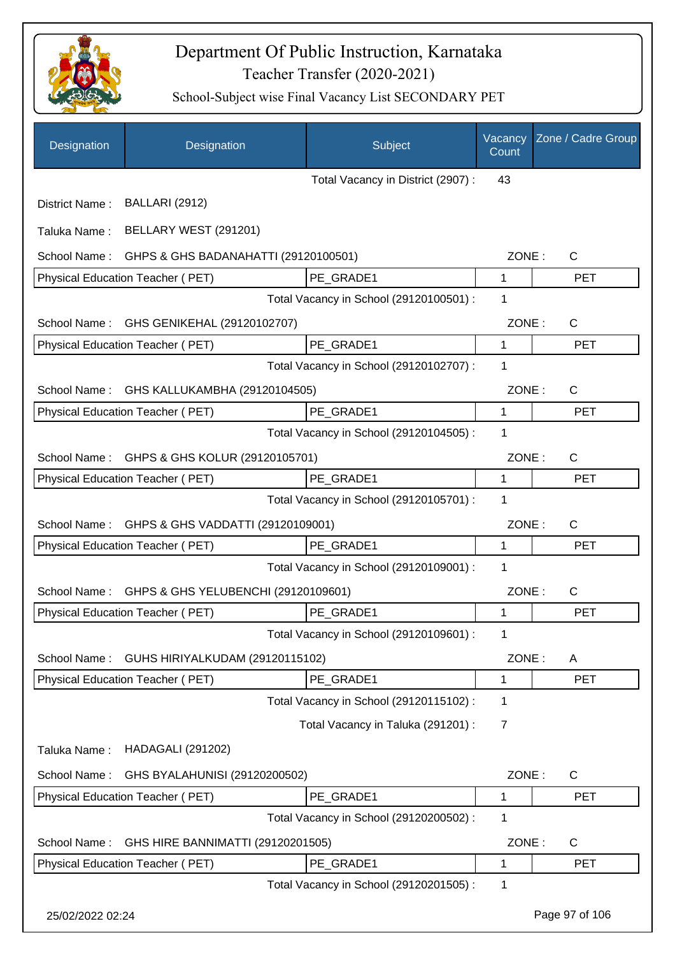

| Designation      | Designation                             | Subject                                 | Vacancy<br>Count | Zone / Cadre Group |
|------------------|-----------------------------------------|-----------------------------------------|------------------|--------------------|
|                  |                                         | Total Vacancy in District (2907):       | 43               |                    |
| District Name:   | <b>BALLARI (2912)</b>                   |                                         |                  |                    |
| Taluka Name:     | BELLARY WEST (291201)                   |                                         |                  |                    |
| School Name:     | GHPS & GHS BADANAHATTI (29120100501)    |                                         | ZONE:            | $\mathsf{C}$       |
|                  | Physical Education Teacher (PET)        | PE GRADE1                               | 1                | <b>PET</b>         |
|                  |                                         | Total Vacancy in School (29120100501) : | 1                |                    |
| School Name:     | GHS GENIKEHAL (29120102707)             |                                         | ZONE:            | $\mathsf{C}$       |
|                  | Physical Education Teacher (PET)        | PE GRADE1                               | $\mathbf{1}$     | <b>PET</b>         |
|                  |                                         | Total Vacancy in School (29120102707) : | 1                |                    |
| School Name:     | GHS KALLUKAMBHA (29120104505)           |                                         | ZONE:            | $\mathsf{C}$       |
|                  | <b>Physical Education Teacher (PET)</b> | PE GRADE1                               | 1                | <b>PET</b>         |
|                  |                                         | Total Vacancy in School (29120104505) : | 1                |                    |
| School Name:     | GHPS & GHS KOLUR (29120105701)          |                                         | ZONE:            | $\mathsf{C}$       |
|                  | Physical Education Teacher (PET)        | PE_GRADE1                               | 1                | <b>PET</b>         |
|                  |                                         | Total Vacancy in School (29120105701) : | 1                |                    |
| School Name:     | GHPS & GHS VADDATTI (29120109001)       |                                         | ZONE:            | $\mathsf{C}$       |
|                  | Physical Education Teacher (PET)        | PE GRADE1                               | 1                | <b>PET</b>         |
|                  |                                         | Total Vacancy in School (29120109001) : | 1                |                    |
| School Name:     | GHPS & GHS YELUBENCHI (29120109601)     |                                         | ZONE:            | $\mathsf{C}$       |
|                  | Physical Education Teacher (PET)        | PE_GRADE1                               | 1                | <b>PET</b>         |
|                  |                                         | Total Vacancy in School (29120109601) : | 1                |                    |
| School Name:     | GUHS HIRIYALKUDAM (29120115102)         |                                         | ZONE:            | A                  |
|                  | <b>Physical Education Teacher (PET)</b> | PE_GRADE1                               | 1                | <b>PET</b>         |
|                  |                                         | Total Vacancy in School (29120115102) : | 1                |                    |
|                  |                                         | Total Vacancy in Taluka (291201) :      | 7                |                    |
| Taluka Name:     | <b>HADAGALI (291202)</b>                |                                         |                  |                    |
| School Name:     | GHS BYALAHUNISI (29120200502)           |                                         | ZONE:            | $\mathsf{C}$       |
|                  | Physical Education Teacher (PET)        | PE_GRADE1                               | 1                | <b>PET</b>         |
|                  |                                         | Total Vacancy in School (29120200502) : | 1                |                    |
| School Name:     | GHS HIRE BANNIMATTI (29120201505)       |                                         | ZONE:            | $\mathsf{C}$       |
|                  | Physical Education Teacher (PET)        | PE_GRADE1                               | 1                | <b>PET</b>         |
|                  |                                         | Total Vacancy in School (29120201505) : | 1                |                    |
| 25/02/2022 02:24 |                                         |                                         |                  | Page 97 of 106     |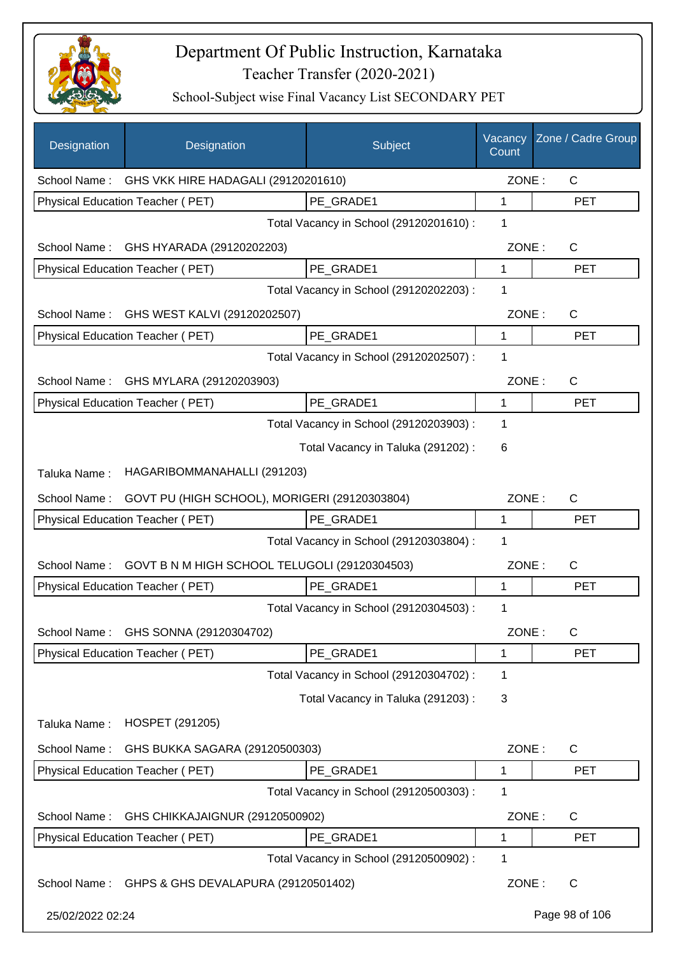

| Designation      | Designation                                      | Subject                                 | Vacancy<br>Count | Zone / Cadre Group |
|------------------|--------------------------------------------------|-----------------------------------------|------------------|--------------------|
|                  | School Name: GHS VKK HIRE HADAGALI (29120201610) |                                         | ZONE:            | $\mathsf{C}$       |
|                  | Physical Education Teacher (PET)                 | PE GRADE1                               | 1                | <b>PET</b>         |
|                  |                                                  | Total Vacancy in School (29120201610) : | 1                |                    |
| School Name:     | GHS HYARADA (29120202203)                        |                                         | ZONE:            | $\mathsf{C}$       |
|                  | Physical Education Teacher (PET)                 | PE GRADE1                               | 1                | <b>PET</b>         |
|                  |                                                  | Total Vacancy in School (29120202203) : | 1                |                    |
| School Name:     | GHS WEST KALVI (29120202507)                     |                                         | ZONE:            | $\mathsf{C}$       |
|                  | Physical Education Teacher (PET)                 | PE GRADE1                               | $\mathbf{1}$     | <b>PET</b>         |
|                  |                                                  | Total Vacancy in School (29120202507) : | 1                |                    |
| School Name:     | GHS MYLARA (29120203903)                         |                                         | ZONE:            | C                  |
|                  | Physical Education Teacher (PET)                 | PE_GRADE1                               | $\mathbf 1$      | <b>PET</b>         |
|                  |                                                  | Total Vacancy in School (29120203903) : | 1                |                    |
|                  |                                                  | Total Vacancy in Taluka (291202) :      | 6                |                    |
| Taluka Name:     | HAGARIBOMMANAHALLI (291203)                      |                                         |                  |                    |
| School Name:     | GOVT PU (HIGH SCHOOL), MORIGERI (29120303804)    |                                         | ZONE:            | C                  |
|                  | Physical Education Teacher (PET)                 | PE GRADE1                               | 1                | <b>PET</b>         |
|                  |                                                  | Total Vacancy in School (29120303804) : | 1                |                    |
| School Name:     | GOVT B N M HIGH SCHOOL TELUGOLI (29120304503)    |                                         | ZONE:            | С                  |
|                  | Physical Education Teacher (PET)                 | PE_GRADE1                               | 1                | <b>PET</b>         |
|                  |                                                  | Total Vacancy in School (29120304503) : | 1                |                    |
| School Name:     | GHS SONNA (29120304702)                          |                                         | ZONE:            | С                  |
|                  | Physical Education Teacher (PET)                 | PE_GRADE1                               | 1                | <b>PET</b>         |
|                  |                                                  | Total Vacancy in School (29120304702) : | 1                |                    |
|                  |                                                  | Total Vacancy in Taluka (291203):       | 3                |                    |
| Taluka Name:     | <b>HOSPET (291205)</b>                           |                                         |                  |                    |
| School Name:     | GHS BUKKA SAGARA (29120500303)                   |                                         | ZONE:            | C                  |
|                  | Physical Education Teacher (PET)                 | PE GRADE1                               | 1                | <b>PET</b>         |
|                  |                                                  | Total Vacancy in School (29120500303) : | 1                |                    |
| School Name:     | GHS CHIKKAJAIGNUR (29120500902)                  |                                         | ZONE:            | C                  |
|                  | Physical Education Teacher (PET)                 | PE_GRADE1                               | 1                | <b>PET</b>         |
|                  |                                                  | Total Vacancy in School (29120500902) : | 1                |                    |
| School Name:     | GHPS & GHS DEVALAPURA (29120501402)              |                                         | ZONE:            | C                  |
| 25/02/2022 02:24 |                                                  |                                         |                  | Page 98 of 106     |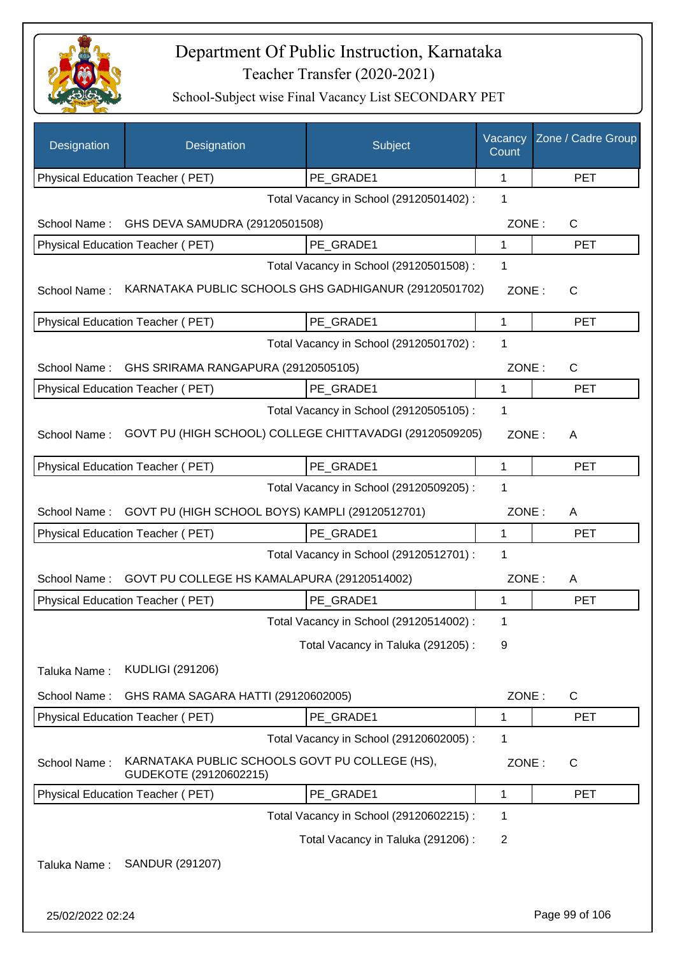

| Designation      | Designation                                                              | Subject                                 | Vacancy<br>Count | Zone / Cadre Group |
|------------------|--------------------------------------------------------------------------|-----------------------------------------|------------------|--------------------|
|                  | Physical Education Teacher (PET)                                         | PE_GRADE1                               | 1                | <b>PET</b>         |
|                  |                                                                          | Total Vacancy in School (29120501402) : | 1                |                    |
| School Name:     | GHS DEVA SAMUDRA (29120501508)                                           |                                         | ZONE:            | C                  |
|                  | Physical Education Teacher (PET)                                         | PE_GRADE1                               | 1                | <b>PET</b>         |
|                  |                                                                          | Total Vacancy in School (29120501508) : | 1                |                    |
| School Name:     | KARNATAKA PUBLIC SCHOOLS GHS GADHIGANUR (29120501702)                    |                                         | ZONE:            | C                  |
|                  | Physical Education Teacher (PET)                                         | PE_GRADE1                               | $\mathbf{1}$     | <b>PET</b>         |
|                  |                                                                          | Total Vacancy in School (29120501702) : | 1                |                    |
| School Name:     | GHS SRIRAMA RANGAPURA (29120505105)                                      |                                         | ZONE:            | $\mathsf{C}$       |
|                  | <b>Physical Education Teacher (PET)</b>                                  | PE GRADE1                               | $\mathbf 1$      | <b>PET</b>         |
|                  |                                                                          | Total Vacancy in School (29120505105) : | 1                |                    |
| School Name:     | GOVT PU (HIGH SCHOOL) COLLEGE CHITTAVADGI (29120509205)                  |                                         | ZONE:            | A                  |
|                  | Physical Education Teacher (PET)                                         | PE GRADE1                               | 1                | <b>PET</b>         |
|                  |                                                                          | Total Vacancy in School (29120509205) : | 1                |                    |
| School Name:     | GOVT PU (HIGH SCHOOL BOYS) KAMPLI (29120512701)                          |                                         | ZONE:            | A                  |
|                  | Physical Education Teacher (PET)                                         | PE GRADE1                               | 1                | <b>PET</b>         |
|                  |                                                                          | Total Vacancy in School (29120512701) : | 1                |                    |
| School Name:     | GOVT PU COLLEGE HS KAMALAPURA (29120514002)                              |                                         | ZONE:            | A                  |
|                  | <b>Physical Education Teacher (PET)</b>                                  | PE_GRADE1                               | 1                | <b>PET</b>         |
|                  |                                                                          | Total Vacancy in School (29120514002) : | 1                |                    |
|                  |                                                                          | Total Vacancy in Taluka (291205):       | 9                |                    |
| Taluka Name:     | <b>KUDLIGI (291206)</b>                                                  |                                         |                  |                    |
| School Name:     | GHS RAMA SAGARA HATTI (29120602005)                                      |                                         | ZONE:            | $\mathsf{C}$       |
|                  | Physical Education Teacher (PET)                                         | PE_GRADE1                               | 1                | <b>PET</b>         |
|                  |                                                                          | Total Vacancy in School (29120602005) : | 1                |                    |
| School Name:     | KARNATAKA PUBLIC SCHOOLS GOVT PU COLLEGE (HS),<br>GUDEKOTE (29120602215) |                                         | ZONE:            | C                  |
|                  | Physical Education Teacher (PET)                                         | PE_GRADE1                               | 1                | <b>PET</b>         |
|                  |                                                                          | Total Vacancy in School (29120602215) : | 1                |                    |
|                  |                                                                          | Total Vacancy in Taluka (291206) :      | 2                |                    |
| Taluka Name:     | SANDUR (291207)                                                          |                                         |                  |                    |
| 25/02/2022 02:24 |                                                                          |                                         |                  | Page 99 of 106     |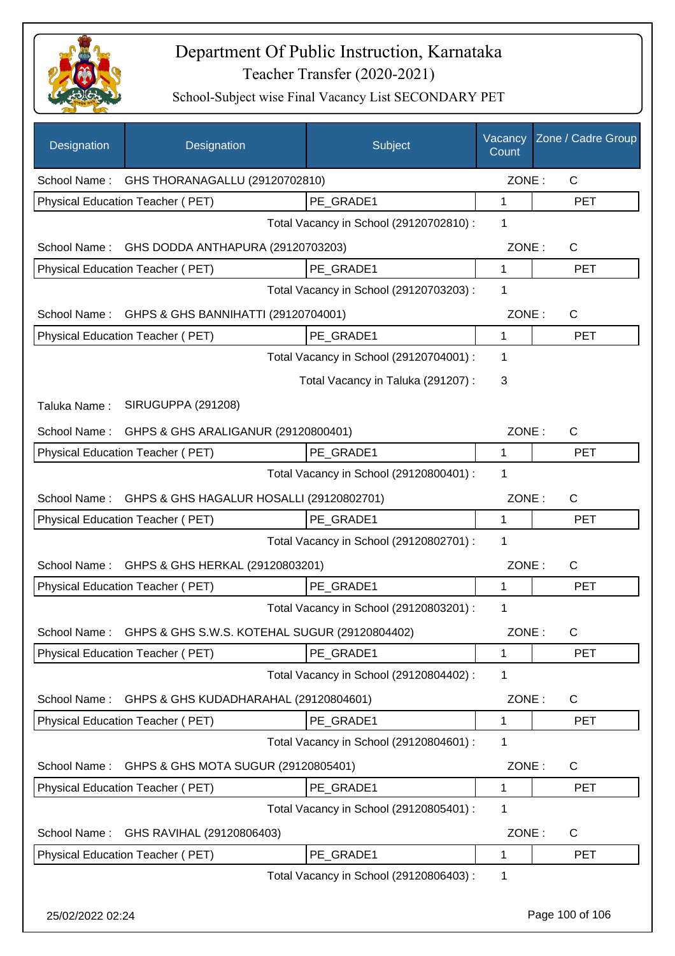

| Designation  | Designation                                      | Subject                                 | Vacancy<br>Count | Zone / Cadre Group |
|--------------|--------------------------------------------------|-----------------------------------------|------------------|--------------------|
|              | School Name: GHS THORANAGALLU (29120702810)      |                                         | ZONE:            | $\mathsf{C}$       |
|              | Physical Education Teacher (PET)                 | PE_GRADE1                               | 1                | <b>PET</b>         |
|              |                                                  | Total Vacancy in School (29120702810) : | 1                |                    |
|              | School Name: GHS DODDA ANTHAPURA (29120703203)   |                                         | ZONE:            | $\mathsf{C}$       |
|              | Physical Education Teacher (PET)                 | PE GRADE1                               | 1                | <b>PET</b>         |
|              |                                                  | Total Vacancy in School (29120703203) : | 1                |                    |
|              | School Name: GHPS & GHS BANNIHATTI (29120704001) |                                         | ZONE:            | $\mathsf{C}$       |
|              | Physical Education Teacher (PET)                 | PE GRADE1                               | $\mathbf{1}$     | <b>PET</b>         |
|              |                                                  | Total Vacancy in School (29120704001) : | 1                |                    |
|              |                                                  | Total Vacancy in Taluka (291207) :      | 3                |                    |
| Taluka Name: | <b>SIRUGUPPA (291208)</b>                        |                                         |                  |                    |
|              | School Name: GHPS & GHS ARALIGANUR (29120800401) |                                         | ZONE:            | C                  |
|              | Physical Education Teacher (PET)                 | PE_GRADE1                               | 1                | <b>PET</b>         |
|              |                                                  | Total Vacancy in School (29120800401) : | 1                |                    |
| School Name: | GHPS & GHS HAGALUR HOSALLI (29120802701)         |                                         | ZONE:            | C                  |
|              | Physical Education Teacher (PET)                 | PE GRADE1                               | 1                | <b>PET</b>         |
|              |                                                  | Total Vacancy in School (29120802701) : | 1                |                    |
| School Name: | GHPS & GHS HERKAL (29120803201)                  |                                         | ZONE:            | C                  |
|              | Physical Education Teacher (PET)                 | PE_GRADE1                               | 1                | <b>PET</b>         |
|              |                                                  | Total Vacancy in School (29120803201) : | 1                |                    |
| School Name: | GHPS & GHS S.W.S. KOTEHAL SUGUR (29120804402)    |                                         | ZONE:            | $\mathsf C$        |
|              | Physical Education Teacher (PET)                 | PE_GRADE1                               | 1                | PET                |
|              |                                                  | Total Vacancy in School (29120804402) : | 1                |                    |
| School Name: | GHPS & GHS KUDADHARAHAL (29120804601)            |                                         | ZONE:            | C                  |
|              | Physical Education Teacher (PET)                 | PE GRADE1                               | 1                | <b>PET</b>         |
|              |                                                  | Total Vacancy in School (29120804601) : | 1                |                    |
| School Name: | GHPS & GHS MOTA SUGUR (29120805401)              |                                         | ZONE:            | C                  |
|              | Physical Education Teacher (PET)                 | PE_GRADE1                               | 1                | <b>PET</b>         |
|              |                                                  | Total Vacancy in School (29120805401) : | 1                |                    |
| School Name: | GHS RAVIHAL (29120806403)                        |                                         | ZONE:            | C                  |
|              | Physical Education Teacher (PET)                 | PE_GRADE1                               | 1                | <b>PET</b>         |
|              |                                                  | Total Vacancy in School (29120806403) : | 1                |                    |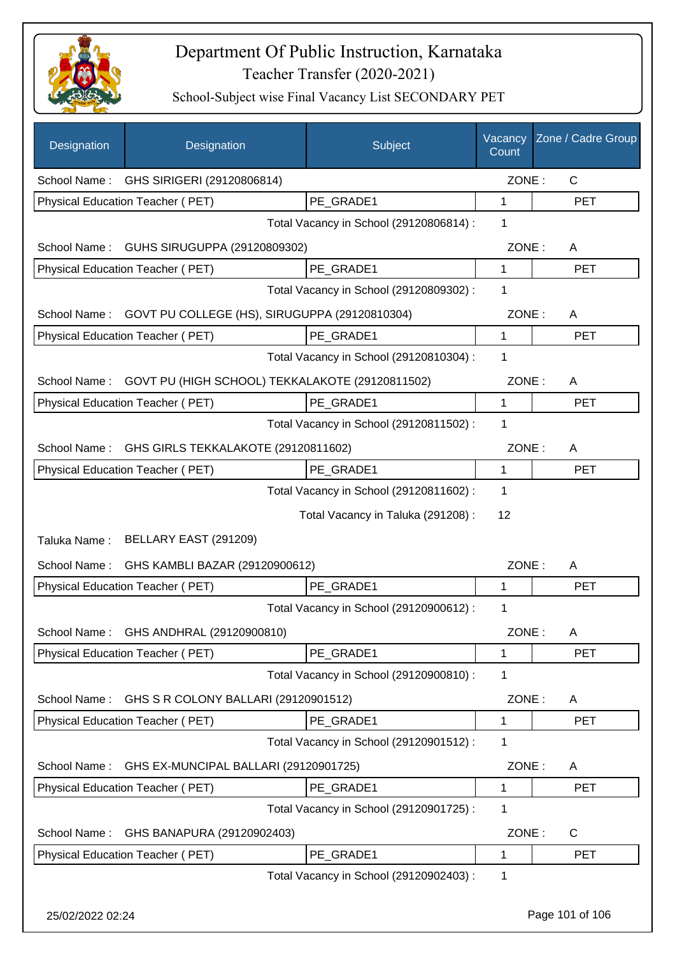

| Designation  | Designation                                                  | Subject                                 | Vacancy<br>Count | Zone / Cadre Group |
|--------------|--------------------------------------------------------------|-----------------------------------------|------------------|--------------------|
| School Name: | GHS SIRIGERI (29120806814)                                   |                                         | ZONE:            | C                  |
|              | Physical Education Teacher (PET)                             | PE GRADE1                               | 1                | <b>PET</b>         |
|              |                                                              | Total Vacancy in School (29120806814) : | 1                |                    |
| School Name: | GUHS SIRUGUPPA (29120809302)                                 |                                         | ZONE:            | A                  |
|              | Physical Education Teacher (PET)                             | PE GRADE1                               | 1                | <b>PET</b>         |
|              |                                                              | Total Vacancy in School (29120809302) : | 1                |                    |
| School Name: | GOVT PU COLLEGE (HS), SIRUGUPPA (29120810304)                |                                         | ZONE:            | A                  |
|              | Physical Education Teacher (PET)                             | PE GRADE1                               | $\mathbf 1$      | <b>PET</b>         |
|              |                                                              | Total Vacancy in School (29120810304) : | 1                |                    |
|              | School Name: GOVT PU (HIGH SCHOOL) TEKKALAKOTE (29120811502) |                                         | ZONE:            | A                  |
|              | Physical Education Teacher (PET)                             | PE GRADE1                               | $\mathbf{1}$     | <b>PET</b>         |
|              |                                                              | Total Vacancy in School (29120811502) : | 1                |                    |
| School Name: | GHS GIRLS TEKKALAKOTE (29120811602)                          |                                         | ZONE:            | A                  |
|              | Physical Education Teacher (PET)                             | PE GRADE1                               | 1                | <b>PET</b>         |
|              |                                                              | Total Vacancy in School (29120811602) : | 1                |                    |
|              |                                                              | Total Vacancy in Taluka (291208) :      | 12               |                    |
| Taluka Name: | BELLARY EAST (291209)                                        |                                         |                  |                    |
| School Name: | GHS KAMBLI BAZAR (29120900612)                               |                                         | ZONE:            | A                  |
|              | Physical Education Teacher (PET)                             | PE GRADE1                               | 1                | <b>PET</b>         |
|              |                                                              | Total Vacancy in School (29120900612) : | 1                |                    |
| School Name: | GHS ANDHRAL (29120900810)                                    |                                         | ZONE:            | A                  |
|              | Physical Education Teacher (PET)                             | PE_GRADE1                               | 1                | <b>PET</b>         |
|              |                                                              | Total Vacancy in School (29120900810) : | 1                |                    |
| School Name: | GHS S R COLONY BALLARI (29120901512)                         |                                         | ZONE:            | A                  |
|              | Physical Education Teacher (PET)                             | PE_GRADE1                               | $\mathbf 1$      | <b>PET</b>         |
|              |                                                              | Total Vacancy in School (29120901512) : | 1                |                    |
| School Name: | GHS EX-MUNCIPAL BALLARI (29120901725)                        |                                         | ZONE:            | A                  |
|              | Physical Education Teacher (PET)                             | PE_GRADE1                               | 1                | <b>PET</b>         |
|              |                                                              | Total Vacancy in School (29120901725) : | 1                |                    |
| School Name: | GHS BANAPURA (29120902403)                                   |                                         | ZONE:            | C                  |
|              | Physical Education Teacher (PET)                             | PE_GRADE1                               | $\mathbf 1$      | <b>PET</b>         |
|              |                                                              | Total Vacancy in School (29120902403) : | 1                |                    |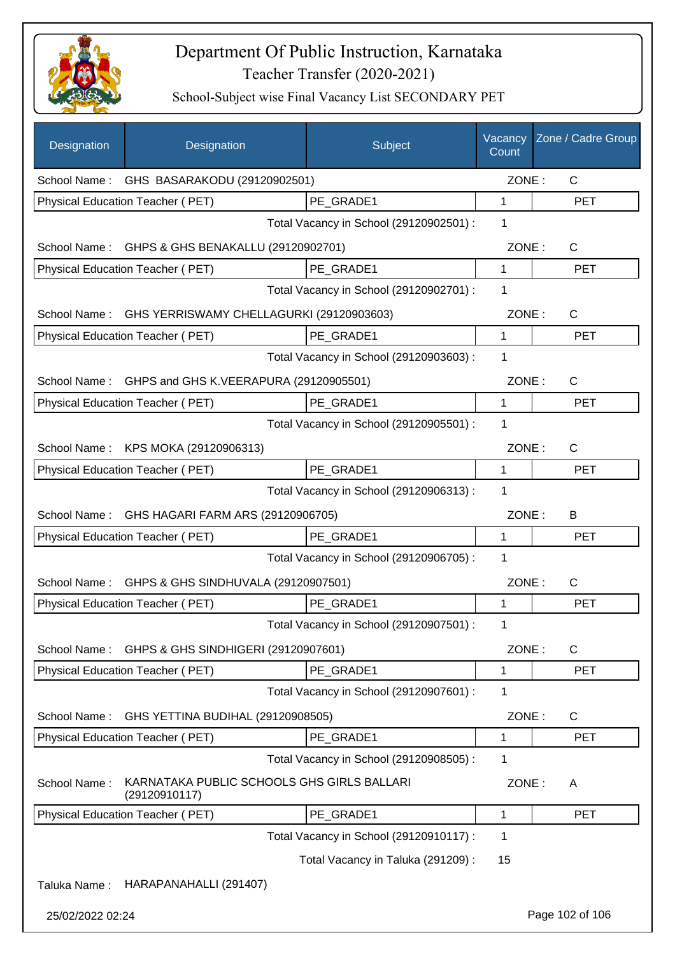

| Designation      | Designation                                                 | Subject                                 | Vacancy<br>Count | Zone / Cadre Group |
|------------------|-------------------------------------------------------------|-----------------------------------------|------------------|--------------------|
|                  | School Name: GHS BASARAKODU (29120902501)                   |                                         | ZONE:            | C                  |
|                  | <b>Physical Education Teacher (PET)</b>                     | PE_GRADE1                               | 1                | <b>PET</b>         |
|                  |                                                             | Total Vacancy in School (29120902501) : | 1                |                    |
| School Name:     | GHPS & GHS BENAKALLU (29120902701)                          |                                         | ZONE:            | C                  |
|                  | Physical Education Teacher (PET)                            | PE GRADE1                               | $\mathbf{1}$     | <b>PET</b>         |
|                  |                                                             | Total Vacancy in School (29120902701) : | 1                |                    |
| School Name:     | GHS YERRISWAMY CHELLAGURKI (29120903603)                    |                                         | ZONE:            | $\mathsf{C}$       |
|                  | Physical Education Teacher (PET)                            | PE GRADE1                               | $\mathbf{1}$     | <b>PET</b>         |
|                  |                                                             | Total Vacancy in School (29120903603) : | 1                |                    |
| School Name:     | GHPS and GHS K.VEERAPURA (29120905501)                      |                                         | ZONE:            | $\mathsf{C}$       |
|                  | Physical Education Teacher (PET)                            | PE GRADE1                               | $\mathbf{1}$     | <b>PET</b>         |
|                  |                                                             | Total Vacancy in School (29120905501) : | 1                |                    |
| School Name:     | KPS MOKA (29120906313)                                      |                                         | ZONE:            | C                  |
|                  | Physical Education Teacher (PET)                            | PE_GRADE1                               | 1                | <b>PET</b>         |
|                  |                                                             | Total Vacancy in School (29120906313) : | 1                |                    |
| School Name:     | GHS HAGARI FARM ARS (29120906705)                           |                                         | ZONE:            | В                  |
|                  | Physical Education Teacher (PET)                            | PE GRADE1                               | 1                | <b>PET</b>         |
|                  |                                                             | Total Vacancy in School (29120906705) : | 1                |                    |
| School Name:     | GHPS & GHS SINDHUVALA (29120907501)                         |                                         | ZONE:            | $\mathsf{C}$       |
|                  | Physical Education Teacher (PET)                            | PE_GRADE1                               | 1                | <b>PET</b>         |
|                  |                                                             | Total Vacancy in School (29120907501) : | 1                |                    |
| School Name:     | GHPS & GHS SINDHIGERI (29120907601)                         |                                         | ZONE:            | C                  |
|                  | Physical Education Teacher (PET)                            | PE_GRADE1                               | 1                | <b>PET</b>         |
|                  |                                                             | Total Vacancy in School (29120907601) : | 1                |                    |
| School Name:     | GHS YETTINA BUDIHAL (29120908505)                           |                                         | ZONE:            | C                  |
|                  | Physical Education Teacher (PET)                            | PE_GRADE1                               | 1                | <b>PET</b>         |
|                  |                                                             | Total Vacancy in School (29120908505) : | 1                |                    |
| School Name:     | KARNATAKA PUBLIC SCHOOLS GHS GIRLS BALLARI<br>(29120910117) |                                         | ZONE:            | A                  |
|                  | Physical Education Teacher (PET)                            | PE_GRADE1                               | 1                | <b>PET</b>         |
|                  |                                                             | Total Vacancy in School (29120910117) : | 1                |                    |
|                  |                                                             | Total Vacancy in Taluka (291209) :      | 15               |                    |
| Taluka Name:     | HARAPANAHALLI (291407)                                      |                                         |                  |                    |
| 25/02/2022 02:24 |                                                             |                                         |                  | Page 102 of 106    |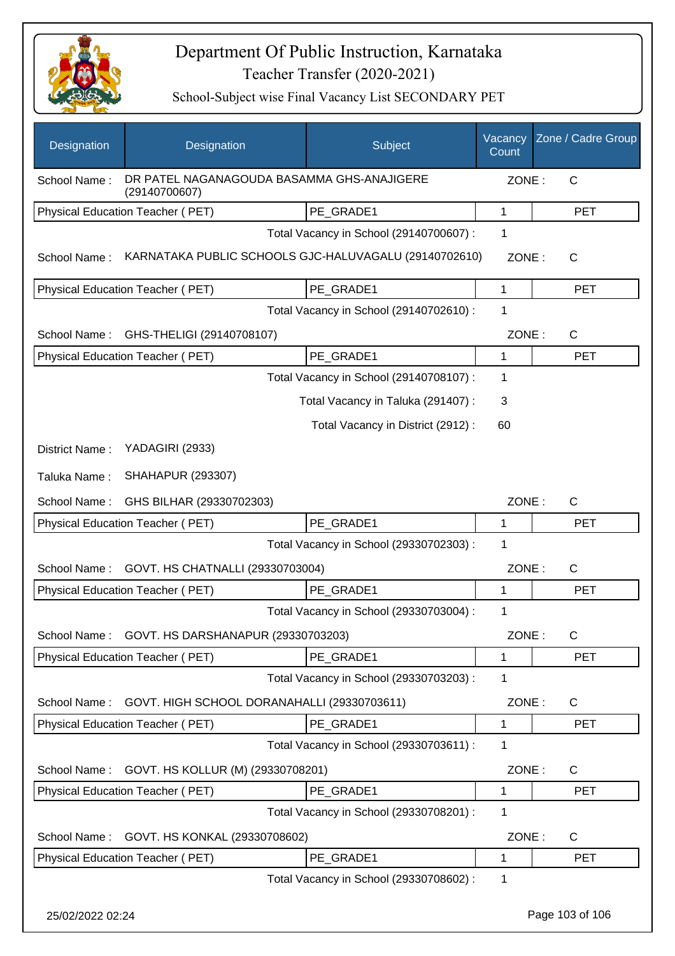

| Designation      | Designation                                                 | Subject                                 | Vacancy<br>Count | Zone / Cadre Group |
|------------------|-------------------------------------------------------------|-----------------------------------------|------------------|--------------------|
| School Name:     | DR PATEL NAGANAGOUDA BASAMMA GHS-ANAJIGERE<br>(29140700607) |                                         | ZONE:            | C                  |
|                  | Physical Education Teacher (PET)                            | PE GRADE1                               | 1                | <b>PET</b>         |
|                  |                                                             | Total Vacancy in School (29140700607) : | 1                |                    |
| School Name:     | KARNATAKA PUBLIC SCHOOLS GJC-HALUVAGALU (29140702610)       |                                         | ZONE:            | $\mathsf{C}$       |
|                  | Physical Education Teacher (PET)                            | PE GRADE1                               | 1                | <b>PET</b>         |
|                  |                                                             | Total Vacancy in School (29140702610) : | 1                |                    |
| School Name:     | GHS-THELIGI (29140708107)                                   |                                         | ZONE:            | $\mathsf{C}$       |
|                  | Physical Education Teacher (PET)                            | PE_GRADE1                               | 1                | <b>PET</b>         |
|                  |                                                             | Total Vacancy in School (29140708107) : | 1                |                    |
|                  |                                                             | Total Vacancy in Taluka (291407):       | 3                |                    |
|                  |                                                             | Total Vacancy in District (2912):       | 60               |                    |
| District Name:   | YADAGIRI (2933)                                             |                                         |                  |                    |
| Taluka Name:     | <b>SHAHAPUR (293307)</b>                                    |                                         |                  |                    |
| School Name:     | GHS BILHAR (29330702303)                                    |                                         | ZONE:            | $\mathsf{C}$       |
|                  | Physical Education Teacher (PET)                            | PE_GRADE1                               | $\mathbf 1$      | <b>PET</b>         |
|                  |                                                             | Total Vacancy in School (29330702303) : | 1                |                    |
| School Name:     | GOVT. HS CHATNALLI (29330703004)                            |                                         | ZONE:            | $\mathsf{C}$       |
|                  | Physical Education Teacher (PET)                            | PE_GRADE1                               | 1                | <b>PET</b>         |
|                  |                                                             | Total Vacancy in School (29330703004) : | 1                |                    |
| School Name:     | GOVT. HS DARSHANAPUR (29330703203)                          |                                         | ZONE:            | $\mathsf C$        |
|                  | Physical Education Teacher (PET)                            | PE_GRADE1                               | 1                | <b>PET</b>         |
|                  |                                                             | Total Vacancy in School (29330703203) : | 1                |                    |
| School Name:     | GOVT. HIGH SCHOOL DORANAHALLI (29330703611)                 |                                         | ZONE:            | C                  |
|                  | Physical Education Teacher (PET)                            | PE GRADE1                               | 1                | <b>PET</b>         |
|                  |                                                             | Total Vacancy in School (29330703611) : | 1                |                    |
| School Name:     | GOVT. HS KOLLUR (M) (29330708201)                           |                                         | ZONE:            | C                  |
|                  | Physical Education Teacher (PET)                            | PE GRADE1                               | 1                | <b>PET</b>         |
|                  |                                                             | Total Vacancy in School (29330708201) : | 1                |                    |
| School Name:     | GOVT. HS KONKAL (29330708602)                               |                                         | ZONE:            | $\mathsf{C}$       |
|                  | Physical Education Teacher (PET)                            | PE_GRADE1                               | 1                | <b>PET</b>         |
|                  |                                                             | Total Vacancy in School (29330708602) : | 1                |                    |
| 25/02/2022 02:24 |                                                             |                                         |                  | Page 103 of 106    |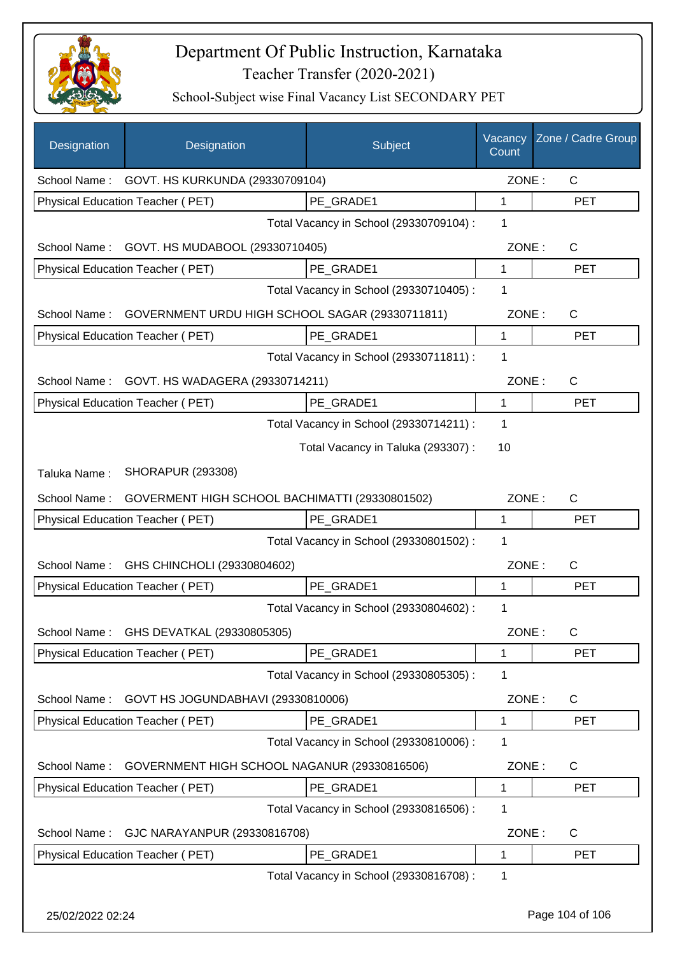

| Designation      | Designation                                     | Subject                                 | Vacancy<br>Count | Zone / Cadre Group |
|------------------|-------------------------------------------------|-----------------------------------------|------------------|--------------------|
|                  | School Name: GOVT. HS KURKUNDA (29330709104)    |                                         | ZONE:            | $\mathsf{C}$       |
|                  | Physical Education Teacher (PET)                | PE GRADE1                               | 1                | <b>PET</b>         |
|                  |                                                 | Total Vacancy in School (29330709104) : | 1                |                    |
| School Name:     | GOVT. HS MUDABOOL (29330710405)                 |                                         | ZONE:            | $\mathsf{C}$       |
|                  | Physical Education Teacher (PET)                | PE GRADE1                               | 1                | <b>PET</b>         |
|                  |                                                 | Total Vacancy in School (29330710405) : | 1                |                    |
| School Name:     | GOVERNMENT URDU HIGH SCHOOL SAGAR (29330711811) |                                         | ZONE:            | $\mathsf{C}$       |
|                  | Physical Education Teacher (PET)                | PE GRADE1                               | 1                | <b>PET</b>         |
|                  |                                                 | Total Vacancy in School (29330711811) : | 1                |                    |
| School Name:     | GOVT. HS WADAGERA (29330714211)                 |                                         | ZONE:            | $\mathsf{C}$       |
|                  | Physical Education Teacher (PET)                | PE_GRADE1                               | $\mathbf{1}$     | <b>PET</b>         |
|                  |                                                 | Total Vacancy in School (29330714211) : | 1                |                    |
|                  |                                                 | Total Vacancy in Taluka (293307) :      | 10               |                    |
| Taluka Name:     | <b>SHORAPUR (293308)</b>                        |                                         |                  |                    |
| School Name:     | GOVERMENT HIGH SCHOOL BACHIMATTI (29330801502)  |                                         | ZONE:            | C                  |
|                  | Physical Education Teacher (PET)                | PE_GRADE1                               | 1                | <b>PET</b>         |
|                  |                                                 | Total Vacancy in School (29330801502) : | 1                |                    |
| School Name:     | GHS CHINCHOLI (29330804602)                     |                                         | ZONE:            | $\mathsf{C}$       |
|                  | Physical Education Teacher (PET)                | PE_GRADE1                               | 1                | <b>PET</b>         |
|                  |                                                 | Total Vacancy in School (29330804602) : | 1                |                    |
| School Name:     | GHS DEVATKAL (29330805305)                      |                                         | ZONE:            | C                  |
|                  | Physical Education Teacher (PET)                | PE_GRADE1                               | 1                | <b>PET</b>         |
|                  |                                                 | Total Vacancy in School (29330805305) : | 1                |                    |
| School Name:     | GOVT HS JOGUNDABHAVI (29330810006)              |                                         | ZONE:            | C                  |
|                  | Physical Education Teacher (PET)                | PE GRADE1                               | 1                | <b>PET</b>         |
|                  |                                                 | Total Vacancy in School (29330810006) : | 1                |                    |
| School Name:     | GOVERNMENT HIGH SCHOOL NAGANUR (29330816506)    |                                         | ZONE:            | C                  |
|                  | Physical Education Teacher (PET)                | PE_GRADE1                               | 1                | <b>PET</b>         |
|                  |                                                 | Total Vacancy in School (29330816506) : | 1                |                    |
| School Name:     | GJC NARAYANPUR (29330816708)                    |                                         | ZONE:            | C                  |
|                  | Physical Education Teacher (PET)                | PE GRADE1                               | 1                | <b>PET</b>         |
|                  |                                                 | Total Vacancy in School (29330816708) : | 1                |                    |
| 25/02/2022 02:24 |                                                 |                                         |                  | Page 104 of 106    |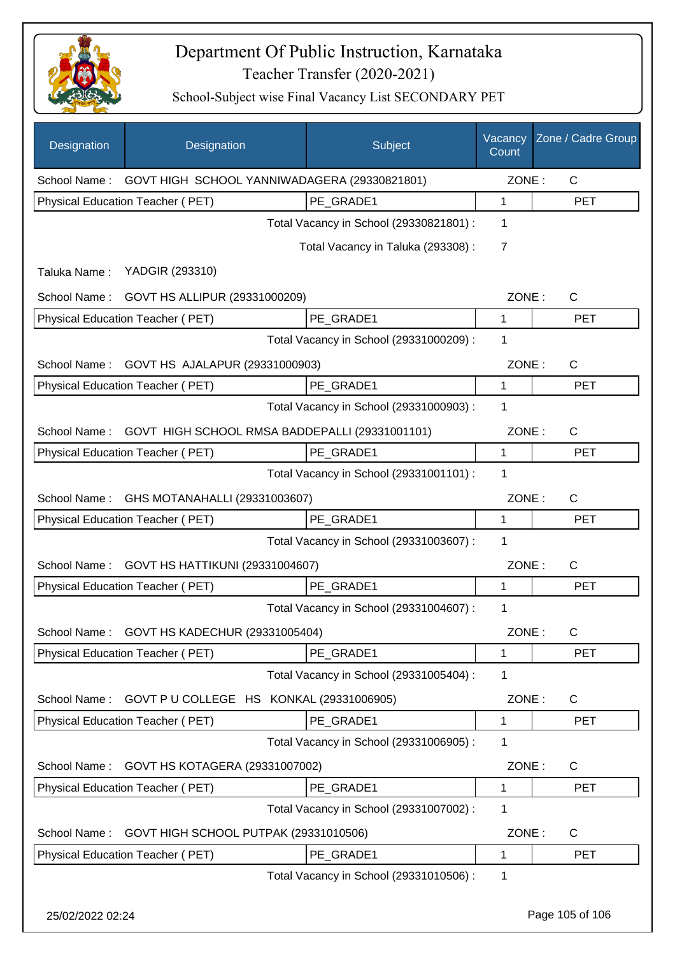

| Designation  | Designation                                               | Subject                                 | Vacancy<br>Count | Zone / Cadre Group |
|--------------|-----------------------------------------------------------|-----------------------------------------|------------------|--------------------|
|              | School Name: GOVT HIGH SCHOOL YANNIWADAGERA (29330821801) |                                         | ZONE:            | $\mathsf{C}$       |
|              | Physical Education Teacher (PET)                          | PE_GRADE1                               | 1                | <b>PET</b>         |
|              |                                                           | Total Vacancy in School (29330821801) : | 1                |                    |
|              |                                                           | Total Vacancy in Taluka (293308) :      | $\overline{7}$   |                    |
| Taluka Name: | YADGIR (293310)                                           |                                         |                  |                    |
|              | School Name: GOVT HS ALLIPUR (29331000209)                |                                         | ZONE:            | $\mathsf{C}$       |
|              | Physical Education Teacher (PET)                          | PE_GRADE1                               | 1                | <b>PET</b>         |
|              |                                                           | Total Vacancy in School (29331000209) : | 1                |                    |
| School Name: | GOVT HS AJALAPUR (29331000903)                            |                                         | ZONE:            | $\mathsf{C}$       |
|              | Physical Education Teacher (PET)                          | PE_GRADE1                               | 1                | <b>PET</b>         |
|              |                                                           | Total Vacancy in School (29331000903) : | 1                |                    |
| School Name: | GOVT HIGH SCHOOL RMSA BADDEPALLI (29331001101)            |                                         | ZONE:            | $\mathsf{C}$       |
|              | Physical Education Teacher (PET)                          | PE_GRADE1                               | 1                | <b>PET</b>         |
|              |                                                           | Total Vacancy in School (29331001101) : | 1                |                    |
| School Name: | GHS MOTANAHALLI (29331003607)                             |                                         | ZONE:            | $\mathsf{C}$       |
|              | Physical Education Teacher (PET)                          | PE_GRADE1                               | 1                | <b>PET</b>         |
|              |                                                           | Total Vacancy in School (29331003607) : | 1                |                    |
| School Name: | GOVT HS HATTIKUNI (29331004607)                           |                                         | ZONE:            | $\mathsf{C}$       |
|              | Physical Education Teacher (PET)                          | PE_GRADE1                               | 1                | <b>PET</b>         |
|              |                                                           | Total Vacancy in School (29331004607) : | 1                |                    |
| School Name: | GOVT HS KADECHUR (29331005404)                            |                                         | ZONE:            | $\mathsf C$        |
|              | Physical Education Teacher (PET)                          | PE_GRADE1                               | 1                | PET                |
|              |                                                           | Total Vacancy in School (29331005404) : | 1                |                    |
| School Name: | GOVT P U COLLEGE HS KONKAL (29331006905)                  |                                         | ZONE:            | $\mathsf{C}$       |
|              | Physical Education Teacher (PET)                          | PE GRADE1                               | 1                | <b>PET</b>         |
|              |                                                           | Total Vacancy in School (29331006905) : | 1                |                    |
| School Name: | GOVT HS KOTAGERA (29331007002)                            |                                         | ZONE:            | $\mathsf{C}$       |
|              | Physical Education Teacher (PET)                          | PE_GRADE1                               | 1                | <b>PET</b>         |
|              |                                                           | Total Vacancy in School (29331007002) : | 1                |                    |
| School Name: | GOVT HIGH SCHOOL PUTPAK (29331010506)                     |                                         | ZONE:            | $\mathsf{C}$       |
|              | Physical Education Teacher (PET)                          | PE_GRADE1                               | 1                | <b>PET</b>         |
|              |                                                           | Total Vacancy in School (29331010506) : | 1                |                    |